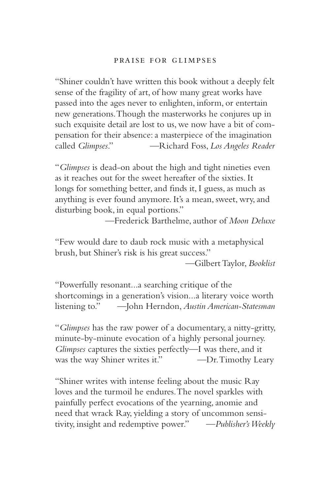#### praise for glimpses

"Shiner couldn't have written this book without a deeply felt sense of the fragility of art, of how many great works have passed into the ages never to enlighten, inform, or entertain new generations. Though the masterworks he conjures up in such exquisite detail are lost to us, we now have a bit of compensation for their absence: a masterpiece of the imagination called *Glimpses*." —Richard Foss, *Los Angeles Reader*

"*Glimpses* is dead-on about the high and tight nineties even as it reaches out for the sweet hereafter of the sixties. It longs for something better, and finds it, I guess, as much as anything is ever found anymore. It's a mean, sweet, wry, and disturbing book, in equal portions."

—Frederick Barthelme, author of *Moon Deluxe*

"Few would dare to daub rock music with a metaphysical brush, but Shiner's risk is his great success."

—Gilbert Taylor, *Booklist*

"Powerfully resonant...a searching critique of the shortcomings in a generation's vision...a literary voice worth listening to." —John Herndon, *Austin American-Statesman*

"*Glimpses* has the raw power of a documentary, a nitty-gritty, minute-by-minute evocation of a highly personal journey. *Glimpses* captures the sixties perfectly—I was there, and it was the way Shiner writes it." —Dr. Timothy Leary

"Shiner writes with intense feeling about the music Ray loves and the turmoil he endures. The novel sparkles with painfully perfect evocations of the yearning, anomie and need that wrack Ray, yielding a story of uncommon sensitivity, insight and redemptive power." —*Publisher's Weekly*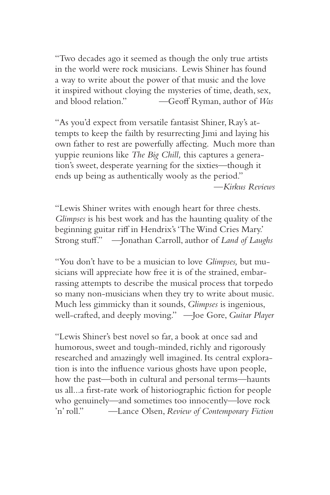"Two decades ago it seemed as though the only true artists in the world were rock musicians. Lewis Shiner has found a way to write about the power of that music and the love it inspired without cloying the mysteries of time, death, sex, and blood relation." —Geoff Ryman, author of *Was*

"As you'd expect from versatile fantasist Shiner, Ray's attempts to keep the failth by resurrecting Jimi and laying his own father to rest are powerfully affecting. Much more than yuppie reunions like *The Big Chill,* this captures a generation's sweet, desperate yearning for the sixties—though it ends up being as authentically wooly as the period." —*Kirkus Reviews*

"Lewis Shiner writes with enough heart for three chests. *Glimpses* is his best work and has the haunting quality of the beginning guitar riff in Hendrix's 'The Wind Cries Mary.' Strong stuff." —Jonathan Carroll, author of *Land of Laughs*

"You don't have to be a musician to love *Glimpses,* but musicians will appreciate how free it is of the strained, embarrassing attempts to describe the musical process that torpedo so many non-musicians when they try to write about music. Much less gimmicky than it sounds, *Glimpses* is ingenious, well-crafted, and deeply moving." —Joe Gore, *Guitar Player*

"Lewis Shiner's best novel so far, a book at once sad and humorous, sweet and tough-minded, richly and rigorously researched and amazingly well imagined. Its central exploration is into the influence various ghosts have upon people, how the past—both in cultural and personal terms—haunts us all...a first-rate work of historiographic fiction for people who genuinely—and sometimes too innocently—love rock 'n' roll." —Lance Olsen, *Review of Contemporary Fiction*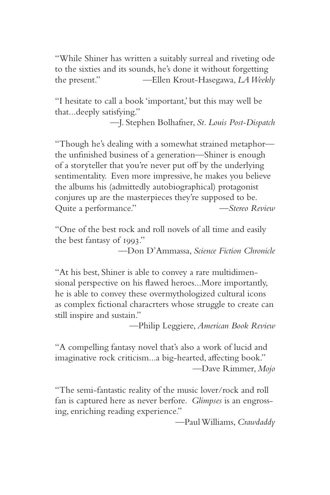"While Shiner has written a suitably surreal and riveting ode to the sixties and its sounds, he's done it without forgetting the present." —Ellen Krout-Hasegawa, *LA Weekly*

"I hesitate to call a book 'important,' but this may well be that...deeply satisfying."

—J. Stephen Bolhafner, *St. Louis Post-Dispatch*

"Though he's dealing with a somewhat strained metaphor the unfinished business of a generation—Shiner is enough of a storyteller that you're never put off by the underlying sentimentality. Even more impressive, he makes you believe the albums his (admittedly autobiographical) protagonist conjures up are the masterpieces they're supposed to be. Quite a performance." —*Stereo Review*

"One of the best rock and roll novels of all time and easily the best fantasy of 1993."

—Don D'Ammassa, *Science Fiction Chronicle*

"At his best, Shiner is able to convey a rare multidimensional perspective on his flawed heroes...More importantly, he is able to convey these overmythologized cultural icons as complex fictional characrters whose struggle to create can still inspire and sustain."

—Philip Leggiere, *American Book Review*

"A compelling fantasy novel that's also a work of lucid and imaginative rock criticism...a big-hearted, affecting book." —Dave Rimmer, *Mojo*

"The semi-fantastic reality of the music lover/rock and roll fan is captured here as never berfore. *Glimpses* is an engrossing, enriching reading experience."

—Paul Williams, *Crawdaddy*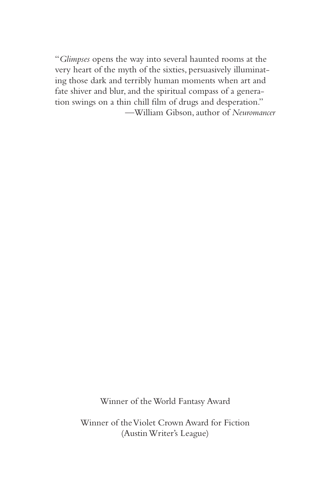"*Glimpses* opens the way into several haunted rooms at the very heart of the myth of the sixties, persuasively illuminating those dark and terribly human moments when art and fate shiver and blur, and the spiritual compass of a generation swings on a thin chill film of drugs and desperation." —William Gibson, author of *Neuromancer*

Winner of the World Fantasy Award

Winner of the Violet Crown Award for Fiction (Austin Writer's League)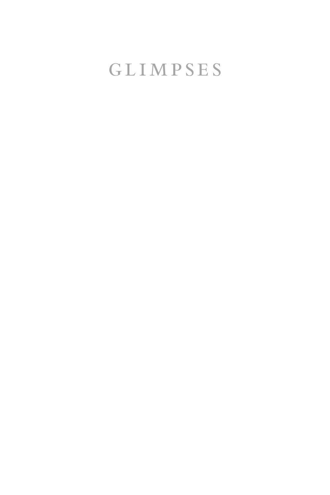## glimpses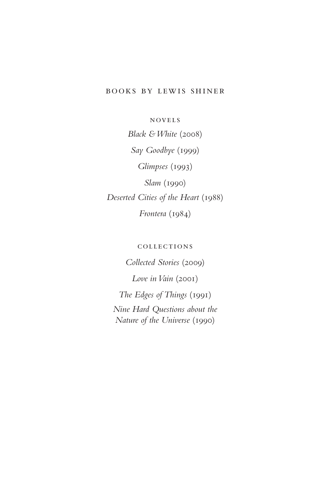#### books by lewis shiner

novels *Black & White* (2008) *Say Goodbye* (1999) *Glimpses* (1993) *Slam* (1990) *Deserted Cities of the Heart* (1988) *Frontera* (1984)

#### collections

*Collected Stories* (2009)

*Love in Vain* (2001)

*The Edges of Things* (1991)

*Nine Hard Questions about the Nature of the Universe* (1990)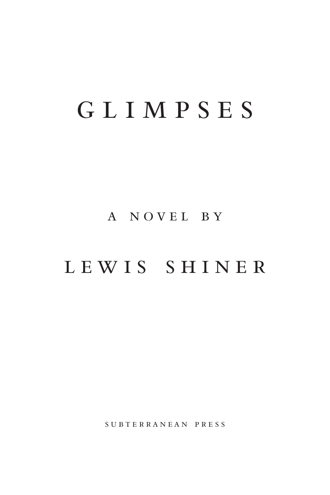# glimpses

### a novel by

## lewis shiner

subterranean press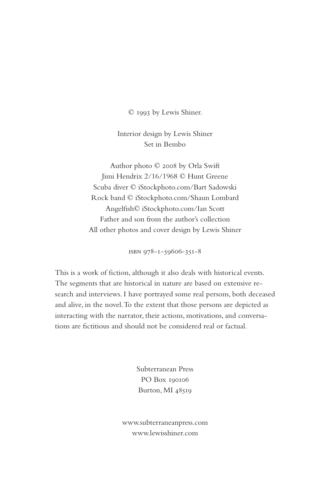© 1993 by Lewis Shiner.

Interior design by Lewis Shiner Set in Bembo

Author photo © 2008 by Orla Swift Jimi Hendrix 2/16/1968 © Hunt Greene Scuba diver © iStockphoto.com/Bart Sadowski Rock band © iStockphoto.com/Shaun Lombard Angelfish© iStockphoto.com/Ian Scott Father and son from the author's collection All other photos and cover design by Lewis Shiner

isbn 978-1-59606-351-8

This is a work of fiction, although it also deals with historical events. The segments that are historical in nature are based on extensive research and interviews. I have portrayed some real persons, both deceased and alive, in the novel. To the extent that those persons are depicted as interacting with the narrator, their actions, motivations, and conversations are fictitious and should not be considered real or factual.

> Subterranean Press PO Box 190106 Burton, MI 48519

www.subterraneanpress.com www.lewisshiner.com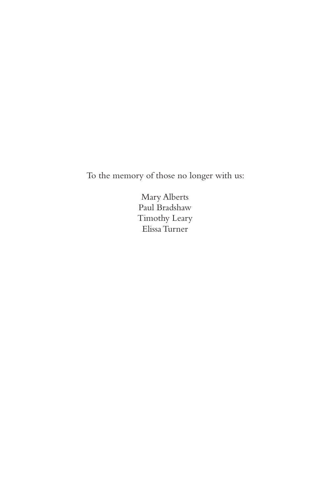To the memory of those no longer with us:

Mary Alberts Paul Bradshaw Timothy Leary Elissa Turner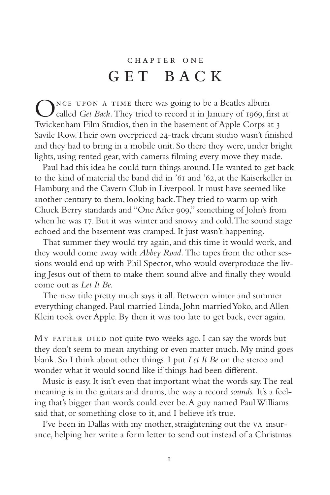### chapter one GET BACK

NCE UPON A TIME there was going to be a Beatles album called *Get Back.* They tried to record it in January of 1969, first at Twickenham Film Studios, then in the basement of Apple Corps at 3 Savile Row. Their own overpriced 24-track dream studio wasn't finished and they had to bring in a mobile unit. So there they were, under bright lights, using rented gear, with cameras filming every move they made.

Paul had this idea he could turn things around. He wanted to get back to the kind of material the band did in '61 and '62, at the Kaiserkeller in Hamburg and the Cavern Club in Liverpool. It must have seemed like another century to them, looking back. They tried to warm up with Chuck Berry standards and "One After 909," something of John's from when he was 17. But it was winter and snowy and cold. The sound stage echoed and the basement was cramped. It just wasn't happening.

That summer they would try again, and this time it would work, and they would come away with *Abbey Road.* The tapes from the other sessions would end up with Phil Spector, who would overproduce the living Jesus out of them to make them sound alive and finally they would come out as *Let It Be.*

The new title pretty much says it all. Between winter and summer everything changed. Paul married Linda, John married Yoko, and Allen Klein took over Apple. By then it was too late to get back, ever again.

MY FATHER DIED not quite two weeks ago. I can say the words but they don't seem to mean anything or even matter much. My mind goes blank. So I think about other things. I put *Let It Be* on the stereo and wonder what it would sound like if things had been different.

Music is easy. It isn't even that important what the words say. The real meaning is in the guitars and drums, the way a record *sounds.* It's a feeling that's bigger than words could ever be. A guy named Paul Williams said that, or something close to it, and I believe it's true.

I've been in Dallas with my mother, straightening out the va insurance, helping her write a form letter to send out instead of a Christmas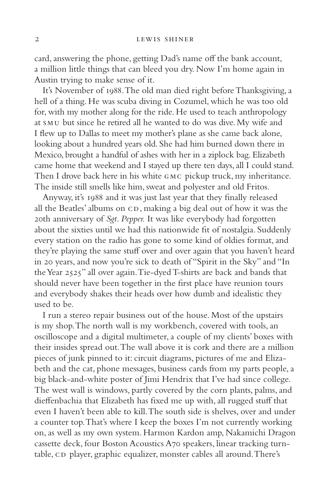card, answering the phone, getting Dad's name off the bank account, a million little things that can bleed you dry. Now I'm home again in Austin trying to make sense of it.

It's November of 1988. The old man died right before Thanksgiving, a hell of a thing. He was scuba diving in Cozumel, which he was too old for, with my mother along for the ride. He used to teach anthropology at smu but since he retired all he wanted to do was dive. My wife and I flew up to Dallas to meet my mother's plane as she came back alone, looking about a hundred years old. She had him burned down there in Mexico, brought a handful of ashes with her in a ziplock bag. Elizabeth came home that weekend and I stayed up there ten days, all I could stand. Then I drove back here in his white GMC pickup truck, my inheritance. The inside still smells like him, sweat and polyester and old Fritos.

Anyway, it's 1988 and it was just last year that they finally released all the Beatles' albums on CD, making a big deal out of how it was the 20th anniversary of *Sgt. Pepper.* It was like everybody had forgotten about the sixties until we had this nationwide fit of nostalgia. Suddenly every station on the radio has gone to some kind of oldies format, and they're playing the same stuff over and over again that you haven't heard in 20 years, and now you're sick to death of "Spirit in the Sky" and "In the Year 2525" all over again. Tie-dyed T-shirts are back and bands that should never have been together in the first place have reunion tours and everybody shakes their heads over how dumb and idealistic they used to be.

I run a stereo repair business out of the house. Most of the upstairs is my shop. The north wall is my workbench, covered with tools, an oscilloscope and a digital multimeter, a couple of my clients' boxes with their insides spread out. The wall above it is cork and there are a million pieces of junk pinned to it: circuit diagrams, pictures of me and Elizabeth and the cat, phone messages, business cards from my parts people, a big black-and-white poster of Jimi Hendrix that I've had since college. The west wall is windows, partly covered by the corn plants, palms, and dieffenbachia that Elizabeth has fixed me up with, all rugged stuff that even I haven't been able to kill. The south side is shelves, over and under a counter top. That's where I keep the boxes I'm not currently working on, as well as my own system. Harmon Kardon amp, Nakamichi Dragon cassette deck, four Boston Acoustics A70 speakers, linear tracking turntable, CD player, graphic equalizer, monster cables all around. There's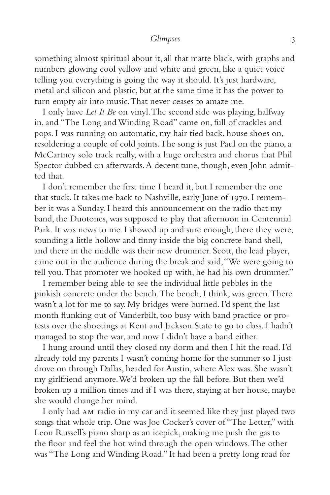something almost spiritual about it, all that matte black, with graphs and numbers glowing cool yellow and white and green, like a quiet voice telling you everything is going the way it should. It's just hardware, metal and silicon and plastic, but at the same time it has the power to turn empty air into music. That never ceases to amaze me.

I only have *Let It Be* on vinyl. The second side was playing, halfway in, and "The Long and Winding Road" came on, full of crackles and pops. I was running on automatic, my hair tied back, house shoes on, resoldering a couple of cold joints. The song is just Paul on the piano, a McCartney solo track really, with a huge orchestra and chorus that Phil Spector dubbed on afterwards. A decent tune, though, even John admitted that.

I don't remember the first time I heard it, but I remember the one that stuck. It takes me back to Nashville, early June of 1970. I remember it was a Sunday. I heard this announcement on the radio that my band, the Duotones, was supposed to play that afternoon in Centennial Park. It was news to me. I showed up and sure enough, there they were, sounding a little hollow and tinny inside the big concrete band shell, and there in the middle was their new drummer. Scott, the lead player, came out in the audience during the break and said, "We were going to tell you. That promoter we hooked up with, he had his own drummer."

I remember being able to see the individual little pebbles in the pinkish concrete under the bench. The bench, I think, was green. There wasn't a lot for me to say. My bridges were burned. I'd spent the last month flunking out of Vanderbilt, too busy with band practice or protests over the shootings at Kent and Jackson State to go to class. I hadn't managed to stop the war, and now I didn't have a band either.

I hung around until they closed my dorm and then I hit the road. I'd already told my parents I wasn't coming home for the summer so I just drove on through Dallas, headed for Austin, where Alex was. She wasn't my girlfriend anymore. We'd broken up the fall before. But then we'd broken up a million times and if I was there, staying at her house, maybe she would change her mind.

I only had am radio in my car and it seemed like they just played two songs that whole trip. One was Joe Cocker's cover of "The Letter," with Leon Russell's piano sharp as an icepick, making me push the gas to the floor and feel the hot wind through the open windows. The other was "The Long and Winding Road." It had been a pretty long road for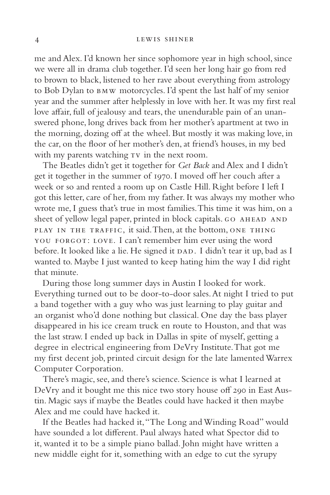me and Alex. I'd known her since sophomore year in high school, since we were all in drama club together. I'd seen her long hair go from red to brown to black, listened to her rave about everything from astrology to Bob Dylan to BMW motorcycles. I'd spent the last half of my senior year and the summer after helplessly in love with her. It was my first real love affair, full of jealousy and tears, the unendurable pain of an unanswered phone, long drives back from her mother's apartment at two in the morning, dozing off at the wheel. But mostly it was making love, in the car, on the floor of her mother's den, at friend's houses, in my bed with my parents watching TV in the next room.

The Beatles didn't get it together for *Get Back* and Alex and I didn't get it together in the summer of 1970. I moved off her couch after a week or so and rented a room up on Castle Hill. Right before I left I got this letter, care of her, from my father. It was always my mother who wrote me, I guess that's true in most families. This time it was him, on a sheet of yellow legal paper, printed in block capitals. GO AHEAD AND PLAY IN THE TRAFFIC, it said. Then, at the bottom, ONE THING YOU FORGOT: LOVE. I can't remember him ever using the word before. It looked like a lie. He signed it DAD. I didn't tear it up, bad as I wanted to. Maybe I just wanted to keep hating him the way I did right that minute.

During those long summer days in Austin I looked for work. Everything turned out to be door-to-door sales. At night I tried to put a band together with a guy who was just learning to play guitar and an organist who'd done nothing but classical. One day the bass player disappeared in his ice cream truck en route to Houston, and that was the last straw. I ended up back in Dallas in spite of myself, getting a degree in electrical engineering from DeVry Institute. That got me my first decent job, printed circuit design for the late lamented Warrex Computer Corporation.

There's magic, see, and there's science. Science is what I learned at DeVry and it bought me this nice two story house off 290 in East Austin. Magic says if maybe the Beatles could have hacked it then maybe Alex and me could have hacked it.

If the Beatles had hacked it, "The Long and Winding Road" would have sounded a lot different. Paul always hated what Spector did to it, wanted it to be a simple piano ballad. John might have written a new middle eight for it, something with an edge to cut the syrupy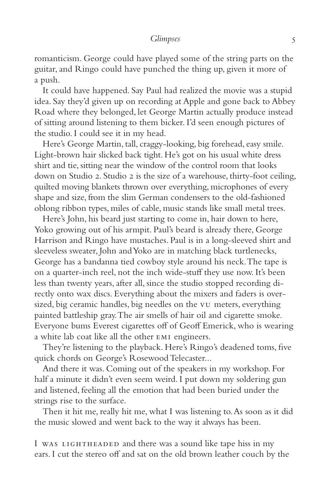romanticism. George could have played some of the string parts on the guitar, and Ringo could have punched the thing up, given it more of a push.

It could have happened. Say Paul had realized the movie was a stupid idea. Say they'd given up on recording at Apple and gone back to Abbey Road where they belonged, let George Martin actually produce instead of sitting around listening to them bicker. I'd seen enough pictures of the studio. I could see it in my head.

Here's George Martin, tall, craggy-looking, big forehead, easy smile. Light-brown hair slicked back tight. He's got on his usual white dress shirt and tie, sitting near the window of the control room that looks down on Studio 2. Studio 2 is the size of a warehouse, thirty-foot ceiling, quilted moving blankets thrown over everything, microphones of every shape and size, from the slim German condensers to the old-fashioned oblong ribbon types, miles of cable, music stands like small metal trees.

Here's John, his beard just starting to come in, hair down to here, Yoko growing out of his armpit. Paul's beard is already there, George Harrison and Ringo have mustaches. Paul is in a long-sleeved shirt and sleeveless sweater, John and Yoko are in matching black turtlenecks, George has a bandanna tied cowboy style around his neck. The tape is on a quarter-inch reel, not the inch wide-stuff they use now. It's been less than twenty years, after all, since the studio stopped recording directly onto wax discs. Everything about the mixers and faders is oversized, big ceramic handles, big needles on the vu meters, everything painted battleship gray. The air smells of hair oil and cigarette smoke. Everyone bums Everest cigarettes off of Geoff Emerick, who is wearing a white lab coat like all the other EMI engineers.

They're listening to the playback. Here's Ringo's deadened toms, five quick chords on George's Rosewood Telecaster...

And there it was. Coming out of the speakers in my workshop. For half a minute it didn't even seem weird. I put down my soldering gun and listened, feeling all the emotion that had been buried under the strings rise to the surface.

Then it hit me, really hit me, what I was listening to. As soon as it did the music slowed and went back to the way it always has been.

I WAS LIGHTHEADED and there was a sound like tape hiss in my ears. I cut the stereo off and sat on the old brown leather couch by the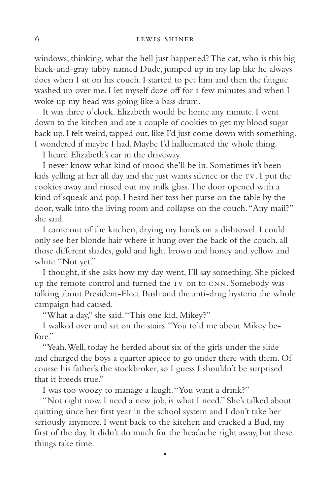windows, thinking, what the hell just happened? The cat, who is this big black-and-gray tabby named Dude, jumped up in my lap like he always does when I sit on his couch. I started to pet him and then the fatigue washed up over me. I let myself doze off for a few minutes and when I woke up my head was going like a bass drum.

It was three o'clock. Elizabeth would be home any minute. I went down to the kitchen and ate a couple of cookies to get my blood sugar back up. I felt weird, tapped out, like I'd just come down with something. I wondered if maybe I had. Maybe I'd hallucinated the whole thing.

I heard Elizabeth's car in the driveway.

I never know what kind of mood she'll be in. Sometimes it's been kids yelling at her all day and she just wants silence or the TV. I put the cookies away and rinsed out my milk glass. The door opened with a kind of squeak and pop. I heard her toss her purse on the table by the door, walk into the living room and collapse on the couch. "Any mail?" she said.

I came out of the kitchen, drying my hands on a dishtowel. I could only see her blonde hair where it hung over the back of the couch, all those different shades, gold and light brown and honey and yellow and white. "Not yet."

I thought, if she asks how my day went, I'll say something. She picked up the remote control and turned the tv on to cnn. Somebody was talking about President-Elect Bush and the anti-drug hysteria the whole campaign had caused.

"What a day," she said. "This one kid, Mikey?"

I walked over and sat on the stairs. "You told me about Mikey before."

"Yeah. Well, today he herded about six of the girls under the slide and charged the boys a quarter apiece to go under there with them. Of course his father's the stockbroker, so I guess I shouldn't be surprised that it breeds true."

I was too woozy to manage a laugh. "You want a drink?"

"Not right now. I need a new job, is what I need." She's talked about quitting since her first year in the school system and I don't take her seriously anymore. I went back to the kitchen and cracked a Bud, my first of the day. It didn't do much for the headache right away, but these things take time.

•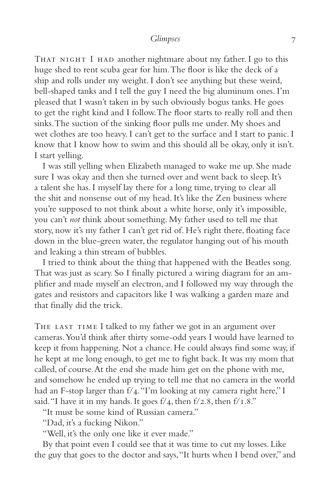THAT NIGHT I HAD another nightmare about my father. I go to this huge shed to rent scuba gear for him. The floor is like the deck of a ship and rolls under my weight. I don't see anything but these weird, bell-shaped tanks and I tell the guy I need the big aluminum ones. I'm pleased that I wasn't taken in by such obviously bogus tanks. He goes to get the right kind and I follow. The floor starts to really roll and then sinks. The suction of the sinking floor pulls me under. My shoes and wet clothes are too heavy. I can't get to the surface and I start to panic. I know that I know how to swim and this should all be okay, only it isn't. I start yelling.

I was still yelling when Elizabeth managed to wake me up. She made sure I was okay and then she turned over and went back to sleep. It's a talent she has. I myself lay there for a long time, trying to clear all the shit and nonsense out of my head. It's like the Zen business where you're supposed to not think about a white horse, only it's impossible, you can't *not* think about something. My father used to tell me that story, now it's my father I can't get rid of. He's right there, floating face down in the blue-green water, the regulator hanging out of his mouth and leaking a thin stream of bubbles.

I tried to think about the thing that happened with the Beatles song. That was just as scary. So I finally pictured a wiring diagram for an amplifier and made myself an electron, and I followed my way through the gates and resistors and capacitors like I was walking a garden maze and that finally did the trick.

THE LAST TIME I talked to my father we got in an argument over cameras. You'd think after thirty some-odd years I would have learned to keep it from happening. Not a chance. He could always find some way, if he kept at me long enough, to get me to fight back. It was my mom that called, of course. At the end she made him get on the phone with me, and somehow he ended up trying to tell me that no camera in the world had an F-stop larger than f/4. "I'm looking at my camera right here," I said. "I have it in my hands. It goes  $f/4$ , then  $f/2.8$ , then  $f/1.8$ ."

"It must be some kind of Russian camera."

"Dad, it's a fucking Nikon."

"Well, it's the only one like it ever made."

By that point even I could see that it was time to cut my losses. Like the guy that goes to the doctor and says, "It hurts when I bend over," and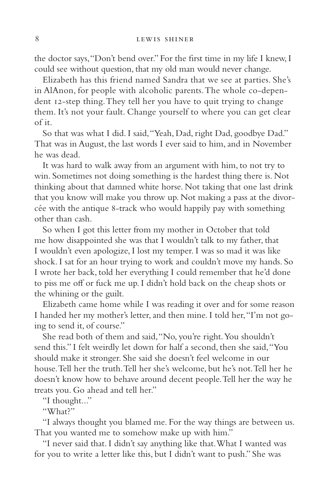the doctor says, "Don't bend over." For the first time in my life I knew, I could see without question, that my old man would never change.

Elizabeth has this friend named Sandra that we see at parties. She's in AlAnon, for people with alcoholic parents. The whole co-dependent 12-step thing. They tell her you have to quit trying to change them. It's not your fault. Change yourself to where you can get clear of it.

So that was what I did. I said, "Yeah, Dad, right Dad, goodbye Dad." That was in August, the last words I ever said to him, and in November he was dead.

It was hard to walk away from an argument with him, to not try to win. Sometimes not doing something is the hardest thing there is. Not thinking about that damned white horse. Not taking that one last drink that you know will make you throw up. Not making a pass at the divorcée with the antique 8-track who would happily pay with something other than cash.

So when I got this letter from my mother in October that told me how disappointed she was that I wouldn't talk to my father, that I wouldn't even apologize, I lost my temper. I was so mad it was like shock. I sat for an hour trying to work and couldn't move my hands. So I wrote her back, told her everything I could remember that he'd done to piss me off or fuck me up. I didn't hold back on the cheap shots or the whining or the guilt.

Elizabeth came home while I was reading it over and for some reason I handed her my mother's letter, and then mine. I told her, "I'm not going to send it, of course."

She read both of them and said, "No, you're right. You shouldn't send this." I felt weirdly let down for half a second, then she said, "You should make it stronger. She said she doesn't feel welcome in our house. Tell her the truth. Tell her she's welcome, but he's not. Tell her he doesn't know how to behave around decent people. Tell her the way he treats you. Go ahead and tell her."

"I thought..."

"What?"

"I always thought you blamed me. For the way things are between us. That you wanted me to somehow make up with him."

"I never said that. I didn't say anything like that. What I wanted was for you to write a letter like this, but I didn't want to push." She was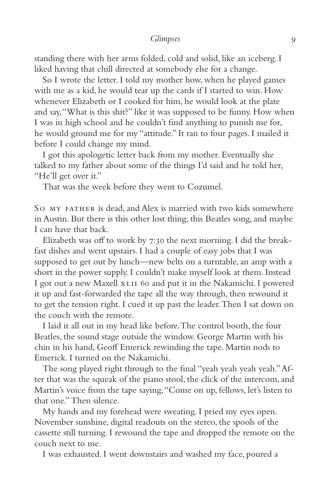standing there with her arms folded, cold and solid, like an iceberg. I liked having that chill directed at somebody else for a change.

So I wrote the letter. I told my mother how, when he played games with me as a kid, he would tear up the cards if I started to win. How whenever Elizabeth or I cooked for him, he would look at the plate and say, "What is this shit?" like it was supposed to be funny. How when I was in high school and he couldn't find anything to punish me for, he would ground me for my "attitude." It ran to four pages. I mailed it before I could change my mind.

I got this apologetic letter back from my mother. Eventually she talked to my father about some of the things I'd said and he told her, "He'll get over it."

That was the week before they went to Cozumel.

So my father is dead, and Alex is married with two kids somewhere in Austin. But there is this other lost thing, this Beatles song, and maybe I can have that back.

Elizabeth was off to work by 7:30 the next morning. I did the breakfast dishes and went upstairs. I had a couple of easy jobs that I was supposed to get out by lunch—new belts on a turntable, an amp with a short in the power supply. I couldn't make myself look at them. Instead I got out a new Maxell xlii 60 and put it in the Nakamichi. I powered it up and fast-forwarded the tape all the way through, then rewound it to get the tension right. I cued it up past the leader. Then I sat down on the couch with the remote.

I laid it all out in my head like before. The control booth, the four Beatles, the sound stage outside the window. George Martin with his chin in his hand, Geoff Emerick rewinding the tape. Martin nods to Emerick. I turned on the Nakamichi.

The song played right through to the final "yeah yeah yeah yeah." After that was the squeak of the piano stool, the click of the intercom, and Martin's voice from the tape saying, "Come on up, fellows, let's listen to that one." Then silence.

My hands and my forehead were sweating. I pried my eyes open. November sunshine, digital readouts on the stereo, the spools of the cassette still turning. I rewound the tape and dropped the remote on the couch next to me.

I was exhausted. I went downstairs and washed my face, poured a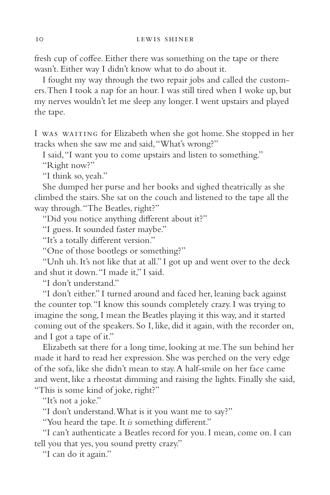fresh cup of coffee. Either there was something on the tape or there wasn't. Either way I didn't know what to do about it.

I fought my way through the two repair jobs and called the customers. Then I took a nap for an hour. I was still tired when I woke up, but my nerves wouldn't let me sleep any longer. I went upstairs and played the tape.

I was waiting for Elizabeth when she got home. She stopped in her tracks when she saw me and said, "What's wrong?"

I said, "I want you to come upstairs and listen to something."

"Right now?"

"I think so, yeah."

She dumped her purse and her books and sighed theatrically as she climbed the stairs. She sat on the couch and listened to the tape all the way through. "The Beatles, right?"

"Did you notice anything different about it?"

"I guess. It sounded faster maybe."

"It's a totally different version."

"One of those bootlegs or something?"

"Unh uh. It's not like that at all." I got up and went over to the deck and shut it down. "I made it," I said.

"I don't understand."

"I don't either." I turned around and faced her, leaning back against the counter top. "I know this sounds completely crazy. I was trying to imagine the song, I mean the Beatles playing it this way, and it started coming out of the speakers. So I, like, did it again, with the recorder on, and I got a tape of it."

Elizabeth sat there for a long time, looking at me. The sun behind her made it hard to read her expression. She was perched on the very edge of the sofa, like she didn't mean to stay. A half-smile on her face came and went, like a rheostat dimming and raising the lights. Finally she said, "This is some kind of joke, right?"

"It's not a joke."

"I don't understand. What is it you want me to say?"

"You heard the tape. It *is* something different."

"I can't authenticate a Beatles record for you. I mean, come on. I can tell you that yes, you sound pretty crazy."

"I can do it again."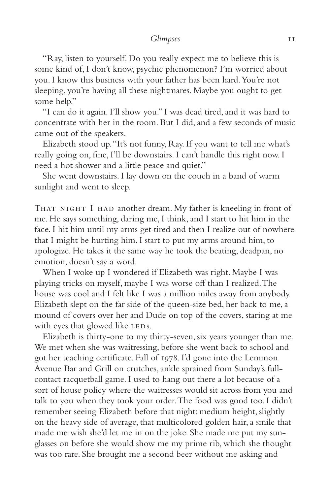"Ray, listen to yourself. Do you really expect me to believe this is some kind of, I don't know, psychic phenomenon? I'm worried about you. I know this business with your father has been hard. You're not sleeping, you're having all these nightmares. Maybe you ought to get some help."

"I can do it again. I'll show you." I was dead tired, and it was hard to concentrate with her in the room. But I did, and a few seconds of music came out of the speakers.

Elizabeth stood up. "It's not funny, Ray. If you want to tell me what's really going on, fine, I'll be downstairs. I can't handle this right now. I need a hot shower and a little peace and quiet."

She went downstairs. I lay down on the couch in a band of warm sunlight and went to sleep.

THAT NIGHT I HAD another dream. My father is kneeling in front of me. He says something, daring me, I think, and I start to hit him in the face. I hit him until my arms get tired and then I realize out of nowhere that I might be hurting him. I start to put my arms around him, to apologize. He takes it the same way he took the beating, deadpan, no emotion, doesn't say a word.

When I woke up I wondered if Elizabeth was right. Maybe I was playing tricks on myself, maybe I was worse off than I realized. The house was cool and I felt like I was a million miles away from anybody. Elizabeth slept on the far side of the queen-size bed, her back to me, a mound of covers over her and Dude on top of the covers, staring at me with eyes that glowed like LEDS.

Elizabeth is thirty-one to my thirty-seven, six years younger than me. We met when she was waitressing, before she went back to school and got her teaching certificate. Fall of 1978. I'd gone into the Lemmon Avenue Bar and Grill on crutches, ankle sprained from Sunday's fullcontact racquetball game. I used to hang out there a lot because of a sort of house policy where the waitresses would sit across from you and talk to you when they took your order. The food was good too. I didn't remember seeing Elizabeth before that night: medium height, slightly on the heavy side of average, that multicolored golden hair, a smile that made me wish she'd let me in on the joke. She made me put my sunglasses on before she would show me my prime rib, which she thought was too rare. She brought me a second beer without me asking and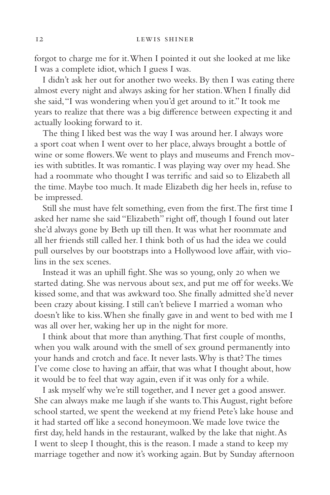forgot to charge me for it. When I pointed it out she looked at me like I was a complete idiot, which I guess I was.

I didn't ask her out for another two weeks. By then I was eating there almost every night and always asking for her station. When I finally did she said, "I was wondering when you'd get around to it." It took me years to realize that there was a big difference between expecting it and actually looking forward to it.

The thing I liked best was the way I was around her. I always wore a sport coat when I went over to her place, always brought a bottle of wine or some flowers. We went to plays and museums and French movies with subtitles. It was romantic. I was playing way over my head. She had a roommate who thought I was terrific and said so to Elizabeth all the time. Maybe too much. It made Elizabeth dig her heels in, refuse to be impressed.

Still she must have felt something, even from the first. The first time I asked her name she said "Elizabeth" right off, though I found out later she'd always gone by Beth up till then. It was what her roommate and all her friends still called her. I think both of us had the idea we could pull ourselves by our bootstraps into a Hollywood love affair, with violins in the sex scenes.

Instead it was an uphill fight. She was so young, only 20 when we started dating. She was nervous about sex, and put me off for weeks. We kissed some, and that was awkward too. She finally admitted she'd never been crazy about kissing. I still can't believe I married a woman who doesn't like to kiss. When she finally gave in and went to bed with me I was all over her, waking her up in the night for more.

I think about that more than anything. That first couple of months, when you walk around with the smell of sex ground permanently into your hands and crotch and face. It never lasts. Why is that? The times I've come close to having an affair, that was what I thought about, how it would be to feel that way again, even if it was only for a while.

I ask myself why we're still together, and I never get a good answer. She can always make me laugh if she wants to. This August, right before school started, we spent the weekend at my friend Pete's lake house and it had started off like a second honeymoon. We made love twice the first day, held hands in the restaurant, walked by the lake that night. As I went to sleep I thought, this is the reason. I made a stand to keep my marriage together and now it's working again. But by Sunday afternoon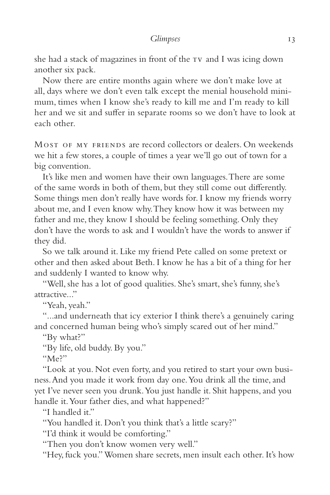she had a stack of magazines in front of the tv and I was icing down another six pack.

Now there are entire months again where we don't make love at all, days where we don't even talk except the menial household minimum, times when I know she's ready to kill me and I'm ready to kill her and we sit and suffer in separate rooms so we don't have to look at each other.

Most of my friends are record collectors or dealers. On weekends we hit a few stores, a couple of times a year we'll go out of town for a big convention.

It's like men and women have their own languages. There are some of the same words in both of them, but they still come out differently. Some things men don't really have words for. I know my friends worry about me, and I even know why. They know how it was between my father and me, they know I should be feeling something. Only they don't have the words to ask and I wouldn't have the words to answer if they did.

So we talk around it. Like my friend Pete called on some pretext or other and then asked about Beth. I know he has a bit of a thing for her and suddenly I wanted to know why.

"Well, she has a lot of good qualities. She's smart, she's funny, she's attractive..."

"Yeah, yeah."

"...and underneath that icy exterior I think there's a genuinely caring and concerned human being who's simply scared out of her mind."

"By what?"

"By life, old buddy. By you."

"Me?"

"Look at you. Not even forty, and you retired to start your own business. And you made it work from day one. You drink all the time, and yet I've never seen you drunk. You just handle it. Shit happens, and you handle it. Your father dies, and what happened?"

"I handled it."

"You handled it. Don't you think that's a little scary?"

"I'd think it would be comforting."

"Then you don't know women very well."

"Hey, fuck you." Women share secrets, men insult each other. It's how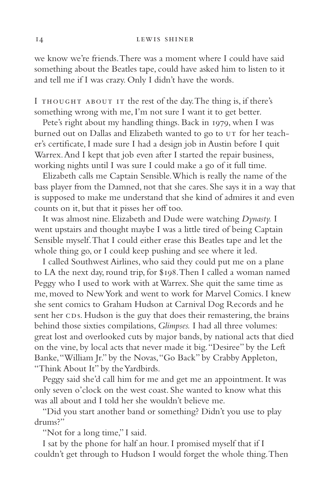we know we're friends. There was a moment where I could have said something about the Beatles tape, could have asked him to listen to it and tell me if I was crazy. Only I didn't have the words.

I thought about it the rest of the day. The thing is, if there's something wrong with me, I'm not sure I want it to get better.

Pete's right about my handling things. Back in 1979, when I was burned out on Dallas and Elizabeth wanted to go to UT for her teacher's certificate, I made sure I had a design job in Austin before I quit Warrex. And I kept that job even after I started the repair business, working nights until I was sure I could make a go of it full time.

Elizabeth calls me Captain Sensible. Which is really the name of the bass player from the Damned, not that she cares. She says it in a way that is supposed to make me understand that she kind of admires it and even counts on it, but that it pisses her off too.

It was almost nine. Elizabeth and Dude were watching *Dynasty.* I went upstairs and thought maybe I was a little tired of being Captain Sensible myself. That I could either erase this Beatles tape and let the whole thing go, or I could keep pushing and see where it led.

I called Southwest Airlines, who said they could put me on a plane to LA the next day, round trip, for \$198. Then I called a woman named Peggy who I used to work with at Warrex. She quit the same time as me, moved to New York and went to work for Marvel Comics. I knew she sent comics to Graham Hudson at Carnival Dog Records and he sent her CDs. Hudson is the guy that does their remastering, the brains behind those sixties compilations, *Glimpses.* I had all three volumes: great lost and overlooked cuts by major bands, by national acts that died on the vine, by local acts that never made it big. "Desiree" by the Left Banke, "William Jr." by the Novas, "Go Back" by Crabby Appleton, "Think About It" by the Yardbirds.

Peggy said she'd call him for me and get me an appointment. It was only seven o'clock on the west coast. She wanted to know what this was all about and I told her she wouldn't believe me.

"Did you start another band or something? Didn't you use to play drums?"

"Not for a long time," I said.

I sat by the phone for half an hour. I promised myself that if I couldn't get through to Hudson I would forget the whole thing. Then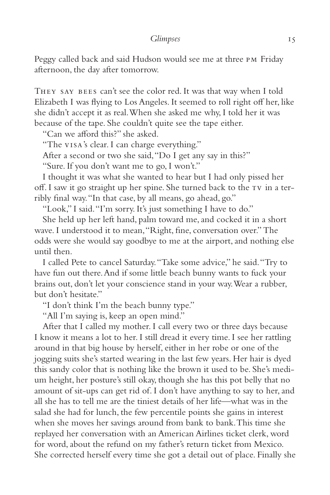Peggy called back and said Hudson would see me at three pm Friday afternoon, the day after tomorrow.

THEY SAY BEES can't see the color red. It was that way when I told Elizabeth I was flying to Los Angeles. It seemed to roll right off her, like she didn't accept it as real. When she asked me why, I told her it was because of the tape. She couldn't quite see the tape either.

"Can we afford this?" she asked.

"The visa's clear. I can charge everything."

After a second or two she said, "Do I get any say in this?"

"Sure. If you don't want me to go, I won't."

I thought it was what she wanted to hear but I had only pissed her off. I saw it go straight up her spine. She turned back to the TV in a terribly final way. "In that case, by all means, go ahead, go."

"Look," I said. "I'm sorry. It's just something I have to do."

She held up her left hand, palm toward me, and cocked it in a short wave. I understood it to mean, "Right, fine, conversation over." The odds were she would say goodbye to me at the airport, and nothing else until then.

I called Pete to cancel Saturday. "Take some advice," he said. "Try to have fun out there. And if some little beach bunny wants to fuck your brains out, don't let your conscience stand in your way. Wear a rubber, but don't hesitate."

"I don't think I'm the beach bunny type."

"All I'm saying is, keep an open mind."

After that I called my mother. I call every two or three days because I know it means a lot to her. I still dread it every time. I see her rattling around in that big house by herself, either in her robe or one of the jogging suits she's started wearing in the last few years. Her hair is dyed this sandy color that is nothing like the brown it used to be. She's medium height, her posture's still okay, though she has this pot belly that no amount of sit-ups can get rid of. I don't have anything to say to her, and all she has to tell me are the tiniest details of her life—what was in the salad she had for lunch, the few percentile points she gains in interest when she moves her savings around from bank to bank. This time she replayed her conversation with an American Airlines ticket clerk, word for word, about the refund on my father's return ticket from Mexico. She corrected herself every time she got a detail out of place. Finally she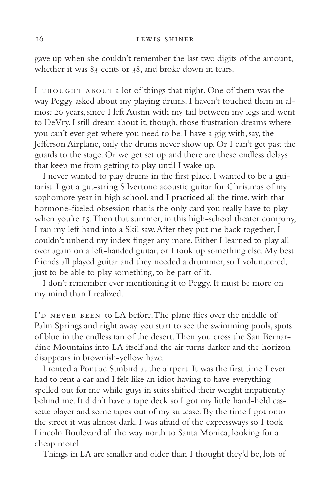gave up when she couldn't remember the last two digits of the amount, whether it was 83 cents or 38, and broke down in tears.

I thought about a lot of things that night. One of them was the way Peggy asked about my playing drums. I haven't touched them in almost 20 years, since I left Austin with my tail between my legs and went to DeVry. I still dream about it, though, those frustration dreams where you can't ever get where you need to be. I have a gig with, say, the Jefferson Airplane, only the drums never show up. Or I can't get past the guards to the stage. Or we get set up and there are these endless delays that keep me from getting to play until I wake up.

I never wanted to play drums in the first place. I wanted to be a guitarist. I got a gut-string Silvertone acoustic guitar for Christmas of my sophomore year in high school, and I practiced all the time, with that hormone-fueled obsession that is the only card you really have to play when you're 15. Then that summer, in this high-school theater company, I ran my left hand into a Skil saw. After they put me back together, I couldn't unbend my index finger any more. Either I learned to play all over again on a left-handed guitar, or I took up something else. My best friends all played guitar and they needed a drummer, so I volunteered, just to be able to play something, to be part of it.

I don't remember ever mentioning it to Peggy. It must be more on my mind than I realized.

I'D NEVER BEEN to LA before. The plane flies over the middle of Palm Springs and right away you start to see the swimming pools, spots of blue in the endless tan of the desert. Then you cross the San Bernardino Mountains into LA itself and the air turns darker and the horizon disappears in brownish-yellow haze.

I rented a Pontiac Sunbird at the airport. It was the first time I ever had to rent a car and I felt like an idiot having to have everything spelled out for me while guys in suits shifted their weight impatiently behind me. It didn't have a tape deck so I got my little hand-held cassette player and some tapes out of my suitcase. By the time I got onto the street it was almost dark. I was afraid of the expressways so I took Lincoln Boulevard all the way north to Santa Monica, looking for a cheap motel.

Things in LA are smaller and older than I thought they'd be, lots of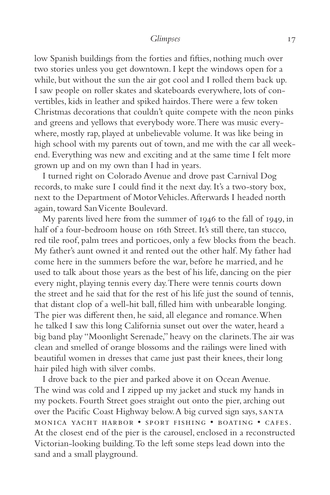low Spanish buildings from the forties and fifties, nothing much over two stories unless you get downtown. I kept the windows open for a while, but without the sun the air got cool and I rolled them back up. I saw people on roller skates and skateboards everywhere, lots of convertibles, kids in leather and spiked hairdos. There were a few token Christmas decorations that couldn't quite compete with the neon pinks and greens and yellows that everybody wore. There was music everywhere, mostly rap, played at unbelievable volume. It was like being in high school with my parents out of town, and me with the car all weekend. Everything was new and exciting and at the same time I felt more grown up and on my own than I had in years.

I turned right on Colorado Avenue and drove past Carnival Dog records, to make sure I could find it the next day. It's a two-story box, next to the Department of Motor Vehicles. Afterwards I headed north again, toward San Vicente Boulevard.

My parents lived here from the summer of 1946 to the fall of 1949, in half of a four-bedroom house on 16th Street. It's still there, tan stucco, red tile roof, palm trees and porticoes, only a few blocks from the beach. My father's aunt owned it and rented out the other half. My father had come here in the summers before the war, before he married, and he used to talk about those years as the best of his life, dancing on the pier every night, playing tennis every day. There were tennis courts down the street and he said that for the rest of his life just the sound of tennis, that distant clop of a well-hit ball, filled him with unbearable longing. The pier was different then, he said, all elegance and romance. When he talked I saw this long California sunset out over the water, heard a big band play "Moonlight Serenade," heavy on the clarinets. The air was clean and smelled of orange blossoms and the railings were lined with beautiful women in dresses that came just past their knees, their long hair piled high with silver combs.

I drove back to the pier and parked above it on Ocean Avenue. The wind was cold and I zipped up my jacket and stuck my hands in my pockets. Fourth Street goes straight out onto the pier, arching out over the Pacific Coast Highway below. A big curved sign says, santa monica yacht harbor • sport fishing • boating • cafes. At the closest end of the pier is the carousel, enclosed in a reconstructed Victorian-looking building. To the left some steps lead down into the sand and a small playground.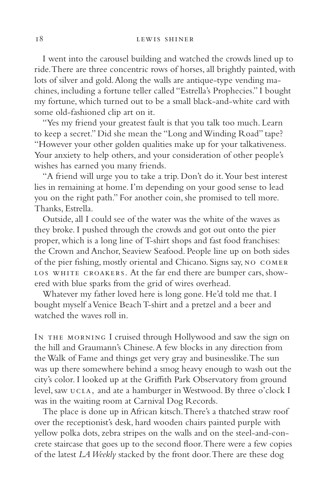I went into the carousel building and watched the crowds lined up to ride. There are three concentric rows of horses, all brightly painted, with lots of silver and gold. Along the walls are antique-type vending machines, including a fortune teller called "Estrella's Prophecies." I bought my fortune, which turned out to be a small black-and-white card with some old-fashioned clip art on it.

"Yes my friend your greatest fault is that you talk too much. Learn to keep a secret." Did she mean the "Long and Winding Road" tape? "However your other golden qualities make up for your talkativeness. Your anxiety to help others, and your consideration of other people's wishes has earned you many friends.

"A friend will urge you to take a trip. Don't do it. Your best interest lies in remaining at home. I'm depending on your good sense to lead you on the right path." For another coin, she promised to tell more. Thanks, Estrella.

Outside, all I could see of the water was the white of the waves as they broke. I pushed through the crowds and got out onto the pier proper, which is a long line of T-shirt shops and fast food franchises: the Crown and Anchor, Seaview Seafood. People line up on both sides of the pier fishing, mostly oriental and Chicano. Signs say, no comer los white croakers. At the far end there are bumper cars, showered with blue sparks from the grid of wires overhead.

Whatever my father loved here is long gone. He'd told me that. I bought myself a Venice Beach T-shirt and a pretzel and a beer and watched the waves roll in.

IN THE MORNING I cruised through Hollywood and saw the sign on the hill and Graumann's Chinese. A few blocks in any direction from the Walk of Fame and things get very gray and businesslike. The sun was up there somewhere behind a smog heavy enough to wash out the city's color. I looked up at the Griffith Park Observatory from ground level, saw UCLA, and ate a hamburger in Westwood. By three o'clock I was in the waiting room at Carnival Dog Records.

The place is done up in African kitsch. There's a thatched straw roof over the receptionist's desk, hard wooden chairs painted purple with yellow polka dots, zebra stripes on the walls and on the steel-and-concrete staircase that goes up to the second floor. There were a few copies of the latest *LA Weekly* stacked by the front door. There are these dog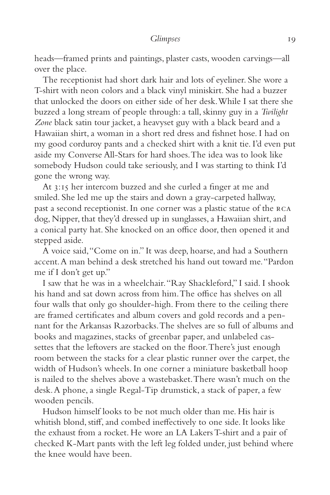heads—framed prints and paintings, plaster casts, wooden carvings—all over the place.

The receptionist had short dark hair and lots of eyeliner. She wore a T-shirt with neon colors and a black vinyl miniskirt. She had a buzzer that unlocked the doors on either side of her desk. While I sat there she buzzed a long stream of people through: a tall, skinny guy in a *Twilight Zone* black satin tour jacket, a heavyset guy with a black beard and a Hawaiian shirt, a woman in a short red dress and fishnet hose. I had on my good corduroy pants and a checked shirt with a knit tie. I'd even put aside my Converse All-Stars for hard shoes. The idea was to look like somebody Hudson could take seriously, and I was starting to think I'd gone the wrong way.

At 3:15 her intercom buzzed and she curled a finger at me and smiled. She led me up the stairs and down a gray-carpeted hallway, past a second receptionist. In one corner was a plastic statue of the rca dog, Nipper, that they'd dressed up in sunglasses, a Hawaiian shirt, and a conical party hat. She knocked on an office door, then opened it and stepped aside.

A voice said, "Come on in." It was deep, hoarse, and had a Southern accent. A man behind a desk stretched his hand out toward me. "Pardon me if I don't get up."

I saw that he was in a wheelchair. "Ray Shackleford," I said. I shook his hand and sat down across from him. The office has shelves on all four walls that only go shoulder-high. From there to the ceiling there are framed certificates and album covers and gold records and a pennant for the Arkansas Razorbacks. The shelves are so full of albums and books and magazines, stacks of greenbar paper, and unlabeled cassettes that the leftovers are stacked on the floor. There's just enough room between the stacks for a clear plastic runner over the carpet, the width of Hudson's wheels. In one corner a miniature basketball hoop is nailed to the shelves above a wastebasket. There wasn't much on the desk. A phone, a single Regal-Tip drumstick, a stack of paper, a few wooden pencils.

Hudson himself looks to be not much older than me. His hair is whitish blond, stiff, and combed ineffectively to one side. It looks like the exhaust from a rocket. He wore an LA Lakers T-shirt and a pair of checked K-Mart pants with the left leg folded under, just behind where the knee would have been.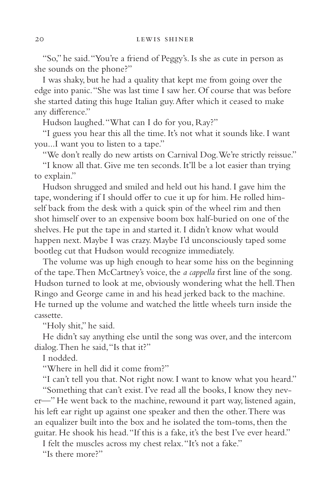"So," he said. "You're a friend of Peggy's. Is she as cute in person as she sounds on the phone?"

I was shaky, but he had a quality that kept me from going over the edge into panic. "She was last time I saw her. Of course that was before she started dating this huge Italian guy. After which it ceased to make any difference."

Hudson laughed. "What can I do for you, Ray?"

"I guess you hear this all the time. It's not what it sounds like. I want you...I want you to listen to a tape."

"We don't really do new artists on Carnival Dog. We're strictly reissue."

"I know all that. Give me ten seconds. It'll be a lot easier than trying to explain."

Hudson shrugged and smiled and held out his hand. I gave him the tape, wondering if I should offer to cue it up for him. He rolled himself back from the desk with a quick spin of the wheel rim and then shot himself over to an expensive boom box half-buried on one of the shelves. He put the tape in and started it. I didn't know what would happen next. Maybe I was crazy. Maybe I'd unconsciously taped some bootleg cut that Hudson would recognize immediately.

The volume was up high enough to hear some hiss on the beginning of the tape. Then McCartney's voice, the *a cappella* first line of the song. Hudson turned to look at me, obviously wondering what the hell. Then Ringo and George came in and his head jerked back to the machine. He turned up the volume and watched the little wheels turn inside the cassette.

"Holy shit," he said.

He didn't say anything else until the song was over, and the intercom dialog. Then he said, "Is that it?"

I nodded.

"Where in hell did it come from?"

"I can't tell you that. Not right now. I want to know what you heard."

"Something that can't exist. I've read all the books, I know they never—" He went back to the machine, rewound it part way, listened again, his left ear right up against one speaker and then the other. There was an equalizer built into the box and he isolated the tom-toms, then the guitar. He shook his head. "If this is a fake, it's the best I've ever heard."

I felt the muscles across my chest relax. "It's not a fake."

"Is there more?"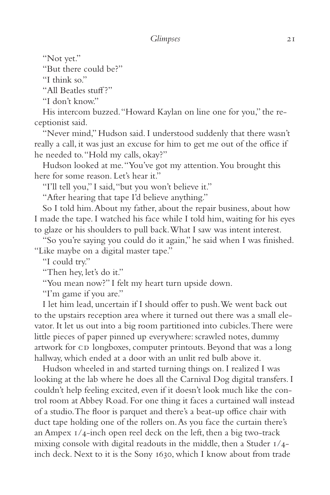"Not yet." "But there could be?"

"I think so."

"All Beatles stuff ?"

"I don't know."

His intercom buzzed. "Howard Kaylan on line one for you," the receptionist said.

"Never mind," Hudson said. I understood suddenly that there wasn't really a call, it was just an excuse for him to get me out of the office if he needed to. "Hold my calls, okay?"

Hudson looked at me. "You've got my attention. You brought this here for some reason. Let's hear it."

"I'll tell you," I said, "but you won't believe it."

"After hearing that tape I'd believe anything."

So I told him. About my father, about the repair business, about how I made the tape. I watched his face while I told him, waiting for his eyes to glaze or his shoulders to pull back. What I saw was intent interest.

"So you're saying you could do it again," he said when I was finished. "Like maybe on a digital master tape."

"I could try."

"Then hey, let's do it."

"You mean now?" I felt my heart turn upside down.

"I'm game if you are."

I let him lead, uncertain if I should offer to push. We went back out to the upstairs reception area where it turned out there was a small elevator. It let us out into a big room partitioned into cubicles. There were little pieces of paper pinned up everywhere: scrawled notes, dummy artwork for CD longboxes, computer printouts. Beyond that was a long hallway, which ended at a door with an unlit red bulb above it.

Hudson wheeled in and started turning things on. I realized I was looking at the lab where he does all the Carnival Dog digital transfers. I couldn't help feeling excited, even if it doesn't look much like the control room at Abbey Road. For one thing it faces a curtained wall instead of a studio. The floor is parquet and there's a beat-up office chair with duct tape holding one of the rollers on. As you face the curtain there's an Ampex 1/4-inch open reel deck on the left, then a big two-track mixing console with digital readouts in the middle, then a Studer 1/4 inch deck. Next to it is the Sony 1630, which I know about from trade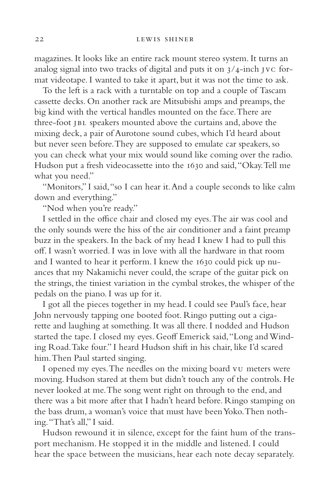magazines. It looks like an entire rack mount stereo system. It turns an analog signal into two tracks of digital and puts it on 3/4-inch jvc format videotape. I wanted to take it apart, but it was not the time to ask.

To the left is a rack with a turntable on top and a couple of Tascam cassette decks. On another rack are Mitsubishi amps and preamps, the big kind with the vertical handles mounted on the face. There are three-foot jbl speakers mounted above the curtains and, above the mixing deck, a pair of Aurotone sound cubes, which I'd heard about but never seen before. They are supposed to emulate car speakers, so you can check what your mix would sound like coming over the radio. Hudson put a fresh videocassette into the 1630 and said, "Okay. Tell me what you need."

"Monitors," I said, "so I can hear it. And a couple seconds to like calm down and everything."

"Nod when you're ready."

I settled in the office chair and closed my eyes. The air was cool and the only sounds were the hiss of the air conditioner and a faint preamp buzz in the speakers. In the back of my head I knew I had to pull this off. I wasn't worried. I was in love with all the hardware in that room and I wanted to hear it perform. I knew the 1630 could pick up nuances that my Nakamichi never could, the scrape of the guitar pick on the strings, the tiniest variation in the cymbal strokes, the whisper of the pedals on the piano. I was up for it.

I got all the pieces together in my head. I could see Paul's face, hear John nervously tapping one booted foot. Ringo putting out a cigarette and laughing at something. It was all there. I nodded and Hudson started the tape. I closed my eyes. Geoff Emerick said, "Long and Winding Road. Take four." I heard Hudson shift in his chair, like I'd scared him. Then Paul started singing.

I opened my eyes. The needles on the mixing board vu meters were moving. Hudson stared at them but didn't touch any of the controls. He never looked at me. The song went right on through to the end, and there was a bit more after that I hadn't heard before. Ringo stamping on the bass drum, a woman's voice that must have been Yoko. Then nothing. "That's all," I said.

Hudson rewound it in silence, except for the faint hum of the transport mechanism. He stopped it in the middle and listened. I could hear the space between the musicians, hear each note decay separately.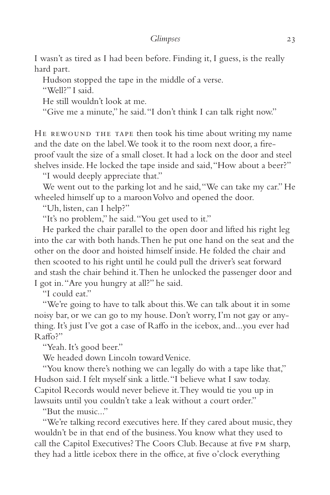I wasn't as tired as I had been before. Finding it, I guess, is the really hard part.

Hudson stopped the tape in the middle of a verse.

"Well?" I said.

He still wouldn't look at me.

"Give me a minute," he said. "I don't think I can talk right now."

HE REWOUND THE TAPE then took his time about writing my name and the date on the label. We took it to the room next door, a fireproof vault the size of a small closet. It had a lock on the door and steel shelves inside. He locked the tape inside and said, "How about a beer?"

"I would deeply appreciate that."

We went out to the parking lot and he said, "We can take my car." He wheeled himself up to a maroon Volvo and opened the door.

"Uh, listen, can I help?"

"It's no problem," he said. "You get used to it."

He parked the chair parallel to the open door and lifted his right leg into the car with both hands. Then he put one hand on the seat and the other on the door and hoisted himself inside. He folded the chair and then scooted to his right until he could pull the driver's seat forward and stash the chair behind it. Then he unlocked the passenger door and I got in. "Are you hungry at all?" he said.

"I could eat."

"We're going to have to talk about this. We can talk about it in some noisy bar, or we can go to my house. Don't worry, I'm not gay or anything. It's just I've got a case of Raffo in the icebox, and...you ever had Raffo?"

"Yeah. It's good beer."

We headed down Lincoln toward Venice.

"You know there's nothing we can legally do with a tape like that," Hudson said. I felt myself sink a little. "I believe what I saw today. Capitol Records would never believe it. They would tie you up in lawsuits until you couldn't take a leak without a court order."

"But the music..."

"We're talking record executives here. If they cared about music, they wouldn't be in that end of the business. You know what they used to call the Capitol Executives? The Coors Club. Because at five pm sharp, they had a little icebox there in the office, at five o'clock everything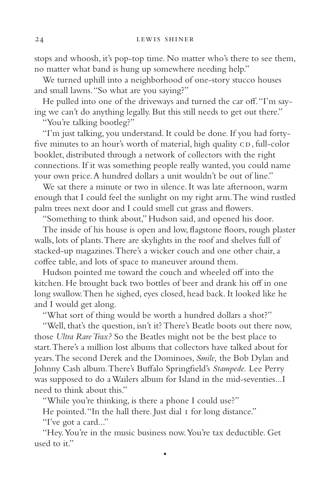stops and whoosh, it's pop-top time. No matter who's there to see them, no matter what band is hung up somewhere needing help."

We turned uphill into a neighborhood of one-story stucco houses and small lawns. "So what are you saying?"

He pulled into one of the driveways and turned the car off. "I'm saying we can't do anything legally. But this still needs to get out there."

"You're talking bootleg?"

"I'm just talking, you understand. It could be done. If you had fortyfive minutes to an hour's worth of material, high quality CD, full-color booklet, distributed through a network of collectors with the right connections. If it was something people really wanted, you could name your own price. A hundred dollars a unit wouldn't be out of line."

We sat there a minute or two in silence. It was late afternoon, warm enough that I could feel the sunlight on my right arm. The wind rustled palm trees next door and I could smell cut grass and flowers.

"Something to think about," Hudson said, and opened his door.

The inside of his house is open and low, flagstone floors, rough plaster walls, lots of plants. There are skylights in the roof and shelves full of stacked-up magazines. There's a wicker couch and one other chair, a coffee table, and lots of space to maneuver around them.

Hudson pointed me toward the couch and wheeled off into the kitchen. He brought back two bottles of beer and drank his off in one long swallow. Then he sighed, eyes closed, head back. It looked like he and I would get along.

"What sort of thing would be worth a hundred dollars a shot?"

"Well, that's the question, isn't it? There's Beatle boots out there now, those *Ultra Rare Trax?* So the Beatles might not be the best place to start. There's a million lost albums that collectors have talked about for years. The second Derek and the Dominoes, *Smile,* the Bob Dylan and Johnny Cash album. There's Buffalo Springfield's *Stampede.* Lee Perry was supposed to do a Wailers album for Island in the mid-seventies...I need to think about this."

"While you're thinking, is there a phone I could use?"

He pointed. "In the hall there. Just dial 1 for long distance."

"I've got a card..."

"Hey. You're in the music business now. You're tax deductible. Get used to it."

•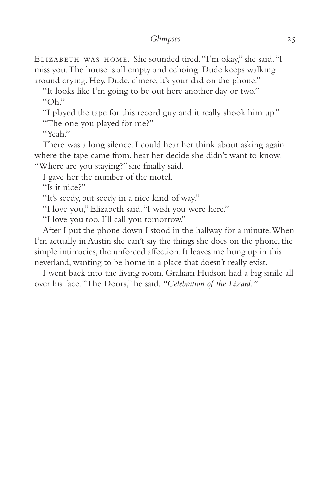ELIZABETH WAS HOME. She sounded tired. "I'm okay," she said. "I miss you. The house is all empty and echoing. Dude keeps walking around crying. Hey, Dude, c'mere, it's your dad on the phone."

"It looks like I'm going to be out here another day or two." "Oh."

"I played the tape for this record guy and it really shook him up." "The one you played for me?"

"Yeah."

There was a long silence. I could hear her think about asking again where the tape came from, hear her decide she didn't want to know. "Where are you staying?" she finally said.

I gave her the number of the motel.

"Is it nice?"

"It's seedy, but seedy in a nice kind of way."

"I love you," Elizabeth said. "I wish you were here."

"I love you too. I'll call you tomorrow."

After I put the phone down I stood in the hallway for a minute. When I'm actually in Austin she can't say the things she does on the phone, the simple intimacies, the unforced affection. It leaves me hung up in this neverland, wanting to be home in a place that doesn't really exist.

I went back into the living room. Graham Hudson had a big smile all over his face. "The Doors," he said. *"Celebration of the Lizard."*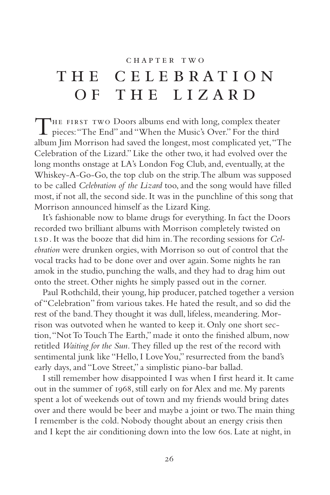## chapter two the celebration of the lizard

THE FIRST TWO Doors albums end with long, complex theater pieces: "The End" and "When the Music's Over." For the third album Jim Morrison had saved the longest, most complicated yet, "The Celebration of the Lizard." Like the other two, it had evolved over the long months onstage at LA's London Fog Club, and, eventually, at the Whiskey-A-Go-Go, the top club on the strip. The album was supposed to be called *Celebration of the Lizard* too, and the song would have filled most, if not all, the second side. It was in the punchline of this song that Morrison announced himself as the Lizard King.

It's fashionable now to blame drugs for everything. In fact the Doors recorded two brilliant albums with Morrison completely twisted on LSD. It was the booze that did him in. The recording sessions for *Celebration* were drunken orgies, with Morrison so out of control that the vocal tracks had to be done over and over again. Some nights he ran amok in the studio, punching the walls, and they had to drag him out onto the street. Other nights he simply passed out in the corner.

Paul Rothchild, their young, hip producer, patched together a version of "Celebration" from various takes. He hated the result, and so did the rest of the band. They thought it was dull, lifeless, meandering. Morrison was outvoted when he wanted to keep it. Only one short section, "Not To Touch The Earth," made it onto the finished album, now retitled *Waiting for the Sun.* They filled up the rest of the record with sentimental junk like "Hello, I Love You," resurrected from the band's early days, and "Love Street," a simplistic piano-bar ballad.

I still remember how disappointed I was when I first heard it. It came out in the summer of 1968, still early on for Alex and me. My parents spent a lot of weekends out of town and my friends would bring dates over and there would be beer and maybe a joint or two. The main thing I remember is the cold. Nobody thought about an energy crisis then and I kept the air conditioning down into the low 60s. Late at night, in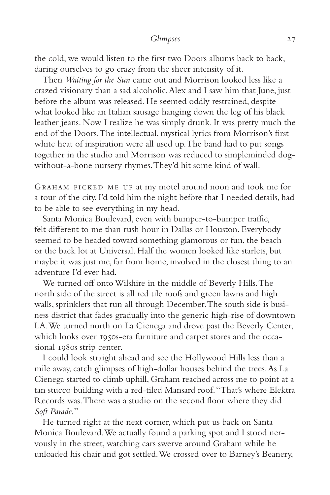the cold, we would listen to the first two Doors albums back to back, daring ourselves to go crazy from the sheer intensity of it.

Then *Waiting for the Sun* came out and Morrison looked less like a crazed visionary than a sad alcoholic. Alex and I saw him that June, just before the album was released. He seemed oddly restrained, despite what looked like an Italian sausage hanging down the leg of his black leather jeans. Now I realize he was simply drunk. It was pretty much the end of the Doors. The intellectual, mystical lyrics from Morrison's first white heat of inspiration were all used up. The band had to put songs together in the studio and Morrison was reduced to simpleminded dogwithout-a-bone nursery rhymes. They'd hit some kind of wall.

Graham picked me up at my motel around noon and took me for a tour of the city. I'd told him the night before that I needed details, had to be able to see everything in my head.

Santa Monica Boulevard, even with bumper-to-bumper traffic, felt different to me than rush hour in Dallas or Houston. Everybody seemed to be headed toward something glamorous or fun, the beach or the back lot at Universal. Half the women looked like starlets, but maybe it was just me, far from home, involved in the closest thing to an adventure I'd ever had.

We turned off onto Wilshire in the middle of Beverly Hills. The north side of the street is all red tile roofs and green lawns and high walls, sprinklers that run all through December. The south side is business district that fades gradually into the generic high-rise of downtown LA. We turned north on La Cienega and drove past the Beverly Center, which looks over 1950s-era furniture and carpet stores and the occasional 1980s strip center.

I could look straight ahead and see the Hollywood Hills less than a mile away, catch glimpses of high-dollar houses behind the trees. As La Cienega started to climb uphill, Graham reached across me to point at a tan stucco building with a red-tiled Mansard roof. "That's where Elektra Records was. There was a studio on the second floor where they did *Soft Parade.*"

He turned right at the next corner, which put us back on Santa Monica Boulevard. We actually found a parking spot and I stood nervously in the street, watching cars swerve around Graham while he unloaded his chair and got settled. We crossed over to Barney's Beanery,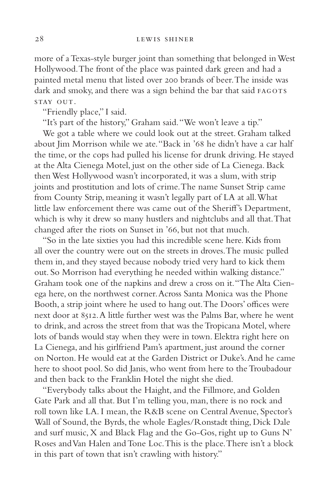more of a Texas-style burger joint than something that belonged in West Hollywood. The front of the place was painted dark green and had a painted metal menu that listed over 200 brands of beer. The inside was dark and smoky, and there was a sign behind the bar that said FAGOTS stay out.

"Friendly place," I said.

"It's part of the history," Graham said. "We won't leave a tip."

We got a table where we could look out at the street. Graham talked about Jim Morrison while we ate. "Back in '68 he didn't have a car half the time, or the cops had pulled his license for drunk driving. He stayed at the Alta Cienega Motel, just on the other side of La Cienega. Back then West Hollywood wasn't incorporated, it was a slum, with strip joints and prostitution and lots of crime. The name Sunset Strip came from County Strip, meaning it wasn't legally part of LA at all. What little law enforcement there was came out of the Sheriff's Department, which is why it drew so many hustlers and nightclubs and all that. That changed after the riots on Sunset in '66, but not that much.

"So in the late sixties you had this incredible scene here. Kids from all over the country were out on the streets in droves. The music pulled them in, and they stayed because nobody tried very hard to kick them out. So Morrison had everything he needed within walking distance." Graham took one of the napkins and drew a cross on it. "The Alta Cienega here, on the northwest corner. Across Santa Monica was the Phone Booth, a strip joint where he used to hang out. The Doors' offices were next door at 8512. A little further west was the Palms Bar, where he went to drink, and across the street from that was the Tropicana Motel, where lots of bands would stay when they were in town. Elektra right here on La Cienega, and his girlfriend Pam's apartment, just around the corner on Norton. He would eat at the Garden District or Duke's. And he came here to shoot pool. So did Janis, who went from here to the Troubadour and then back to the Franklin Hotel the night she died.

"Everybody talks about the Haight, and the Fillmore, and Golden Gate Park and all that. But I'm telling you, man, there is no rock and roll town like LA. I mean, the R&B scene on Central Avenue, Spector's Wall of Sound, the Byrds, the whole Eagles/Ronstadt thing, Dick Dale and surf music, X and Black Flag and the Go-Gos, right up to Guns N' Roses and Van Halen and Tone Loc. This is the place. There isn't a block in this part of town that isn't crawling with history."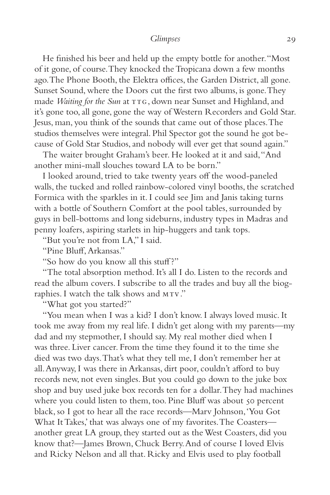He finished his beer and held up the empty bottle for another. "Most of it gone, of course. They knocked the Tropicana down a few months ago. The Phone Booth, the Elektra offices, the Garden District, all gone. Sunset Sound, where the Doors cut the first two albums, is gone. They made *Waiting for the Sun* at TTG, down near Sunset and Highland, and it's gone too, all gone, gone the way of Western Recorders and Gold Star. Jesus, man, you think of the sounds that came out of those places. The studios themselves were integral. Phil Spector got the sound he got because of Gold Star Studios, and nobody will ever get that sound again."

The waiter brought Graham's beer. He looked at it and said, "And another mini-mall slouches toward LA to be born."

I looked around, tried to take twenty years off the wood-paneled walls, the tucked and rolled rainbow-colored vinyl booths, the scratched Formica with the sparkles in it. I could see Jim and Janis taking turns with a bottle of Southern Comfort at the pool tables, surrounded by guys in bell-bottoms and long sideburns, industry types in Madras and penny loafers, aspiring starlets in hip-huggers and tank tops.

"But you're not from LA," I said.

"Pine Bluff, Arkansas."

"So how do you know all this stuff ?"

"The total absorption method. It's all I do. Listen to the records and read the album covers. I subscribe to all the trades and buy all the biographies. I watch the talk shows and  $MTV$ ."

"What got you started?"

"You mean when I was a kid? I don't know. I always loved music. It took me away from my real life. I didn't get along with my parents—my dad and my stepmother, I should say. My real mother died when I was three. Liver cancer. From the time they found it to the time she died was two days. That's what they tell me, I don't remember her at all. Anyway, I was there in Arkansas, dirt poor, couldn't afford to buy records new, not even singles. But you could go down to the juke box shop and buy used juke box records ten for a dollar. They had machines where you could listen to them, too. Pine Bluff was about 50 percent black, so I got to hear all the race records—Marv Johnson, 'You Got What It Takes,' that was always one of my favorites. The Coasters another great LA group, they started out as the West Coasters, did you know that?—James Brown, Chuck Berry. And of course I loved Elvis and Ricky Nelson and all that. Ricky and Elvis used to play football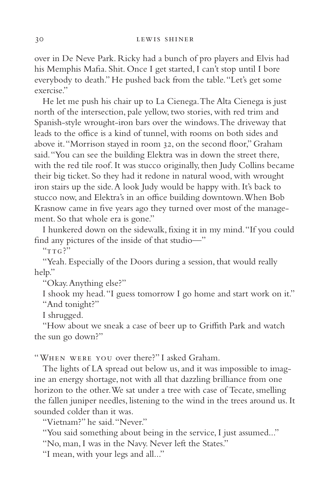over in De Neve Park. Ricky had a bunch of pro players and Elvis had his Memphis Mafia. Shit. Once I get started, I can't stop until I bore everybody to death." He pushed back from the table. "Let's get some exercise."

He let me push his chair up to La Cienega. The Alta Cienega is just north of the intersection, pale yellow, two stories, with red trim and Spanish-style wrought-iron bars over the windows. The driveway that leads to the office is a kind of tunnel, with rooms on both sides and above it. "Morrison stayed in room 32, on the second floor," Graham said. "You can see the building Elektra was in down the street there, with the red tile roof. It was stucco originally, then Judy Collins became their big ticket. So they had it redone in natural wood, with wrought iron stairs up the side. A look Judy would be happy with. It's back to stucco now, and Elektra's in an office building downtown. When Bob Krasnow came in five years ago they turned over most of the management. So that whole era is gone."

I hunkered down on the sidewalk, fixing it in my mind. "If you could find any pictures of the inside of that studio—"

 $``TTG$ ?"

"Yeah. Especially of the Doors during a session, that would really help."

"Okay. Anything else?"

I shook my head. "I guess tomorrow I go home and start work on it." "And tonight?"

I shrugged.

"How about we sneak a case of beer up to Griffith Park and watch the sun go down?"

"When were you over there?" I asked Graham.

The lights of LA spread out below us, and it was impossible to imagine an energy shortage, not with all that dazzling brilliance from one horizon to the other. We sat under a tree with case of Tecate, smelling the fallen juniper needles, listening to the wind in the trees around us. It sounded colder than it was.

"Vietnam?" he said. "Never."

"You said something about being in the service, I just assumed..."

"No, man, I was in the Navy. Never left the States."

"I mean, with your legs and all..."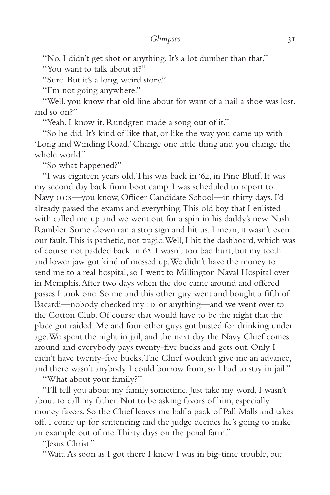"No, I didn't get shot or anything. It's a lot dumber than that."

"You want to talk about it?"

"Sure. But it's a long, weird story."

"I'm not going anywhere."

"Well, you know that old line about for want of a nail a shoe was lost, and so on?"

"Yeah, I know it. Rundgren made a song out of it."

"So he did. It's kind of like that, or like the way you came up with 'Long and Winding Road.' Change one little thing and you change the whole world."

"So what happened?"

"I was eighteen years old. This was back in '62, in Pine Bluff. It was my second day back from boot camp. I was scheduled to report to Navy ocs—you know, Officer Candidate School—in thirty days. I'd already passed the exams and everything. This old boy that I enlisted with called me up and we went out for a spin in his daddy's new Nash Rambler. Some clown ran a stop sign and hit us. I mean, it wasn't even our fault. This is pathetic, not tragic. Well, I hit the dashboard, which was of course not padded back in 62. I wasn't too bad hurt, but my teeth and lower jaw got kind of messed up. We didn't have the money to send me to a real hospital, so I went to Millington Naval Hospital over in Memphis. After two days when the doc came around and offered passes I took one. So me and this other guy went and bought a fifth of Bacardi—nobody checked my ID or anything—and we went over to the Cotton Club. Of course that would have to be the night that the place got raided. Me and four other guys got busted for drinking under age. We spent the night in jail, and the next day the Navy Chief comes around and everybody pays twenty-five bucks and gets out. Only I didn't have twenty-five bucks. The Chief wouldn't give me an advance, and there wasn't anybody I could borrow from, so I had to stay in jail."

"What about your family?"

"I'll tell you about my family sometime. Just take my word, I wasn't about to call my father. Not to be asking favors of him, especially money favors. So the Chief leaves me half a pack of Pall Malls and takes off. I come up for sentencing and the judge decides he's going to make an example out of me. Thirty days on the penal farm."

"Jesus Christ."

"Wait. As soon as I got there I knew I was in big-time trouble, but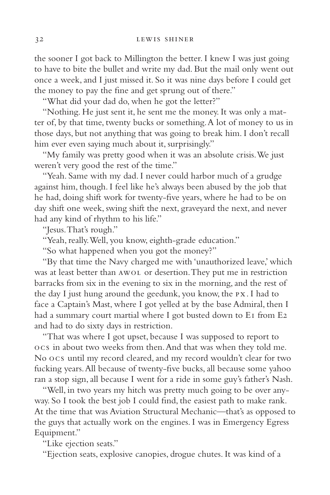the sooner I got back to Millington the better. I knew I was just going to have to bite the bullet and write my dad. But the mail only went out once a week, and I just missed it. So it was nine days before I could get the money to pay the fine and get sprung out of there."

"What did your dad do, when he got the letter?"

"Nothing. He just sent it, he sent me the money. It was only a matter of, by that time, twenty bucks or something. A lot of money to us in those days, but not anything that was going to break him. I don't recall him ever even saying much about it, surprisingly."

"My family was pretty good when it was an absolute crisis. We just weren't very good the rest of the time."

"Yeah. Same with my dad. I never could harbor much of a grudge against him, though. I feel like he's always been abused by the job that he had, doing shift work for twenty-five years, where he had to be on day shift one week, swing shift the next, graveyard the next, and never had any kind of rhythm to his life."

"Jesus. That's rough."

"Yeah, really. Well, you know, eighth-grade education."

"So what happened when you got the money?"

"By that time the Navy charged me with 'unauthorized leave,' which was at least better than awol or desertion. They put me in restriction barracks from six in the evening to six in the morning, and the rest of the day I just hung around the geedunk, you know, the px. I had to face a Captain's Mast, where I got yelled at by the base Admiral, then I had a summary court martial where I got busted down to E1 from E2 and had to do sixty days in restriction.

"That was where I got upset, because I was supposed to report to ocs in about two weeks from then. And that was when they told me. No ocs until my record cleared, and my record wouldn't clear for two fucking years. All because of twenty-five bucks, all because some yahoo ran a stop sign, all because I went for a ride in some guy's father's Nash.

"Well, in two years my hitch was pretty much going to be over anyway. So I took the best job I could find, the easiest path to make rank. At the time that was Aviation Structural Mechanic—that's as opposed to the guys that actually work on the engines. I was in Emergency Egress Equipment."

"Like ejection seats."

"Ejection seats, explosive canopies, drogue chutes. It was kind of a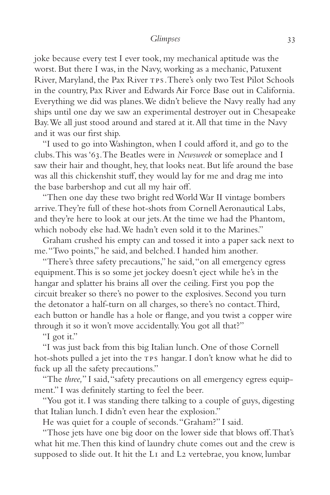joke because every test I ever took, my mechanical aptitude was the worst. But there I was, in the Navy, working as a mechanic, Patuxent River, Maryland, the Pax River tps. There's only two Test Pilot Schools in the country, Pax River and Edwards Air Force Base out in California. Everything we did was planes. We didn't believe the Navy really had any ships until one day we saw an experimental destroyer out in Chesapeake Bay. We all just stood around and stared at it. All that time in the Navy and it was our first ship.

"I used to go into Washington, when I could afford it, and go to the clubs. This was '63. The Beatles were in *Newsweek* or someplace and I saw their hair and thought, hey, that looks neat. But life around the base was all this chickenshit stuff, they would lay for me and drag me into the base barbershop and cut all my hair off.

"Then one day these two bright red World War II vintage bombers arrive. They're full of these hot-shots from Cornell Aeronautical Labs, and they're here to look at our jets. At the time we had the Phantom, which nobody else had. We hadn't even sold it to the Marines."

Graham crushed his empty can and tossed it into a paper sack next to me. "Two points," he said, and belched. I handed him another.

"There's three safety precautions," he said, "on all emergency egress equipment. This is so some jet jockey doesn't eject while he's in the hangar and splatter his brains all over the ceiling. First you pop the circuit breaker so there's no power to the explosives. Second you turn the detonator a half-turn on all charges, so there's no contact. Third, each button or handle has a hole or flange, and you twist a copper wire through it so it won't move accidentally. You got all that?"

"I got it."

"I was just back from this big Italian lunch. One of those Cornell hot-shots pulled a jet into the TPS hangar. I don't know what he did to fuck up all the safety precautions."

"The *three,*" I said, "safety precautions on all emergency egress equipment." I was definitely starting to feel the beer.

"You got it. I was standing there talking to a couple of guys, digesting that Italian lunch. I didn't even hear the explosion."

He was quiet for a couple of seconds. "Graham?" I said.

"Those jets have one big door on the lower side that blows off. That's what hit me. Then this kind of laundry chute comes out and the crew is supposed to slide out. It hit the L1 and L2 vertebrae, you know, lumbar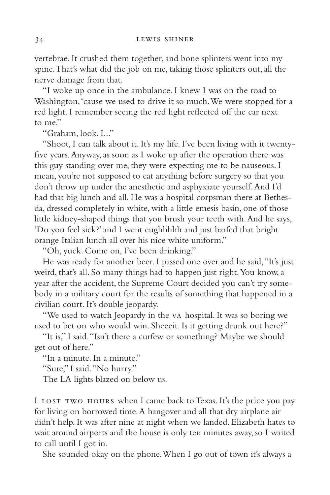vertebrae. It crushed them together, and bone splinters went into my spine. That's what did the job on me, taking those splinters out, all the nerve damage from that.

"I woke up once in the ambulance. I knew I was on the road to Washington, 'cause we used to drive it so much. We were stopped for a red light. I remember seeing the red light reflected off the car next to me."

"Graham, look, I..."

"Shoot, I can talk about it. It's my life. I've been living with it twentyfive years. Anyway, as soon as I woke up after the operation there was this guy standing over me, they were expecting me to be nauseous. I mean, you're not supposed to eat anything before surgery so that you don't throw up under the anesthetic and asphyxiate yourself. And I'd had that big lunch and all. He was a hospital corpsman there at Bethesda, dressed completely in white, with a little emesis basin, one of those little kidney-shaped things that you brush your teeth with. And he says, 'Do you feel sick?' and I went eughhhhh and just barfed that bright orange Italian lunch all over his nice white uniform."

"Oh, yuck. Come on, I've been drinking."

He was ready for another beer. I passed one over and he said, "It's just weird, that's all. So many things had to happen just right. You know, a year after the accident, the Supreme Court decided you can't try somebody in a military court for the results of something that happened in a civilian court. It's double jeopardy.

"We used to watch Jeopardy in the va hospital. It was so boring we used to bet on who would win. Sheeeit. Is it getting drunk out here?"

"It is," I said. "Isn't there a curfew or something? Maybe we should get out of here."

"In a minute. In a minute."

"Sure," I said. "No hurry."

The LA lights blazed on below us.

I LOST TWO HOURS when I came back to Texas. It's the price you pay for living on borrowed time. A hangover and all that dry airplane air didn't help. It was after nine at night when we landed. Elizabeth hates to wait around airports and the house is only ten minutes away, so I waited to call until I got in.

She sounded okay on the phone. When I go out of town it's always a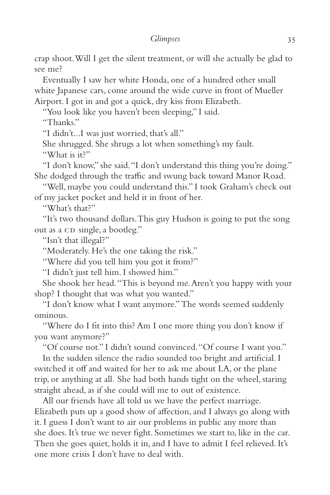crap shoot. Will I get the silent treatment, or will she actually be glad to see me?

Eventually I saw her white Honda, one of a hundred other small white Japanese cars, come around the wide curve in front of Mueller Airport. I got in and got a quick, dry kiss from Elizabeth.

"You look like you haven't been sleeping," I said.

"Thanks."

"I didn't...I was just worried, that's all."

She shrugged. She shrugs a lot when something's my fault.

"What is it?"

"I don't know," she said. "I don't understand this thing you're doing." She dodged through the traffic and swung back toward Manor Road.

"Well, maybe you could understand this." I took Graham's check out of my jacket pocket and held it in front of her.

"What's that?"

"It's two thousand dollars. This guy Hudson is going to put the song out as a CD single, a bootleg."

"Isn't that illegal?"

"Moderately. He's the one taking the risk."

"Where did you tell him you got it from?"

"I didn't just tell him. I showed him."

She shook her head. "This is beyond me. Aren't you happy with your shop? I thought that was what you wanted."

"I don't know what I want anymore." The words seemed suddenly ominous.

"Where do I fit into this? Am I one more thing you don't know if you want anymore?"

"Of course not." I didn't sound convinced. "Of course I want you."

In the sudden silence the radio sounded too bright and artificial. I switched it off and waited for her to ask me about LA, or the plane trip, or anything at all*.* She had both hands tight on the wheel, staring straight ahead, as if she could will me to out of existence.

All our friends have all told us we have the perfect marriage. Elizabeth puts up a good show of affection, and I always go along with it. I guess I don't want to air our problems in public any more than she does. It's true we never fight. Sometimes we start to, like in the car. Then she goes quiet, holds it in, and I have to admit I feel relieved. It's one more crisis I don't have to deal with.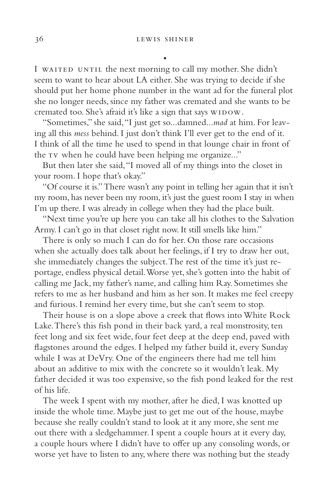•

I WAITED UNTIL the next morning to call my mother. She didn't seem to want to hear about LA either. She was trying to decide if she should put her home phone number in the want ad for the funeral plot she no longer needs, since my father was cremated and she wants to be cremated too. She's afraid it's like a sign that says  $w1DOW$ .

"Sometimes," she said, "I just get so...damned...*mad* at him. For leaving all this *mess* behind. I just don't think I'll ever get to the end of it. I think of all the time he used to spend in that lounge chair in front of the TV when he could have been helping me organize..."

But then later she said, "I moved all of my things into the closet in your room. I hope that's okay."

"Of course it is." There wasn't any point in telling her again that it isn't my room, has never been my room, it's just the guest room I stay in when I'm up there. I was already in college when they had the place built.

"Next time you're up here you can take all his clothes to the Salvation Army. I can't go in that closet right now. It still smells like him."

There is only so much I can do for her. On those rare occasions when she actually does talk about her feelings, if I try to draw her out, she immediately changes the subject. The rest of the time it's just reportage, endless physical detail. Worse yet, she's gotten into the habit of calling me Jack, my father's name, and calling him Ray. Sometimes she refers to me as her husband and him as her son. It makes me feel creepy and furious. I remind her every time, but she can't seem to stop.

Their house is on a slope above a creek that flows into White Rock Lake. There's this fish pond in their back yard, a real monstrosity, ten feet long and six feet wide, four feet deep at the deep end, paved with flagstones around the edges. I helped my father build it, every Sunday while I was at DeVry. One of the engineers there had me tell him about an additive to mix with the concrete so it wouldn't leak. My father decided it was too expensive, so the fish pond leaked for the rest of his life.

The week I spent with my mother, after he died, I was knotted up inside the whole time. Maybe just to get me out of the house, maybe because she really couldn't stand to look at it any more, she sent me out there with a sledgehammer. I spent a couple hours at it every day, a couple hours where I didn't have to offer up any consoling words, or worse yet have to listen to any, where there was nothing but the steady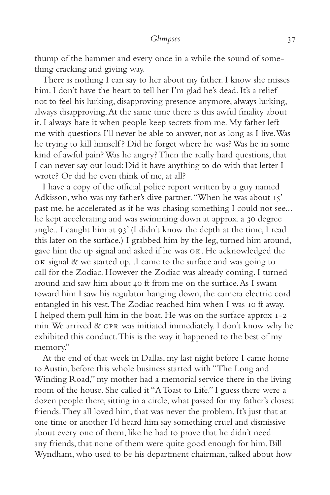thump of the hammer and every once in a while the sound of something cracking and giving way.

There is nothing I can say to her about my father. I know she misses him. I don't have the heart to tell her I'm glad he's dead. It's a relief not to feel his lurking, disapproving presence anymore, always lurking, always disapproving. At the same time there is this awful finality about it. I always hate it when people keep secrets from me. My father left me with questions I'll never be able to answer, not as long as I live. Was he trying to kill himself ? Did he forget where he was? Was he in some kind of awful pain? Was he angry? Then the really hard questions, that I can never say out loud: Did it have anything to do with that letter I wrote? Or did he even think of me, at all?

I have a copy of the official police report written by a guy named Adkisson, who was my father's dive partner. "When he was about 15' past me, he accelerated as if he was chasing something I could not see... he kept accelerating and was swimming down at approx. a 30 degree angle...I caught him at 93' (I didn't know the depth at the time, I read this later on the surface.) I grabbed him by the leg, turned him around, gave him the up signal and asked if he was ok. He acknowledged the ok signal & we started up...I came to the surface and was going to call for the Zodiac. However the Zodiac was already coming. I turned around and saw him about 40 ft from me on the surface. As I swam toward him I saw his regulator hanging down, the camera electric cord entangled in his vest. The Zodiac reached him when I was 10 ft away. I helped them pull him in the boat. He was on the surface approx 1-2 min. We arrived & cpr was initiated immediately. I don't know why he exhibited this conduct. This is the way it happened to the best of my memory."

At the end of that week in Dallas, my last night before I came home to Austin, before this whole business started with "The Long and Winding Road," my mother had a memorial service there in the living room of the house. She called it "A Toast to Life." I guess there were a dozen people there, sitting in a circle, what passed for my father's closest friends. They all loved him, that was never the problem. It's just that at one time or another I'd heard him say something cruel and dismissive about every one of them, like he had to prove that he didn't need any friends, that none of them were quite good enough for him. Bill Wyndham, who used to be his department chairman, talked about how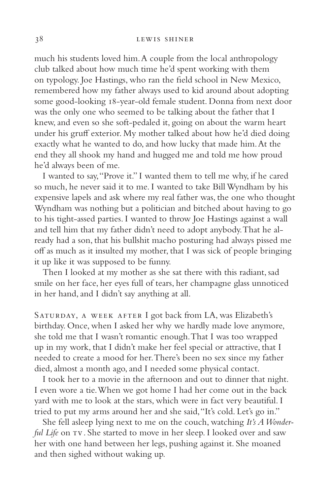much his students loved him. A couple from the local anthropology club talked about how much time he'd spent working with them on typology. Joe Hastings, who ran the field school in New Mexico, remembered how my father always used to kid around about adopting some good-looking 18-year-old female student. Donna from next door was the only one who seemed to be talking about the father that I knew, and even so she soft-pedaled it, going on about the warm heart under his gruff exterior. My mother talked about how he'd died doing exactly what he wanted to do, and how lucky that made him. At the end they all shook my hand and hugged me and told me how proud he'd always been of me.

I wanted to say, "Prove it." I wanted them to tell me why, if he cared so much, he never said it to me. I wanted to take Bill Wyndham by his expensive lapels and ask where my real father was, the one who thought Wyndham was nothing but a politician and bitched about having to go to his tight-assed parties. I wanted to throw Joe Hastings against a wall and tell him that my father didn't need to adopt anybody. That he already had a son, that his bullshit macho posturing had always pissed me off as much as it insulted my mother, that I was sick of people bringing it up like it was supposed to be funny.

Then I looked at my mother as she sat there with this radiant, sad smile on her face, her eyes full of tears, her champagne glass unnoticed in her hand, and I didn't say anything at all.

SATURDAY, A WEEK AFTER I got back from LA, was Elizabeth's birthday. Once, when I asked her why we hardly made love anymore, she told me that I wasn't romantic enough. That I was too wrapped up in my work, that I didn't make her feel special or attractive, that I needed to create a mood for her. There's been no sex since my father died, almost a month ago, and I needed some physical contact.

I took her to a movie in the afternoon and out to dinner that night. I even wore a tie. When we got home I had her come out in the back yard with me to look at the stars, which were in fact very beautiful. I tried to put my arms around her and she said, "It's cold. Let's go in."

She fell asleep lying next to me on the couch, watching *It's A Wonderful Life* on TV. She started to move in her sleep. I looked over and saw her with one hand between her legs, pushing against it. She moaned and then sighed without waking up.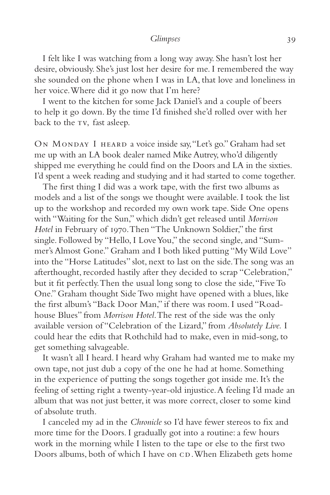I felt like I was watching from a long way away. She hasn't lost her desire, obviously. She's just lost her desire for me. I remembered the way she sounded on the phone when I was in LA, that love and loneliness in her voice. Where did it go now that I'm here?

I went to the kitchen for some Jack Daniel's and a couple of beers to help it go down. By the time I'd finished she'd rolled over with her back to the TV, fast asleep.

ON MONDAY I HEARD a voice inside say, "Let's go." Graham had set me up with an LA book dealer named Mike Autrey, who'd diligently shipped me everything he could find on the Doors and LA in the sixties. I'd spent a week reading and studying and it had started to come together.

The first thing I did was a work tape, with the first two albums as models and a list of the songs we thought were available. I took the list up to the workshop and recorded my own work tape. Side One opens with "Waiting for the Sun," which didn't get released until *Morrison Hotel* in February of 1970. Then "The Unknown Soldier," the first single. Followed by "Hello, I Love You," the second single, and "Summer's Almost Gone." Graham and I both liked putting "My Wild Love" into the "Horse Latitudes" slot, next to last on the side. The song was an afterthought, recorded hastily after they decided to scrap "Celebration," but it fit perfectly. Then the usual long song to close the side, "Five To One." Graham thought Side Two might have opened with a blues, like the first album's "Back Door Man," if there was room. I used "Roadhouse Blues" from *Morrison Hotel*. The rest of the side was the only available version of "Celebration of the Lizard," from *Absolutely Live.* I could hear the edits that Rothchild had to make, even in mid-song, to get something salvageable.

It wasn't all I heard. I heard why Graham had wanted me to make my own tape, not just dub a copy of the one he had at home. Something in the experience of putting the songs together got inside me. It's the feeling of setting right a twenty-year-old injustice. A feeling I'd made an album that was not just better, it was more correct, closer to some kind of absolute truth.

I canceled my ad in the *Chronicle* so I'd have fewer stereos to fix and more time for the Doors. I gradually got into a routine: a few hours work in the morning while I listen to the tape or else to the first two Doors albums, both of which I have on CD. When Elizabeth gets home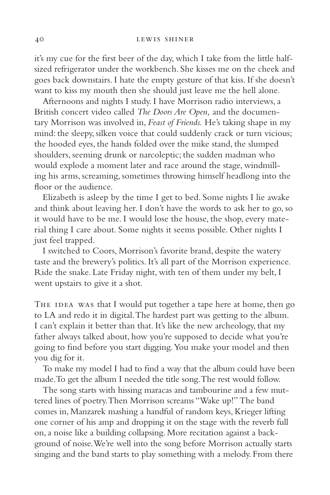it's my cue for the first beer of the day, which I take from the little halfsized refrigerator under the workbench. She kisses me on the cheek and goes back downstairs. I hate the empty gesture of that kiss. If she doesn't want to kiss my mouth then she should just leave me the hell alone.

Afternoons and nights I study. I have Morrison radio interviews, a British concert video called *The Doors Are Open,* and the documentary Morrison was involved in, *Feast of Friends.* He's taking shape in my mind: the sleepy, silken voice that could suddenly crack or turn vicious; the hooded eyes, the hands folded over the mike stand, the slumped shoulders, seeming drunk or narcoleptic; the sudden madman who would explode a moment later and race around the stage, windmilling his arms, screaming, sometimes throwing himself headlong into the floor or the audience.

Elizabeth is asleep by the time I get to bed. Some nights I lie awake and think about leaving her. I don't have the words to ask her to go, so it would have to be me. I would lose the house, the shop, every material thing I care about. Some nights it seems possible. Other nights I just feel trapped.

I switched to Coors, Morrison's favorite brand, despite the watery taste and the brewery's politics. It's all part of the Morrison experience. Ride the snake. Late Friday night, with ten of them under my belt, I went upstairs to give it a shot.

THE IDEA WAS that I would put together a tape here at home, then go to LA and redo it in digital. The hardest part was getting to the album. I can't explain it better than that. It's like the new archeology, that my father always talked about, how you're supposed to decide what you're going to find before you start digging. You make your model and then you dig for it.

To make my model I had to find a way that the album could have been made. To get the album I needed the title song. The rest would follow.

The song starts with hissing maracas and tambourine and a few muttered lines of poetry. Then Morrison screams "Wake up!" The band comes in, Manzarek mashing a handful of random keys, Krieger lifting one corner of his amp and dropping it on the stage with the reverb full on, a noise like a building collapsing. More recitation against a background of noise. We're well into the song before Morrison actually starts singing and the band starts to play something with a melody. From there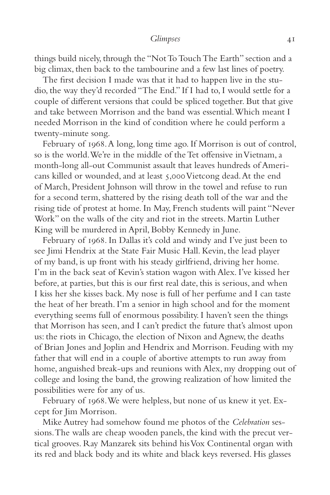things build nicely, through the "Not To Touch The Earth" section and a big climax, then back to the tambourine and a few last lines of poetry.

The first decision I made was that it had to happen live in the studio, the way they'd recorded "The End." If I had to, I would settle for a couple of different versions that could be spliced together. But that give and take between Morrison and the band was essential. Which meant I needed Morrison in the kind of condition where he could perform a twenty-minute song.

February of 1968. A long, long time ago. If Morrison is out of control, so is the world. We're in the middle of the Tet offensive in Vietnam, a month-long all-out Communist assault that leaves hundreds of Americans killed or wounded, and at least 5,000 Vietcong dead. At the end of March, President Johnson will throw in the towel and refuse to run for a second term, shattered by the rising death toll of the war and the rising tide of protest at home. In May, French students will paint "Never Work" on the walls of the city and riot in the streets. Martin Luther King will be murdered in April, Bobby Kennedy in June.

February of 1968. In Dallas it's cold and windy and I've just been to see Jimi Hendrix at the State Fair Music Hall. Kevin, the lead player of my band, is up front with his steady girlfriend, driving her home. I'm in the back seat of Kevin's station wagon with Alex. I've kissed her before, at parties, but this is our first real date, this is serious, and when I kiss her she kisses back. My nose is full of her perfume and I can taste the heat of her breath. I'm a senior in high school and for the moment everything seems full of enormous possibility. I haven't seen the things that Morrison has seen, and I can't predict the future that's almost upon us: the riots in Chicago, the election of Nixon and Agnew, the deaths of Brian Jones and Joplin and Hendrix and Morrison. Feuding with my father that will end in a couple of abortive attempts to run away from home, anguished break-ups and reunions with Alex, my dropping out of college and losing the band, the growing realization of how limited the possibilities were for any of us.

February of 1968. We were helpless, but none of us knew it yet. Except for Jim Morrison.

Mike Autrey had somehow found me photos of the *Celebration* sessions. The walls are cheap wooden panels, the kind with the precut vertical grooves. Ray Manzarek sits behind his Vox Continental organ with its red and black body and its white and black keys reversed. His glasses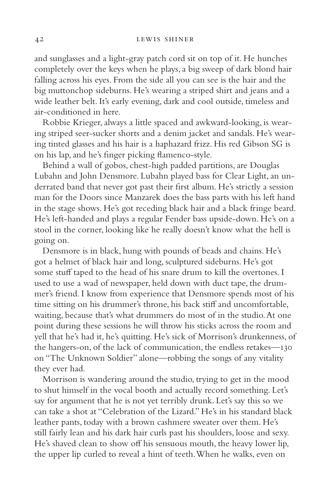and sunglasses and a light-gray patch cord sit on top of it. He hunches completely over the keys when he plays, a big sweep of dark blond hair falling across his eyes. From the side all you can see is the hair and the big muttonchop sideburns. He's wearing a striped shirt and jeans and a wide leather belt. It's early evening, dark and cool outside, timeless and air-conditioned in here.

Robbie Krieger, always a little spaced and awkward-looking, is wearing striped seer-sucker shorts and a denim jacket and sandals. He's wearing tinted glasses and his hair is a haphazard frizz. His red Gibson SG is on his lap, and he's finger picking flamenco-style.

Behind a wall of gobos, chest-high padded partitions, are Douglas Lubahn and John Densmore. Lubahn played bass for Clear Light, an underrated band that never got past their first album. He's strictly a session man for the Doors since Manzarek does the bass parts with his left hand in the stage shows. He's got receding black hair and a black fringe beard. He's left-handed and plays a regular Fender bass upside-down. He's on a stool in the corner, looking like he really doesn't know what the hell is going on.

Densmore is in black, hung with pounds of beads and chains. He's got a helmet of black hair and long, sculptured sideburns. He's got some stuff taped to the head of his snare drum to kill the overtones. I used to use a wad of newspaper, held down with duct tape, the drummer's friend. I know from experience that Densmore spends most of his time sitting on his drummer's throne, his back stiff and uncomfortable, waiting, because that's what drummers do most of in the studio. At one point during these sessions he will throw his sticks across the room and yell that he's had it, he's quitting. He's sick of Morrison's drunkenness, of the hangers-on, of the lack of communication, the endless retakes—130 on "The Unknown Soldier" alone—robbing the songs of any vitality they ever had.

Morrison is wandering around the studio, trying to get in the mood to shut himself in the vocal booth and actually record something. Let's say for argument that he is not yet terribly drunk. Let's say this so we can take a shot at "Celebration of the Lizard." He's in his standard black leather pants, today with a brown cashmere sweater over them. He's still fairly lean and his dark hair curls past his shoulders, loose and sexy. He's shaved clean to show off his sensuous mouth, the heavy lower lip, the upper lip curled to reveal a hint of teeth. When he walks, even on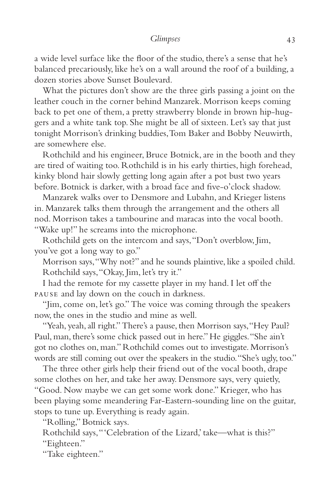a wide level surface like the floor of the studio, there's a sense that he's balanced precariously, like he's on a wall around the roof of a building, a dozen stories above Sunset Boulevard.

What the pictures don't show are the three girls passing a joint on the leather couch in the corner behind Manzarek. Morrison keeps coming back to pet one of them, a pretty strawberry blonde in brown hip-huggers and a white tank top. She might be all of sixteen. Let's say that just tonight Morrison's drinking buddies, Tom Baker and Bobby Neuwirth, are somewhere else.

Rothchild and his engineer, Bruce Botnick, are in the booth and they are tired of waiting too. Rothchild is in his early thirties, high forehead, kinky blond hair slowly getting long again after a pot bust two years before. Botnick is darker, with a broad face and five-o'clock shadow.

Manzarek walks over to Densmore and Lubahn, and Krieger listens in. Manzarek talks them through the arrangement and the others all nod. Morrison takes a tambourine and maracas into the vocal booth. "Wake up!" he screams into the microphone.

Rothchild gets on the intercom and says, "Don't overblow, Jim, you've got a long way to go."

Morrison says, "Why not?" and he sounds plaintive, like a spoiled child. Rothchild says, "Okay, Jim, let's try it."

I had the remote for my cassette player in my hand. I let off the pause and lay down on the couch in darkness.

"Jim, come on, let's go." The voice was coming through the speakers now, the ones in the studio and mine as well.

"Yeah, yeah, all right." There's a pause, then Morrison says, "Hey Paul? Paul, man, there's some chick passed out in here." He giggles. "She ain't got no clothes on, man." Rothchild comes out to investigate. Morrison's words are still coming out over the speakers in the studio. "She's ugly, too."

The three other girls help their friend out of the vocal booth, drape some clothes on her, and take her away. Densmore says, very quietly, "Good. Now maybe we can get some work done." Krieger, who has been playing some meandering Far-Eastern-sounding line on the guitar, stops to tune up. Everything is ready again.

"Rolling," Botnick says.

Rothchild says, " 'Celebration of the Lizard,' take—what is this?" "Eighteen."

"Take eighteen."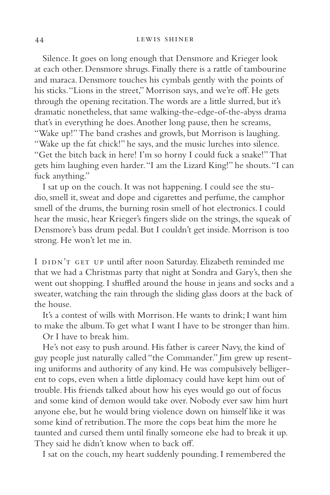Silence. It goes on long enough that Densmore and Krieger look at each other. Densmore shrugs. Finally there is a rattle of tambourine and maraca. Densmore touches his cymbals gently with the points of his sticks. "Lions in the street," Morrison says, and we're off. He gets through the opening recitation. The words are a little slurred, but it's dramatic nonetheless, that same walking-the-edge-of-the-abyss drama that's in everything he does. Another long pause, then he screams, "Wake up!" The band crashes and growls, but Morrison is laughing. "Wake up the fat chick!" he says, and the music lurches into silence. "Get the bitch back in here! I'm so horny I could fuck a snake!" That gets him laughing even harder. "I am the Lizard King!" he shouts. "I can fuck anything."

I sat up on the couch. It was not happening. I could see the studio, smell it, sweat and dope and cigarettes and perfume, the camphor smell of the drums, the burning rosin smell of hot electronics. I could hear the music, hear Krieger's fingers slide on the strings, the squeak of Densmore's bass drum pedal. But I couldn't get inside. Morrison is too strong. He won't let me in.

I DIDN'T GET UP until after noon Saturday. Elizabeth reminded me that we had a Christmas party that night at Sondra and Gary's, then she went out shopping. I shuffled around the house in jeans and socks and a sweater, watching the rain through the sliding glass doors at the back of the house.

It's a contest of wills with Morrison. He wants to drink; I want him to make the album. To get what I want I have to be stronger than him.

Or I have to break him.

He's not easy to push around. His father is career Navy, the kind of guy people just naturally called "the Commander." Jim grew up resenting uniforms and authority of any kind. He was compulsively belligerent to cops, even when a little diplomacy could have kept him out of trouble. His friends talked about how his eyes would go out of focus and some kind of demon would take over. Nobody ever saw him hurt anyone else, but he would bring violence down on himself like it was some kind of retribution. The more the cops beat him the more he taunted and cursed them until finally someone else had to break it up. They said he didn't know when to back off.

I sat on the couch, my heart suddenly pounding. I remembered the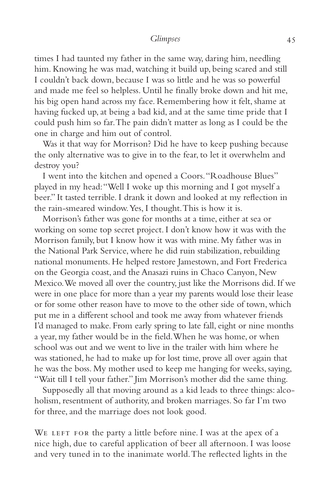times I had taunted my father in the same way, daring him, needling him. Knowing he was mad, watching it build up, being scared and still I couldn't back down, because I was so little and he was so powerful and made me feel so helpless. Until he finally broke down and hit me, his big open hand across my face. Remembering how it felt, shame at having fucked up, at being a bad kid, and at the same time pride that I could push him so far. The pain didn't matter as long as I could be the one in charge and him out of control.

Was it that way for Morrison? Did he have to keep pushing because the only alternative was to give in to the fear, to let it overwhelm and destroy you?

I went into the kitchen and opened a Coors. "Roadhouse Blues" played in my head: "Well I woke up this morning and I got myself a beer." It tasted terrible. I drank it down and looked at my reflection in the rain-smeared window. Yes, I thought. This is how it is.

Morrison's father was gone for months at a time, either at sea or working on some top secret project. I don't know how it was with the Morrison family, but I know how it was with mine. My father was in the National Park Service, where he did ruin stabilization, rebuilding national monuments. He helped restore Jamestown, and Fort Frederica on the Georgia coast, and the Anasazi ruins in Chaco Canyon, New Mexico. We moved all over the country, just like the Morrisons did. If we were in one place for more than a year my parents would lose their lease or for some other reason have to move to the other side of town, which put me in a different school and took me away from whatever friends I'd managed to make. From early spring to late fall, eight or nine months a year, my father would be in the field. When he was home, or when school was out and we went to live in the trailer with him where he was stationed, he had to make up for lost time, prove all over again that he was the boss. My mother used to keep me hanging for weeks, saying, "Wait till I tell your father." Jim Morrison's mother did the same thing.

Supposedly all that moving around as a kid leads to three things: alcoholism, resentment of authority, and broken marriages. So far I'm two for three, and the marriage does not look good.

WE LEFT FOR the party a little before nine. I was at the apex of a nice high, due to careful application of beer all afternoon. I was loose and very tuned in to the inanimate world. The reflected lights in the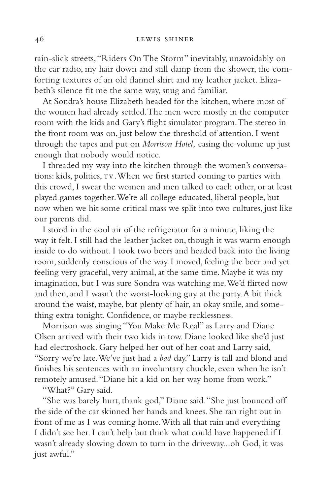rain-slick streets, "Riders On The Storm" inevitably, unavoidably on the car radio, my hair down and still damp from the shower, the comforting textures of an old flannel shirt and my leather jacket. Elizabeth's silence fit me the same way, snug and familiar.

At Sondra's house Elizabeth headed for the kitchen, where most of the women had already settled. The men were mostly in the computer room with the kids and Gary's flight simulator program. The stereo in the front room was on, just below the threshold of attention. I went through the tapes and put on *Morrison Hotel,* easing the volume up just enough that nobody would notice.

I threaded my way into the kitchen through the women's conversations: kids, politics, tv. When we first started coming to parties with this crowd, I swear the women and men talked to each other, or at least played games together. We're all college educated, liberal people, but now when we hit some critical mass we split into two cultures, just like our parents did.

I stood in the cool air of the refrigerator for a minute, liking the way it felt. I still had the leather jacket on, though it was warm enough inside to do without. I took two beers and headed back into the living room, suddenly conscious of the way I moved, feeling the beer and yet feeling very graceful, very animal, at the same time. Maybe it was my imagination, but I was sure Sondra was watching me. We'd flirted now and then, and I wasn't the worst-looking guy at the party. A bit thick around the waist, maybe, but plenty of hair, an okay smile, and something extra tonight. Confidence, or maybe recklessness.

Morrison was singing "You Make Me Real" as Larry and Diane Olsen arrived with their two kids in tow. Diane looked like she'd just had electroshock. Gary helped her out of her coat and Larry said, "Sorry we're late. We've just had a *bad* day." Larry is tall and blond and finishes his sentences with an involuntary chuckle, even when he isn't remotely amused. "Diane hit a kid on her way home from work."

"What?" Gary said.

"She was barely hurt, thank god," Diane said. "She just bounced off the side of the car skinned her hands and knees. She ran right out in front of me as I was coming home. With all that rain and everything I didn't see her. I can't help but think what could have happened if I wasn't already slowing down to turn in the driveway...oh God, it was just awful."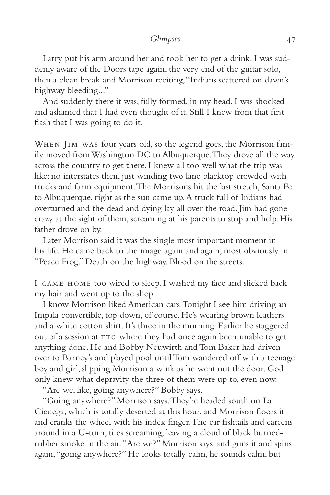Larry put his arm around her and took her to get a drink. I was suddenly aware of the Doors tape again, the very end of the guitar solo, then a clean break and Morrison reciting, "Indians scattered on dawn's highway bleeding..."

And suddenly there it was, fully formed, in my head. I was shocked and ashamed that I had even thought of it. Still I knew from that first flash that I was going to do it.

When Jim was four years old, so the legend goes, the Morrison family moved from Washington DC to Albuquerque. They drove all the way across the country to get there. I knew all too well what the trip was like: no interstates then, just winding two lane blacktop crowded with trucks and farm equipment. The Morrisons hit the last stretch, Santa Fe to Albuquerque, right as the sun came up. A truck full of Indians had overturned and the dead and dying lay all over the road. Jim had gone crazy at the sight of them, screaming at his parents to stop and help. His father drove on by.

Later Morrison said it was the single most important moment in his life. He came back to the image again and again, most obviously in "Peace Frog." Death on the highway. Blood on the streets.

I came home too wired to sleep. I washed my face and slicked back my hair and went up to the shop.

I know Morrison liked American cars. Tonight I see him driving an Impala convertible, top down, of course. He's wearing brown leathers and a white cotton shirt. It's three in the morning. Earlier he staggered out of a session at TTG where they had once again been unable to get anything done. He and Bobby Neuwirth and Tom Baker had driven over to Barney's and played pool until Tom wandered off with a teenage boy and girl, slipping Morrison a wink as he went out the door. God only knew what depravity the three of them were up to, even now.

"Are we, like, going anywhere?" Bobby says.

"Going anywhere?" Morrison says. They're headed south on La Cienega, which is totally deserted at this hour, and Morrison floors it and cranks the wheel with his index finger. The car fishtails and careens around in a U-turn, tires screaming, leaving a cloud of black burnedrubber smoke in the air. "Are we?" Morrison says, and guns it and spins again, "going anywhere?" He looks totally calm, he sounds calm, but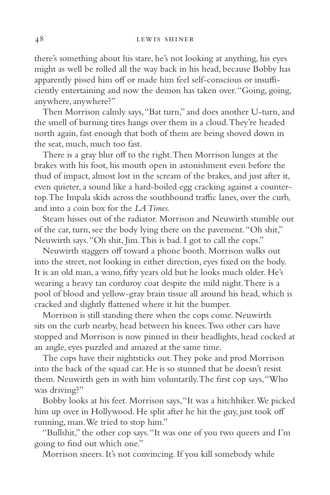there's something about his stare, he's not looking at anything, his eyes might as well be rolled all the way back in his head, because Bobby has apparently pissed him off or made him feel self-conscious or insufficiently entertaining and now the demon has taken over. "Going, going, anywhere, anywhere?"

Then Morrison calmly says, "Bat turn," and does another U-turn, and the smell of burning tires hangs over them in a cloud. They're headed north again, fast enough that both of them are being shoved down in the seat, much, much too fast.

There is a gray blur off to the right. Then Morrison lunges at the brakes with his foot, his mouth open in astonishment even before the thud of impact, almost lost in the scream of the brakes, and just after it, even quieter, a sound like a hard-boiled egg cracking against a countertop. The Impala skids across the southbound traffic lanes, over the curb, and into a coin box for the *LA Times.*

Steam hisses out of the radiator. Morrison and Neuwirth stumble out of the car, turn, see the body lying there on the pavement. "Oh shit," Neuwirth says. "Oh shit, Jim. This is bad. I got to call the cops."

Neuwirth staggers off toward a phone booth. Morrison walks out into the street, not looking in either direction, eyes fixed on the body. It is an old man, a wino, fifty years old but he looks much older. He's wearing a heavy tan corduroy coat despite the mild night. There is a pool of blood and yellow-gray brain tissue all around his head, which is cracked and slightly flattened where it hit the bumper.

Morrison is still standing there when the cops come. Neuwirth sits on the curb nearby, head between his knees. Two other cars have stopped and Morrison is now pinned in their headlights, head cocked at an angle, eyes puzzled and amazed at the same time.

The cops have their nightsticks out. They poke and prod Morrison into the back of the squad car. He is so stunned that he doesn't resist them. Neuwirth gets in with him voluntarily. The first cop says, "Who was driving?"

Bobby looks at his feet. Morrison says, "It was a hitchhiker. We picked him up over in Hollywood. He split after he hit the guy, just took off running, man. We tried to stop him."

"Bullshit," the other cop says. "It was one of you two queers and I'm going to find out which one."

Morrison sneers. It's not convincing. If you kill somebody while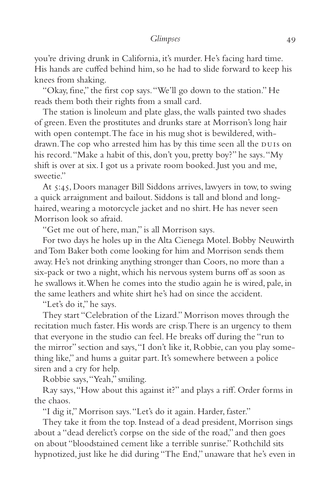you're driving drunk in California, it's murder. He's facing hard time. His hands are cuffed behind him, so he had to slide forward to keep his knees from shaking.

"Okay, fine," the first cop says. "We'll go down to the station." He reads them both their rights from a small card.

The station is linoleum and plate glass, the walls painted two shades of green. Even the prostitutes and drunks stare at Morrison's long hair with open contempt. The face in his mug shot is bewildered, withdrawn. The cop who arrested him has by this time seen all the DUIs on his record. "Make a habit of this, don't you, pretty boy?" he says. "My shift is over at six. I got us a private room booked. Just you and me, sweetie."

At 5:45, Doors manager Bill Siddons arrives, lawyers in tow, to swing a quick arraignment and bailout. Siddons is tall and blond and longhaired, wearing a motorcycle jacket and no shirt. He has never seen Morrison look so afraid.

"Get me out of here, man," is all Morrison says.

For two days he holes up in the Alta Cienega Motel. Bobby Neuwirth and Tom Baker both come looking for him and Morrison sends them away. He's not drinking anything stronger than Coors, no more than a six-pack or two a night, which his nervous system burns off as soon as he swallows it. When he comes into the studio again he is wired, pale, in the same leathers and white shirt he's had on since the accident.

"Let's do it," he says.

They start "Celebration of the Lizard." Morrison moves through the recitation much faster. His words are crisp. There is an urgency to them that everyone in the studio can feel. He breaks off during the "run to the mirror" section and says, "I don't like it, Robbie, can you play something like," and hums a guitar part. It's somewhere between a police siren and a cry for help.

Robbie says, "Yeah," smiling.

Ray says, "How about this against it?" and plays a riff. Order forms in the chaos.

"I dig it," Morrison says. "Let's do it again. Harder, faster."

They take it from the top. Instead of a dead president, Morrison sings about a "dead derelict's corpse on the side of the road," and then goes on about "bloodstained cement like a terrible sunrise." Rothchild sits hypnotized, just like he did during "The End," unaware that he's even in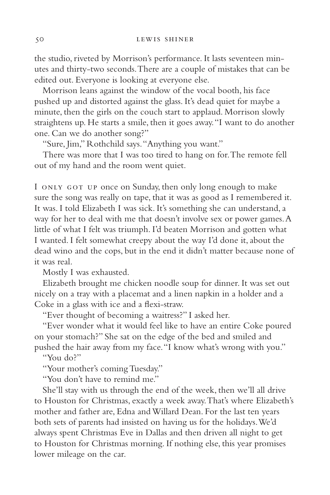the studio, riveted by Morrison's performance. It lasts seventeen minutes and thirty-two seconds. There are a couple of mistakes that can be edited out. Everyone is looking at everyone else.

Morrison leans against the window of the vocal booth, his face pushed up and distorted against the glass. It's dead quiet for maybe a minute, then the girls on the couch start to applaud. Morrison slowly straightens up. He starts a smile, then it goes away. "I want to do another one. Can we do another song?"

"Sure, Jim," Rothchild says. "Anything you want."

There was more that I was too tired to hang on for. The remote fell out of my hand and the room went quiet.

I ONLY GOT UP once on Sunday, then only long enough to make sure the song was really on tape, that it was as good as I remembered it. It was. I told Elizabeth I was sick. It's something she can understand, a way for her to deal with me that doesn't involve sex or power games. A little of what I felt was triumph. I'd beaten Morrison and gotten what I wanted. I felt somewhat creepy about the way I'd done it, about the dead wino and the cops, but in the end it didn't matter because none of it was real.

Mostly I was exhausted.

Elizabeth brought me chicken noodle soup for dinner. It was set out nicely on a tray with a placemat and a linen napkin in a holder and a Coke in a glass with ice and a flexi-straw.

"Ever thought of becoming a waitress?" I asked her.

"Ever wonder what it would feel like to have an entire Coke poured on your stomach?" She sat on the edge of the bed and smiled and pushed the hair away from my face. "I know what's wrong with you."

"You do?"

"Your mother's coming Tuesday."

"You don't have to remind me."

She'll stay with us through the end of the week, then we'll all drive to Houston for Christmas, exactly a week away. That's where Elizabeth's mother and father are, Edna and Willard Dean. For the last ten years both sets of parents had insisted on having us for the holidays. We'd always spent Christmas Eve in Dallas and then driven all night to get to Houston for Christmas morning. If nothing else, this year promises lower mileage on the car.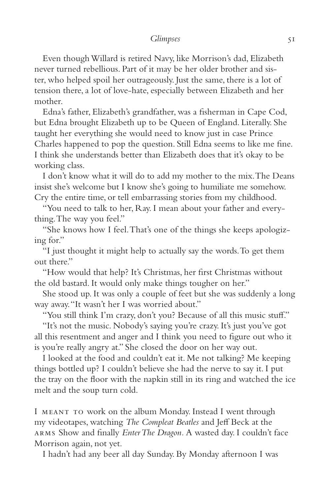Even though Willard is retired Navy, like Morrison's dad, Elizabeth never turned rebellious. Part of it may be her older brother and sister, who helped spoil her outrageously. Just the same, there is a lot of tension there, a lot of love-hate, especially between Elizabeth and her mother.

Edna's father, Elizabeth's grandfather, was a fisherman in Cape Cod, but Edna brought Elizabeth up to be Queen of England. Literally. She taught her everything she would need to know just in case Prince Charles happened to pop the question. Still Edna seems to like me fine. I think she understands better than Elizabeth does that it's okay to be working class.

I don't know what it will do to add my mother to the mix. The Deans insist she's welcome but I know she's going to humiliate me somehow. Cry the entire time, or tell embarrassing stories from my childhood.

"You need to talk to her, Ray. I mean about your father and everything. The way you feel."

"She knows how I feel. That's one of the things she keeps apologizing for."

"I just thought it might help to actually say the words. To get them out there."

"How would that help? It's Christmas, her first Christmas without the old bastard. It would only make things tougher on her."

She stood up. It was only a couple of feet but she was suddenly a long way away. "It wasn't her I was worried about."

"You still think I'm crazy, don't you? Because of all this music stuff."

"It's not the music. Nobody's saying you're crazy. It's just you've got all this resentment and anger and I think you need to figure out who it is you're really angry at." She closed the door on her way out.

I looked at the food and couldn't eat it. Me not talking? Me keeping things bottled up? I couldn't believe she had the nerve to say it. I put the tray on the floor with the napkin still in its ring and watched the ice melt and the soup turn cold.

I MEANT TO work on the album Monday. Instead I went through my videotapes, watching *The Compleat Beatles* and Jeff Beck at the arms Show and finally *Enter The Dragon.* A wasted day. I couldn't face Morrison again, not yet.

I hadn't had any beer all day Sunday. By Monday afternoon I was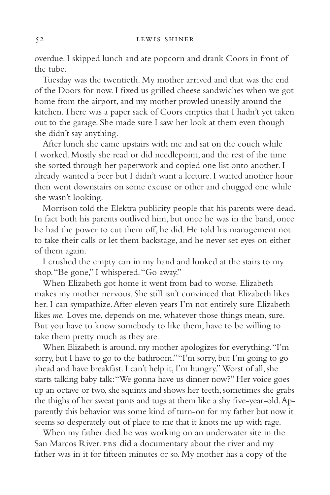overdue. I skipped lunch and ate popcorn and drank Coors in front of the tube.

Tuesday was the twentieth. My mother arrived and that was the end of the Doors for now. I fixed us grilled cheese sandwiches when we got home from the airport, and my mother prowled uneasily around the kitchen. There was a paper sack of Coors empties that I hadn't yet taken out to the garage. She made sure I saw her look at them even though she didn't say anything.

After lunch she came upstairs with me and sat on the couch while I worked. Mostly she read or did needlepoint, and the rest of the time she sorted through her paperwork and copied one list onto another. I already wanted a beer but I didn't want a lecture. I waited another hour then went downstairs on some excuse or other and chugged one while she wasn't looking.

Morrison told the Elektra publicity people that his parents were dead. In fact both his parents outlived him, but once he was in the band, once he had the power to cut them off, he did. He told his management not to take their calls or let them backstage, and he never set eyes on either of them again.

I crushed the empty can in my hand and looked at the stairs to my shop. "Be gone," I whispered. "Go away."

When Elizabeth got home it went from bad to worse. Elizabeth makes my mother nervous. She still isn't convinced that Elizabeth likes her. I can sympathize. After eleven years I'm not entirely sure Elizabeth likes *me.* Loves me, depends on me, whatever those things mean, sure. But you have to know somebody to like them, have to be willing to take them pretty much as they are.

When Elizabeth is around, my mother apologizes for everything. "I'm sorry, but I have to go to the bathroom." "I'm sorry, but I'm going to go ahead and have breakfast. I can't help it, I'm hungry." Worst of all, she starts talking baby talk: "We gonna have us dinner now?" Her voice goes up an octave or two, she squints and shows her teeth, sometimes she grabs the thighs of her sweat pants and tugs at them like a shy five-year-old. Apparently this behavior was some kind of turn-on for my father but now it seems so desperately out of place to me that it knots me up with rage.

When my father died he was working on an underwater site in the San Marcos River. PBS did a documentary about the river and my father was in it for fifteen minutes or so. My mother has a copy of the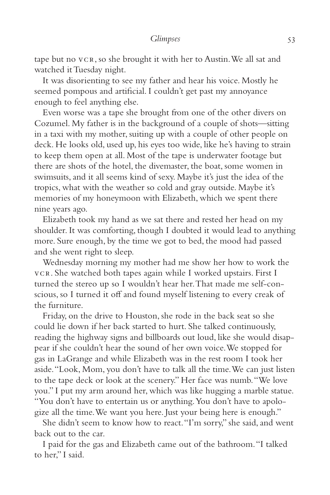tape but no vcr, so she brought it with her to Austin. We all sat and watched it Tuesday night.

It was disorienting to see my father and hear his voice. Mostly he seemed pompous and artificial. I couldn't get past my annoyance enough to feel anything else.

Even worse was a tape she brought from one of the other divers on Cozumel. My father is in the background of a couple of shots—sitting in a taxi with my mother, suiting up with a couple of other people on deck. He looks old, used up, his eyes too wide, like he's having to strain to keep them open at all. Most of the tape is underwater footage but there are shots of the hotel, the divemaster, the boat, some women in swimsuits, and it all seems kind of sexy. Maybe it's just the idea of the tropics, what with the weather so cold and gray outside. Maybe it's memories of my honeymoon with Elizabeth, which we spent there nine years ago.

Elizabeth took my hand as we sat there and rested her head on my shoulder. It was comforting, though I doubted it would lead to anything more. Sure enough, by the time we got to bed, the mood had passed and she went right to sleep.

Wednesday morning my mother had me show her how to work the vcr. She watched both tapes again while I worked upstairs. First I turned the stereo up so I wouldn't hear her. That made me self-conscious, so I turned it off and found myself listening to every creak of the furniture.

Friday, on the drive to Houston, she rode in the back seat so she could lie down if her back started to hurt. She talked continuously, reading the highway signs and billboards out loud, like she would disappear if she couldn't hear the sound of her own voice. We stopped for gas in LaGrange and while Elizabeth was in the rest room I took her aside. "Look, Mom, you don't have to talk all the time. We can just listen to the tape deck or look at the scenery." Her face was numb. "We love you." I put my arm around her, which was like hugging a marble statue. "You don't have to entertain us or anything. You don't have to apologize all the time. We want you here. Just your being here is enough."

She didn't seem to know how to react. "I'm sorry," she said, and went back out to the car.

I paid for the gas and Elizabeth came out of the bathroom. "I talked to her," I said.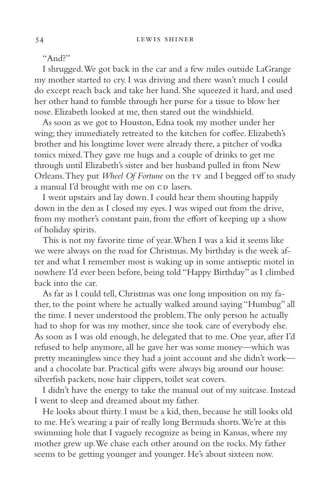"And?"

I shrugged. We got back in the car and a few miles outside LaGrange my mother started to cry. I was driving and there wasn't much I could do except reach back and take her hand. She squeezed it hard, and used her other hand to fumble through her purse for a tissue to blow her nose. Elizabeth looked at me, then stared out the windshield.

As soon as we got to Houston, Edna took my mother under her wing; they immediately retreated to the kitchen for coffee. Elizabeth's brother and his longtime lover were already there, a pitcher of vodka tonics mixed. They gave me hugs and a couple of drinks to get me through until Elizabeth's sister and her husband pulled in from New Orleans. They put *Wheel Of Fortune* on the tv and I begged off to study a manual I'd brought with me on CD lasers.

I went upstairs and lay down. I could hear them shouting happily down in the den as I closed my eyes. I was wiped out from the drive, from my mother's constant pain, from the effort of keeping up a show of holiday spirits.

This is not my favorite time of year. When I was a kid it seems like we were always on the road for Christmas. My birthday is the week after and what I remember most is waking up in some antiseptic motel in nowhere I'd ever been before, being told "Happy Birthday" as I climbed back into the car.

As far as I could tell, Christmas was one long imposition on my father, to the point where he actually walked around saying "Humbug" all the time. I never understood the problem. The only person he actually had to shop for was my mother, since she took care of everybody else. As soon as I was old enough, he delegated that to me. One year, after I'd refused to help anymore, all he gave her was some money—which was pretty meaningless since they had a joint account and she didn't work and a chocolate bar. Practical gifts were always big around our house: silverfish packets, nose hair clippers, toilet seat covers.

I didn't have the energy to take the manual out of my suitcase. Instead I went to sleep and dreamed about my father.

He looks about thirty. I must be a kid, then, because he still looks old to me. He's wearing a pair of really long Bermuda shorts. We're at this swimming hole that I vaguely recognize as being in Kansas, where my mother grew up. We chase each other around on the rocks. My father seems to be getting younger and younger. He's about sixteen now.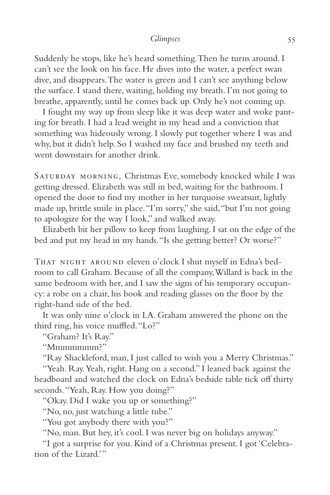Suddenly he stops, like he's heard something. Then he turns around. I can't see the look on his face. He dives into the water, a perfect swan dive, and disappears. The water is green and I can't see anything below the surface. I stand there, waiting, holding my breath. I'm not going to breathe, apparently, until he comes back up. Only he's not coming up.

I fought my way up from sleep like it was deep water and woke panting for breath. I had a lead weight in my head and a conviction that something was hideously wrong. I slowly put together where I was and why, but it didn't help. So I washed my face and brushed my teeth and went downstairs for another drink.

Saturday morning, Christmas Eve, somebody knocked while I was getting dressed. Elizabeth was still in bed, waiting for the bathroom. I opened the door to find my mother in her turquoise sweatsuit, lightly made up, brittle smile in place. "I'm sorry," she said, "but I'm not going to apologize for the way I look," and walked away.

Elizabeth bit her pillow to keep from laughing. I sat on the edge of the bed and put my head in my hands. "Is she getting better? Or worse?"

THAT NIGHT AROUND eleven o'clock I shut myself in Edna's bedroom to call Graham. Because of all the company, Willard is back in the same bedroom with her, and I saw the signs of his temporary occupancy: a robe on a chair, his book and reading glasses on the floor by the right-hand side of the bed.

It was only nine o'clock in LA. Graham answered the phone on the third ring, his voice muffled. "Lo?"

"Graham? It's Ray."

"Mmmmmmm?"

"Ray Shackleford, man, I just called to wish you a Merry Christmas." "Yeah. Ray. Yeah, right. Hang on a second." I leaned back against the headboard and watched the clock on Edna's bedside table tick off thirty seconds. "Yeah, Ray. How you doing?"

"Okay. Did I wake you up or something?"

"No, no, just watching a little tube."

"You got anybody there with you?"

"No, man. But hey, it's cool. I was never big on holidays anyway."

"I got a surprise for you. Kind of a Christmas present. I got 'Celebration of the Lizard.'"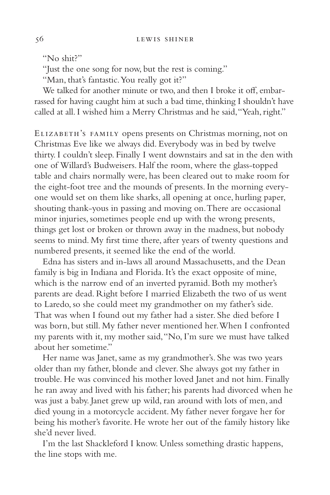"No shit?"

"Just the one song for now, but the rest is coming."

"Man, that's fantastic. You really got it?"

We talked for another minute or two, and then I broke it off, embarrassed for having caught him at such a bad time, thinking I shouldn't have called at all. I wished him a Merry Christmas and he said, "Yeah, right."

ELIZABETH'S FAMILY opens presents on Christmas morning, not on Christmas Eve like we always did. Everybody was in bed by twelve thirty. I couldn't sleep. Finally I went downstairs and sat in the den with one of Willard's Budweisers. Half the room, where the glass-topped table and chairs normally were, has been cleared out to make room for the eight-foot tree and the mounds of presents. In the morning everyone would set on them like sharks, all opening at once, hurling paper, shouting thank-yous in passing and moving on. There are occasional minor injuries, sometimes people end up with the wrong presents, things get lost or broken or thrown away in the madness, but nobody seems to mind. My first time there, after years of twenty questions and numbered presents, it seemed like the end of the world.

Edna has sisters and in-laws all around Massachusetts, and the Dean family is big in Indiana and Florida. It's the exact opposite of mine, which is the narrow end of an inverted pyramid. Both my mother's parents are dead. Right before I married Elizabeth the two of us went to Laredo, so she could meet my grandmother on my father's side. That was when I found out my father had a sister. She died before I was born, but still. My father never mentioned her. When I confronted my parents with it, my mother said, "No, I'm sure we must have talked about her sometime."

Her name was Janet, same as my grandmother's. She was two years older than my father, blonde and clever. She always got my father in trouble. He was convinced his mother loved Janet and not him. Finally he ran away and lived with his father; his parents had divorced when he was just a baby. Janet grew up wild, ran around with lots of men, and died young in a motorcycle accident. My father never forgave her for being his mother's favorite. He wrote her out of the family history like she'd never lived.

I'm the last Shackleford I know. Unless something drastic happens, the line stops with me.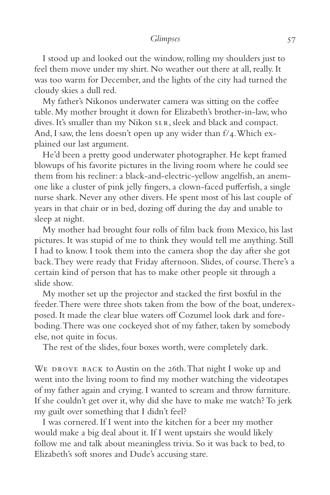I stood up and looked out the window, rolling my shoulders just to feel them move under my shirt. No weather out there at all, really. It was too warm for December, and the lights of the city had turned the cloudy skies a dull red.

My father's Nikonos underwater camera was sitting on the coffee table. My mother brought it down for Elizabeth's brother-in-law, who dives. It's smaller than my Nikon SLR, sleek and black and compact. And, I saw, the lens doesn't open up any wider than  $f/4$ . Which explained our last argument.

He'd been a pretty good underwater photographer. He kept framed blowups of his favorite pictures in the living room where he could see them from his recliner: a black-and-electric-yellow angelfish, an anemone like a cluster of pink jelly fingers, a clown-faced pufferfish, a single nurse shark. Never any other divers. He spent most of his last couple of years in that chair or in bed, dozing off during the day and unable to sleep at night.

My mother had brought four rolls of film back from Mexico, his last pictures. It was stupid of me to think they would tell me anything. Still I had to know. I took them into the camera shop the day after she got back. They were ready that Friday afternoon. Slides, of course. There's a certain kind of person that has to make other people sit through a slide show.

My mother set up the projector and stacked the first boxful in the feeder. There were three shots taken from the bow of the boat, underexposed. It made the clear blue waters off Cozumel look dark and foreboding. There was one cockeyed shot of my father, taken by somebody else, not quite in focus.

The rest of the slides, four boxes worth, were completely dark.

WE DROVE BACK to Austin on the 26th. That night I woke up and went into the living room to find my mother watching the videotapes of my father again and crying. I wanted to scream and throw furniture. If she couldn't get over it, why did she have to make me watch? To jerk my guilt over something that I didn't feel?

I was cornered. If I went into the kitchen for a beer my mother would make a big deal about it. If I went upstairs she would likely follow me and talk about meaningless trivia. So it was back to bed, to Elizabeth's soft snores and Dude's accusing stare.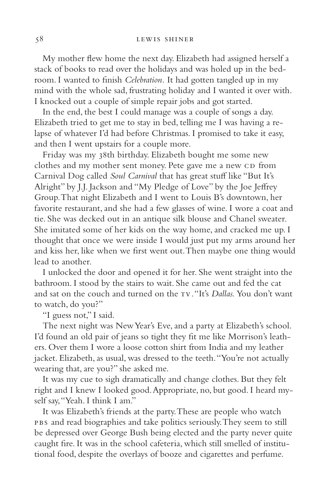My mother flew home the next day. Elizabeth had assigned herself a stack of books to read over the holidays and was holed up in the bedroom. I wanted to finish *Celebration.* It had gotten tangled up in my mind with the whole sad, frustrating holiday and I wanted it over with. I knocked out a couple of simple repair jobs and got started.

In the end, the best I could manage was a couple of songs a day. Elizabeth tried to get me to stay in bed, telling me I was having a relapse of whatever I'd had before Christmas. I promised to take it easy, and then I went upstairs for a couple more.

Friday was my 38th birthday. Elizabeth bought me some new clothes and my mother sent money. Pete gave me a new CD from Carnival Dog called *Soul Carnival* that has great stuff like "But It's Alright" by J.J. Jackson and "My Pledge of Love" by the Joe Jeffrey Group. That night Elizabeth and I went to Louis B's downtown, her favorite restaurant, and she had a few glasses of wine. I wore a coat and tie. She was decked out in an antique silk blouse and Chanel sweater. She imitated some of her kids on the way home, and cracked me up. I thought that once we were inside I would just put my arms around her and kiss her, like when we first went out. Then maybe one thing would lead to another.

I unlocked the door and opened it for her. She went straight into the bathroom. I stood by the stairs to wait. She came out and fed the cat and sat on the couch and turned on the tv. "It's *Dallas.* You don't want to watch, do you?"

"I guess not," I said.

The next night was New Year's Eve, and a party at Elizabeth's school. I'd found an old pair of jeans so tight they fit me like Morrison's leathers. Over them I wore a loose cotton shirt from India and my leather jacket. Elizabeth, as usual, was dressed to the teeth. "You're not actually wearing that, are you?" she asked me.

It was my cue to sigh dramatically and change clothes. But they felt right and I knew I looked good. Appropriate, no, but good. I heard myself say, "Yeah. I think I am."

It was Elizabeth's friends at the party. These are people who watch pbs and read biographies and take politics seriously. They seem to still be depressed over George Bush being elected and the party never quite caught fire. It was in the school cafeteria, which still smelled of institutional food, despite the overlays of booze and cigarettes and perfume.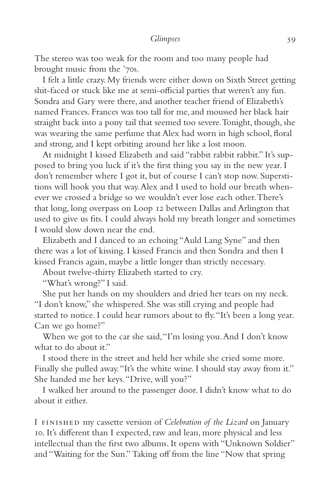The stereo was too weak for the room and too many people had brought music from the '70s.

I felt a little crazy. My friends were either down on Sixth Street getting shit-faced or stuck like me at semi-official parties that weren't any fun. Sondra and Gary were there, and another teacher friend of Elizabeth's named Frances. Frances was too tall for me, and moussed her black hair straight back into a pony tail that seemed too severe. Tonight, though, she was wearing the same perfume that Alex had worn in high school, floral and strong, and I kept orbiting around her like a lost moon.

At midnight I kissed Elizabeth and said "rabbit rabbit rabbit." It's supposed to bring you luck if it's the first thing you say in the new year. I don't remember where I got it, but of course I can't stop now. Superstitions will hook you that way. Alex and I used to hold our breath whenever we crossed a bridge so we wouldn't ever lose each other. There's that long, long overpass on Loop 12 between Dallas and Arlington that used to give us fits. I could always hold my breath longer and sometimes I would slow down near the end.

Elizabeth and I danced to an echoing "Auld Lang Syne" and then there was a lot of kissing. I kissed Francis and then Sondra and then I kissed Francis again, maybe a little longer than strictly necessary.

About twelve-thirty Elizabeth started to cry.

"What's wrong?" I said.

She put her hands on my shoulders and dried her tears on my neck. "I don't know," she whispered. She was still crying and people had started to notice. I could hear rumors about to fly. "It's been a long year. Can we go home?"

When we got to the car she said, "I'm losing you. And I don't know what to do about it."

I stood there in the street and held her while she cried some more. Finally she pulled away. "It's the white wine. I should stay away from it." She handed me her keys. "Drive, will you?"

I walked her around to the passenger door. I didn't know what to do about it either.

I finished my cassette version of *Celebration of the Lizard* on January 10. It's different than I expected, raw and lean, more physical and less intellectual than the first two albums. It opens with "Unknown Soldier" and "Waiting for the Sun." Taking off from the line "Now that spring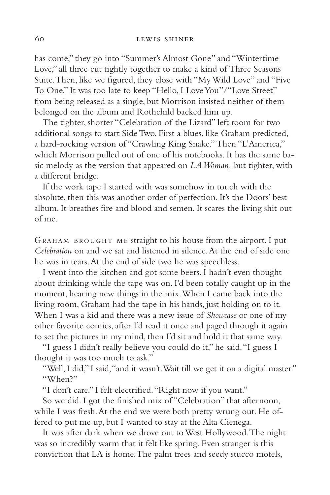has come," they go into "Summer's Almost Gone" and "Wintertime Love," all three cut tightly together to make a kind of Three Seasons Suite. Then, like we figured, they close with "My Wild Love" and "Five To One." It was too late to keep "Hello, I Love You"/"Love Street" from being released as a single, but Morrison insisted neither of them belonged on the album and Rothchild backed him up.

The tighter, shorter "Celebration of the Lizard" left room for two additional songs to start Side Two. First a blues, like Graham predicted, a hard-rocking version of "Crawling King Snake." Then "L'America," which Morrison pulled out of one of his notebooks. It has the same basic melody as the version that appeared on *LA Woman,* but tighter, with a different bridge.

If the work tape I started with was somehow in touch with the absolute, then this was another order of perfection. It's the Doors' best album. It breathes fire and blood and semen. It scares the living shit out of me.

Graham brought me straight to his house from the airport. I put *Celebration* on and we sat and listened in silence. At the end of side one he was in tears. At the end of side two he was speechless.

I went into the kitchen and got some beers. I hadn't even thought about drinking while the tape was on. I'd been totally caught up in the moment, hearing new things in the mix. When I came back into the living room, Graham had the tape in his hands, just holding on to it. When I was a kid and there was a new issue of *Showcase* or one of my other favorite comics, after I'd read it once and paged through it again to set the pictures in my mind, then I'd sit and hold it that same way.

"I guess I didn't really believe you could do it," he said. "I guess I thought it was too much to ask."

"Well, I did," I said, "and it wasn't. Wait till we get it on a digital master." "When?"

"I don't care." I felt electrified. "Right now if you want."

So we did. I got the finished mix of "Celebration" that afternoon, while I was fresh. At the end we were both pretty wrung out. He offered to put me up, but I wanted to stay at the Alta Cienega.

It was after dark when we drove out to West Hollywood. The night was so incredibly warm that it felt like spring. Even stranger is this conviction that LA is home. The palm trees and seedy stucco motels,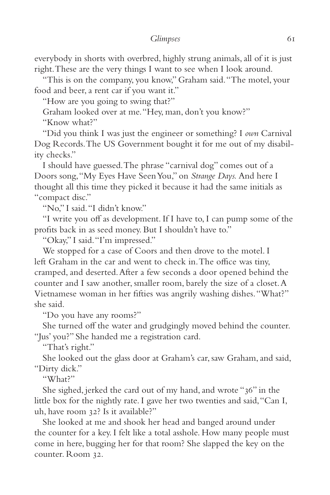everybody in shorts with overbred, highly strung animals, all of it is just right. These are the very things I want to see when I look around.

"This is on the company, you know," Graham said. "The motel, your food and beer, a rent car if you want it."

"How are you going to swing that?"

Graham looked over at me. "Hey, man, don't you know?"

"Know what?"

"Did you think I was just the engineer or something? I *own* Carnival Dog Records. The US Government bought it for me out of my disability checks."

I should have guessed. The phrase "carnival dog" comes out of a Doors song, "My Eyes Have Seen You," on *Strange Days.* And here I thought all this time they picked it because it had the same initials as "compact disc."

"No," I said. "I didn't know."

"I write you off as development. If I have to, I can pump some of the profits back in as seed money. But I shouldn't have to."

"Okay," I said. "I'm impressed."

We stopped for a case of Coors and then drove to the motel. I left Graham in the car and went to check in. The office was tiny, cramped, and deserted. After a few seconds a door opened behind the counter and I saw another, smaller room, barely the size of a closet. A Vietnamese woman in her fifties was angrily washing dishes. "What?" she said.

"Do you have any rooms?"

She turned off the water and grudgingly moved behind the counter. "Jus' you?" She handed me a registration card.

"That's right."

She looked out the glass door at Graham's car, saw Graham, and said, "Dirty dick."

"What?"

She sighed, jerked the card out of my hand, and wrote "36" in the little box for the nightly rate. I gave her two twenties and said, "Can I, uh, have room 32? Is it available?"

She looked at me and shook her head and banged around under the counter for a key. I felt like a total asshole. How many people must come in here, bugging her for that room? She slapped the key on the counter. Room 32.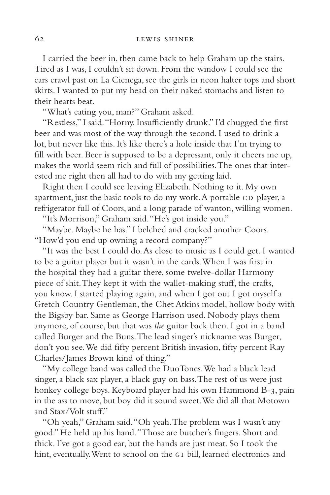I carried the beer in, then came back to help Graham up the stairs. Tired as I was, I couldn't sit down. From the window I could see the cars crawl past on La Cienega, see the girls in neon halter tops and short skirts. I wanted to put my head on their naked stomachs and listen to their hearts beat.

"What's eating you, man?" Graham asked.

"Restless," I said. "Horny. Insufficiently drunk." I'd chugged the first beer and was most of the way through the second. I used to drink a lot, but never like this. It's like there's a hole inside that I'm trying to fill with beer. Beer is supposed to be a depressant, only it cheers me up, makes the world seem rich and full of possibilities. The ones that interested me right then all had to do with my getting laid.

Right then I could see leaving Elizabeth. Nothing to it. My own apartment, just the basic tools to do my work. A portable CD player, a refrigerator full of Coors, and a long parade of wanton, willing women.

"It's Morrison," Graham said. "He's got inside you."

"Maybe. Maybe he has." I belched and cracked another Coors. "How'd you end up owning a record company?"

"It was the best I could do. As close to music as I could get. I wanted to be a guitar player but it wasn't in the cards. When I was first in the hospital they had a guitar there, some twelve-dollar Harmony piece of shit. They kept it with the wallet-making stuff, the crafts, you know. I started playing again, and when I got out I got myself a Gretch Country Gentleman, the Chet Atkins model, hollow body with the Bigsby bar. Same as George Harrison used. Nobody plays them anymore, of course, but that was *the* guitar back then. I got in a band called Burger and the Buns. The lead singer's nickname was Burger, don't you see. We did fifty percent British invasion, fifty percent Ray Charles/James Brown kind of thing."

"My college band was called the DuoTones. We had a black lead singer, a black sax player, a black guy on bass. The rest of us were just honkey college boys. Keyboard player had his own Hammond B-3, pain in the ass to move, but boy did it sound sweet. We did all that Motown and Stax/Volt stuff."

"Oh yeah," Graham said. "Oh yeah. The problem was I wasn't any good." He held up his hand. "Those are butcher's fingers. Short and thick. I've got a good ear, but the hands are just meat. So I took the hint, eventually. Went to school on the GI bill, learned electronics and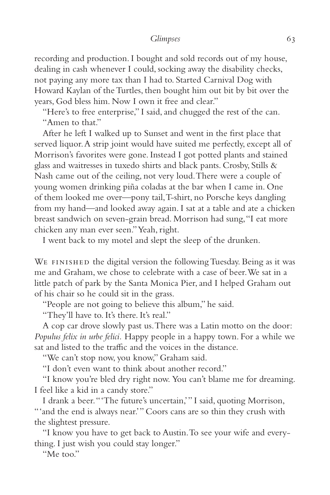recording and production. I bought and sold records out of my house, dealing in cash whenever I could, socking away the disability checks, not paying any more tax than I had to. Started Carnival Dog with Howard Kaylan of the Turtles, then bought him out bit by bit over the years, God bless him. Now I own it free and clear."

"Here's to free enterprise," I said, and chugged the rest of the can. "Amen to that."

After he left I walked up to Sunset and went in the first place that served liquor. A strip joint would have suited me perfectly, except all of Morrison's favorites were gone. Instead I got potted plants and stained glass and waitresses in tuxedo shirts and black pants. Crosby, Stills & Nash came out of the ceiling, not very loud. There were a couple of young women drinking piña coladas at the bar when I came in. One of them looked me over—pony tail, T-shirt, no Porsche keys dangling from my hand—and looked away again. I sat at a table and ate a chicken breast sandwich on seven-grain bread. Morrison had sung, "I eat more chicken any man ever seen." Yeah, right.

I went back to my motel and slept the sleep of the drunken.

WE FINISHED the digital version the following Tuesday. Being as it was me and Graham, we chose to celebrate with a case of beer. We sat in a little patch of park by the Santa Monica Pier, and I helped Graham out of his chair so he could sit in the grass.

"People are not going to believe this album," he said.

"They'll have to. It's there. It's real."

A cop car drove slowly past us. There was a Latin motto on the door: *Populus felix in urbe felici.* Happy people in a happy town. For a while we sat and listed to the traffic and the voices in the distance.

"We can't stop now, you know," Graham said.

"I don't even want to think about another record."

"I know you're bled dry right now. You can't blame me for dreaming. I feel like a kid in a candy store."

I drank a beer. " 'The future's uncertain,'" I said, quoting Morrison, "'and the end is always near.'" Coors cans are so thin they crush with the slightest pressure.

"I know you have to get back to Austin. To see your wife and everything. I just wish you could stay longer."

"Me too."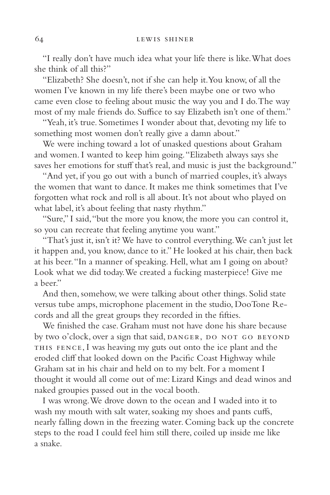"I really don't have much idea what your life there is like. What does she think of all this?"

"Elizabeth? She doesn't, not if she can help it. You know, of all the women I've known in my life there's been maybe one or two who came even close to feeling about music the way you and I do. The way most of my male friends do. Suffice to say Elizabeth isn't one of them."

"Yeah, it's true. Sometimes I wonder about that, devoting my life to something most women don't really give a damn about."

We were inching toward a lot of unasked questions about Graham and women. I wanted to keep him going. "Elizabeth always says she saves her emotions for stuff that's real, and music is just the background."

"And yet, if you go out with a bunch of married couples, it's always the women that want to dance. It makes me think sometimes that I've forgotten what rock and roll is all about. It's not about who played on what label, it's about feeling that nasty rhythm."

"Sure," I said, "but the more you know, the more you can control it, so you can recreate that feeling anytime you want."

"That's just it, isn't it? We have to control everything. We can't just let it happen and, you know, dance to it." He looked at his chair, then back at his beer. "In a manner of speaking. Hell, what am I going on about? Look what we did today. We created a fucking masterpiece! Give me a beer."

And then, somehow, we were talking about other things. Solid state versus tube amps, microphone placement in the studio, DooTone Records and all the great groups they recorded in the fifties.

We finished the case. Graham must not have done his share because by two o'clock, over a sign that said, DANGER, DO NOT GO BEYOND THIS FENCE, I was heaving my guts out onto the ice plant and the eroded cliff that looked down on the Pacific Coast Highway while Graham sat in his chair and held on to my belt. For a moment I thought it would all come out of me: Lizard Kings and dead winos and naked groupies passed out in the vocal booth.

I was wrong. We drove down to the ocean and I waded into it to wash my mouth with salt water, soaking my shoes and pants cuffs, nearly falling down in the freezing water. Coming back up the concrete steps to the road I could feel him still there, coiled up inside me like a snake.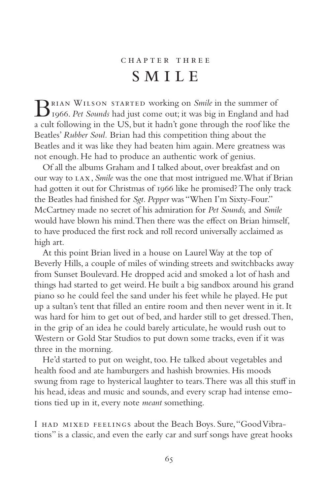# chapter three **SMILE**

BRIAN WILSON STARTED working on *Smile* in the summer of 1966. *Pet Sounds* had just come out; it was big in England and had a cult following in the US, but it hadn't gone through the roof like the Beatles' *Rubber Soul.* Brian had this competition thing about the Beatles and it was like they had beaten him again. Mere greatness was not enough. He had to produce an authentic work of genius.

Of all the albums Graham and I talked about, over breakfast and on our way to lax, *Smile* was the one that most intrigued me. What if Brian had gotten it out for Christmas of 1966 like he promised? The only track the Beatles had finished for *Sgt. Pepper* was "When I'm Sixty-Four." McCartney made no secret of his admiration for *Pet Sounds,* and *Smile* would have blown his mind. Then there was the effect on Brian himself, to have produced the first rock and roll record universally acclaimed as high art.

At this point Brian lived in a house on Laurel Way at the top of Beverly Hills, a couple of miles of winding streets and switchbacks away from Sunset Boulevard. He dropped acid and smoked a lot of hash and things had started to get weird. He built a big sandbox around his grand piano so he could feel the sand under his feet while he played. He put up a sultan's tent that filled an entire room and then never went in it. It was hard for him to get out of bed, and harder still to get dressed. Then, in the grip of an idea he could barely articulate, he would rush out to Western or Gold Star Studios to put down some tracks, even if it was three in the morning.

He'd started to put on weight, too. He talked about vegetables and health food and ate hamburgers and hashish brownies. His moods swung from rage to hysterical laughter to tears. There was all this stuff in his head, ideas and music and sounds, and every scrap had intense emotions tied up in it, every note *meant* something.

I had mixed feelings about the Beach Boys. Sure, "Good Vibrations" is a classic, and even the early car and surf songs have great hooks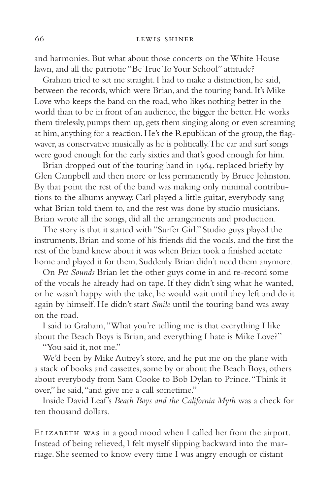and harmonies. But what about those concerts on the White House lawn, and all the patriotic "Be True To Your School" attitude?

Graham tried to set me straight. I had to make a distinction, he said, between the records, which were Brian, and the touring band. It's Mike Love who keeps the band on the road, who likes nothing better in the world than to be in front of an audience, the bigger the better. He works them tirelessly, pumps them up, gets them singing along or even screaming at him, anything for a reaction. He's the Republican of the group, the flagwaver, as conservative musically as he is politically. The car and surf songs were good enough for the early sixties and that's good enough for him.

Brian dropped out of the touring band in 1964, replaced briefly by Glen Campbell and then more or less permanently by Bruce Johnston. By that point the rest of the band was making only minimal contributions to the albums anyway. Carl played a little guitar, everybody sang what Brian told them to, and the rest was done by studio musicians. Brian wrote all the songs, did all the arrangements and production.

The story is that it started with "Surfer Girl." Studio guys played the instruments, Brian and some of his friends did the vocals, and the first the rest of the band knew about it was when Brian took a finished acetate home and played it for them. Suddenly Brian didn't need them anymore.

On *Pet Sounds* Brian let the other guys come in and re-record some of the vocals he already had on tape. If they didn't sing what he wanted, or he wasn't happy with the take, he would wait until they left and do it again by himself. He didn't start *Smile* until the touring band was away on the road.

I said to Graham, "What you're telling me is that everything I like about the Beach Boys is Brian, and everything I hate is Mike Love?"

"You said it, not me."

We'd been by Mike Autrey's store, and he put me on the plane with a stack of books and cassettes, some by or about the Beach Boys, others about everybody from Sam Cooke to Bob Dylan to Prince. "Think it over," he said, "and give me a call sometime."

Inside David Leaf's *Beach Boys and the California Myth* was a check for ten thousand dollars.

ELIZABETH WAS in a good mood when I called her from the airport. Instead of being relieved, I felt myself slipping backward into the marriage. She seemed to know every time I was angry enough or distant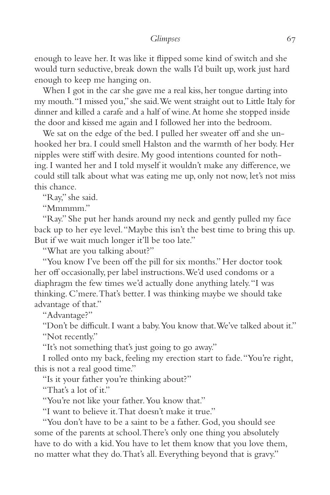enough to leave her. It was like it flipped some kind of switch and she would turn seductive, break down the walls I'd built up, work just hard enough to keep me hanging on.

When I got in the car she gave me a real kiss, her tongue darting into my mouth. "I missed you," she said. We went straight out to Little Italy for dinner and killed a carafe and a half of wine. At home she stopped inside the door and kissed me again and I followed her into the bedroom.

We sat on the edge of the bed. I pulled her sweater off and she unhooked her bra. I could smell Halston and the warmth of her body. Her nipples were stiff with desire. My good intentions counted for nothing. I wanted her and I told myself it wouldn't make any difference, we could still talk about what was eating me up, only not now, let's not miss this chance.

"Ray," she said.

"Mmmmm."

"Ray." She put her hands around my neck and gently pulled my face back up to her eye level. "Maybe this isn't the best time to bring this up. But if we wait much longer it'll be too late."

"What are you talking about?"

"You know I've been off the pill for six months." Her doctor took her off occasionally, per label instructions. We'd used condoms or a diaphragm the few times we'd actually done anything lately. "I was thinking. C'mere. That's better. I was thinking maybe we should take advantage of that."

"Advantage?"

"Don't be difficult. I want a baby. You know that. We've talked about it." "Not recently."

"It's not something that's just going to go away."

I rolled onto my back, feeling my erection start to fade. "You're right, this is not a real good time."

"Is it your father you're thinking about?"

"That's a lot of it."

"You're not like your father. You know that."

"I want to believe it. That doesn't make it true."

"You don't have to be a saint to be a father. God, you should see some of the parents at school. There's only one thing you absolutely have to do with a kid. You have to let them know that you love them, no matter what they do. That's all. Everything beyond that is gravy."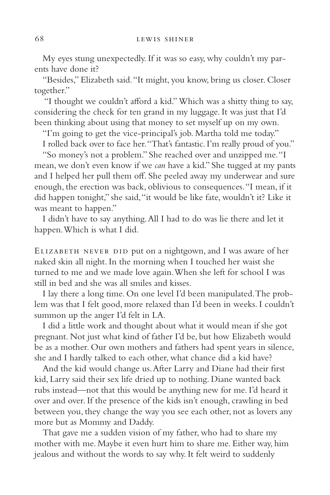My eyes stung unexpectedly. If it was so easy, why couldn't my parents have done it?

"Besides," Elizabeth said. "It might, you know, bring us closer. Closer together."

 "I thought we couldn't afford a kid." Which was a shitty thing to say, considering the check for ten grand in my luggage. It was just that I'd been thinking about using that money to set myself up on my own.

"I'm going to get the vice-principal's job. Martha told me today."

I rolled back over to face her. "That's fantastic. I'm really proud of you."

"So money's not a problem." She reached over and unzipped me. "I mean, we don't even know if we *can* have a kid." She tugged at my pants and I helped her pull them off. She peeled away my underwear and sure enough, the erection was back, oblivious to consequences. "I mean, if it did happen tonight," she said, "it would be like fate, wouldn't it? Like it was meant to happen."

I didn't have to say anything. All I had to do was lie there and let it happen. Which is what I did.

ELIZABETH NEVER DID put on a nightgown, and I was aware of her naked skin all night. In the morning when I touched her waist she turned to me and we made love again. When she left for school I was still in bed and she was all smiles and kisses.

I lay there a long time. On one level I'd been manipulated. The problem was that I felt good, more relaxed than I'd been in weeks. I couldn't summon up the anger I'd felt in LA.

I did a little work and thought about what it would mean if she got pregnant. Not just what kind of father I'd be, but how Elizabeth would be as a mother. Our own mothers and fathers had spent years in silence, she and I hardly talked to each other, what chance did a kid have?

And the kid would change us. After Larry and Diane had their first kid, Larry said their sex life dried up to nothing. Diane wanted back rubs instead—not that this would be anything new for me. I'd heard it over and over. If the presence of the kids isn't enough, crawling in bed between you, they change the way you see each other, not as lovers any more but as Mommy and Daddy.

That gave me a sudden vision of my father, who had to share my mother with me. Maybe it even hurt him to share me. Either way, him jealous and without the words to say why. It felt weird to suddenly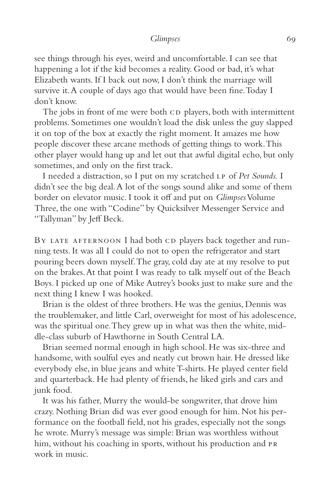see things through his eyes, weird and uncomfortable. I can see that happening a lot if the kid becomes a reality. Good or bad, it's what Elizabeth wants. If I back out now, I don't think the marriage will survive it. A couple of days ago that would have been fine. Today I don't know.

The jobs in front of me were both CD players, both with intermittent problems. Sometimes one wouldn't load the disk unless the guy slapped it on top of the box at exactly the right moment. It amazes me how people discover these arcane methods of getting things to work. This other player would hang up and let out that awful digital echo, but only sometimes, and only on the first track.

I needed a distraction, so I put on my scratched LP of *Pet Sounds*. I didn't see the big deal. A lot of the songs sound alike and some of them border on elevator music. I took it off and put on *Glimpses* Volume Three, the one with "Codine" by Quicksilver Messenger Service and "Tallyman" by Jeff Beck.

BY LATE AFTERNOON I had both CD players back together and running tests. It was all I could do not to open the refrigerator and start pouring beers down myself. The gray, cold day ate at my resolve to put on the brakes. At that point I was ready to talk myself out of the Beach Boys. I picked up one of Mike Autrey's books just to make sure and the next thing I knew I was hooked.

Brian is the oldest of three brothers. He was the genius, Dennis was the troublemaker, and little Carl, overweight for most of his adolescence, was the spiritual one. They grew up in what was then the white, middle-class suburb of Hawthorne in South Central LA.

Brian seemed normal enough in high school. He was six-three and handsome, with soulful eyes and neatly cut brown hair. He dressed like everybody else, in blue jeans and white T-shirts. He played center field and quarterback. He had plenty of friends, he liked girls and cars and junk food.

It was his father, Murry the would-be songwriter, that drove him crazy. Nothing Brian did was ever good enough for him. Not his performance on the football field, not his grades, especially not the songs he wrote. Murry's message was simple: Brian was worthless without him, without his coaching in sports, without his production and PR work in music.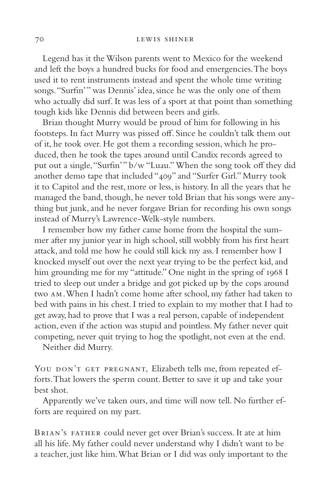Legend has it the Wilson parents went to Mexico for the weekend and left the boys a hundred bucks for food and emergencies. The boys used it to rent instruments instead and spent the whole time writing songs. "Surfin'" was Dennis' idea, since he was the only one of them who actually did surf. It was less of a sport at that point than something tough kids like Dennis did between beers and girls.

Brian thought Murry would be proud of him for following in his footsteps. In fact Murry was pissed off. Since he couldn't talk them out of it, he took over. He got them a recording session, which he produced, then he took the tapes around until Candix records agreed to put out a single, "Surfin'" b/w "Luau." When the song took off they did another demo tape that included "409" and "Surfer Girl." Murry took it to Capitol and the rest, more or less, is history. In all the years that he managed the band, though, he never told Brian that his songs were anything but junk, and he never forgave Brian for recording his own songs instead of Murry's Lawrence-Welk-style numbers.

I remember how my father came home from the hospital the summer after my junior year in high school, still wobbly from his first heart attack, and told me how he could still kick my ass. I remember how I knocked myself out over the next year trying to be the perfect kid, and him grounding me for my "attitude." One night in the spring of 1968 I tried to sleep out under a bridge and got picked up by the cops around two am. When I hadn't come home after school, my father had taken to bed with pains in his chest. I tried to explain to my mother that I had to get away, had to prove that I was a real person, capable of independent action, even if the action was stupid and pointless. My father never quit competing, never quit trying to hog the spotlight, not even at the end.

Neither did Murry.

YOU DON'T GET PREGNANT, Elizabeth tells me, from repeated efforts. That lowers the sperm count. Better to save it up and take your best shot.

Apparently we've taken ours, and time will now tell. No further efforts are required on my part.

Brian's father could never get over Brian's success. It ate at him all his life. My father could never understand why I didn't want to be a teacher, just like him. What Brian or I did was only important to the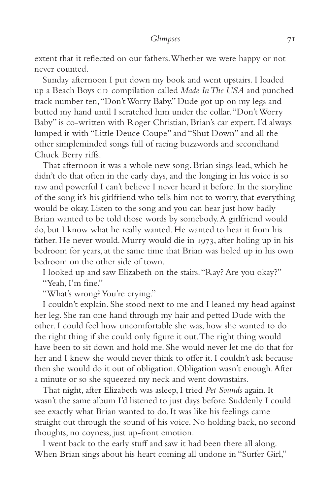extent that it reflected on our fathers. Whether we were happy or not never counted.

Sunday afternoon I put down my book and went upstairs. I loaded up a Beach Boys CD compilation called *Made In The USA* and punched track number ten, "Don't Worry Baby." Dude got up on my legs and butted my hand until I scratched him under the collar. "Don't Worry Baby" is co-written with Roger Christian, Brian's car expert. I'd always lumped it with "Little Deuce Coupe" and "Shut Down" and all the other simpleminded songs full of racing buzzwords and secondhand Chuck Berry riffs.

That afternoon it was a whole new song. Brian sings lead, which he didn't do that often in the early days, and the longing in his voice is so raw and powerful I can't believe I never heard it before. In the storyline of the song it's his girlfriend who tells him not to worry, that everything would be okay. Listen to the song and you can hear just how badly Brian wanted to be told those words by somebody. A girlfriend would do, but I know what he really wanted. He wanted to hear it from his father. He never would. Murry would die in 1973, after holing up in his bedroom for years, at the same time that Brian was holed up in his own bedroom on the other side of town.

I looked up and saw Elizabeth on the stairs. "Ray? Are you okay?" "Yeah, I'm fine."

"What's wrong? You're crying."

I couldn't explain. She stood next to me and I leaned my head against her leg. She ran one hand through my hair and petted Dude with the other. I could feel how uncomfortable she was, how she wanted to do the right thing if she could only figure it out. The right thing would have been to sit down and hold me. She would never let me do that for her and I knew she would never think to offer it. I couldn't ask because then she would do it out of obligation. Obligation wasn't enough. After a minute or so she squeezed my neck and went downstairs.

That night, after Elizabeth was asleep, I tried *Pet Sounds* again. It wasn't the same album I'd listened to just days before. Suddenly I could see exactly what Brian wanted to do. It was like his feelings came straight out through the sound of his voice. No holding back, no second thoughts, no coyness, just up-front emotion.

I went back to the early stuff and saw it had been there all along. When Brian sings about his heart coming all undone in "Surfer Girl,"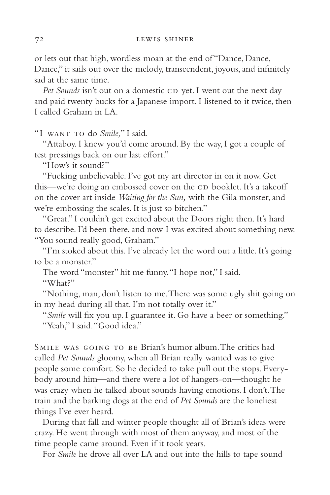or lets out that high, wordless moan at the end of "Dance, Dance, Dance," it sails out over the melody, transcendent, joyous, and infinitely sad at the same time.

Pet Sounds isn't out on a domestic CD yet. I went out the next day and paid twenty bucks for a Japanese import. I listened to it twice, then I called Graham in LA.

"I want to do *Smile,*" I said.

"Attaboy. I knew you'd come around. By the way, I got a couple of test pressings back on our last effort."

"How's it sound?"

"Fucking unbelievable. I've got my art director in on it now. Get this—we're doing an embossed cover on the CD booklet. It's a takeoff on the cover art inside *Waiting for the Sun,* with the Gila monster, and we're embossing the scales. It is just so bitchen."

"Great." I couldn't get excited about the Doors right then. It's hard to describe. I'd been there, and now I was excited about something new. "You sound really good, Graham."

"I'm stoked about this. I've already let the word out a little. It's going to be a monster."

The word "monster" hit me funny. "I hope not," I said.

"What?"

"Nothing, man, don't listen to me. There was some ugly shit going on in my head during all that. I'm not totally over it."

"*Smile* will fix you up. I guarantee it. Go have a beer or something." "Yeah," I said. "Good idea."

SMILE WAS GOING TO BE Brian's humor album. The critics had called *Pet Sounds* gloomy, when all Brian really wanted was to give people some comfort. So he decided to take pull out the stops. Everybody around him—and there were a lot of hangers-on—thought he was crazy when he talked about sounds having emotions. I don't. The train and the barking dogs at the end of *Pet Sounds* are the loneliest things I've ever heard.

During that fall and winter people thought all of Brian's ideas were crazy. He went through with most of them anyway, and most of the time people came around. Even if it took years.

For *Smile* he drove all over LA and out into the hills to tape sound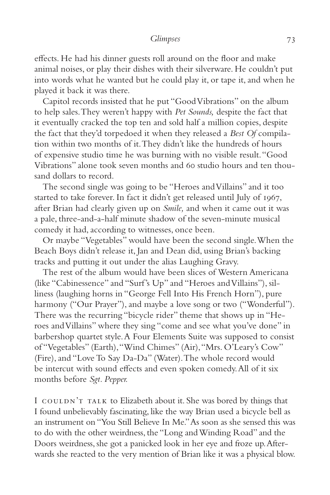effects. He had his dinner guests roll around on the floor and make animal noises, or play their dishes with their silverware. He couldn't put into words what he wanted but he could play it, or tape it, and when he played it back it was there.

Capitol records insisted that he put "Good Vibrations" on the album to help sales. They weren't happy with *Pet Sounds,* despite the fact that it eventually cracked the top ten and sold half a million copies, despite the fact that they'd torpedoed it when they released a *Best Of* compilation within two months of it. They didn't like the hundreds of hours of expensive studio time he was burning with no visible result. "Good Vibrations" alone took seven months and 60 studio hours and ten thousand dollars to record.

The second single was going to be "Heroes and Villains" and it too started to take forever. In fact it didn't get released until July of 1967, after Brian had clearly given up on *Smile,* and when it came out it was a pale, three-and-a-half minute shadow of the seven-minute musical comedy it had, according to witnesses, once been.

Or maybe "Vegetables" would have been the second single. When the Beach Boys didn't release it, Jan and Dean did, using Brian's backing tracks and putting it out under the alias Laughing Gravy.

The rest of the album would have been slices of Western Americana (like "Cabinessence" and "Surf's Up" and "Heroes and Villains"), silliness (laughing horns in "George Fell Into His French Horn"), pure harmony ("Our Prayer"), and maybe a love song or two ("Wonderful"). There was the recurring "bicycle rider" theme that shows up in "Heroes and Villains" where they sing "come and see what you've done" in barbershop quartet style. A Four Elements Suite was supposed to consist of "Vegetables" (Earth), "Wind Chimes" (Air), "Mrs. O'Leary's Cow" (Fire), and "Love To Say Da-Da" (Water). The whole record would be intercut with sound effects and even spoken comedy. All of it six months before *Sgt. Pepper.*

I COULDN'T TALK to Elizabeth about it. She was bored by things that I found unbelievably fascinating, like the way Brian used a bicycle bell as an instrument on "You Still Believe In Me." As soon as she sensed this was to do with the other weirdness, the "Long and Winding Road" and the Doors weirdness, she got a panicked look in her eye and froze up. Afterwards she reacted to the very mention of Brian like it was a physical blow.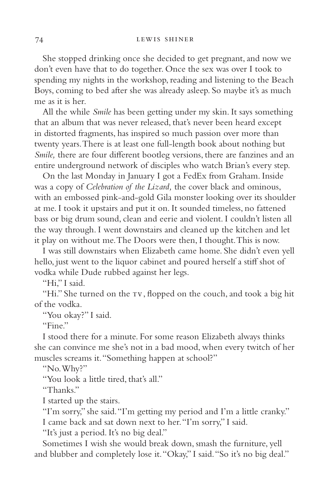She stopped drinking once she decided to get pregnant, and now we don't even have that to do together. Once the sex was over I took to spending my nights in the workshop, reading and listening to the Beach Boys, coming to bed after she was already asleep. So maybe it's as much me as it is her.

All the while *Smile* has been getting under my skin. It says something that an album that was never released, that's never been heard except in distorted fragments, has inspired so much passion over more than twenty years. There is at least one full-length book about nothing but *Smile,* there are four different bootleg versions, there are fanzines and an entire underground network of disciples who watch Brian's every step.

On the last Monday in January I got a FedEx from Graham. Inside was a copy of *Celebration of the Lizard,* the cover black and ominous, with an embossed pink-and-gold Gila monster looking over its shoulder at me. I took it upstairs and put it on. It sounded timeless, no fattened bass or big drum sound, clean and eerie and violent. I couldn't listen all the way through. I went downstairs and cleaned up the kitchen and let it play on without me. The Doors were then, I thought. This is now.

I was still downstairs when Elizabeth came home. She didn't even yell hello, just went to the liquor cabinet and poured herself a stiff shot of vodka while Dude rubbed against her legs.

"Hi," I said.

"Hi." She turned on the tv, flopped on the couch, and took a big hit of the vodka.

"You okay?" I said.

"Fine."

I stood there for a minute. For some reason Elizabeth always thinks she can convince me she's not in a bad mood, when every twitch of her muscles screams it. "Something happen at school?"

"No. Why?"

"You look a little tired, that's all."

"Thanks."

I started up the stairs.

"I'm sorry," she said. "I'm getting my period and I'm a little cranky."

I came back and sat down next to her. "I'm sorry," I said.

"It's just a period. It's no big deal."

Sometimes I wish she would break down, smash the furniture, yell and blubber and completely lose it. "Okay," I said. "So it's no big deal."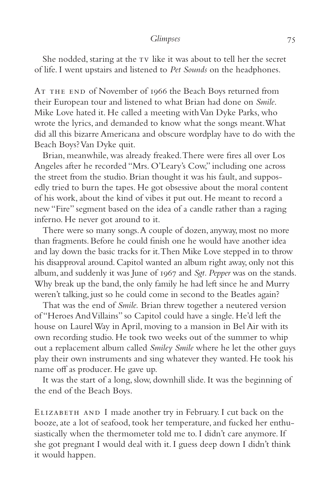She nodded, staring at the  $\tau v$  like it was about to tell her the secret of life. I went upstairs and listened to *Pet Sounds* on the headphones.

AT THE END of November of 1966 the Beach Boys returned from their European tour and listened to what Brian had done on *Smile*. Mike Love hated it. He called a meeting with Van Dyke Parks, who wrote the lyrics, and demanded to know what the songs meant. What did all this bizarre Americana and obscure wordplay have to do with the Beach Boys? Van Dyke quit.

Brian, meanwhile, was already freaked. There were fires all over Los Angeles after he recorded "Mrs. O'Leary's Cow," including one across the street from the studio. Brian thought it was his fault, and supposedly tried to burn the tapes. He got obsessive about the moral content of his work, about the kind of vibes it put out. He meant to record a new "Fire" segment based on the idea of a candle rather than a raging inferno. He never got around to it.

There were so many songs. A couple of dozen, anyway, most no more than fragments. Before he could finish one he would have another idea and lay down the basic tracks for it. Then Mike Love stepped in to throw his disapproval around. Capitol wanted an album right away, only not this album, and suddenly it was June of 1967 and *Sgt. Pepper* was on the stands. Why break up the band, the only family he had left since he and Murry weren't talking, just so he could come in second to the Beatles again?

That was the end of *Smile.* Brian threw together a neutered version of "Heroes And Villains" so Capitol could have a single. He'd left the house on Laurel Way in April, moving to a mansion in Bel Air with its own recording studio. He took two weeks out of the summer to whip out a replacement album called *Smiley Smile* where he let the other guys play their own instruments and sing whatever they wanted. He took his name off as producer. He gave up.

It was the start of a long, slow, downhill slide. It was the beginning of the end of the Beach Boys.

ELIZABETH AND I made another try in February. I cut back on the booze, ate a lot of seafood, took her temperature, and fucked her enthusiastically when the thermometer told me to. I didn't care anymore. If she got pregnant I would deal with it. I guess deep down I didn't think it would happen.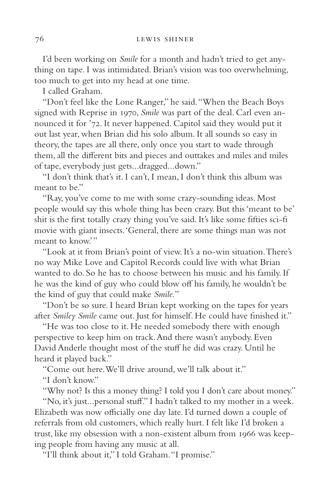I'd been working on *Smile* for a month and hadn't tried to get anything on tape. I was intimidated. Brian's vision was too overwhelming, too much to get into my head at one time.

I called Graham.

"Don't feel like the Lone Ranger," he said. "When the Beach Boys signed with Reprise in 1970, *Smile* was part of the deal. Carl even announced it for '72. It never happened. Capitol said they would put it out last year, when Brian did his solo album. It all sounds so easy in theory, the tapes are all there, only once you start to wade through them, all the different bits and pieces and outtakes and miles and miles of tape, everybody just gets...dragged...down."

"I don't think that's it. I can't, I mean, I don't think this album was meant to be."

"Ray, you've come to me with some crazy-sounding ideas. Most people would say this whole thing has been crazy. But this 'meant to be' shit is the first totally crazy thing you've said. It's like some fifties sci-fi movie with giant insects. 'General, there are some things man was not meant to know"

"Look at it from Brian's point of view. It's a no-win situation. There's no way Mike Love and Capitol Records could live with what Brian wanted to do. So he has to choose between his music and his family. If he was the kind of guy who could blow off his family, he wouldn't be the kind of guy that could make *Smile.*"

"Don't be so sure. I heard Brian kept working on the tapes for years after *Smiley Smile* came out. Just for himself. He could have finished it."

"He was too close to it. He needed somebody there with enough perspective to keep him on track. And there wasn't anybody. Even David Anderle thought most of the stuff he did was crazy. Until he heard it played back."

"Come out here. We'll drive around, we'll talk about it."

"I don't know."

"Why not? Is this a money thing? I told you I don't care about money."

"No, it's just...personal stuff." I hadn't talked to my mother in a week. Elizabeth was now officially one day late. I'd turned down a couple of referrals from old customers, which really hurt. I felt like I'd broken a trust, like my obsession with a non-existent album from 1966 was keeping people from having any music at all.

"I'll think about it," I told Graham. "I promise."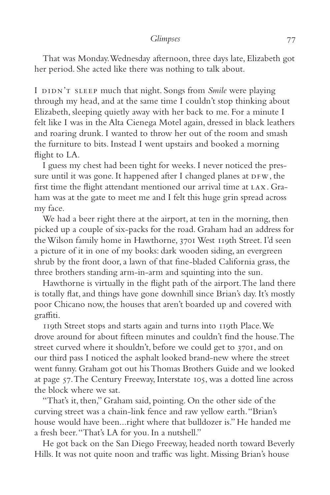That was Monday. Wednesday afternoon, three days late, Elizabeth got her period. She acted like there was nothing to talk about.

I DIDN'T SLEEP much that night. Songs from *Smile* were playing through my head, and at the same time I couldn't stop thinking about Elizabeth, sleeping quietly away with her back to me. For a minute I felt like I was in the Alta Cienega Motel again, dressed in black leathers and roaring drunk. I wanted to throw her out of the room and smash the furniture to bits. Instead I went upstairs and booked a morning flight to LA.

I guess my chest had been tight for weeks. I never noticed the pressure until it was gone. It happened after I changed planes at DFW, the first time the flight attendant mentioned our arrival time at lax. Graham was at the gate to meet me and I felt this huge grin spread across my face.

We had a beer right there at the airport, at ten in the morning, then picked up a couple of six-packs for the road. Graham had an address for the Wilson family home in Hawthorne, 3701 West 119th Street. I'd seen a picture of it in one of my books: dark wooden siding, an evergreen shrub by the front door, a lawn of that fine-bladed California grass, the three brothers standing arm-in-arm and squinting into the sun.

Hawthorne is virtually in the flight path of the airport. The land there is totally flat, and things have gone downhill since Brian's day. It's mostly poor Chicano now, the houses that aren't boarded up and covered with graffiti.

119th Street stops and starts again and turns into 119th Place. We drove around for about fifteen minutes and couldn't find the house. The street curved where it shouldn't, before we could get to 3701, and on our third pass I noticed the asphalt looked brand-new where the street went funny. Graham got out his Thomas Brothers Guide and we looked at page 57. The Century Freeway, Interstate 105, was a dotted line across the block where we sat.

"That's it, then," Graham said, pointing. On the other side of the curving street was a chain-link fence and raw yellow earth. "Brian's house would have been...right where that bulldozer is." He handed me a fresh beer. "That's LA for you. In a nutshell."

He got back on the San Diego Freeway, headed north toward Beverly Hills. It was not quite noon and traffic was light. Missing Brian's house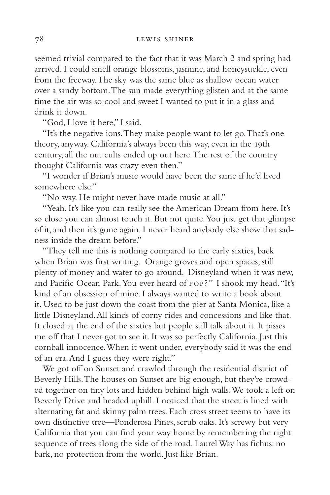seemed trivial compared to the fact that it was March 2 and spring had arrived. I could smell orange blossoms, jasmine, and honeysuckle, even from the freeway. The sky was the same blue as shallow ocean water over a sandy bottom. The sun made everything glisten and at the same time the air was so cool and sweet I wanted to put it in a glass and drink it down.

"God, I love it here," I said.

"It's the negative ions. They make people want to let go. That's one theory, anyway. California's always been this way, even in the 19th century, all the nut cults ended up out here. The rest of the country thought California was crazy even then."

"I wonder if Brian's music would have been the same if he'd lived somewhere else."

"No way. He might never have made music at all."

"Yeah. It's like you can really see the American Dream from here. It's so close you can almost touch it. But not quite. You just get that glimpse of it, and then it's gone again. I never heard anybody else show that sadness inside the dream before."

"They tell me this is nothing compared to the early sixties, back when Brian was first writing. Orange groves and open spaces, still plenty of money and water to go around. Disneyland when it was new, and Pacific Ocean Park. You ever heard of pop?" I shook my head. "It's kind of an obsession of mine. I always wanted to write a book about it. Used to be just down the coast from the pier at Santa Monica, like a little Disneyland. All kinds of corny rides and concessions and like that. It closed at the end of the sixties but people still talk about it. It pisses me off that I never got to see it. It was so perfectly California. Just this cornball innocence. When it went under, everybody said it was the end of an era. And I guess they were right."

We got off on Sunset and crawled through the residential district of Beverly Hills. The houses on Sunset are big enough, but they're crowded together on tiny lots and hidden behind high walls. We took a left on Beverly Drive and headed uphill. I noticed that the street is lined with alternating fat and skinny palm trees. Each cross street seems to have its own distinctive tree—Ponderosa Pines, scrub oaks. It's screwy but very California that you can find your way home by remembering the right sequence of trees along the side of the road. Laurel Way has fichus: no bark, no protection from the world. Just like Brian.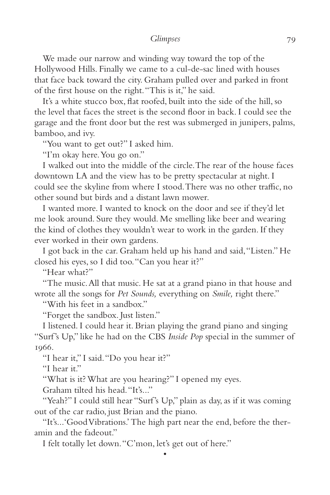We made our narrow and winding way toward the top of the Hollywood Hills. Finally we came to a cul-de-sac lined with houses that face back toward the city. Graham pulled over and parked in front of the first house on the right. "This is it," he said.

It's a white stucco box, flat roofed, built into the side of the hill, so the level that faces the street is the second floor in back. I could see the garage and the front door but the rest was submerged in junipers, palms, bamboo, and ivy.

"You want to get out?" I asked him.

"I'm okay here. You go on."

I walked out into the middle of the circle. The rear of the house faces downtown LA and the view has to be pretty spectacular at night. I could see the skyline from where I stood. There was no other traffic, no other sound but birds and a distant lawn mower.

I wanted more. I wanted to knock on the door and see if they'd let me look around. Sure they would. Me smelling like beer and wearing the kind of clothes they wouldn't wear to work in the garden. If they ever worked in their own gardens.

I got back in the car. Graham held up his hand and said, "Listen." He closed his eyes, so I did too. "Can you hear it?"

"Hear what?"

"The music. All that music. He sat at a grand piano in that house and wrote all the songs for *Pet Sounds,* everything on *Smile,* right there."

"With his feet in a sandbox."

"Forget the sandbox. Just listen."

I listened. I could hear it. Brian playing the grand piano and singing "Surf's Up," like he had on the CBS *Inside Pop* special in the summer of 1966.

"I hear it," I said. "Do you hear it?"

"I hear it."

"What is it? What are you hearing?" I opened my eyes.

Graham tilted his head. "It's..."

"Yeah?" I could still hear "Surf's Up," plain as day, as if it was coming out of the car radio, just Brian and the piano.

"It's...'Good Vibrations.' The high part near the end, before the theramin and the fadeout."

•

I felt totally let down. "C'mon, let's get out of here."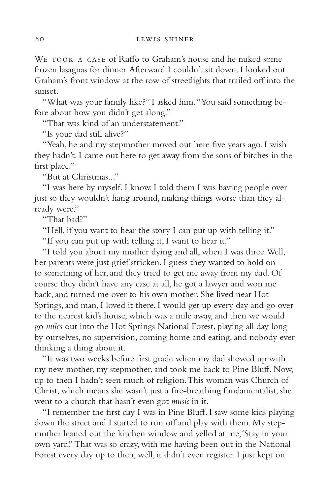WE TOOK A CASE of Raffo to Graham's house and he nuked some frozen lasagnas for dinner. Afterward I couldn't sit down. I looked out Graham's front window at the row of streetlights that trailed off into the sunset.

"What was your family like?" I asked him. "You said something before about how you didn't get along."

"That was kind of an understatement."

"Is your dad still alive?"

"Yeah, he and my stepmother moved out here five years ago. I wish they hadn't. I came out here to get away from the sons of bitches in the first place."

"But at Christmas..."

"I was here by myself. I know. I told them I was having people over just so they wouldn't hang around, making things worse than they already were."

"That bad?"

"Hell, if you want to hear the story I can put up with telling it."

"If you can put up with telling it, I want to hear it."

"I told you about my mother dying and all, when I was three. Well, her parents were just grief stricken. I guess they wanted to hold on to something of her, and they tried to get me away from my dad. Of course they didn't have any case at all, he got a lawyer and won me back, and turned me over to his own mother. She lived near Hot Springs, and man, I loved it there. I would get up every day and go over to the nearest kid's house, which was a mile away, and then we would go *miles* out into the Hot Springs National Forest, playing all day long by ourselves, no supervision, coming home and eating, and nobody ever thinking a thing about it.

"It was two weeks before first grade when my dad showed up with my new mother, my stepmother, and took me back to Pine Bluff. Now, up to then I hadn't seen much of religion. This woman was Church of Christ, which means she wasn't just a fire-breathing fundamentalist, she went to a church that hasn't even got *music* in it.

"I remember the first day I was in Pine Bluff. I saw some kids playing down the street and I started to run off and play with them. My stepmother leaned out the kitchen window and yelled at me, 'Stay in your own yard!' That was so crazy, with me having been out in the National Forest every day up to then, well, it didn't even register. I just kept on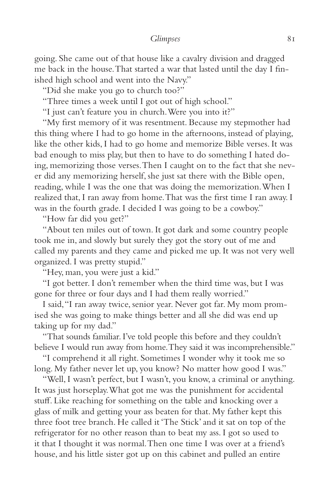going. She came out of that house like a cavalry division and dragged me back in the house. That started a war that lasted until the day I finished high school and went into the Navy."

"Did she make you go to church too?"

"Three times a week until I got out of high school."

"I just can't feature you in church. Were you into it?"

"My first memory of it was resentment. Because my stepmother had this thing where I had to go home in the afternoons, instead of playing, like the other kids, I had to go home and memorize Bible verses. It was bad enough to miss play, but then to have to do something I hated doing, memorizing those verses. Then I caught on to the fact that she never did any memorizing herself, she just sat there with the Bible open, reading, while I was the one that was doing the memorization. When I realized that, I ran away from home. That was the first time I ran away. I was in the fourth grade. I decided I was going to be a cowboy."

"How far did you get?"

"About ten miles out of town. It got dark and some country people took me in, and slowly but surely they got the story out of me and called my parents and they came and picked me up. It was not very well organized. I was pretty stupid."

"Hey, man, you were just a kid."

"I got better. I don't remember when the third time was, but I was gone for three or four days and I had them really worried."

I said, "I ran away twice, senior year. Never got far. My mom promised she was going to make things better and all she did was end up taking up for my dad."

"That sounds familiar. I've told people this before and they couldn't believe I would run away from home. They said it was incomprehensible."

"I comprehend it all right. Sometimes I wonder why it took me so long. My father never let up, you know? No matter how good I was."

"Well, I wasn't perfect, but I wasn't, you know, a criminal or anything. It was just horseplay. What got me was the punishment for accidental stuff. Like reaching for something on the table and knocking over a glass of milk and getting your ass beaten for that. My father kept this three foot tree branch. He called it 'The Stick' and it sat on top of the refrigerator for no other reason than to beat my ass. I got so used to it that I thought it was normal. Then one time I was over at a friend's house, and his little sister got up on this cabinet and pulled an entire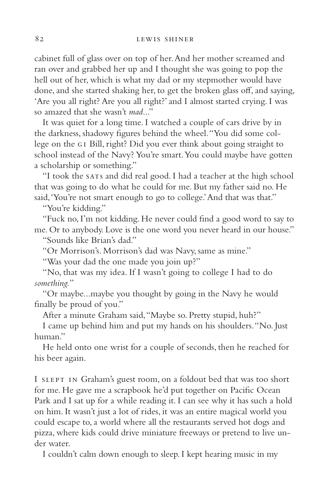cabinet full of glass over on top of her. And her mother screamed and ran over and grabbed her up and I thought she was going to pop the hell out of her, which is what my dad or my stepmother would have done, and she started shaking her, to get the broken glass off, and saying, 'Are you all right? Are you all right?' and I almost started crying. I was so amazed that she wasn't *mad*..."

It was quiet for a long time. I watched a couple of cars drive by in the darkness, shadowy figures behind the wheel. "You did some college on the gi Bill, right? Did you ever think about going straight to school instead of the Navy? You're smart. You could maybe have gotten a scholarship or something."

"I took the sats and did real good. I had a teacher at the high school that was going to do what he could for me. But my father said no. He said, 'You're not smart enough to go to college.' And that was that."

"You're kidding."

"Fuck no, I'm not kidding. He never could find a good word to say to me. Or to anybody. Love is the one word you never heard in our house."

"Sounds like Brian's dad."

"Or Morrison's. Morrison's dad was Navy, same as mine."

"Was your dad the one made you join up?"

"No, that was my idea. If I wasn't going to college I had to do *something.*"

"Or maybe...maybe you thought by going in the Navy he would finally be proud of you."

After a minute Graham said, "Maybe so. Pretty stupid, huh?"

I came up behind him and put my hands on his shoulders. "No. Just human."

He held onto one wrist for a couple of seconds, then he reached for his beer again.

I slept in Graham's guest room, on a foldout bed that was too short for me. He gave me a scrapbook he'd put together on Pacific Ocean Park and I sat up for a while reading it. I can see why it has such a hold on him. It wasn't just a lot of rides, it was an entire magical world you could escape to, a world where all the restaurants served hot dogs and pizza, where kids could drive miniature freeways or pretend to live under water.

I couldn't calm down enough to sleep. I kept hearing music in my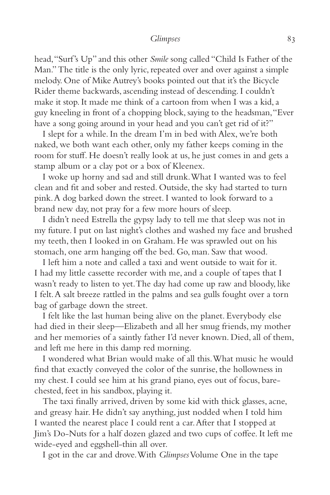head, "Surf's Up" and this other *Smile* song called "Child Is Father of the Man." The title is the only lyric, repeated over and over against a simple melody. One of Mike Autrey's books pointed out that it's the Bicycle Rider theme backwards, ascending instead of descending. I couldn't make it stop. It made me think of a cartoon from when I was a kid, a guy kneeling in front of a chopping block, saying to the headsman, "Ever have a song going around in your head and you can't get rid of it?"

I slept for a while. In the dream I'm in bed with Alex, we're both naked, we both want each other, only my father keeps coming in the room for stuff. He doesn't really look at us, he just comes in and gets a stamp album or a clay pot or a box of Kleenex.

I woke up horny and sad and still drunk. What I wanted was to feel clean and fit and sober and rested. Outside, the sky had started to turn pink. A dog barked down the street. I wanted to look forward to a brand new day, not pray for a few more hours of sleep.

I didn't need Estrella the gypsy lady to tell me that sleep was not in my future. I put on last night's clothes and washed my face and brushed my teeth, then I looked in on Graham. He was sprawled out on his stomach, one arm hanging off the bed. Go, man. Saw that wood.

I left him a note and called a taxi and went outside to wait for it. I had my little cassette recorder with me, and a couple of tapes that I wasn't ready to listen to yet. The day had come up raw and bloody, like I felt. A salt breeze rattled in the palms and sea gulls fought over a torn bag of garbage down the street.

I felt like the last human being alive on the planet. Everybody else had died in their sleep—Elizabeth and all her smug friends, my mother and her memories of a saintly father I'd never known. Died, all of them, and left me here in this damp red morning.

I wondered what Brian would make of all this. What music he would find that exactly conveyed the color of the sunrise, the hollowness in my chest. I could see him at his grand piano, eyes out of focus, barechested, feet in his sandbox, playing it.

The taxi finally arrived, driven by some kid with thick glasses, acne, and greasy hair. He didn't say anything, just nodded when I told him I wanted the nearest place I could rent a car. After that I stopped at Jim's Do-Nuts for a half dozen glazed and two cups of coffee. It left me wide-eyed and eggshell-thin all over.

I got in the car and drove. With *Glimpses* Volume One in the tape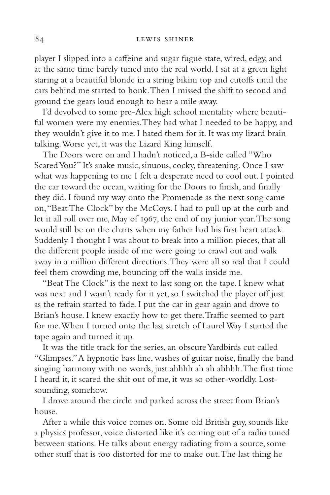player I slipped into a caffeine and sugar fugue state, wired, edgy, and at the same time barely tuned into the real world. I sat at a green light staring at a beautiful blonde in a string bikini top and cutoffs until the cars behind me started to honk. Then I missed the shift to second and ground the gears loud enough to hear a mile away.

I'd devolved to some pre-Alex high school mentality where beautiful women were my enemies. They had what I needed to be happy, and they wouldn't give it to me. I hated them for it. It was my lizard brain talking. Worse yet, it was the Lizard King himself.

The Doors were on and I hadn't noticed, a B-side called "Who Scared You?" It's snake music, sinuous, cocky, threatening. Once I saw what was happening to me I felt a desperate need to cool out. I pointed the car toward the ocean, waiting for the Doors to finish, and finally they did. I found my way onto the Promenade as the next song came on, "Beat The Clock" by the McCoys. I had to pull up at the curb and let it all roll over me, May of 1967, the end of my junior year. The song would still be on the charts when my father had his first heart attack. Suddenly I thought I was about to break into a million pieces, that all the different people inside of me were going to crawl out and walk away in a million different directions. They were all so real that I could feel them crowding me, bouncing off the walls inside me.

"Beat The Clock" is the next to last song on the tape. I knew what was next and I wasn't ready for it yet, so I switched the player off just as the refrain started to fade. I put the car in gear again and drove to Brian's house. I knew exactly how to get there. Traffic seemed to part for me. When I turned onto the last stretch of Laurel Way I started the tape again and turned it up.

It was the title track for the series, an obscure Yardbirds cut called "Glimpses." A hypnotic bass line, washes of guitar noise, finally the band singing harmony with no words, just ahhhh ah ah ahhhh. The first time I heard it, it scared the shit out of me, it was so other-worldly. Lostsounding, somehow.

I drove around the circle and parked across the street from Brian's house.

After a while this voice comes on. Some old British guy, sounds like a physics professor, voice distorted like it's coming out of a radio tuned between stations. He talks about energy radiating from a source, some other stuff that is too distorted for me to make out. The last thing he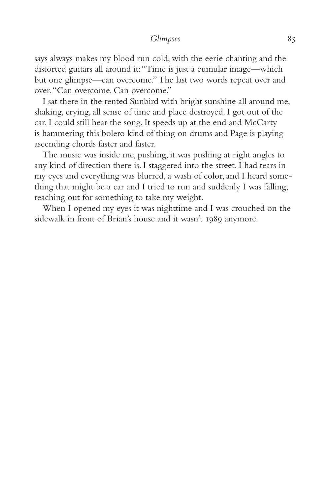says always makes my blood run cold, with the eerie chanting and the distorted guitars all around it: "Time is just a cumular image—which but one glimpse—can overcome." The last two words repeat over and over. "Can overcome. Can overcome."

I sat there in the rented Sunbird with bright sunshine all around me, shaking, crying, all sense of time and place destroyed. I got out of the car. I could still hear the song. It speeds up at the end and McCarty is hammering this bolero kind of thing on drums and Page is playing ascending chords faster and faster.

The music was inside me, pushing, it was pushing at right angles to any kind of direction there is. I staggered into the street. I had tears in my eyes and everything was blurred, a wash of color, and I heard something that might be a car and I tried to run and suddenly I was falling, reaching out for something to take my weight.

When I opened my eyes it was nighttime and I was crouched on the sidewalk in front of Brian's house and it wasn't 1989 anymore.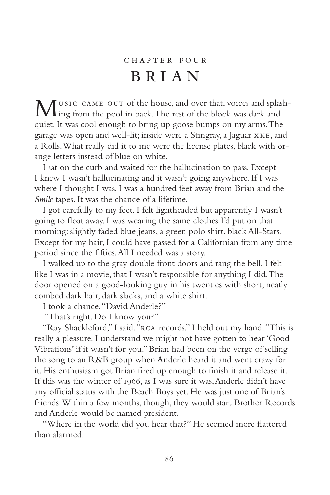# chapter four **BRIAN**

MUSIC CAME OUT of the house, and over that, voices and splash-<br>ing from the pool in back. The rest of the block was dark and quiet. It was cool enough to bring up goose bumps on my arms. The garage was open and well-lit; inside were a Stingray, a Jaguar xke, and a Rolls. What really did it to me were the license plates, black with orange letters instead of blue on white.

I sat on the curb and waited for the hallucination to pass. Except I knew I wasn't hallucinating and it wasn't going anywhere. If I was where I thought I was, I was a hundred feet away from Brian and the *Smile* tapes. It was the chance of a lifetime.

I got carefully to my feet. I felt lightheaded but apparently I wasn't going to float away. I was wearing the same clothes I'd put on that morning: slightly faded blue jeans, a green polo shirt, black All-Stars. Except for my hair, I could have passed for a Californian from any time period since the fifties. All I needed was a story.

I walked up to the gray double front doors and rang the bell. I felt like I was in a movie, that I wasn't responsible for anything I did. The door opened on a good-looking guy in his twenties with short, neatly combed dark hair, dark slacks, and a white shirt.

I took a chance. "David Anderle?"

"That's right. Do I know you?"

"Ray Shackleford," I said. "rca records." I held out my hand. "This is really a pleasure. I understand we might not have gotten to hear 'Good Vibrations' if it wasn't for you." Brian had been on the verge of selling the song to an R&B group when Anderle heard it and went crazy for it. His enthusiasm got Brian fired up enough to finish it and release it. If this was the winter of 1966, as I was sure it was, Anderle didn't have any official status with the Beach Boys yet. He was just one of Brian's friends. Within a few months, though, they would start Brother Records and Anderle would be named president.

"Where in the world did you hear that?" He seemed more flattered than alarmed.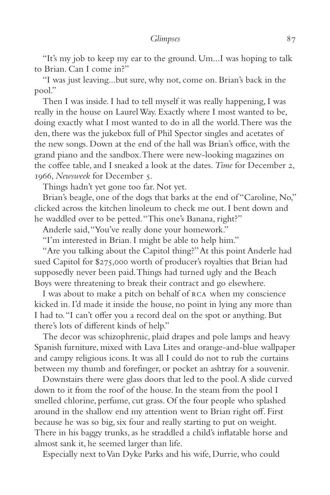"It's my job to keep my ear to the ground. Um...I was hoping to talk to Brian. Can I come in?"

"I was just leaving...but sure, why not, come on. Brian's back in the pool."

Then I was inside. I had to tell myself it was really happening, I was really in the house on Laurel Way. Exactly where I most wanted to be, doing exactly what I most wanted to do in all the world. There was the den, there was the jukebox full of Phil Spector singles and acetates of the new songs. Down at the end of the hall was Brian's office, with the grand piano and the sandbox. There were new-looking magazines on the coffee table, and I sneaked a look at the dates. *Time* for December 2, 1966, *Newsweek* for December 5.

Things hadn't yet gone too far. Not yet.

Brian's beagle, one of the dogs that barks at the end of "Caroline, No," clicked across the kitchen linoleum to check me out. I bent down and he waddled over to be petted. "This one's Banana, right?"

Anderle said, "You've really done your homework."

"I'm interested in Brian. I might be able to help him."

"Are you talking about the Capitol thing?" At this point Anderle had sued Capitol for \$275,000 worth of producer's royalties that Brian had supposedly never been paid. Things had turned ugly and the Beach Boys were threatening to break their contract and go elsewhere.

I was about to make a pitch on behalf of rca when my conscience kicked in. I'd made it inside the house, no point in lying any more than I had to. "I can't offer you a record deal on the spot or anything. But there's lots of different kinds of help."

The decor was schizophrenic, plaid drapes and pole lamps and heavy Spanish furniture, mixed with Lava Lites and orange-and-blue wallpaper and campy religious icons. It was all I could do not to rub the curtains between my thumb and forefinger, or pocket an ashtray for a souvenir.

Downstairs there were glass doors that led to the pool. A slide curved down to it from the roof of the house. In the steam from the pool I smelled chlorine, perfume, cut grass. Of the four people who splashed around in the shallow end my attention went to Brian right off. First because he was so big, six four and really starting to put on weight. There in his baggy trunks, as he straddled a child's inflatable horse and almost sank it, he seemed larger than life.

Especially next to Van Dyke Parks and his wife, Durrie, who could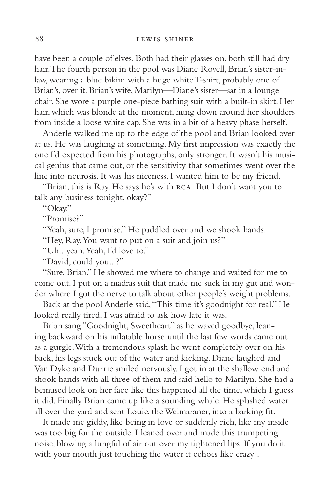have been a couple of elves. Both had their glasses on, both still had dry hair. The fourth person in the pool was Diane Rovell, Brian's sister-inlaw, wearing a blue bikini with a huge white T-shirt, probably one of Brian's, over it. Brian's wife, Marilyn—Diane's sister—sat in a lounge chair. She wore a purple one-piece bathing suit with a built-in skirt. Her hair, which was blonde at the moment, hung down around her shoulders from inside a loose white cap. She was in a bit of a heavy phase herself.

Anderle walked me up to the edge of the pool and Brian looked over at us. He was laughing at something. My first impression was exactly the one I'd expected from his photographs, only stronger. It wasn't his musical genius that came out, or the sensitivity that sometimes went over the line into neurosis. It was his niceness. I wanted him to be my friend.

"Brian, this is Ray. He says he's with rca. But I don't want you to talk any business tonight, okay?"

"Okay."

"Promise?"

"Yeah, sure, I promise." He paddled over and we shook hands.

"Hey, Ray. You want to put on a suit and join us?"

"Uh...yeah. Yeah, I'd love to."

"David, could you...?"

"Sure, Brian." He showed me where to change and waited for me to come out. I put on a madras suit that made me suck in my gut and wonder where I got the nerve to talk about other people's weight problems.

Back at the pool Anderle said, "This time it's goodnight for real." He looked really tired. I was afraid to ask how late it was.

Brian sang "Goodnight, Sweetheart" as he waved goodbye, leaning backward on his inflatable horse until the last few words came out as a gurgle. With a tremendous splash he went completely over on his back, his legs stuck out of the water and kicking. Diane laughed and Van Dyke and Durrie smiled nervously. I got in at the shallow end and shook hands with all three of them and said hello to Marilyn. She had a bemused look on her face like this happened all the time, which I guess it did. Finally Brian came up like a sounding whale. He splashed water all over the yard and sent Louie, the Weimaraner, into a barking fit.

It made me giddy, like being in love or suddenly rich, like my inside was too big for the outside. I leaned over and made this trumpeting noise, blowing a lungful of air out over my tightened lips. If you do it with your mouth just touching the water it echoes like crazy .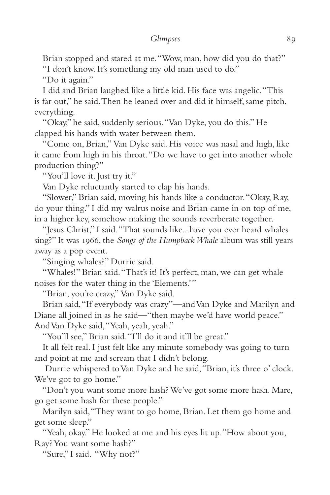Brian stopped and stared at me. "Wow, man, how did you do that?" "I don't know. It's something my old man used to do."

"Do it again."

I did and Brian laughed like a little kid. His face was angelic. "This is far out," he said. Then he leaned over and did it himself, same pitch, everything.

"Okay," he said, suddenly serious. "Van Dyke, you do this." He clapped his hands with water between them.

"Come on, Brian," Van Dyke said. His voice was nasal and high, like it came from high in his throat. "Do we have to get into another whole production thing?"

"You'll love it. Just try it."

Van Dyke reluctantly started to clap his hands.

"Slower," Brian said, moving his hands like a conductor. "Okay, Ray, do your thing." I did my walrus noise and Brian came in on top of me, in a higher key, somehow making the sounds reverberate together.

"Jesus Christ," I said. "That sounds like...have you ever heard whales sing?" It was 1966, the *Songs of the Humpback Whale* album was still years away as a pop event.

"Singing whales?" Durrie said.

"Whales!" Brian said. "That's it! It's perfect, man, we can get whale noises for the water thing in the 'Elements.'"

"Brian, you're crazy," Van Dyke said.

Brian said, "If everybody was crazy"—and Van Dyke and Marilyn and Diane all joined in as he said—"then maybe we'd have world peace." And Van Dyke said, "Yeah, yeah, yeah."

"You'll see," Brian said. "I'll do it and it'll be great."

It all felt real. I just felt like any minute somebody was going to turn and point at me and scream that I didn't belong.

 Durrie whispered to Van Dyke and he said, "Brian, it's three o' clock. We've got to go home."

"Don't you want some more hash? We've got some more hash. Mare, go get some hash for these people."

Marilyn said, "They want to go home, Brian. Let them go home and get some sleep."

"Yeah, okay." He looked at me and his eyes lit up. "How about you, Ray? You want some hash?"

"Sure," I said. "Why not?"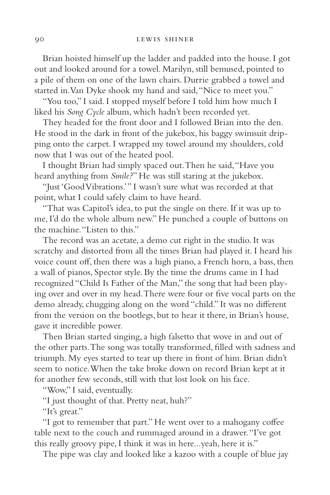Brian hoisted himself up the ladder and padded into the house. I got out and looked around for a towel. Marilyn, still bemused, pointed to a pile of them on one of the lawn chairs. Durrie grabbed a towel and started in. Van Dyke shook my hand and said, "Nice to meet you."

"You too," I said. I stopped myself before I told him how much I liked his *Song Cycle* album, which hadn't been recorded yet.

They headed for the front door and I followed Brian into the den. He stood in the dark in front of the jukebox, his baggy swimsuit dripping onto the carpet. I wrapped my towel around my shoulders, cold now that I was out of the heated pool.

I thought Brian had simply spaced out. Then he said, "Have you heard anything from *Smile?*" He was still staring at the jukebox.

"Just 'Good Vibrations.'" I wasn't sure what was recorded at that point, what I could safely claim to have heard.

"That was Capitol's idea, to put the single on there. If it was up to me, I'd do the whole album new." He punched a couple of buttons on the machine. "Listen to this."

The record was an acetate, a demo cut right in the studio. It was scratchy and distorted from all the times Brian had played it. I heard his voice count off, then there was a high piano, a French horn, a bass, then a wall of pianos, Spector style. By the time the drums came in I had recognized "Child Is Father of the Man," the song that had been playing over and over in my head. There were four or five vocal parts on the demo already, chugging along on the word "child." It was no different from the version on the bootlegs, but to hear it there, in Brian's house, gave it incredible power.

Then Brian started singing, a high falsetto that wove in and out of the other parts. The song was totally transformed, filled with sadness and triumph. My eyes started to tear up there in front of him. Brian didn't seem to notice. When the take broke down on record Brian kept at it for another few seconds, still with that lost look on his face.

"Wow," I said, eventually.

"I just thought of that. Pretty neat, huh?"

"It's great."

"I got to remember that part." He went over to a mahogany coffee table next to the couch and rummaged around in a drawer. "I've got this really groovy pipe, I think it was in here...yeah, here it is."

The pipe was clay and looked like a kazoo with a couple of blue jay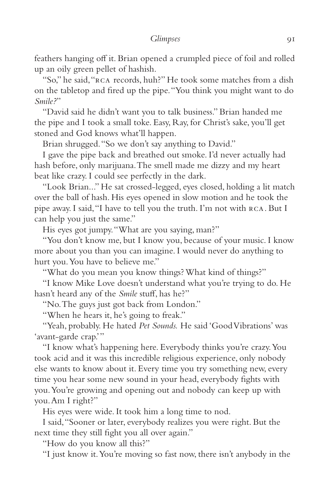feathers hanging off it. Brian opened a crumpled piece of foil and rolled up an oily green pellet of hashish.

"So," he said, "RCA records, huh?" He took some matches from a dish on the tabletop and fired up the pipe. "You think you might want to do *Smile?*"

"David said he didn't want you to talk business." Brian handed me the pipe and I took a small toke. Easy, Ray, for Christ's sake, you'll get stoned and God knows what'll happen.

Brian shrugged. "So we don't say anything to David."

I gave the pipe back and breathed out smoke. I'd never actually had hash before, only marijuana. The smell made me dizzy and my heart beat like crazy. I could see perfectly in the dark.

"Look Brian..." He sat crossed-legged, eyes closed, holding a lit match over the ball of hash. His eyes opened in slow motion and he took the pipe away. I said, "I have to tell you the truth. I'm not with rca. But I can help you just the same."

His eyes got jumpy. "What are you saying, man?"

"You don't know me, but I know you, because of your music. I know more about you than you can imagine. I would never do anything to hurt you. You have to believe me."

"What do you mean you know things? What kind of things?"

"I know Mike Love doesn't understand what you're trying to do. He hasn't heard any of the *Smile* stuff, has he?"

"No. The guys just got back from London."

"When he hears it, he's going to freak."

"Yeah, probably. He hated *Pet Sounds.* He said 'Good Vibrations' was 'avant-garde crap.'"

"I know what's happening here. Everybody thinks you're crazy. You took acid and it was this incredible religious experience, only nobody else wants to know about it. Every time you try something new, every time you hear some new sound in your head, everybody fights with you. You're growing and opening out and nobody can keep up with you. Am I right?"

His eyes were wide. It took him a long time to nod.

I said, "Sooner or later, everybody realizes you were right. But the next time they still fight you all over again."

"How do you know all this?"

"I just know it. You're moving so fast now, there isn't anybody in the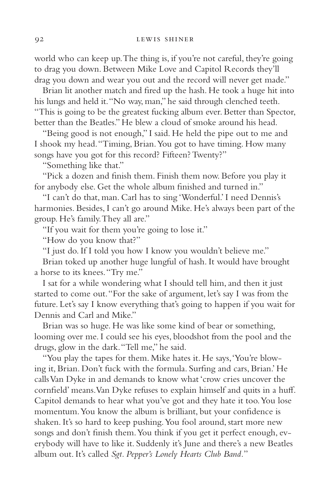world who can keep up. The thing is, if you're not careful, they're going to drag you down. Between Mike Love and Capitol Records they'll drag you down and wear you out and the record will never get made."

Brian lit another match and fired up the hash. He took a huge hit into his lungs and held it. "No way, man," he said through clenched teeth. "This is going to be the greatest fucking album ever. Better than Spector, better than the Beatles." He blew a cloud of smoke around his head.

"Being good is not enough," I said. He held the pipe out to me and I shook my head. "Timing, Brian. You got to have timing. How many songs have you got for this record? Fifteen? Twenty?"

"Something like that."

"Pick a dozen and finish them. Finish them now. Before you play it for anybody else. Get the whole album finished and turned in."

"I can't do that, man. Carl has to sing 'Wonderful.' I need Dennis's harmonies. Besides, I can't go around Mike. He's always been part of the group. He's family. They all are."

"If you wait for them you're going to lose it."

"How do you know that?"

"I just do. If I told you how I know you wouldn't believe me."

Brian toked up another huge lungful of hash. It would have brought a horse to its knees. "Try me."

I sat for a while wondering what I should tell him, and then it just started to come out. "For the sake of argument, let's say I was from the future. Let's say I know everything that's going to happen if you wait for Dennis and Carl and Mike."

Brian was so huge. He was like some kind of bear or something, looming over me. I could see his eyes, bloodshot from the pool and the drugs, glow in the dark. "Tell me," he said.

"You play the tapes for them. Mike hates it. He says, 'You're blowing it, Brian. Don't fuck with the formula. Surfing and cars, Brian.' He calls Van Dyke in and demands to know what 'crow cries uncover the cornfield' means. Van Dyke refuses to explain himself and quits in a huff. Capitol demands to hear what you've got and they hate it too. You lose momentum. You know the album is brilliant, but your confidence is shaken. It's so hard to keep pushing. You fool around, start more new songs and don't finish them. You think if you get it perfect enough, everybody will have to like it. Suddenly it's June and there's a new Beatles album out. It's called *Sgt. Pepper's Lonely Hearts Club Band.*"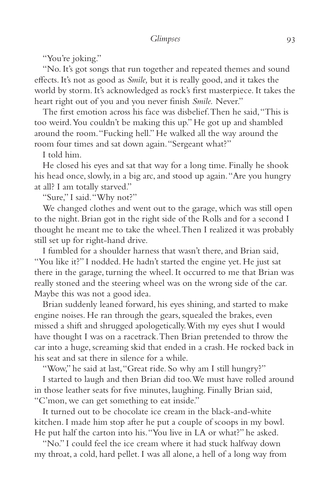"You're joking."

"No. It's got songs that run together and repeated themes and sound effects. It's not as good as *Smile,* but it is really good, and it takes the world by storm. It's acknowledged as rock's first masterpiece. It takes the heart right out of you and you never finish *Smile.* Never."

The first emotion across his face was disbelief. Then he said, "This is too weird. You couldn't be making this up." He got up and shambled around the room. "Fucking hell." He walked all the way around the room four times and sat down again. "Sergeant what?"

I told him.

He closed his eyes and sat that way for a long time. Finally he shook his head once, slowly, in a big arc, and stood up again. "Are you hungry at all? I am totally starved."

"Sure," I said. "Why not?"

We changed clothes and went out to the garage, which was still open to the night. Brian got in the right side of the Rolls and for a second I thought he meant me to take the wheel. Then I realized it was probably still set up for right-hand drive.

I fumbled for a shoulder harness that wasn't there, and Brian said, "You like it?" I nodded. He hadn't started the engine yet. He just sat there in the garage, turning the wheel. It occurred to me that Brian was really stoned and the steering wheel was on the wrong side of the car. Maybe this was not a good idea.

Brian suddenly leaned forward, his eyes shining, and started to make engine noises. He ran through the gears, squealed the brakes, even missed a shift and shrugged apologetically. With my eyes shut I would have thought I was on a racetrack. Then Brian pretended to throw the car into a huge, screaming skid that ended in a crash. He rocked back in his seat and sat there in silence for a while.

"Wow," he said at last, "Great ride. So why am I still hungry?"

I started to laugh and then Brian did too. We must have rolled around in those leather seats for five minutes, laughing. Finally Brian said, "C'mon, we can get something to eat inside."

It turned out to be chocolate ice cream in the black-and-white kitchen. I made him stop after he put a couple of scoops in my bowl. He put half the carton into his. "You live in LA or what?" he asked.

"No." I could feel the ice cream where it had stuck halfway down my throat, a cold, hard pellet. I was all alone, a hell of a long way from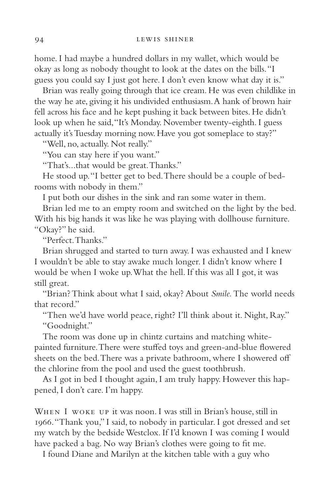home. I had maybe a hundred dollars in my wallet, which would be okay as long as nobody thought to look at the dates on the bills. "I guess you could say I just got here. I don't even know what day it is."

Brian was really going through that ice cream. He was even childlike in the way he ate, giving it his undivided enthusiasm. A hank of brown hair fell across his face and he kept pushing it back between bites. He didn't look up when he said, "It's Monday. November twenty-eighth. I guess actually it's Tuesday morning now. Have you got someplace to stay?"

"Well, no, actually. Not really."

"You can stay here if you want."

"That's...that would be great. Thanks."

He stood up. "I better get to bed. There should be a couple of bedrooms with nobody in them."

I put both our dishes in the sink and ran some water in them.

Brian led me to an empty room and switched on the light by the bed. With his big hands it was like he was playing with dollhouse furniture. "Okay?" he said.

"Perfect. Thanks."

Brian shrugged and started to turn away. I was exhausted and I knew I wouldn't be able to stay awake much longer. I didn't know where I would be when I woke up. What the hell. If this was all I got, it was still great.

"Brian? Think about what I said, okay? About *Smile.* The world needs that record."

"Then we'd have world peace, right? I'll think about it. Night, Ray." "Goodnight."

The room was done up in chintz curtains and matching whitepainted furniture. There were stuffed toys and green-and-blue flowered sheets on the bed. There was a private bathroom, where I showered off the chlorine from the pool and used the guest toothbrush.

As I got in bed I thought again, I am truly happy. However this happened, I don't care. I'm happy.

When I woke up it was noon. I was still in Brian's house, still in 1966. "Thank you," I said, to nobody in particular. I got dressed and set my watch by the bedside Westclox. If I'd known I was coming I would have packed a bag. No way Brian's clothes were going to fit me.

I found Diane and Marilyn at the kitchen table with a guy who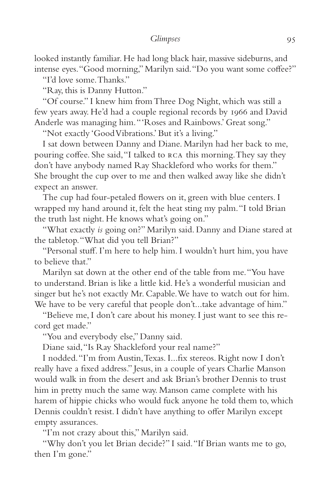looked instantly familiar. He had long black hair, massive sideburns, and intense eyes. "Good morning," Marilyn said. "Do you want some coffee?"

"I'd love some. Thanks."

"Ray, this is Danny Hutton."

"Of course." I knew him from Three Dog Night, which was still a few years away. He'd had a couple regional records by 1966 and David Anderle was managing him. "'Roses and Rainbows.' Great song."

"Not exactly 'Good Vibrations.' But it's a living."

I sat down between Danny and Diane. Marilyn had her back to me, pouring coffee. She said, "I talked to rca this morning. They say they don't have anybody named Ray Shackleford who works for them." She brought the cup over to me and then walked away like she didn't expect an answer.

The cup had four-petaled flowers on it, green with blue centers. I wrapped my hand around it, felt the heat sting my palm. "I told Brian the truth last night. He knows what's going on."

"What exactly *is* going on?" Marilyn said. Danny and Diane stared at the tabletop. "What did you tell Brian?"

"Personal stuff. I'm here to help him. I wouldn't hurt him, you have to believe that."

Marilyn sat down at the other end of the table from me. "You have to understand. Brian is like a little kid. He's a wonderful musician and singer but he's not exactly Mr. Capable. We have to watch out for him. We have to be very careful that people don't...take advantage of him."

"Believe me, I don't care about his money. I just want to see this record get made."

"You and everybody else," Danny said.

Diane said, "Is Ray Shackleford your real name?"

I nodded. "I'm from Austin, Texas. I...fix stereos. Right now I don't really have a fixed address." Jesus, in a couple of years Charlie Manson would walk in from the desert and ask Brian's brother Dennis to trust him in pretty much the same way. Manson came complete with his harem of hippie chicks who would fuck anyone he told them to, which Dennis couldn't resist. I didn't have anything to offer Marilyn except empty assurances.

"I'm not crazy about this," Marilyn said.

"Why don't you let Brian decide?" I said. "If Brian wants me to go, then I'm gone."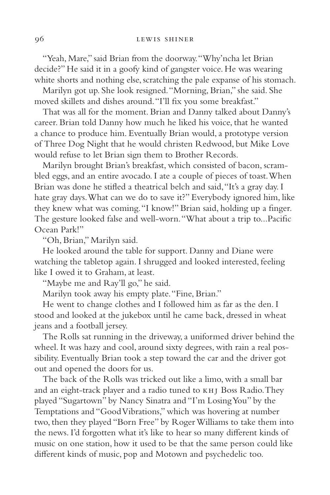"Yeah, Mare," said Brian from the doorway. "Why'ncha let Brian decide?" He said it in a goofy kind of gangster voice. He was wearing white shorts and nothing else, scratching the pale expanse of his stomach.

Marilyn got up. She look resigned. "Morning, Brian," she said. She moved skillets and dishes around. "I'll fix you some breakfast."

That was all for the moment. Brian and Danny talked about Danny's career. Brian told Danny how much he liked his voice, that he wanted a chance to produce him. Eventually Brian would, a prototype version of Three Dog Night that he would christen Redwood, but Mike Love would refuse to let Brian sign them to Brother Records.

Marilyn brought Brian's breakfast, which consisted of bacon, scrambled eggs, and an entire avocado. I ate a couple of pieces of toast. When Brian was done he stifled a theatrical belch and said, "It's a gray day. I hate gray days. What can we do to save it?" Everybody ignored him, like they knew what was coming. "I know!" Brian said, holding up a finger. The gesture looked false and well-worn. "What about a trip to...Pacific Ocean Park!"

"Oh, Brian," Marilyn said.

He looked around the table for support. Danny and Diane were watching the tabletop again. I shrugged and looked interested, feeling like I owed it to Graham, at least.

"Maybe me and Ray'll go," he said.

Marilyn took away his empty plate. "Fine, Brian."

He went to change clothes and I followed him as far as the den. I stood and looked at the jukebox until he came back, dressed in wheat jeans and a football jersey.

The Rolls sat running in the driveway, a uniformed driver behind the wheel. It was hazy and cool, around sixty degrees, with rain a real possibility. Eventually Brian took a step toward the car and the driver got out and opened the doors for us.

The back of the Rolls was tricked out like a limo, with a small bar and an eight-track player and a radio tuned to KHJ Boss Radio. They played "Sugartown" by Nancy Sinatra and "I'm Losing You" by the Temptations and "Good Vibrations," which was hovering at number two, then they played "Born Free" by Roger Williams to take them into the news. I'd forgotten what it's like to hear so many different kinds of music on one station, how it used to be that the same person could like different kinds of music, pop and Motown and psychedelic too.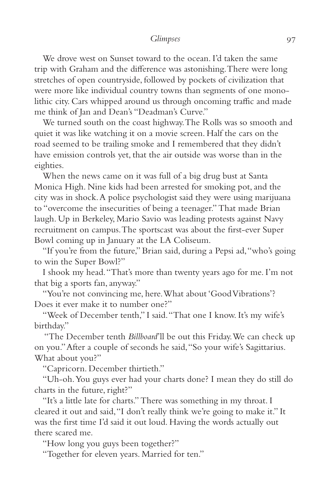We drove west on Sunset toward to the ocean. I'd taken the same trip with Graham and the difference was astonishing. There were long stretches of open countryside, followed by pockets of civilization that were more like individual country towns than segments of one monolithic city. Cars whipped around us through oncoming traffic and made me think of Jan and Dean's "Deadman's Curve."

We turned south on the coast highway. The Rolls was so smooth and quiet it was like watching it on a movie screen. Half the cars on the road seemed to be trailing smoke and I remembered that they didn't have emission controls yet, that the air outside was worse than in the eighties.

When the news came on it was full of a big drug bust at Santa Monica High. Nine kids had been arrested for smoking pot, and the city was in shock. A police psychologist said they were using marijuana to "overcome the insecurities of being a teenager." That made Brian laugh. Up in Berkeley, Mario Savio was leading protests against Navy recruitment on campus. The sportscast was about the first-ever Super Bowl coming up in January at the LA Coliseum.

"If you're from the future," Brian said, during a Pepsi ad, "who's going to win the Super Bowl?"

I shook my head. "That's more than twenty years ago for me. I'm not that big a sports fan, anyway."

"You're not convincing me, here. What about 'Good Vibrations'? Does it ever make it to number one?"

"Week of December tenth," I said. "That one I know. It's my wife's birthday."

 "The December tenth *Billboard*'ll be out this Friday. We can check up on you." After a couple of seconds he said, "So your wife's Sagittarius. What about you?"

"Capricorn. December thirtieth."

"Uh-oh. You guys ever had your charts done? I mean they do still do charts in the future, right?"

"It's a little late for charts." There was something in my throat. I cleared it out and said, "I don't really think we're going to make it." It was the first time I'd said it out loud. Having the words actually out there scared me.

"How long you guys been together?"

"Together for eleven years. Married for ten."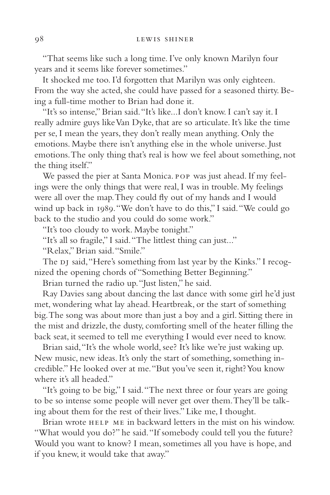"That seems like such a long time. I've only known Marilyn four years and it seems like forever sometimes."

It shocked me too. I'd forgotten that Marilyn was only eighteen. From the way she acted, she could have passed for a seasoned thirty. Being a full-time mother to Brian had done it.

"It's so intense," Brian said. "It's like...I don't know. I can't say it. I really admire guys like Van Dyke, that are so articulate. It's like the time per se, I mean the years, they don't really mean anything. Only the emotions. Maybe there isn't anything else in the whole universe. Just emotions. The only thing that's real is how we feel about something, not the thing itself."

We passed the pier at Santa Monica. pop was just ahead. If my feelings were the only things that were real, I was in trouble. My feelings were all over the map. They could fly out of my hands and I would wind up back in 1989. "We don't have to do this," I said. "We could go back to the studio and you could do some work."

"It's too cloudy to work. Maybe tonight."

"It's all so fragile," I said. "The littlest thing can just..."

"Relax," Brian said. "Smile."

The DJ said, "Here's something from last year by the Kinks." I recognized the opening chords of "Something Better Beginning."

Brian turned the radio up. "Just listen," he said.

Ray Davies sang about dancing the last dance with some girl he'd just met, wondering what lay ahead. Heartbreak, or the start of something big. The song was about more than just a boy and a girl. Sitting there in the mist and drizzle, the dusty, comforting smell of the heater filling the back seat, it seemed to tell me everything I would ever need to know.

Brian said, "It's the whole world, see? It's like we're just waking up. New music, new ideas. It's only the start of something, something incredible." He looked over at me. "But you've seen it, right? You know where it's all headed."

"It's going to be big," I said. "The next three or four years are going to be so intense some people will never get over them. They'll be talking about them for the rest of their lives." Like me, I thought.

Brian wrote HELP ME in backward letters in the mist on his window. "What would you do?" he said. "If somebody could tell you the future? Would you want to know? I mean, sometimes all you have is hope, and if you knew, it would take that away."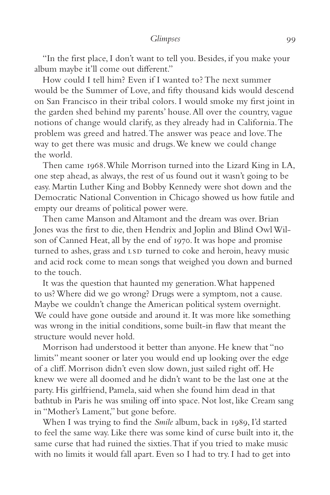"In the first place, I don't want to tell you. Besides, if you make your album maybe it'll come out different."

How could I tell him? Even if I wanted to? The next summer would be the Summer of Love, and fifty thousand kids would descend on San Francisco in their tribal colors. I would smoke my first joint in the garden shed behind my parents' house. All over the country, vague notions of change would clarify, as they already had in California. The problem was greed and hatred. The answer was peace and love. The way to get there was music and drugs. We knew we could change the world.

Then came 1968. While Morrison turned into the Lizard King in LA, one step ahead, as always, the rest of us found out it wasn't going to be easy. Martin Luther King and Bobby Kennedy were shot down and the Democratic National Convention in Chicago showed us how futile and empty our dreams of political power were.

Then came Manson and Altamont and the dream was over. Brian Jones was the first to die, then Hendrix and Joplin and Blind Owl Wilson of Canned Heat, all by the end of 1970. It was hope and promise turned to ashes, grass and LSD turned to coke and heroin, heavy music and acid rock come to mean songs that weighed you down and burned to the touch.

It was the question that haunted my generation. What happened to us? Where did we go wrong? Drugs were a symptom, not a cause. Maybe we couldn't change the American political system overnight. We could have gone outside and around it. It was more like something was wrong in the initial conditions, some built-in flaw that meant the structure would never hold.

Morrison had understood it better than anyone. He knew that "no limits" meant sooner or later you would end up looking over the edge of a cliff. Morrison didn't even slow down, just sailed right off. He knew we were all doomed and he didn't want to be the last one at the party. His girlfriend, Pamela, said when she found him dead in that bathtub in Paris he was smiling off into space. Not lost, like Cream sang in "Mother's Lament," but gone before.

When I was trying to find the *Smile* album, back in 1989, I'd started to feel the same way. Like there was some kind of curse built into it, the same curse that had ruined the sixties. That if you tried to make music with no limits it would fall apart. Even so I had to try. I had to get into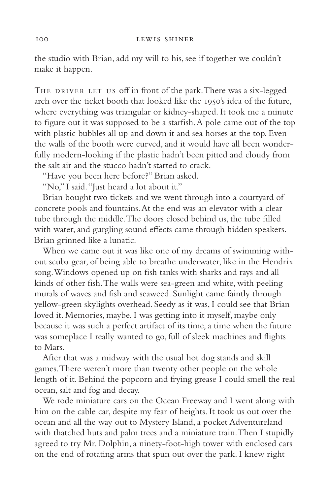the studio with Brian, add my will to his, see if together we couldn't make it happen.

THE DRIVER LET US off in front of the park. There was a six-legged arch over the ticket booth that looked like the 1950's idea of the future, where everything was triangular or kidney-shaped. It took me a minute to figure out it was supposed to be a starfish. A pole came out of the top with plastic bubbles all up and down it and sea horses at the top. Even the walls of the booth were curved, and it would have all been wonderfully modern-looking if the plastic hadn't been pitted and cloudy from the salt air and the stucco hadn't started to crack.

"Have you been here before?" Brian asked.

"No," I said. "Just heard a lot about it."

Brian bought two tickets and we went through into a courtyard of concrete pools and fountains. At the end was an elevator with a clear tube through the middle. The doors closed behind us, the tube filled with water, and gurgling sound effects came through hidden speakers. Brian grinned like a lunatic.

When we came out it was like one of my dreams of swimming without scuba gear, of being able to breathe underwater, like in the Hendrix song. Windows opened up on fish tanks with sharks and rays and all kinds of other fish. The walls were sea-green and white, with peeling murals of waves and fish and seaweed. Sunlight came faintly through yellow-green skylights overhead. Seedy as it was, I could see that Brian loved it. Memories, maybe. I was getting into it myself, maybe only because it was such a perfect artifact of its time, a time when the future was someplace I really wanted to go, full of sleek machines and flights to Mars.

After that was a midway with the usual hot dog stands and skill games. There weren't more than twenty other people on the whole length of it. Behind the popcorn and frying grease I could smell the real ocean, salt and fog and decay.

We rode miniature cars on the Ocean Freeway and I went along with him on the cable car, despite my fear of heights. It took us out over the ocean and all the way out to Mystery Island, a pocket Adventureland with thatched huts and palm trees and a miniature train. Then I stupidly agreed to try Mr. Dolphin, a ninety-foot-high tower with enclosed cars on the end of rotating arms that spun out over the park. I knew right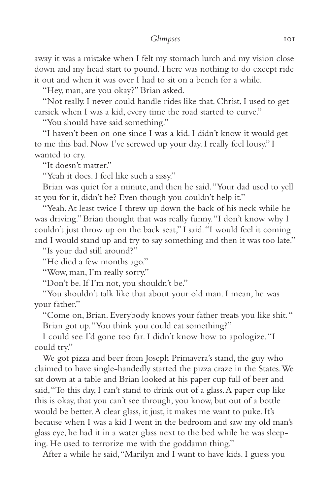away it was a mistake when I felt my stomach lurch and my vision close down and my head start to pound. There was nothing to do except ride it out and when it was over I had to sit on a bench for a while.

"Hey, man, are you okay?" Brian asked.

"Not really. I never could handle rides like that. Christ, I used to get carsick when I was a kid, every time the road started to curve."

"You should have said something."

"I haven't been on one since I was a kid. I didn't know it would get to me this bad. Now I've screwed up your day. I really feel lousy." I wanted to cry.

"It doesn't matter."

"Yeah it does. I feel like such a sissy."

Brian was quiet for a minute, and then he said. "Your dad used to yell at you for it, didn't he? Even though you couldn't help it."

"Yeah. At least twice I threw up down the back of his neck while he was driving." Brian thought that was really funny. "I don't know why I couldn't just throw up on the back seat," I said. "I would feel it coming and I would stand up and try to say something and then it was too late."

"Is your dad still around?"

"He died a few months ago."

"Wow, man, I'm really sorry."

"Don't be. If I'm not, you shouldn't be."

"You shouldn't talk like that about your old man. I mean, he was your father."

"Come on, Brian. Everybody knows your father treats you like shit. "

Brian got up. "You think you could eat something?"

I could see I'd gone too far. I didn't know how to apologize. "I could try."

We got pizza and beer from Joseph Primavera's stand, the guy who claimed to have single-handedly started the pizza craze in the States. We sat down at a table and Brian looked at his paper cup full of beer and said, "To this day, I can't stand to drink out of a glass. A paper cup like this is okay, that you can't see through, you know, but out of a bottle would be better. A clear glass, it just, it makes me want to puke. It's because when I was a kid I went in the bedroom and saw my old man's glass eye, he had it in a water glass next to the bed while he was sleeping. He used to terrorize me with the goddamn thing."

After a while he said, "Marilyn and I want to have kids. I guess you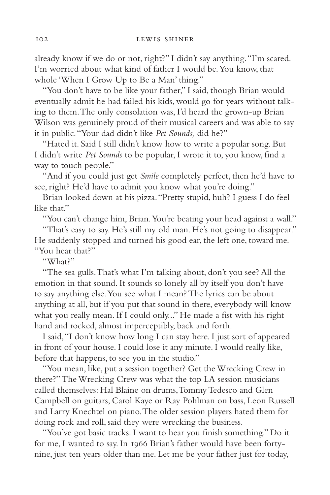already know if we do or not, right?" I didn't say anything. "I'm scared. I'm worried about what kind of father I would be. You know, that whole 'When I Grow Up to Be a Man' thing."

"You don't have to be like your father," I said, though Brian would eventually admit he had failed his kids, would go for years without talking to them. The only consolation was, I'd heard the grown-up Brian Wilson was genuinely proud of their musical careers and was able to say it in public. "Your dad didn't like *Pet Sounds,* did he?"

"Hated it. Said I still didn't know how to write a popular song. But I didn't write *Pet Sounds* to be popular, I wrote it to, you know, find a way to touch people."

"And if you could just get *Smile* completely perfect, then he'd have to see, right? He'd have to admit you know what you're doing."

Brian looked down at his pizza. "Pretty stupid, huh? I guess I do feel like that."

"You can't change him, Brian. You're beating your head against a wall."

"That's easy to say. He's still my old man. He's not going to disappear." He suddenly stopped and turned his good ear, the left one, toward me. "You hear that?"

"What?"

"The sea gulls. That's what I'm talking about, don't you see? All the emotion in that sound. It sounds so lonely all by itself you don't have to say anything else. You see what I mean? The lyrics can be about anything at all, but if you put that sound in there, everybody will know what you really mean. If I could only..." He made a fist with his right hand and rocked, almost imperceptibly, back and forth.

I said, "I don't know how long I can stay here. I just sort of appeared in front of your house. I could lose it any minute. I would really like, before that happens, to see you in the studio."

"You mean, like, put a session together? Get the Wrecking Crew in there?" The Wrecking Crew was what the top LA session musicians called themselves: Hal Blaine on drums, Tommy Tedesco and Glen Campbell on guitars, Carol Kaye or Ray Pohlman on bass, Leon Russell and Larry Knechtel on piano. The older session players hated them for doing rock and roll, said they were wrecking the business.

"You've got basic tracks. I want to hear you finish something." Do it for me, I wanted to say. In 1966 Brian's father would have been fortynine, just ten years older than me. Let me be your father just for today,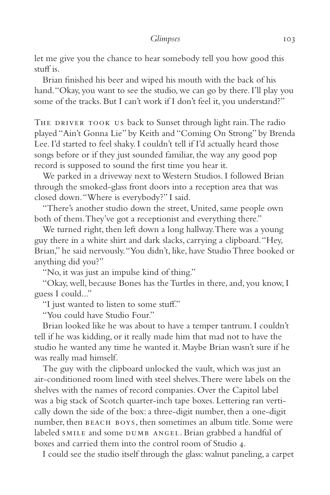let me give you the chance to hear somebody tell you how good this stuff is.

Brian finished his beer and wiped his mouth with the back of his hand. "Okay, you want to see the studio, we can go by there. I'll play you some of the tracks. But I can't work if I don't feel it, you understand?"

THE DRIVER TOOK US back to Sunset through light rain. The radio played "Ain't Gonna Lie" by Keith and "Coming On Strong" by Brenda Lee. I'd started to feel shaky. I couldn't tell if I'd actually heard those songs before or if they just sounded familiar, the way any good pop record is supposed to sound the first time you hear it.

We parked in a driveway next to Western Studios. I followed Brian through the smoked-glass front doors into a reception area that was closed down. "Where is everybody?" I said.

"There's another studio down the street, United, same people own both of them. They've got a receptionist and everything there."

We turned right, then left down a long hallway. There was a young guy there in a white shirt and dark slacks, carrying a clipboard. "Hey, Brian," he said nervously. "You didn't, like, have Studio Three booked or anything did you?"

"No, it was just an impulse kind of thing."

"Okay, well, because Bones has the Turtles in there, and, you know, I guess I could..."

"I just wanted to listen to some stuff."

"You could have Studio Four."

Brian looked like he was about to have a temper tantrum. I couldn't tell if he was kidding, or it really made him that mad not to have the studio he wanted any time he wanted it. Maybe Brian wasn't sure if he was really mad himself.

The guy with the clipboard unlocked the vault, which was just an air-conditioned room lined with steel shelves. There were labels on the shelves with the names of record companies. Over the Capitol label was a big stack of Scotch quarter-inch tape boxes. Lettering ran vertically down the side of the box: a three-digit number, then a one-digit number, then  $BEACH BOYS$ , then sometimes an album title. Some were labeled SMILE and some DUMB ANGEL. Brian grabbed a handful of boxes and carried them into the control room of Studio 4.

I could see the studio itself through the glass: walnut paneling, a carpet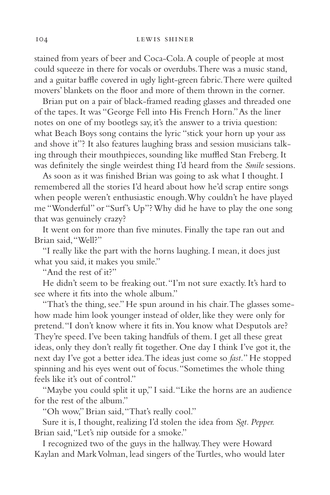stained from years of beer and Coca-Cola. A couple of people at most could squeeze in there for vocals or overdubs. There was a music stand, and a guitar baffle covered in ugly light-green fabric. There were quilted movers' blankets on the floor and more of them thrown in the corner.

Brian put on a pair of black-framed reading glasses and threaded one of the tapes. It was "George Fell into His French Horn." As the liner notes on one of my bootlegs say, it's the answer to a trivia question: what Beach Boys song contains the lyric "stick your horn up your ass and shove it"? It also features laughing brass and session musicians talking through their mouthpieces, sounding like muffled Stan Freberg. It was definitely the single weirdest thing I'd heard from the *Smile* sessions.

As soon as it was finished Brian was going to ask what I thought. I remembered all the stories I'd heard about how he'd scrap entire songs when people weren't enthusiastic enough. Why couldn't he have played me "Wonderful" or "Surf's Up"? Why did he have to play the one song that was genuinely crazy?

It went on for more than five minutes. Finally the tape ran out and Brian said, "Well?"

"I really like the part with the horns laughing. I mean, it does just what you said, it makes you smile."

"And the rest of it?"

He didn't seem to be freaking out. "I'm not sure exactly. It's hard to see where it fits into the whole album."

"That's the thing, see." He spun around in his chair. The glasses somehow made him look younger instead of older, like they were only for pretend. "I don't know where it fits in. You know what Desputols are? They're speed. I've been taking handfuls of them. I get all these great ideas, only they don't really fit together. One day I think I've got it, the next day I've got a better idea. The ideas just come so *fast.*" He stopped spinning and his eyes went out of focus. "Sometimes the whole thing feels like it's out of control."

"Maybe you could split it up," I said. "Like the horns are an audience for the rest of the album."

"Oh wow," Brian said, "That's really cool."

Sure it is, I thought, realizing I'd stolen the idea from *Sgt. Pepper.* Brian said, "Let's nip outside for a smoke."

I recognized two of the guys in the hallway. They were Howard Kaylan and Mark Volman, lead singers of the Turtles, who would later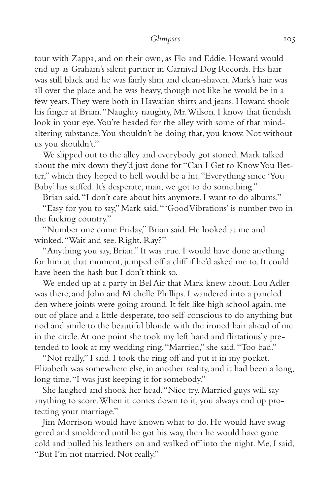tour with Zappa, and on their own, as Flo and Eddie. Howard would end up as Graham's silent partner in Carnival Dog Records. His hair was still black and he was fairly slim and clean-shaven. Mark's hair was all over the place and he was heavy, though not like he would be in a few years. They were both in Hawaiian shirts and jeans. Howard shook his finger at Brian. "Naughty naughty, Mr. Wilson. I know that fiendish look in your eye. You're headed for the alley with some of that mindaltering substance. You shouldn't be doing that, you know. Not without us you shouldn't."

We slipped out to the alley and everybody got stoned. Mark talked about the mix down they'd just done for "Can I Get to Know You Better," which they hoped to hell would be a hit. "Everything since 'You Baby' has stiffed. It's desperate, man, we got to do something."

Brian said, "I don't care about hits anymore. I want to do albums."

"Easy for you to say," Mark said. "'Good Vibrations' is number two in the fucking country."

"Number one come Friday," Brian said. He looked at me and winked. "Wait and see. Right, Ray?"

"Anything you say, Brian." It was true. I would have done anything for him at that moment, jumped off a cliff if he'd asked me to. It could have been the hash but I don't think so.

We ended up at a party in Bel Air that Mark knew about. Lou Adler was there, and John and Michelle Phillips. I wandered into a paneled den where joints were going around. It felt like high school again, me out of place and a little desperate, too self-conscious to do anything but nod and smile to the beautiful blonde with the ironed hair ahead of me in the circle. At one point she took my left hand and flirtatiously pretended to look at my wedding ring. "Married," she said. "Too bad."

"Not really," I said. I took the ring off and put it in my pocket. Elizabeth was somewhere else, in another reality, and it had been a long, long time. "I was just keeping it for somebody."

She laughed and shook her head. "Nice try. Married guys will say anything to score. When it comes down to it, you always end up protecting your marriage."

Jim Morrison would have known what to do. He would have swaggered and smoldered until he got his way, then he would have gone cold and pulled his leathers on and walked off into the night. Me, I said, "But I'm not married. Not really."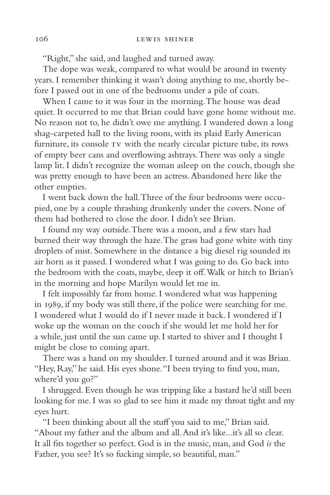"Right," she said, and laughed and turned away.

The dope was weak, compared to what would be around in twenty years. I remember thinking it wasn't doing anything to me, shortly before I passed out in one of the bedrooms under a pile of coats.

When I came to it was four in the morning. The house was dead quiet. It occurred to me that Brian could have gone home without me. No reason not to, he didn't owe me anything. I wandered down a long shag-carpeted hall to the living room, with its plaid Early American furniture, its console TV with the nearly circular picture tube, its rows of empty beer cans and overflowing ashtrays. There was only a single lamp lit. I didn't recognize the woman asleep on the couch, though she was pretty enough to have been an actress. Abandoned here like the other empties.

I went back down the hall. Three of the four bedrooms were occupied, one by a couple thrashing drunkenly under the covers. None of them had bothered to close the door. I didn't see Brian.

I found my way outside. There was a moon, and a few stars had burned their way through the haze. The grass had gone white with tiny droplets of mist. Somewhere in the distance a big diesel rig sounded its air horn as it passed. I wondered what I was going to do. Go back into the bedroom with the coats, maybe, sleep it off. Walk or hitch to Brian's in the morning and hope Marilyn would let me in.

I felt impossibly far from home. I wondered what was happening in 1989, if my body was still there, if the police were searching for me. I wondered what I would do if I never made it back. I wondered if I woke up the woman on the couch if she would let me hold her for a while, just until the sun came up. I started to shiver and I thought I might be close to coming apart.

There was a hand on my shoulder. I turned around and it was Brian. "Hey, Ray," he said. His eyes shone. "I been trying to find you, man, where'd you go?"

I shrugged. Even though he was tripping like a bastard he'd still been looking for me. I was so glad to see him it made my throat tight and my eyes hurt.

"I been thinking about all the stuff you said to me," Brian said. "About my father and the album and all. And it's like...it's all so clear. It all fits together so perfect. God is in the music, man, and God *is* the Father, you see? It's so fucking simple, so beautiful, man."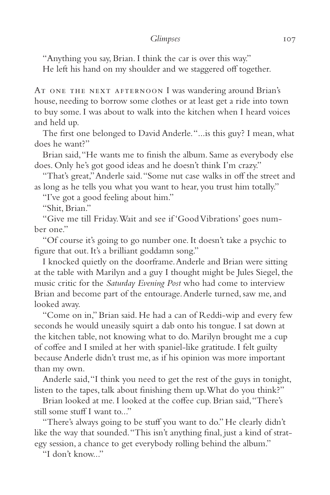"Anything you say, Brian. I think the car is over this way."

He left his hand on my shoulder and we staggered off together.

At one the next afternoon I was wandering around Brian's house, needing to borrow some clothes or at least get a ride into town to buy some. I was about to walk into the kitchen when I heard voices and held up.

The first one belonged to David Anderle. "...is this guy? I mean, what does he want?"

Brian said, "He wants me to finish the album. Same as everybody else does. Only he's got good ideas and he doesn't think I'm crazy."

"That's great," Anderle said. "Some nut case walks in off the street and as long as he tells you what you want to hear, you trust him totally."

"I've got a good feeling about him."

"Shit, Brian."

"Give me till Friday. Wait and see if 'Good Vibrations' goes number one"

"Of course it's going to go number one. It doesn't take a psychic to figure that out. It's a brilliant goddamn song."

I knocked quietly on the doorframe. Anderle and Brian were sitting at the table with Marilyn and a guy I thought might be Jules Siegel, the music critic for the *Saturday Evening Post* who had come to interview Brian and become part of the entourage. Anderle turned, saw me, and looked away.

"Come on in," Brian said. He had a can of Reddi-wip and every few seconds he would uneasily squirt a dab onto his tongue. I sat down at the kitchen table, not knowing what to do. Marilyn brought me a cup of coffee and I smiled at her with spaniel-like gratitude. I felt guilty because Anderle didn't trust me, as if his opinion was more important than my own.

Anderle said, "I think you need to get the rest of the guys in tonight, listen to the tapes, talk about finishing them up. What do you think?"

Brian looked at me. I looked at the coffee cup. Brian said, "There's still some stuff I want to..."

"There's always going to be stuff you want to do." He clearly didn't like the way that sounded. "This isn't anything final, just a kind of strategy session, a chance to get everybody rolling behind the album."

"I don't know..."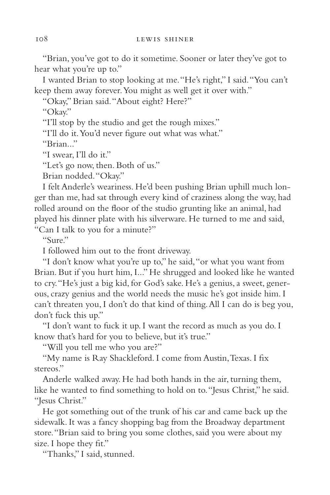"Brian, you've got to do it sometime. Sooner or later they've got to hear what you're up to."

I wanted Brian to stop looking at me. "He's right," I said. "You can't keep them away forever. You might as well get it over with."

"Okay," Brian said. "About eight? Here?"

"Okay."

"I'll stop by the studio and get the rough mixes."

"I'll do it. You'd never figure out what was what."

"Brian..."

"I swear, I'll do it."

"Let's go now, then. Both of us."

Brian nodded. "Okay."

I felt Anderle's weariness. He'd been pushing Brian uphill much longer than me, had sat through every kind of craziness along the way, had rolled around on the floor of the studio grunting like an animal, had played his dinner plate with his silverware. He turned to me and said,

"Can I talk to you for a minute?"

"Sure."

I followed him out to the front driveway.

"I don't know what you're up to," he said, "or what you want from Brian. But if you hurt him, I..." He shrugged and looked like he wanted to cry. "He's just a big kid, for God's sake. He's a genius, a sweet, generous, crazy genius and the world needs the music he's got inside him. I can't threaten you, I don't do that kind of thing. All I can do is beg you, don't fuck this up."

"I don't want to fuck it up. I want the record as much as you do. I know that's hard for you to believe, but it's true."

"Will you tell me who you are?"

"My name is Ray Shackleford. I come from Austin, Texas. I fix stereos."

Anderle walked away. He had both hands in the air, turning them, like he wanted to find something to hold on to. "Jesus Christ," he said. "Jesus Christ."

He got something out of the trunk of his car and came back up the sidewalk. It was a fancy shopping bag from the Broadway department store. "Brian said to bring you some clothes, said you were about my size. I hope they fit."

"Thanks," I said, stunned.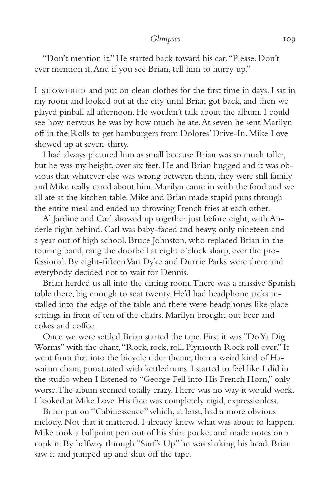"Don't mention it." He started back toward his car. "Please. Don't ever mention it. And if you see Brian, tell him to hurry up."

I SHOWERED and put on clean clothes for the first time in days. I sat in my room and looked out at the city until Brian got back, and then we played pinball all afternoon. He wouldn't talk about the album. I could see how nervous he was by how much he ate. At seven he sent Marilyn off in the Rolls to get hamburgers from Dolores' Drive-In. Mike Love showed up at seven-thirty.

I had always pictured him as small because Brian was so much taller, but he was my height, over six feet. He and Brian hugged and it was obvious that whatever else was wrong between them, they were still family and Mike really cared about him. Marilyn came in with the food and we all ate at the kitchen table. Mike and Brian made stupid puns through the entire meal and ended up throwing French fries at each other.

Al Jardine and Carl showed up together just before eight, with Anderle right behind. Carl was baby-faced and heavy, only nineteen and a year out of high school. Bruce Johnston, who replaced Brian in the touring band, rang the doorbell at eight o'clock sharp, ever the professional. By eight-fifteen Van Dyke and Durrie Parks were there and everybody decided not to wait for Dennis.

Brian herded us all into the dining room. There was a massive Spanish table there, big enough to seat twenty. He'd had headphone jacks installed into the edge of the table and there were headphones like place settings in front of ten of the chairs. Marilyn brought out beer and cokes and coffee.

Once we were settled Brian started the tape. First it was "Do Ya Dig Worms" with the chant, "Rock, rock, roll, Plymouth Rock roll over." It went from that into the bicycle rider theme, then a weird kind of Hawaiian chant, punctuated with kettledrums. I started to feel like I did in the studio when I listened to "George Fell into His French Horn," only worse. The album seemed totally crazy. There was no way it would work. I looked at Mike Love. His face was completely rigid, expressionless.

Brian put on "Cabinessence" which, at least, had a more obvious melody. Not that it mattered. I already knew what was about to happen. Mike took a ballpoint pen out of his shirt pocket and made notes on a napkin. By halfway through "Surf's Up" he was shaking his head. Brian saw it and jumped up and shut off the tape.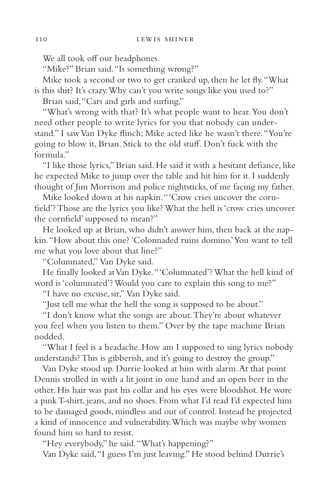We all took off our headphones.

"Mike?" Brian said. "Is something wrong?"

Mike took a second or two to get cranked up, then he let fly. "What is this shit? It's crazy. Why can't you write songs like you used to?"

Brian said, "Cars and girls and surfing."

"What's wrong with that? It's what people want to hear. You don't need other people to write lyrics for you that nobody can understand." I saw Van Dyke flinch; Mike acted like he wasn't there. "You're going to blow it, Brian. Stick to the old stuff. Don't fuck with the formula."

"I like those lyrics," Brian said. He said it with a hesitant defiance, like he expected Mike to jump over the table and hit him for it. I suddenly thought of Jim Morrison and police nightsticks, of me facing my father.

Mike looked down at his napkin. "'Crow cries uncover the cornfield'? Those are the lyrics you like? What the hell is 'crow cries uncover the cornfield' supposed to mean?"

He looked up at Brian, who didn't answer him, then back at the napkin. "How about this one? 'Colonnaded ruins domino.' You want to tell me what you love about that line?"

"Columnated," Van Dyke said.

He finally looked at Van Dyke. "'Columnated'? What the hell kind of word is 'columnated'? Would you care to explain this song to me?"

"I have no excuse, sir," Van Dyke said.

"Just tell me what the hell the song is supposed to be about."

"I don't know what the songs are about. They're about whatever you feel when you listen to them." Over by the tape machine Brian nodded.

"What I feel is a headache. How am I supposed to sing lyrics nobody understands? This is gibberish, and it's going to destroy the group."

Van Dyke stood up. Durrie looked at him with alarm. At that point Dennis strolled in with a lit joint in one hand and an open beer in the other. His hair was past his collar and his eyes were bloodshot. He wore a pink T-shirt, jeans, and no shoes. From what I'd read I'd expected him to be damaged goods, mindless and out of control. Instead he projected a kind of innocence and vulnerability. Which was maybe why women found him so hard to resist.

"Hey everybody," he said. "What's happening?"

Van Dyke said, "I guess I'm just leaving." He stood behind Durrie's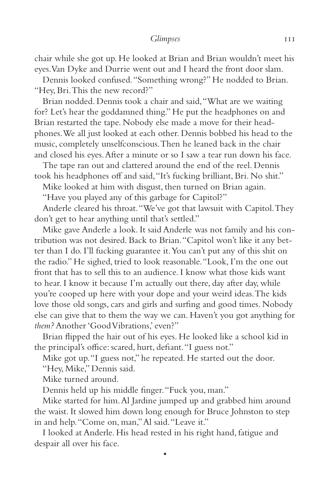chair while she got up. He looked at Brian and Brian wouldn't meet his eyes. Van Dyke and Durrie went out and I heard the front door slam.

Dennis looked confused. "Something wrong?" He nodded to Brian. "Hey, Bri. This the new record?"

Brian nodded. Dennis took a chair and said, "What are we waiting for? Let's hear the goddamned thing." He put the headphones on and Brian restarted the tape. Nobody else made a move for their headphones. We all just looked at each other. Dennis bobbed his head to the music, completely unselfconscious. Then he leaned back in the chair and closed his eyes. After a minute or so I saw a tear run down his face.

The tape ran out and clattered around the end of the reel. Dennis took his headphones off and said, "It's fucking brilliant, Bri. No shit."

Mike looked at him with disgust, then turned on Brian again.

"Have you played any of this garbage for Capitol?"

Anderle cleared his throat. "We've got that lawsuit with Capitol. They don't get to hear anything until that's settled."

Mike gave Anderle a look. It said Anderle was not family and his contribution was not desired. Back to Brian. "Capitol won't like it any better than I do. I'll fucking guarantee it. You can't put any of this shit on the radio." He sighed, tried to look reasonable. "Look, I'm the one out front that has to sell this to an audience. I know what those kids want to hear. I know it because I'm actually out there, day after day, while you're cooped up here with your dope and your weird ideas. The kids love those old songs, cars and girls and surfing and good times. Nobody else can give that to them the way we can. Haven't you got anything for *them?* Another 'Good Vibrations,' even?"

Brian flipped the hair out of his eyes. He looked like a school kid in the principal's office: scared, hurt, defiant. "I guess not."

Mike got up. "I guess not," he repeated. He started out the door.

"Hey, Mike," Dennis said.

Mike turned around.

Dennis held up his middle finger. "Fuck you, man."

Mike started for him. Al Jardine jumped up and grabbed him around the waist. It slowed him down long enough for Bruce Johnston to step in and help. "Come on, man," Al said. "Leave it."

•

I looked at Anderle. His head rested in his right hand, fatigue and despair all over his face.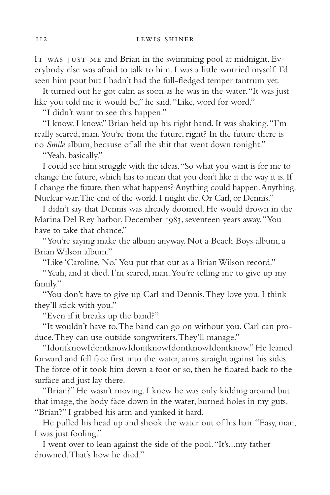IT WAS JUST ME and Brian in the swimming pool at midnight. Everybody else was afraid to talk to him. I was a little worried myself. I'd seen him pout but I hadn't had the full-fledged temper tantrum yet.

It turned out he got calm as soon as he was in the water. "It was just like you told me it would be," he said. "Like, word for word."

"I didn't want to see this happen."

"I know. I know." Brian held up his right hand. It was shaking. "I'm really scared, man. You're from the future, right? In the future there is no *Smile* album, because of all the shit that went down tonight."

"Yeah, basically."

I could see him struggle with the ideas. "So what you want is for me to change the future, which has to mean that you don't like it the way it is. If I change the future, then what happens? Anything could happen. Anything. Nuclear war. The end of the world. I might die. Or Carl, or Dennis."

I didn't say that Dennis was already doomed. He would drown in the Marina Del Rey harbor, December 1983, seventeen years away. "You have to take that chance."

"You're saying make the album anyway. Not a Beach Boys album, a Brian Wilson album."

"Like 'Caroline, No.' You put that out as a Brian Wilson record."

"Yeah, and it died. I'm scared, man. You're telling me to give up my family."

"You don't have to give up Carl and Dennis. They love you. I think they'll stick with you."

"Even if it breaks up the band?"

"It wouldn't have to. The band can go on without you. Carl can produce. They can use outside songwriters. They'll manage."

"IdontknowIdontknowIdontknowIdontknowIdontknow." He leaned forward and fell face first into the water, arms straight against his sides. The force of it took him down a foot or so, then he floated back to the surface and just lay there.

"Brian?" He wasn't moving. I knew he was only kidding around but that image, the body face down in the water, burned holes in my guts. "Brian?" I grabbed his arm and yanked it hard.

He pulled his head up and shook the water out of his hair. "Easy, man, I was just fooling."

I went over to lean against the side of the pool. "It's...my father drowned. That's how he died."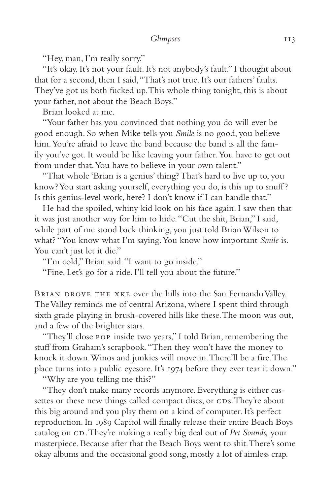"Hey, man, I'm really sorry."

"It's okay. It's not your fault. It's not anybody's fault." I thought about that for a second, then I said, "That's not true. It's our fathers' faults. They've got us both fucked up. This whole thing tonight, this is about your father, not about the Beach Boys."

Brian looked at me.

"Your father has you convinced that nothing you do will ever be good enough. So when Mike tells you *Smile* is no good, you believe him. You're afraid to leave the band because the band is all the family you've got. It would be like leaving your father. You have to get out from under that. You have to believe in your own talent."

"That whole 'Brian is a genius' thing? That's hard to live up to, you know? You start asking yourself, everything you do, is this up to snuff ? Is this genius-level work, here? I don't know if I can handle that."

He had the spoiled, whiny kid look on his face again. I saw then that it was just another way for him to hide. "Cut the shit, Brian," I said, while part of me stood back thinking, you just told Brian Wilson to what? "You know what I'm saying. You know how important *Smile* is. You can't just let it die."

"I'm cold," Brian said. "I want to go inside."

"Fine. Let's go for a ride. I'll tell you about the future."

BRIAN DROVE THE XKE over the hills into the San Fernando Valley. The Valley reminds me of central Arizona, where I spent third through sixth grade playing in brush-covered hills like these. The moon was out, and a few of the brighter stars.

"They'll close pop inside two years," I told Brian, remembering the stuff from Graham's scrapbook. "Then they won't have the money to knock it down. Winos and junkies will move in. There'll be a fire. The place turns into a public eyesore. It's 1974 before they ever tear it down."

"Why are you telling me this?"

"They don't make many records anymore. Everything is either cassettes or these new things called compact discs, or CDs. They're about this big around and you play them on a kind of computer. It's perfect reproduction. In 1989 Capitol will finally release their entire Beach Boys catalog on CD. They're making a really big deal out of *Pet Sounds*, your masterpiece. Because after that the Beach Boys went to shit. There's some okay albums and the occasional good song, mostly a lot of aimless crap.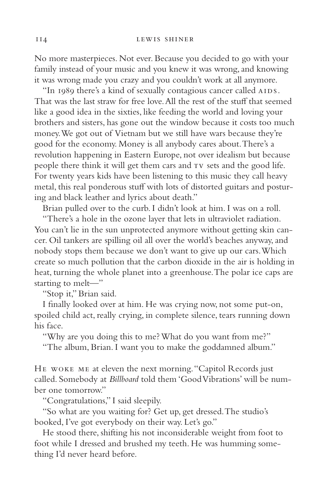No more masterpieces. Not ever. Because you decided to go with your family instead of your music and you knew it was wrong, and knowing it was wrong made you crazy and you couldn't work at all anymore.

"In 1989 there's a kind of sexually contagious cancer called AIDS. That was the last straw for free love. All the rest of the stuff that seemed like a good idea in the sixties, like feeding the world and loving your brothers and sisters, has gone out the window because it costs too much money. We got out of Vietnam but we still have wars because they're good for the economy. Money is all anybody cares about. There's a revolution happening in Eastern Europe, not over idealism but because people there think it will get them cars and TV sets and the good life. For twenty years kids have been listening to this music they call heavy metal, this real ponderous stuff with lots of distorted guitars and posturing and black leather and lyrics about death."

Brian pulled over to the curb. I didn't look at him. I was on a roll.

"There's a hole in the ozone layer that lets in ultraviolet radiation. You can't lie in the sun unprotected anymore without getting skin cancer. Oil tankers are spilling oil all over the world's beaches anyway, and nobody stops them because we don't want to give up our cars. Which create so much pollution that the carbon dioxide in the air is holding in heat, turning the whole planet into a greenhouse. The polar ice caps are starting to melt—"

"Stop it," Brian said.

I finally looked over at him. He was crying now, not some put-on, spoiled child act, really crying, in complete silence, tears running down his face.

"Why are you doing this to me? What do you want from me?" "The album, Brian. I want you to make the goddamned album."

He woke me at eleven the next morning. "Capitol Records just called. Somebody at *Billboard* told them 'Good Vibrations' will be number one tomorrow."

"Congratulations," I said sleepily.

"So what are you waiting for? Get up, get dressed. The studio's booked, I've got everybody on their way. Let's go."

He stood there, shifting his not inconsiderable weight from foot to foot while I dressed and brushed my teeth. He was humming something I'd never heard before.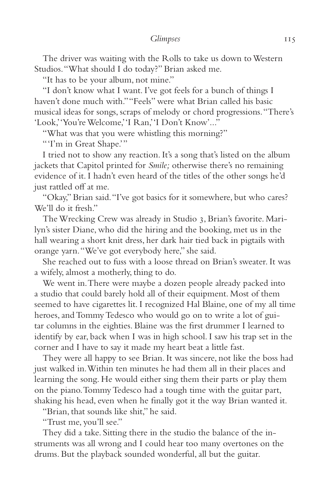The driver was waiting with the Rolls to take us down to Western Studios. "What should I do today?" Brian asked me.

"It has to be your album, not mine."

"I don't know what I want. I've got feels for a bunch of things I haven't done much with." "Feels" were what Brian called his basic musical ideas for songs, scraps of melody or chord progressions. "There's 'Look, 'You're Welcome,' 'I Ran,' 'I Don't Know'..."

"What was that you were whistling this morning?"

"'I'm in Great Shape.'"

I tried not to show any reaction. It's a song that's listed on the album jackets that Capitol printed for *Smile;* otherwise there's no remaining evidence of it. I hadn't even heard of the titles of the other songs he'd just rattled off at me.

"Okay," Brian said. "I've got basics for it somewhere, but who cares? We'll do it fresh."

The Wrecking Crew was already in Studio 3, Brian's favorite. Marilyn's sister Diane, who did the hiring and the booking, met us in the hall wearing a short knit dress, her dark hair tied back in pigtails with orange yarn. "We've got everybody here," she said.

She reached out to fuss with a loose thread on Brian's sweater. It was a wifely, almost a motherly, thing to do.

We went in. There were maybe a dozen people already packed into a studio that could barely hold all of their equipment. Most of them seemed to have cigarettes lit. I recognized Hal Blaine, one of my all time heroes, and Tommy Tedesco who would go on to write a lot of guitar columns in the eighties. Blaine was the first drummer I learned to identify by ear, back when I was in high school. I saw his trap set in the corner and I have to say it made my heart beat a little fast.

They were all happy to see Brian. It was sincere, not like the boss had just walked in. Within ten minutes he had them all in their places and learning the song. He would either sing them their parts or play them on the piano. Tommy Tedesco had a tough time with the guitar part, shaking his head, even when he finally got it the way Brian wanted it.

"Brian, that sounds like shit," he said.

"Trust me, you'll see."

They did a take. Sitting there in the studio the balance of the instruments was all wrong and I could hear too many overtones on the drums. But the playback sounded wonderful, all but the guitar.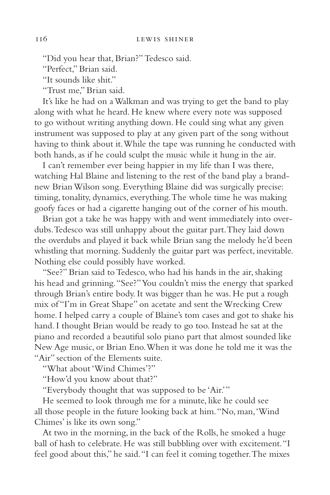"Did you hear that, Brian?" Tedesco said.

"Perfect," Brian said.

"It sounds like shit."

"Trust me," Brian said.

It's like he had on a Walkman and was trying to get the band to play along with what he heard. He knew where every note was supposed to go without writing anything down. He could sing what any given instrument was supposed to play at any given part of the song without having to think about it. While the tape was running he conducted with both hands, as if he could sculpt the music while it hung in the air.

I can't remember ever being happier in my life than I was there, watching Hal Blaine and listening to the rest of the band play a brandnew Brian Wilson song. Everything Blaine did was surgically precise: timing, tonality, dynamics, everything. The whole time he was making goofy faces or had a cigarette hanging out of the corner of his mouth.

Brian got a take he was happy with and went immediately into overdubs. Tedesco was still unhappy about the guitar part. They laid down the overdubs and played it back while Brian sang the melody he'd been whistling that morning. Suddenly the guitar part was perfect, inevitable. Nothing else could possibly have worked.

"See?" Brian said to Tedesco, who had his hands in the air, shaking his head and grinning. "See?" You couldn't miss the energy that sparked through Brian's entire body. It was bigger than he was. He put a rough mix of "I'm in Great Shape" on acetate and sent the Wrecking Crew home. I helped carry a couple of Blaine's tom cases and got to shake his hand. I thought Brian would be ready to go too. Instead he sat at the piano and recorded a beautiful solo piano part that almost sounded like New Age music, or Brian Eno. When it was done he told me it was the "Air" section of the Elements suite.

"What about 'Wind Chimes'?"

"How'd you know about that?"

"Everybody thought that was supposed to be 'Air.'"

He seemed to look through me for a minute, like he could see all those people in the future looking back at him. "No, man, 'Wind Chimes' is like its own song."

At two in the morning, in the back of the Rolls, he smoked a huge ball of hash to celebrate. He was still bubbling over with excitement. "I feel good about this," he said. "I can feel it coming together. The mixes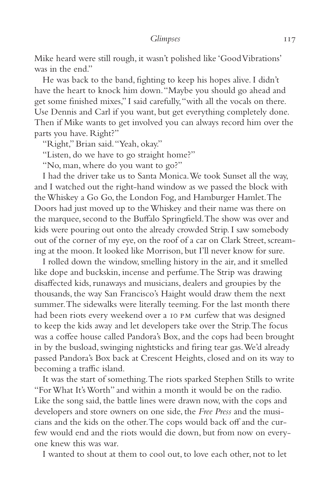Mike heard were still rough, it wasn't polished like 'Good Vibrations' was in the end"

He was back to the band, fighting to keep his hopes alive. I didn't have the heart to knock him down. "Maybe you should go ahead and get some finished mixes," I said carefully, "with all the vocals on there. Use Dennis and Carl if you want, but get everything completely done. Then if Mike wants to get involved you can always record him over the parts you have. Right?"

"Right," Brian said. "Yeah, okay."

"Listen, do we have to go straight home?"

"No, man, where do you want to go?"

I had the driver take us to Santa Monica. We took Sunset all the way, and I watched out the right-hand window as we passed the block with the Whiskey a Go Go, the London Fog, and Hamburger Hamlet. The Doors had just moved up to the Whiskey and their name was there on the marquee, second to the Buffalo Springfield. The show was over and kids were pouring out onto the already crowded Strip. I saw somebody out of the corner of my eye, on the roof of a car on Clark Street, screaming at the moon. It looked like Morrison, but I'll never know for sure.

I rolled down the window, smelling history in the air, and it smelled like dope and buckskin, incense and perfume. The Strip was drawing disaffected kids, runaways and musicians, dealers and groupies by the thousands, the way San Francisco's Haight would draw them the next summer. The sidewalks were literally teeming. For the last month there had been riots every weekend over a 10 pm curfew that was designed to keep the kids away and let developers take over the Strip. The focus was a coffee house called Pandora's Box, and the cops had been brought in by the busload, swinging nightsticks and firing tear gas. We'd already passed Pandora's Box back at Crescent Heights, closed and on its way to becoming a traffic island.

It was the start of something. The riots sparked Stephen Stills to write "For What It's Worth" and within a month it would be on the radio. Like the song said, the battle lines were drawn now, with the cops and developers and store owners on one side, the *Free Press* and the musicians and the kids on the other. The cops would back off and the curfew would end and the riots would die down, but from now on everyone knew this was war.

I wanted to shout at them to cool out, to love each other, not to let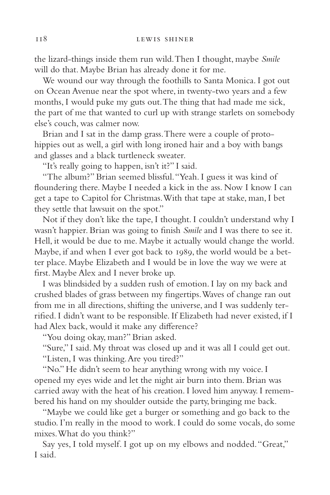the lizard-things inside them run wild. Then I thought, maybe *Smile* will do that. Maybe Brian has already done it for me.

We wound our way through the foothills to Santa Monica. I got out on Ocean Avenue near the spot where, in twenty-two years and a few months, I would puke my guts out. The thing that had made me sick, the part of me that wanted to curl up with strange starlets on somebody else's couch, was calmer now.

Brian and I sat in the damp grass. There were a couple of protohippies out as well, a girl with long ironed hair and a boy with bangs and glasses and a black turtleneck sweater.

"It's really going to happen, isn't it?" I said.

"The album?" Brian seemed blissful. "Yeah. I guess it was kind of floundering there. Maybe I needed a kick in the ass. Now I know I can get a tape to Capitol for Christmas. With that tape at stake, man, I bet they settle that lawsuit on the spot."

Not if they don't like the tape, I thought. I couldn't understand why I wasn't happier. Brian was going to finish *Smile* and I was there to see it. Hell, it would be due to me. Maybe it actually would change the world. Maybe, if and when I ever got back to 1989, the world would be a better place. Maybe Elizabeth and I would be in love the way we were at first. Maybe Alex and I never broke up.

I was blindsided by a sudden rush of emotion. I lay on my back and crushed blades of grass between my fingertips. Waves of change ran out from me in all directions, shifting the universe, and I was suddenly terrified. I didn't want to be responsible. If Elizabeth had never existed, if I had Alex back, would it make any difference?

"You doing okay, man?" Brian asked.

"Sure," I said. My throat was closed up and it was all I could get out. "Listen, I was thinking. Are you tired?"

"No." He didn't seem to hear anything wrong with my voice. I opened my eyes wide and let the night air burn into them. Brian was carried away with the heat of his creation. I loved him anyway. I remembered his hand on my shoulder outside the party, bringing me back.

"Maybe we could like get a burger or something and go back to the studio. I'm really in the mood to work. I could do some vocals, do some mixes. What do you think?"

Say yes, I told myself. I got up on my elbows and nodded. "Great," I said.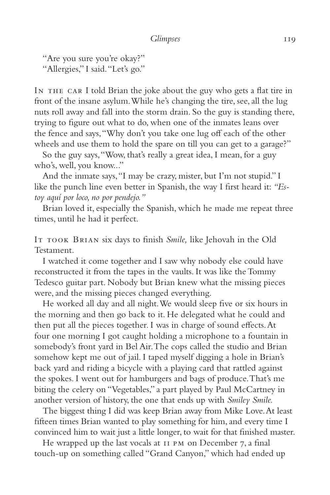"Are you sure you're okay?" "Allergies," I said. "Let's go."

IN THE CAR I told Brian the joke about the guy who gets a flat tire in front of the insane asylum. While he's changing the tire, see, all the lug nuts roll away and fall into the storm drain. So the guy is standing there, trying to figure out what to do, when one of the inmates leans over the fence and says, "Why don't you take one lug off each of the other wheels and use them to hold the spare on till you can get to a garage?"

So the guy says, "Wow, that's really a great idea, I mean, for a guy who's, well, you know..."

And the inmate says, "I may be crazy, mister, but I'm not stupid." I like the punch line even better in Spanish, the way I first heard it: *"Estoy aquí por loco, no por pendejo."*

Brian loved it, especially the Spanish, which he made me repeat three times, until he had it perfect.

It took Brian six days to finish *Smile,* like Jehovah in the Old Testament.

I watched it come together and I saw why nobody else could have reconstructed it from the tapes in the vaults. It was like the Tommy Tedesco guitar part. Nobody but Brian knew what the missing pieces were, and the missing pieces changed everything.

He worked all day and all night. We would sleep five or six hours in the morning and then go back to it. He delegated what he could and then put all the pieces together. I was in charge of sound effects. At four one morning I got caught holding a microphone to a fountain in somebody's front yard in Bel Air. The cops called the studio and Brian somehow kept me out of jail. I taped myself digging a hole in Brian's back yard and riding a bicycle with a playing card that rattled against the spokes. I went out for hamburgers and bags of produce. That's me biting the celery on "Vegetables," a part played by Paul McCartney in another version of history, the one that ends up with *Smiley Smile.*

The biggest thing I did was keep Brian away from Mike Love. At least fifteen times Brian wanted to play something for him, and every time I convinced him to wait just a little longer, to wait for that finished master.

He wrapped up the last vocals at 11 pm on December 7, a final touch-up on something called "Grand Canyon," which had ended up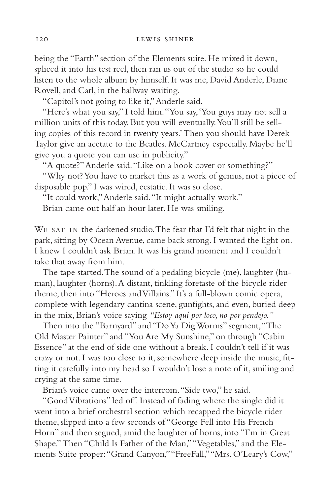being the "Earth" section of the Elements suite. He mixed it down, spliced it into his test reel, then ran us out of the studio so he could listen to the whole album by himself. It was me, David Anderle, Diane Rovell, and Carl, in the hallway waiting.

"Capitol's not going to like it," Anderle said.

"Here's what you say," I told him. "You say, 'You guys may not sell a million units of this today. But you will eventually. You'll still be selling copies of this record in twenty years.' Then you should have Derek Taylor give an acetate to the Beatles. McCartney especially. Maybe he'll give you a quote you can use in publicity."

"A quote?" Anderle said. "Like on a book cover or something?"

"Why not? You have to market this as a work of genius, not a piece of disposable pop." I was wired, ecstatic. It was so close.

"It could work," Anderle said. "It might actually work."

Brian came out half an hour later. He was smiling.

WE SAT IN the darkened studio. The fear that I'd felt that night in the park, sitting by Ocean Avenue, came back strong. I wanted the light on. I knew I couldn't ask Brian. It was his grand moment and I couldn't take that away from him.

The tape started. The sound of a pedaling bicycle (me), laughter (human), laughter (horns). A distant, tinkling foretaste of the bicycle rider theme, then into "Heroes and Villains." It's a full-blown comic opera, complete with legendary cantina scene, gunfights, and even, buried deep in the mix, Brian's voice saying *"Estoy aquí por loco, no por pendejo."*

Then into the "Barnyard" and "Do Ya Dig Worms" segment, "The Old Master Painter" and "You Are My Sunshine," on through "Cabin Essence" at the end of side one without a break. I couldn't tell if it was crazy or not. I was too close to it, somewhere deep inside the music, fitting it carefully into my head so I wouldn't lose a note of it, smiling and crying at the same time.

Brian's voice came over the intercom. "Side two," he said.

"Good Vibrations" led off. Instead of fading where the single did it went into a brief orchestral section which recapped the bicycle rider theme, slipped into a few seconds of "George Fell into His French Horn" and then segued, amid the laughter of horns, into "I'm in Great Shape." Then "Child Is Father of the Man," "Vegetables," and the Elements Suite proper: "Grand Canyon," "FreeFall," "Mrs. O'Leary's Cow,"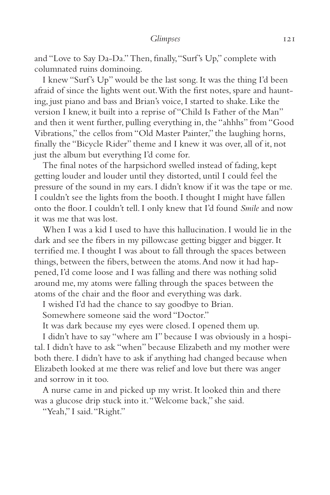and "Love to Say Da-Da." Then, finally, "Surf's Up," complete with columnated ruins dominoing.

I knew "Surf's Up" would be the last song. It was the thing I'd been afraid of since the lights went out. With the first notes, spare and haunting, just piano and bass and Brian's voice, I started to shake. Like the version I knew, it built into a reprise of "Child Is Father of the Man" and then it went further, pulling everything in, the "ahhhs" from "Good Vibrations," the cellos from "Old Master Painter," the laughing horns, finally the "Bicycle Rider" theme and I knew it was over, all of it, not just the album but everything I'd come for.

The final notes of the harpsichord swelled instead of fading, kept getting louder and louder until they distorted, until I could feel the pressure of the sound in my ears. I didn't know if it was the tape or me. I couldn't see the lights from the booth. I thought I might have fallen onto the floor. I couldn't tell. I only knew that I'd found *Smile* and now it was me that was lost.

When I was a kid I used to have this hallucination. I would lie in the dark and see the fibers in my pillowcase getting bigger and bigger. It terrified me. I thought I was about to fall through the spaces between things, between the fibers, between the atoms. And now it had happened, I'd come loose and I was falling and there was nothing solid around me, my atoms were falling through the spaces between the atoms of the chair and the floor and everything was dark.

I wished I'd had the chance to say goodbye to Brian.

Somewhere someone said the word "Doctor."

It was dark because my eyes were closed. I opened them up.

I didn't have to say "where am I" because I was obviously in a hospital. I didn't have to ask "when" because Elizabeth and my mother were both there. I didn't have to ask if anything had changed because when Elizabeth looked at me there was relief and love but there was anger and sorrow in it too.

A nurse came in and picked up my wrist. It looked thin and there was a glucose drip stuck into it. "Welcome back," she said.

"Yeah," I said. "Right."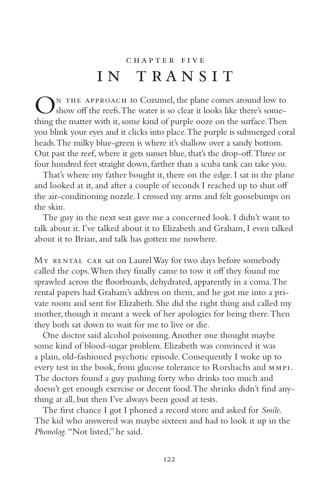# chapter five in transit

On the approach to Cozumel, the plane comes around low to show off the reefs. The water is so clear it looks like there's something the matter with it, some kind of purple ooze on the surface. Then you blink your eyes and it clicks into place. The purple is submerged coral heads. The milky blue-green is where it's shallow over a sandy bottom. Out past the reef, where it gets sunset blue, that's the drop-off. Three or four hundred feet straight down, farther than a scuba tank can take you.

That's where my father bought it, there on the edge. I sat in the plane and looked at it, and after a couple of seconds I reached up to shut off the air-conditioning nozzle. I crossed my arms and felt goosebumps on the skin.

The guy in the next seat gave me a concerned look. I didn't want to talk about it. I've talked about it to Elizabeth and Graham, I even talked about it to Brian, and talk has gotten me nowhere.

MY RENTAL CAR sat on Laurel Way for two days before somebody called the cops. When they finally came to tow it off they found me sprawled across the floorboards, dehydrated, apparently in a coma. The rental papers had Graham's address on them, and he got me into a private room and sent for Elizabeth. She did the right thing and called my mother, though it meant a week of her apologies for being there. Then they both sat down to wait for me to live or die.

One doctor said alcohol poisoning. Another one thought maybe some kind of blood-sugar problem. Elizabeth was convinced it was a plain, old-fashioned psychotic episode. Consequently I woke up to every test in the book, from glucose tolerance to Rorshachs and mmpi. The doctors found a guy pushing forty who drinks too much and doesn't get enough exercise or decent food. The shrinks didn't find anything at all, but then I've always been good at tests.

The first chance I got I phoned a record store and asked for *Smile.* The kid who answered was maybe sixteen and had to look it up in the *Phonolog.* "Not listed," he said.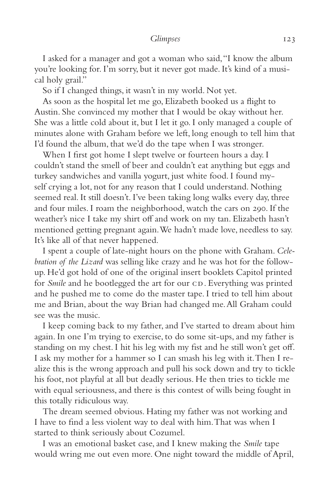I asked for a manager and got a woman who said, "I know the album you're looking for. I'm sorry, but it never got made. It's kind of a musical holy grail."

So if I changed things, it wasn't in my world. Not yet.

As soon as the hospital let me go, Elizabeth booked us a flight to Austin. She convinced my mother that I would be okay without her. She was a little cold about it, but I let it go. I only managed a couple of minutes alone with Graham before we left, long enough to tell him that I'd found the album, that we'd do the tape when I was stronger.

When I first got home I slept twelve or fourteen hours a day. I couldn't stand the smell of beer and couldn't eat anything but eggs and turkey sandwiches and vanilla yogurt, just white food. I found myself crying a lot, not for any reason that I could understand. Nothing seemed real. It still doesn't. I've been taking long walks every day, three and four miles. I roam the neighborhood, watch the cars on 290. If the weather's nice I take my shirt off and work on my tan. Elizabeth hasn't mentioned getting pregnant again. We hadn't made love, needless to say. It's like all of that never happened.

I spent a couple of late-night hours on the phone with Graham. *Celebration of the Lizard* was selling like crazy and he was hot for the followup. He'd got hold of one of the original insert booklets Capitol printed for *Smile* and he bootlegged the art for our CD. Everything was printed and he pushed me to come do the master tape. I tried to tell him about me and Brian, about the way Brian had changed me. All Graham could see was the music.

I keep coming back to my father, and I've started to dream about him again. In one I'm trying to exercise, to do some sit-ups, and my father is standing on my chest. I hit his leg with my fist and he still won't get off. I ask my mother for a hammer so I can smash his leg with it. Then I realize this is the wrong approach and pull his sock down and try to tickle his foot, not playful at all but deadly serious. He then tries to tickle me with equal seriousness, and there is this contest of wills being fought in this totally ridiculous way.

The dream seemed obvious. Hating my father was not working and I have to find a less violent way to deal with him. That was when I started to think seriously about Cozumel.

I was an emotional basket case, and I knew making the *Smile* tape would wring me out even more. One night toward the middle of April,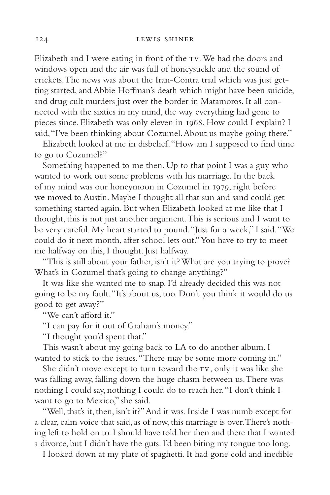Elizabeth and I were eating in front of the TV. We had the doors and windows open and the air was full of honeysuckle and the sound of crickets. The news was about the Iran-Contra trial which was just getting started, and Abbie Hoffman's death which might have been suicide, and drug cult murders just over the border in Matamoros. It all connected with the sixties in my mind, the way everything had gone to pieces since. Elizabeth was only eleven in 1968. How could I explain? I said, "I've been thinking about Cozumel. About us maybe going there."

Elizabeth looked at me in disbelief. "How am I supposed to find time to go to Cozumel?"

Something happened to me then. Up to that point I was a guy who wanted to work out some problems with his marriage. In the back of my mind was our honeymoon in Cozumel in 1979, right before we moved to Austin. Maybe I thought all that sun and sand could get something started again. But when Elizabeth looked at me like that I thought, this is not just another argument. This is serious and I want to be very careful. My heart started to pound. "Just for a week," I said. "We could do it next month, after school lets out." You have to try to meet me halfway on this, I thought. Just halfway.

"This is still about your father, isn't it? What are you trying to prove? What's in Cozumel that's going to change anything?"

It was like she wanted me to snap. I'd already decided this was not going to be my fault. "It's about us, too. Don't you think it would do us good to get away?"

"We can't afford it."

"I can pay for it out of Graham's money."

"I thought you'd spent that."

This wasn't about my going back to LA to do another album. I wanted to stick to the issues. "There may be some more coming in."

She didn't move except to turn toward the TV, only it was like she was falling away, falling down the huge chasm between us. There was nothing I could say, nothing I could do to reach her. "I don't think I want to go to Mexico," she said.

"Well, that's it, then, isn't it?" And it was. Inside I was numb except for a clear, calm voice that said, as of now, this marriage is over. There's nothing left to hold on to. I should have told her then and there that I wanted a divorce, but I didn't have the guts. I'd been biting my tongue too long.

I looked down at my plate of spaghetti. It had gone cold and inedible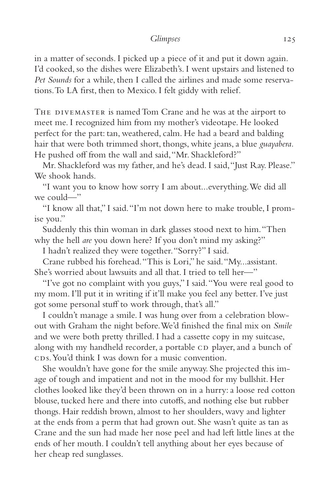in a matter of seconds. I picked up a piece of it and put it down again. I'd cooked, so the dishes were Elizabeth's. I went upstairs and listened to *Pet Sounds* for a while, then I called the airlines and made some reservations. To LA first, then to Mexico. I felt giddy with relief.

THE DIVEMASTER is named Tom Crane and he was at the airport to meet me. I recognized him from my mother's videotape. He looked perfect for the part: tan, weathered, calm. He had a beard and balding hair that were both trimmed short, thongs, white jeans, a blue *guayabera.* He pushed off from the wall and said, "Mr. Shackleford?"

Mr. Shackleford was my father, and he's dead. I said, "Just Ray. Please." We shook hands.

"I want you to know how sorry I am about...everything. We did all we could—"

"I know all that," I said. "I'm not down here to make trouble, I promise you."

Suddenly this thin woman in dark glasses stood next to him. "Then why the hell *are* you down here? If you don't mind my asking?"

I hadn't realized they were together. "Sorry?" I said.

Crane rubbed his forehead. "This is Lori," he said. "My...assistant. She's worried about lawsuits and all that. I tried to tell her—"

"I've got no complaint with you guys," I said. "You were real good to my mom. I'll put it in writing if it'll make you feel any better. I've just got some personal stuff to work through, that's all."

I couldn't manage a smile. I was hung over from a celebration blowout with Graham the night before. We'd finished the final mix on *Smile* and we were both pretty thrilled. I had a cassette copy in my suitcase, along with my handheld recorder, a portable CD player, and a bunch of CD<sub>s</sub>. You'd think I was down for a music convention.

She wouldn't have gone for the smile anyway. She projected this image of tough and impatient and not in the mood for my bullshit. Her clothes looked like they'd been thrown on in a hurry: a loose red cotton blouse, tucked here and there into cutoffs, and nothing else but rubber thongs. Hair reddish brown, almost to her shoulders, wavy and lighter at the ends from a perm that had grown out. She wasn't quite as tan as Crane and the sun had made her nose peel and had left little lines at the ends of her mouth. I couldn't tell anything about her eyes because of her cheap red sunglasses.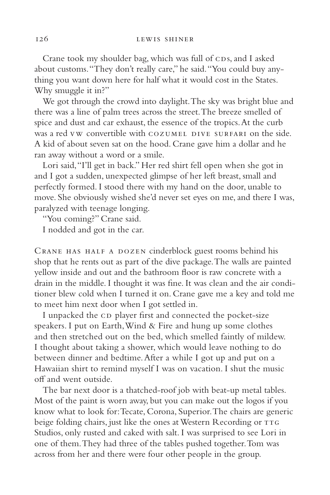Crane took my shoulder bag, which was full of CDs, and I asked about customs. "They don't really care," he said. "You could buy anything you want down here for half what it would cost in the States. Why smuggle it in?"

We got through the crowd into daylight. The sky was bright blue and there was a line of palm trees across the street. The breeze smelled of spice and dust and car exhaust, the essence of the tropics. At the curb was a red vw convertible with COZUMEL DIVE SURFARI on the side. A kid of about seven sat on the hood. Crane gave him a dollar and he ran away without a word or a smile.

Lori said, "I'll get in back." Her red shirt fell open when she got in and I got a sudden, unexpected glimpse of her left breast, small and perfectly formed. I stood there with my hand on the door, unable to move. She obviously wished she'd never set eyes on me, and there I was, paralyzed with teenage longing.

"You coming?" Crane said.

I nodded and got in the car.

CRANE HAS HALF A DOZEN cinderblock guest rooms behind his shop that he rents out as part of the dive package. The walls are painted yellow inside and out and the bathroom floor is raw concrete with a drain in the middle. I thought it was fine. It was clean and the air conditioner blew cold when I turned it on. Crane gave me a key and told me to meet him next door when I got settled in.

I unpacked the CD player first and connected the pocket-size speakers. I put on Earth, Wind & Fire and hung up some clothes and then stretched out on the bed, which smelled faintly of mildew. I thought about taking a shower, which would leave nothing to do between dinner and bedtime. After a while I got up and put on a Hawaiian shirt to remind myself I was on vacation. I shut the music off and went outside.

The bar next door is a thatched-roof job with beat-up metal tables. Most of the paint is worn away, but you can make out the logos if you know what to look for: Tecate, Corona, Superior. The chairs are generic beige folding chairs, just like the ones at Western Recording or TTG Studios, only rusted and caked with salt. I was surprised to see Lori in one of them. They had three of the tables pushed together. Tom was across from her and there were four other people in the group.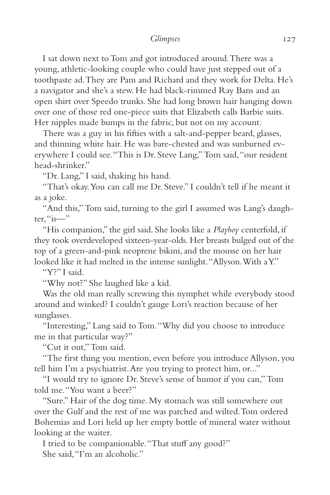I sat down next to Tom and got introduced around. There was a young, athletic-looking couple who could have just stepped out of a toothpaste ad. They are Pam and Richard and they work for Delta. He's a navigator and she's a stew. He had black-rimmed Ray Bans and an open shirt over Speedo trunks. She had long brown hair hanging down over one of those red one-piece suits that Elizabeth calls Barbie suits. Her nipples made bumps in the fabric, but not on my account.

There was a guy in his fifties with a salt-and-pepper beard, glasses, and thinning white hair. He was bare-chested and was sunburned everywhere I could see. "This is Dr. Steve Lang," Tom said, "our resident head-shrinker."

"Dr. Lang," I said, shaking his hand.

"That's okay. You can call me Dr. Steve." I couldn't tell if he meant it as a joke.

"And this," Tom said, turning to the girl I assumed was Lang's daughter, "is—"

"His companion," the girl said. She looks like a *Playboy* centerfold, if they took overdeveloped sixteen-year-olds. Her breasts bulged out of the top of a green-and-pink neoprene bikini, and the mousse on her hair looked like it had melted in the intense sunlight. "Allyson. With a Y."

"Y?" I said.

"Why not?" She laughed like a kid.

Was the old man really screwing this nymphet while everybody stood around and winked? I couldn't gauge Lori's reaction because of her sunglasses.

"Interesting," Lang said to Tom. "Why did you choose to introduce me in that particular way?"

"Cut it out," Tom said.

"The first thing you mention, even before you introduce Allyson, you tell him I'm a psychiatrist. Are you trying to protect him, or..."

"I would try to ignore Dr. Steve's sense of humor if you can," Tom told me. "You want a beer?"

"Sure." Hair of the dog time. My stomach was still somewhere out over the Gulf and the rest of me was parched and wilted. Tom ordered Bohemias and Lori held up her empty bottle of mineral water without looking at the waiter.

I tried to be companionable. "That stuff any good?" She said, "I'm an alcoholic."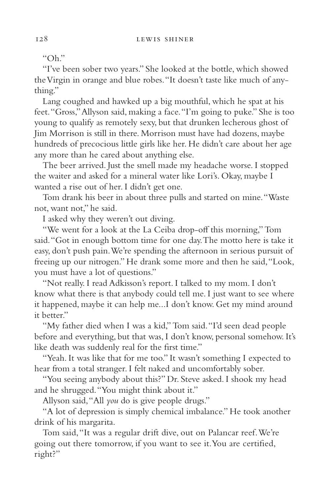" $Oh$ ."

"I've been sober two years." She looked at the bottle, which showed the Virgin in orange and blue robes. "It doesn't taste like much of anything."

Lang coughed and hawked up a big mouthful, which he spat at his feet. "Gross," Allyson said, making a face. "I'm going to puke." She is too young to qualify as remotely sexy, but that drunken lecherous ghost of Jim Morrison is still in there. Morrison must have had dozens, maybe hundreds of precocious little girls like her. He didn't care about her age any more than he cared about anything else.

The beer arrived. Just the smell made my headache worse. I stopped the waiter and asked for a mineral water like Lori's. Okay, maybe I wanted a rise out of her. I didn't get one.

Tom drank his beer in about three pulls and started on mine. "Waste not, want not," he said.

I asked why they weren't out diving.

"We went for a look at the La Ceiba drop-off this morning," Tom said. "Got in enough bottom time for one day. The motto here is take it easy, don't push pain. We're spending the afternoon in serious pursuit of freeing up our nitrogen." He drank some more and then he said, "Look, you must have a lot of questions."

"Not really. I read Adkisson's report. I talked to my mom. I don't know what there is that anybody could tell me. I just want to see where it happened, maybe it can help me...I don't know. Get my mind around it better."

"My father died when I was a kid," Tom said. "I'd seen dead people before and everything, but that was, I don't know, personal somehow. It's like death was suddenly real for the first time."

"Yeah. It was like that for me too." It wasn't something I expected to hear from a total stranger. I felt naked and uncomfortably sober.

"You seeing anybody about this?" Dr. Steve asked. I shook my head and he shrugged. "You might think about it."

Allyson said, "All *you* do is give people drugs."

"A lot of depression is simply chemical imbalance." He took another drink of his margarita.

Tom said, "It was a regular drift dive, out on Palancar reef. We're going out there tomorrow, if you want to see it. You are certified, right?"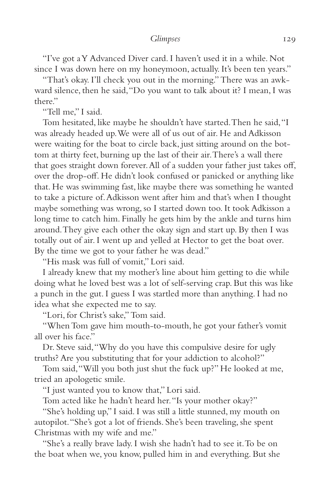"I've got a Y Advanced Diver card. I haven't used it in a while. Not since I was down here on my honeymoon, actually. It's been ten years."

"That's okay. I'll check you out in the morning." There was an awkward silence, then he said, "Do you want to talk about it? I mean, I was there"

"Tell me," I said.

Tom hesitated, like maybe he shouldn't have started. Then he said, "I was already headed up. We were all of us out of air. He and Adkisson were waiting for the boat to circle back, just sitting around on the bottom at thirty feet, burning up the last of their air. There's a wall there that goes straight down forever. All of a sudden your father just takes off, over the drop-off. He didn't look confused or panicked or anything like that. He was swimming fast, like maybe there was something he wanted to take a picture of. Adkisson went after him and that's when I thought maybe something was wrong, so I started down too. It took Adkisson a long time to catch him. Finally he gets him by the ankle and turns him around. They give each other the okay sign and start up. By then I was totally out of air. I went up and yelled at Hector to get the boat over. By the time we got to your father he was dead."

"His mask was full of vomit," Lori said.

I already knew that my mother's line about him getting to die while doing what he loved best was a lot of self-serving crap. But this was like a punch in the gut. I guess I was startled more than anything. I had no idea what she expected me to say.

"Lori, for Christ's sake," Tom said.

"When Tom gave him mouth-to-mouth, he got your father's vomit all over his face."

Dr. Steve said, "Why do you have this compulsive desire for ugly truths? Are you substituting that for your addiction to alcohol?"

Tom said, "Will you both just shut the fuck up?" He looked at me, tried an apologetic smile.

"I just wanted you to know that," Lori said.

Tom acted like he hadn't heard her. "Is your mother okay?"

"She's holding up," I said. I was still a little stunned, my mouth on autopilot. "She's got a lot of friends. She's been traveling, she spent Christmas with my wife and me."

"She's a really brave lady. I wish she hadn't had to see it. To be on the boat when we, you know, pulled him in and everything. But she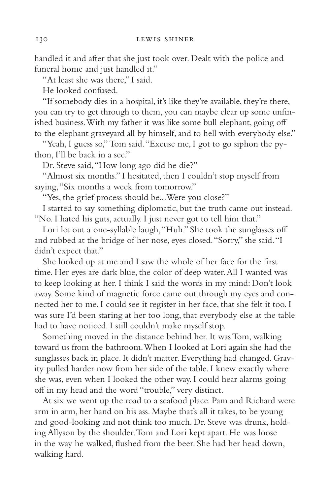handled it and after that she just took over. Dealt with the police and funeral home and just handled it."

"At least she was there," I said.

He looked confused.

"If somebody dies in a hospital, it's like they're available, they're there, you can try to get through to them, you can maybe clear up some unfinished business. With my father it was like some bull elephant, going off to the elephant graveyard all by himself, and to hell with everybody else."

"Yeah, I guess so," Tom said. "Excuse me, I got to go siphon the python, I'll be back in a sec."

Dr. Steve said, "How long ago did he die?"

"Almost six months." I hesitated, then I couldn't stop myself from saying, "Six months a week from tomorrow."

"Yes, the grief process should be...Were you close?"

I started to say something diplomatic, but the truth came out instead. "No. I hated his guts, actually. I just never got to tell him that."

Lori let out a one-syllable laugh, "Huh." She took the sunglasses off and rubbed at the bridge of her nose, eyes closed. "Sorry," she said. "I didn't expect that."

She looked up at me and I saw the whole of her face for the first time. Her eyes are dark blue, the color of deep water. All I wanted was to keep looking at her. I think I said the words in my mind: Don't look away. Some kind of magnetic force came out through my eyes and connected her to me. I could see it register in her face, that she felt it too. I was sure I'd been staring at her too long, that everybody else at the table had to have noticed. I still couldn't make myself stop.

Something moved in the distance behind her. It was Tom, walking toward us from the bathroom. When I looked at Lori again she had the sunglasses back in place. It didn't matter. Everything had changed. Gravity pulled harder now from her side of the table. I knew exactly where she was, even when I looked the other way. I could hear alarms going off in my head and the word "trouble," very distinct.

At six we went up the road to a seafood place. Pam and Richard were arm in arm, her hand on his ass. Maybe that's all it takes, to be young and good-looking and not think too much. Dr. Steve was drunk, holding Allyson by the shoulder. Tom and Lori kept apart. He was loose in the way he walked, flushed from the beer. She had her head down, walking hard.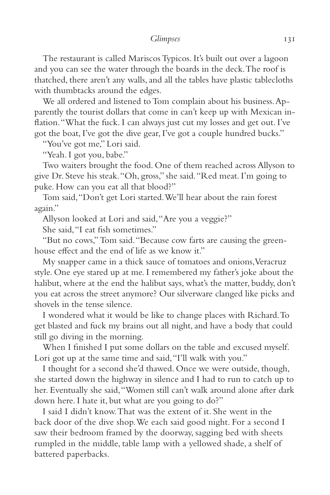The restaurant is called Mariscos Typicos. It's built out over a lagoon and you can see the water through the boards in the deck. The roof is thatched, there aren't any walls, and all the tables have plastic tablecloths with thumbtacks around the edges.

We all ordered and listened to Tom complain about his business. Apparently the tourist dollars that come in can't keep up with Mexican inflation. "What the fuck. I can always just cut my losses and get out. I've got the boat, I've got the dive gear, I've got a couple hundred bucks."

"You've got me," Lori said.

"Yeah. I got you, babe."

Two waiters brought the food. One of them reached across Allyson to give Dr. Steve his steak. "Oh, gross," she said. "Red meat. I'm going to puke. How can you eat all that blood?"

Tom said, "Don't get Lori started. We'll hear about the rain forest again."

Allyson looked at Lori and said, "Are you a veggie?"

She said, "I eat fish sometimes."

"But no cows," Tom said. "Because cow farts are causing the greenhouse effect and the end of life as we know it."

My snapper came in a thick sauce of tomatoes and onions, Veracruz style. One eye stared up at me. I remembered my father's joke about the halibut, where at the end the halibut says, what's the matter, buddy, don't you eat across the street anymore? Our silverware clanged like picks and shovels in the tense silence.

I wondered what it would be like to change places with Richard. To get blasted and fuck my brains out all night, and have a body that could still go diving in the morning.

When I finished I put some dollars on the table and excused myself. Lori got up at the same time and said, "I'll walk with you."

I thought for a second she'd thawed. Once we were outside, though, she started down the highway in silence and I had to run to catch up to her. Eventually she said, "Women still can't walk around alone after dark down here. I hate it, but what are you going to do?"

I said I didn't know. That was the extent of it. She went in the back door of the dive shop. We each said good night. For a second I saw their bedroom framed by the doorway, sagging bed with sheets rumpled in the middle, table lamp with a yellowed shade, a shelf of battered paperbacks.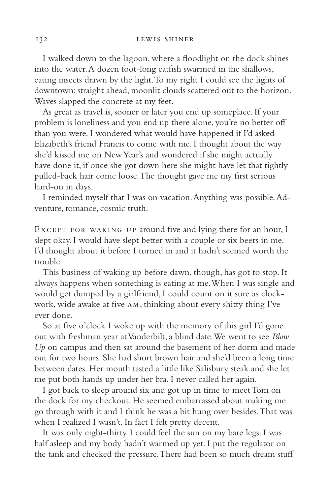I walked down to the lagoon, where a floodlight on the dock shines into the water. A dozen foot-long catfish swarmed in the shallows, eating insects drawn by the light. To my right I could see the lights of downtown; straight ahead, moonlit clouds scattered out to the horizon. Waves slapped the concrete at my feet.

As great as travel is, sooner or later you end up someplace. If your problem is loneliness and you end up there alone, you're no better off than you were. I wondered what would have happened if I'd asked Elizabeth's friend Francis to come with me. I thought about the way she'd kissed me on New Year's and wondered if she might actually have done it, if once she got down here she might have let that tightly pulled-back hair come loose. The thought gave me my first serious hard-on in days.

I reminded myself that I was on vacation. Anything was possible. Adventure, romance, cosmic truth.

EXCEPT FOR WAKING UP around five and lying there for an hour, I slept okay. I would have slept better with a couple or six beers in me. I'd thought about it before I turned in and it hadn't seemed worth the trouble.

This business of waking up before dawn, though, has got to stop. It always happens when something is eating at me. When I was single and would get dumped by a girlfriend, I could count on it sure as clockwork, wide awake at five am, thinking about every shitty thing I've ever done.

So at five o'clock I woke up with the memory of this girl I'd gone out with freshman year at Vanderbilt, a blind date. We went to see *Blow Up* on campus and then sat around the basement of her dorm and made out for two hours. She had short brown hair and she'd been a long time between dates. Her mouth tasted a little like Salisbury steak and she let me put both hands up under her bra. I never called her again.

I got back to sleep around six and got up in time to meet Tom on the dock for my checkout. He seemed embarrassed about making me go through with it and I think he was a bit hung over besides. That was when I realized I wasn't. In fact I felt pretty decent.

It was only eight-thirty. I could feel the sun on my bare legs. I was half asleep and my body hadn't warmed up yet. I put the regulator on the tank and checked the pressure. There had been so much dream stuff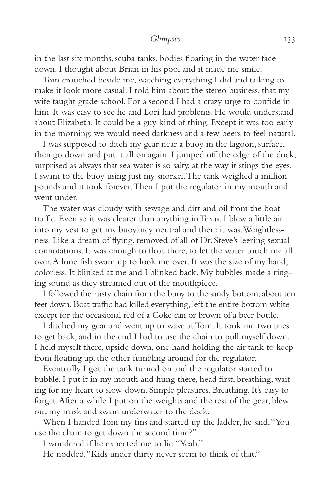in the last six months, scuba tanks, bodies floating in the water face down. I thought about Brian in his pool and it made me smile.

Tom crouched beside me, watching everything I did and talking to make it look more casual. I told him about the stereo business, that my wife taught grade school. For a second I had a crazy urge to confide in him. It was easy to see he and Lori had problems. He would understand about Elizabeth. It could be a guy kind of thing. Except it was too early in the morning; we would need darkness and a few beers to feel natural.

I was supposed to ditch my gear near a buoy in the lagoon, surface, then go down and put it all on again. I jumped off the edge of the dock, surprised as always that sea water is so salty, at the way it stings the eyes. I swam to the buoy using just my snorkel. The tank weighed a million pounds and it took forever. Then I put the regulator in my mouth and went under.

The water was cloudy with sewage and dirt and oil from the boat traffic. Even so it was clearer than anything in Texas. I blew a little air into my vest to get my buoyancy neutral and there it was. Weightlessness. Like a dream of flying, removed of all of Dr. Steve's leering sexual connotations. It was enough to float there, to let the water touch me all over. A lone fish swam up to look me over. It was the size of my hand, colorless. It blinked at me and I blinked back. My bubbles made a ringing sound as they streamed out of the mouthpiece.

I followed the rusty chain from the buoy to the sandy bottom, about ten feet down. Boat traffic had killed everything, left the entire bottom white except for the occasional red of a Coke can or brown of a beer bottle.

I ditched my gear and went up to wave at Tom. It took me two tries to get back, and in the end I had to use the chain to pull myself down. I held myself there, upside down, one hand holding the air tank to keep from floating up, the other fumbling around for the regulator.

Eventually I got the tank turned on and the regulator started to bubble. I put it in my mouth and hung there, head first, breathing, waiting for my heart to slow down. Simple pleasures. Breathing. It's easy to forget. After a while I put on the weights and the rest of the gear, blew out my mask and swam underwater to the dock.

When I handed Tom my fins and started up the ladder, he said, "You use the chain to get down the second time?"

I wondered if he expected me to lie. "Yeah."

He nodded. "Kids under thirty never seem to think of that."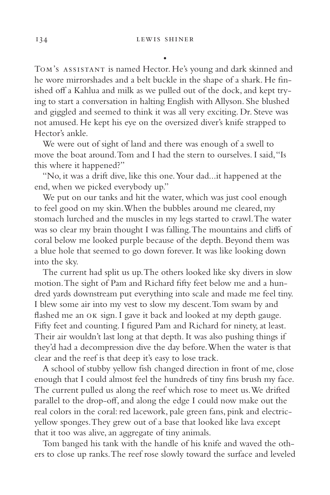•

Tom's assistant is named Hector. He's young and dark skinned and he wore mirrorshades and a belt buckle in the shape of a shark. He finished off a Kahlua and milk as we pulled out of the dock, and kept trying to start a conversation in halting English with Allyson. She blushed and giggled and seemed to think it was all very exciting. Dr. Steve was not amused. He kept his eye on the oversized diver's knife strapped to Hector's ankle.

We were out of sight of land and there was enough of a swell to move the boat around. Tom and I had the stern to ourselves. I said, "Is this where it happened?"

"No, it was a drift dive, like this one. Your dad...it happened at the end, when we picked everybody up."

We put on our tanks and hit the water, which was just cool enough to feel good on my skin. When the bubbles around me cleared, my stomach lurched and the muscles in my legs started to crawl. The water was so clear my brain thought I was falling. The mountains and cliffs of coral below me looked purple because of the depth. Beyond them was a blue hole that seemed to go down forever. It was like looking down into the sky.

The current had split us up. The others looked like sky divers in slow motion. The sight of Pam and Richard fifty feet below me and a hundred yards downstream put everything into scale and made me feel tiny. I blew some air into my vest to slow my descent. Tom swam by and flashed me an OK sign. I gave it back and looked at my depth gauge. Fifty feet and counting. I figured Pam and Richard for ninety, at least. Their air wouldn't last long at that depth. It was also pushing things if they'd had a decompression dive the day before. When the water is that clear and the reef is that deep it's easy to lose track.

A school of stubby yellow fish changed direction in front of me, close enough that I could almost feel the hundreds of tiny fins brush my face. The current pulled us along the reef which rose to meet us. We drifted parallel to the drop-off, and along the edge I could now make out the real colors in the coral: red lacework, pale green fans, pink and electricyellow sponges. They grew out of a base that looked like lava except that it too was alive, an aggregate of tiny animals.

Tom banged his tank with the handle of his knife and waved the others to close up ranks. The reef rose slowly toward the surface and leveled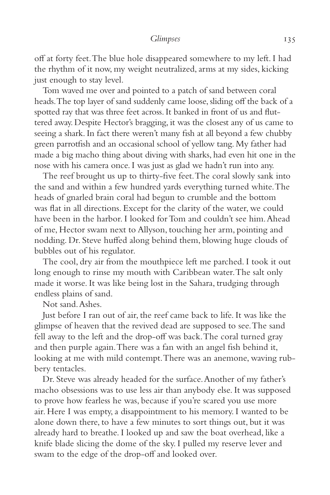off at forty feet. The blue hole disappeared somewhere to my left. I had the rhythm of it now, my weight neutralized, arms at my sides, kicking just enough to stay level.

Tom waved me over and pointed to a patch of sand between coral heads. The top layer of sand suddenly came loose, sliding off the back of a spotted ray that was three feet across. It banked in front of us and fluttered away. Despite Hector's bragging, it was the closest any of us came to seeing a shark. In fact there weren't many fish at all beyond a few chubby green parrotfish and an occasional school of yellow tang. My father had made a big macho thing about diving with sharks, had even hit one in the nose with his camera once. I was just as glad we hadn't run into any.

The reef brought us up to thirty-five feet. The coral slowly sank into the sand and within a few hundred yards everything turned white. The heads of gnarled brain coral had begun to crumble and the bottom was flat in all directions. Except for the clarity of the water, we could have been in the harbor. I looked for Tom and couldn't see him. Ahead of me, Hector swam next to Allyson, touching her arm, pointing and nodding. Dr. Steve huffed along behind them, blowing huge clouds of bubbles out of his regulator.

The cool, dry air from the mouthpiece left me parched. I took it out long enough to rinse my mouth with Caribbean water. The salt only made it worse. It was like being lost in the Sahara, trudging through endless plains of sand.

Not sand. Ashes.

Just before I ran out of air, the reef came back to life. It was like the glimpse of heaven that the revived dead are supposed to see. The sand fell away to the left and the drop-off was back. The coral turned gray and then purple again. There was a fan with an angel fish behind it, looking at me with mild contempt. There was an anemone, waving rubbery tentacles.

Dr. Steve was already headed for the surface. Another of my father's macho obsessions was to use less air than anybody else. It was supposed to prove how fearless he was, because if you're scared you use more air. Here I was empty, a disappointment to his memory. I wanted to be alone down there, to have a few minutes to sort things out, but it was already hard to breathe. I looked up and saw the boat overhead, like a knife blade slicing the dome of the sky. I pulled my reserve lever and swam to the edge of the drop-off and looked over.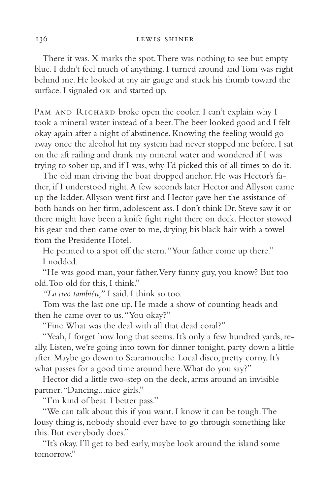There it was. X marks the spot. There was nothing to see but empty blue. I didn't feel much of anything. I turned around and Tom was right behind me. He looked at my air gauge and stuck his thumb toward the surface. I signaled OK and started up.

PAM AND RICHARD broke open the cooler. I can't explain why I took a mineral water instead of a beer. The beer looked good and I felt okay again after a night of abstinence. Knowing the feeling would go away once the alcohol hit my system had never stopped me before. I sat on the aft railing and drank my mineral water and wondered if I was trying to sober up, and if I was, why I'd picked this of all times to do it.

The old man driving the boat dropped anchor. He was Hector's father, if I understood right. A few seconds later Hector and Allyson came up the ladder. Allyson went first and Hector gave her the assistance of both hands on her firm, adolescent ass. I don't think Dr. Steve saw it or there might have been a knife fight right there on deck. Hector stowed his gear and then came over to me, drying his black hair with a towel from the Presidente Hotel.

He pointed to a spot off the stern. "Your father come up there." I nodded.

"He was good man, your father. Very funny guy, you know? But too old. Too old for this, I think."

*"Lo creo también,"* I said. I think so too.

Tom was the last one up. He made a show of counting heads and then he came over to us. "You okay?"

"Fine. What was the deal with all that dead coral?"

"Yeah, I forget how long that seems. It's only a few hundred yards, really. Listen, we're going into town for dinner tonight, party down a little after. Maybe go down to Scaramouche. Local disco, pretty corny. It's what passes for a good time around here. What do you say?"

Hector did a little two-step on the deck, arms around an invisible partner. "Dancing...nice girls."

"I'm kind of beat. I better pass."

"We can talk about this if you want. I know it can be tough. The lousy thing is, nobody should ever have to go through something like this. But everybody does."

"It's okay. I'll get to bed early, maybe look around the island some tomorrow."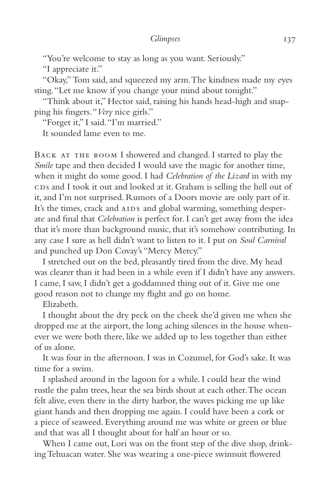"You're welcome to stay as long as you want. Seriously."

"I appreciate it."

"Okay," Tom said, and squeezed my arm. The kindness made my eyes sting. "Let me know if you change your mind about tonight."

"Think about it," Hector said, raising his hands head-high and snapping his fingers. "*Very* nice girls."

"Forget it," I said. "I'm married."

It sounded lame even to me.

BACK AT THE ROOM I showered and changed. I started to play the *Smile* tape and then decided I would save the magic for another time, when it might do some good. I had *Celebration of the Lizard* in with my CDs and I took it out and looked at it. Graham is selling the hell out of it, and I'm not surprised. Rumors of a Doors movie are only part of it. It's the times, crack and AIDS and global warming, something desperate and final that *Celebration* is perfect for. I can't get away from the idea that it's more than background music, that it's somehow contributing. In any case I sure as hell didn't want to listen to it. I put on *Soul Carnival* and punched up Don Covay's "Mercy Mercy."

I stretched out on the bed, pleasantly tired from the dive. My head was clearer than it had been in a while even if I didn't have any answers. I came, I saw, I didn't get a goddamned thing out of it. Give me one good reason not to change my flight and go on home.

Elizabeth.

I thought about the dry peck on the cheek she'd given me when she dropped me at the airport, the long aching silences in the house whenever we were both there, like we added up to less together than either of us alone.

It was four in the afternoon. I was in Cozumel, for God's sake. It was time for a swim.

I splashed around in the lagoon for a while. I could hear the wind rustle the palm trees, hear the sea birds shout at each other. The ocean felt alive, even there in the dirty harbor, the waves picking me up like giant hands and then dropping me again. I could have been a cork or a piece of seaweed. Everything around me was white or green or blue and that was all I thought about for half an hour or so.

When I came out, Lori was on the front step of the dive shop, drinking Tehuacan water. She was wearing a one-piece swimsuit flowered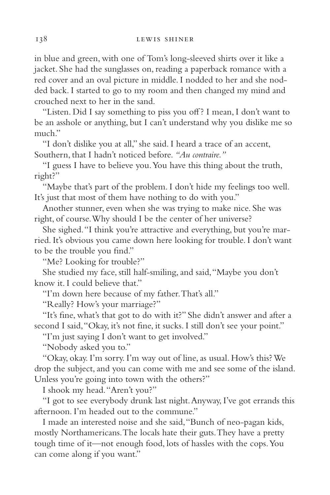in blue and green, with one of Tom's long-sleeved shirts over it like a jacket. She had the sunglasses on, reading a paperback romance with a red cover and an oval picture in middle. I nodded to her and she nodded back. I started to go to my room and then changed my mind and crouched next to her in the sand.

"Listen. Did I say something to piss you off ? I mean, I don't want to be an asshole or anything, but I can't understand why you dislike me so much."

"I don't dislike you at all," she said. I heard a trace of an accent, Southern, that I hadn't noticed before. *"Au contraire."*

"I guess I have to believe you. You have this thing about the truth, right?"

"Maybe that's part of the problem. I don't hide my feelings too well. It's just that most of them have nothing to do with you."

Another stunner, even when she was trying to make nice. She was right, of course. Why should I be the center of her universe?

She sighed. "I think you're attractive and everything, but you're married. It's obvious you came down here looking for trouble. I don't want to be the trouble you find."

"Me? Looking for trouble?"

She studied my face, still half-smiling, and said, "Maybe you don't know it. I could believe that."

"I'm down here because of my father. That's all."

"Really? How's your marriage?"

"It's fine, what's that got to do with it?" She didn't answer and after a second I said, "Okay, it's not fine, it sucks. I still don't see your point."

"I'm just saying I don't want to get involved."

"Nobody asked you to."

"Okay, okay. I'm sorry. I'm way out of line, as usual. How's this? We drop the subject, and you can come with me and see some of the island. Unless you're going into town with the others?"

I shook my head. "Aren't you?"

"I got to see everybody drunk last night. Anyway, I've got errands this afternoon. I'm headed out to the commune."

I made an interested noise and she said, "Bunch of neo-pagan kids, mostly Northamericans. The locals hate their guts. They have a pretty tough time of it—not enough food, lots of hassles with the cops. You can come along if you want."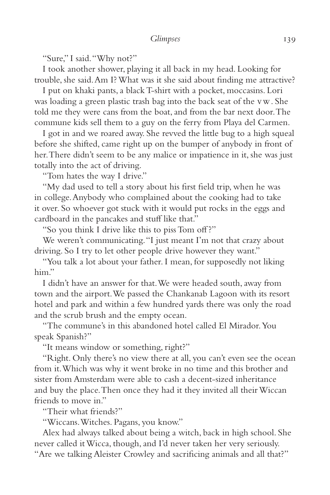"Sure," I said. "Why not?"

I took another shower, playing it all back in my head. Looking for trouble, she said. Am I? What was it she said about finding me attractive?

I put on khaki pants, a black T-shirt with a pocket, moccasins. Lori was loading a green plastic trash bag into the back seat of the vw. She told me they were cans from the boat, and from the bar next door. The commune kids sell them to a guy on the ferry from Playa del Carmen.

I got in and we roared away. She revved the little bug to a high squeal before she shifted, came right up on the bumper of anybody in front of her. There didn't seem to be any malice or impatience in it, she was just totally into the act of driving.

"Tom hates the way I drive."

"My dad used to tell a story about his first field trip, when he was in college. Anybody who complained about the cooking had to take it over. So whoever got stuck with it would put rocks in the eggs and cardboard in the pancakes and stuff like that."

"So you think I drive like this to piss Tom off ?"

We weren't communicating. "I just meant I'm not that crazy about driving. So I try to let other people drive however they want."

"You talk a lot about your father. I mean, for supposedly not liking him"

I didn't have an answer for that. We were headed south, away from town and the airport. We passed the Chankanab Lagoon with its resort hotel and park and within a few hundred yards there was only the road and the scrub brush and the empty ocean.

"The commune's in this abandoned hotel called El Mirador. You speak Spanish?"

"It means window or something, right?"

"Right. Only there's no view there at all, you can't even see the ocean from it. Which was why it went broke in no time and this brother and sister from Amsterdam were able to cash a decent-sized inheritance and buy the place. Then once they had it they invited all their Wiccan friends to move in."

"Their what friends?"

"Wiccans. Witches. Pagans, you know."

Alex had always talked about being a witch, back in high school. She never called it Wicca, though, and I'd never taken her very seriously. "Are we talking Aleister Crowley and sacrificing animals and all that?"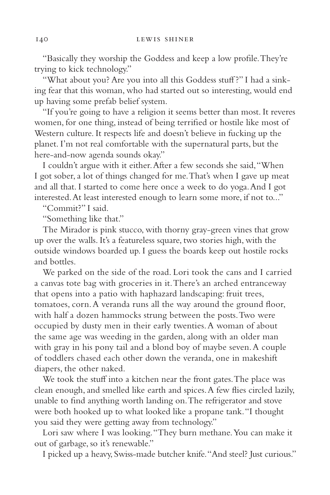"Basically they worship the Goddess and keep a low profile. They're trying to kick technology."

"What about you? Are you into all this Goddess stuff?" I had a sinking fear that this woman, who had started out so interesting, would end up having some prefab belief system.

"If you're going to have a religion it seems better than most. It reveres women, for one thing, instead of being terrified or hostile like most of Western culture. It respects life and doesn't believe in fucking up the planet. I'm not real comfortable with the supernatural parts, but the here-and-now agenda sounds okay."

I couldn't argue with it either. After a few seconds she said, "When I got sober, a lot of things changed for me. That's when I gave up meat and all that. I started to come here once a week to do yoga. And I got interested. At least interested enough to learn some more, if not to..."

"Commit?" I said.

"Something like that."

The Mirador is pink stucco, with thorny gray-green vines that grow up over the walls. It's a featureless square, two stories high, with the outside windows boarded up. I guess the boards keep out hostile rocks and bottles.

We parked on the side of the road. Lori took the cans and I carried a canvas tote bag with groceries in it. There's an arched entranceway that opens into a patio with haphazard landscaping: fruit trees, tomatoes, corn. A veranda runs all the way around the ground floor, with half a dozen hammocks strung between the posts. Two were occupied by dusty men in their early twenties. A woman of about the same age was weeding in the garden, along with an older man with gray in his pony tail and a blond boy of maybe seven. A couple of toddlers chased each other down the veranda, one in makeshift diapers, the other naked.

We took the stuff into a kitchen near the front gates. The place was clean enough, and smelled like earth and spices. A few flies circled lazily, unable to find anything worth landing on. The refrigerator and stove were both hooked up to what looked like a propane tank. "I thought you said they were getting away from technology."

Lori saw where I was looking. "They burn methane. You can make it out of garbage, so it's renewable."

I picked up a heavy, Swiss-made butcher knife. "And steel? Just curious."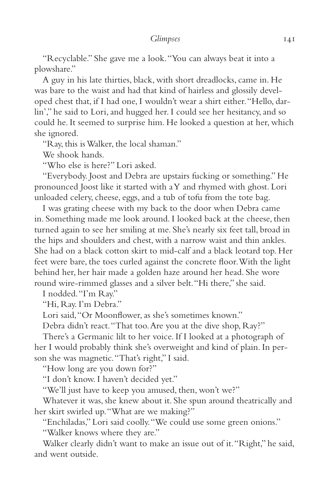"Recyclable." She gave me a look. "You can always beat it into a plowshare."

A guy in his late thirties, black, with short dreadlocks, came in. He was bare to the waist and had that kind of hairless and glossily developed chest that, if I had one, I wouldn't wear a shirt either. "Hello, darlin'," he said to Lori, and hugged her. I could see her hesitancy, and so could he. It seemed to surprise him. He looked a question at her, which she ignored.

"Ray, this is Walker, the local shaman."

We shook hands.

"Who else is here?" Lori asked.

"Everybody. Joost and Debra are upstairs fucking or something." He pronounced Joost like it started with a Y and rhymed with ghost. Lori unloaded celery, cheese, eggs, and a tub of tofu from the tote bag.

I was grating cheese with my back to the door when Debra came in. Something made me look around. I looked back at the cheese, then turned again to see her smiling at me. She's nearly six feet tall, broad in the hips and shoulders and chest, with a narrow waist and thin ankles. She had on a black cotton skirt to mid-calf and a black leotard top. Her feet were bare, the toes curled against the concrete floor. With the light behind her, her hair made a golden haze around her head. She wore round wire-rimmed glasses and a silver belt. "Hi there," she said.

I nodded. "I'm Ray."

"Hi, Ray. I'm Debra."

Lori said, "Or Moonflower, as she's sometimes known."

Debra didn't react. "That too. Are you at the dive shop, Ray?"

There's a Germanic lilt to her voice. If I looked at a photograph of her I would probably think she's overweight and kind of plain. In person she was magnetic. "That's right," I said.

"How long are you down for?"

"I don't know. I haven't decided yet."

"We'll just have to keep you amused, then, won't we?"

Whatever it was, she knew about it. She spun around theatrically and her skirt swirled up. "What are we making?"

"Enchiladas," Lori said coolly. "We could use some green onions."

"Walker knows where they are."

Walker clearly didn't want to make an issue out of it. "Right," he said, and went outside.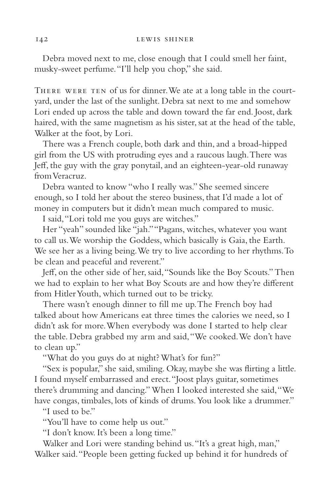Debra moved next to me, close enough that I could smell her faint, musky-sweet perfume. "I'll help you chop," she said.

THERE WERE TEN of us for dinner. We ate at a long table in the courtyard, under the last of the sunlight. Debra sat next to me and somehow Lori ended up across the table and down toward the far end. Joost, dark haired, with the same magnetism as his sister, sat at the head of the table, Walker at the foot, by Lori.

There was a French couple, both dark and thin, and a broad-hipped girl from the US with protruding eyes and a raucous laugh. There was Jeff, the guy with the gray ponytail, and an eighteen-year-old runaway from Veracruz.

Debra wanted to know "who I really was." She seemed sincere enough, so I told her about the stereo business, that I'd made a lot of money in computers but it didn't mean much compared to music.

I said, "Lori told me you guys are witches."

Her "yeah" sounded like "jah." "Pagans, witches, whatever you want to call us. We worship the Goddess, which basically is Gaia, the Earth. We see her as a living being. We try to live according to her rhythms. To be clean and peaceful and reverent."

Jeff, on the other side of her, said, "Sounds like the Boy Scouts." Then we had to explain to her what Boy Scouts are and how they're different from Hitler Youth, which turned out to be tricky.

There wasn't enough dinner to fill me up. The French boy had talked about how Americans eat three times the calories we need, so I didn't ask for more. When everybody was done I started to help clear the table. Debra grabbed my arm and said, "We cooked. We don't have to clean up."

"What do you guys do at night? What's for fun?"

"Sex is popular," she said, smiling. Okay, maybe she was flirting a little. I found myself embarrassed and erect. "Joost plays guitar, sometimes there's drumming and dancing." When I looked interested she said, "We have congas, timbales, lots of kinds of drums. You look like a drummer."

"I used to be."

"You'll have to come help us out."

"I don't know. It's been a long time."

Walker and Lori were standing behind us. "It's a great high, man," Walker said. "People been getting fucked up behind it for hundreds of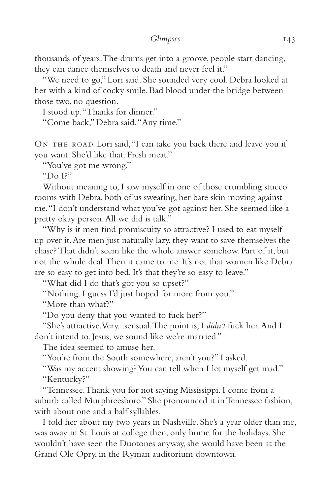thousands of years. The drums get into a groove, people start dancing, they can dance themselves to death and never feel it."

"We need to go," Lori said. She sounded very cool. Debra looked at her with a kind of cocky smile. Bad blood under the bridge between those two, no question.

I stood up. "Thanks for dinner."

"Come back," Debra said. "Any time."

ON THE ROAD Lori said, "I can take you back there and leave you if you want. She'd like that. Fresh meat."

"You've got me wrong."

"Do I?"

Without meaning to, I saw myself in one of those crumbling stucco rooms with Debra, both of us sweating, her bare skin moving against me. "I don't understand what you've got against her. She seemed like a pretty okay person. All we did is talk."

"Why is it men find promiscuity so attractive? I used to eat myself up over it. Are men just naturally lazy, they want to save themselves the chase? That didn't seem like the whole answer somehow. Part of it, but not the whole deal. Then it came to me. It's not that women like Debra are so easy to get into bed. It's that they're so easy to leave."

"What did I do that's got you so upset?"

"Nothing. I guess I'd just hoped for more from you."

"More than what?"

"Do you deny that you wanted to fuck her?"

"She's attractive. Very...sensual. The point is, I *didn't* fuck her. And I don't intend to. Jesus, we sound like we're married."

The idea seemed to amuse her.

"You're from the South somewhere, aren't you?" I asked.

"Was my accent showing? You can tell when I let myself get mad." "Kentucky?"

"Tennessee. Thank you for not saying Mississippi. I come from a suburb called Murphreesboro." She pronounced it in Tennessee fashion, with about one and a half syllables.

I told her about my two years in Nashville. She's a year older than me, was away in St. Louis at college then, only home for the holidays. She wouldn't have seen the Duotones anyway, she would have been at the Grand Ole Opry, in the Ryman auditorium downtown.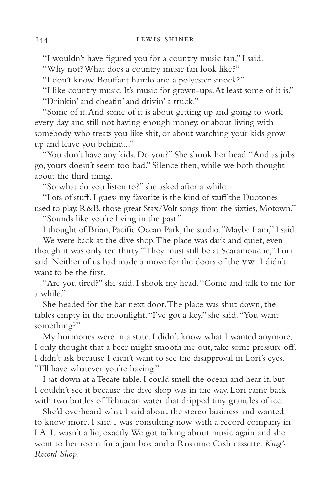"I wouldn't have figured you for a country music fan," I said.

"Why not? What does a country music fan look like?"

"I don't know. Bouffant hairdo and a polyester smock?"

"I like country music. It's music for grown-ups. At least some of it is." "Drinkin' and cheatin' and drivin' a truck."

"Some of it. And some of it is about getting up and going to work every day and still not having enough money, or about living with somebody who treats you like shit, or about watching your kids grow up and leave you behind..."

"You don't have any kids. Do you?" She shook her head. "And as jobs go, yours doesn't seem too bad." Silence then, while we both thought about the third thing.

"So what do you listen to?" she asked after a while.

"Lots of stuff. I guess my favorite is the kind of stuff the Duotones used to play, R&B, those great Stax/Volt songs from the sixties, Motown."

"Sounds like you're living in the past."

I thought of Brian, Pacific Ocean Park, the studio. "Maybe I am," I said.

We were back at the dive shop. The place was dark and quiet, even though it was only ten thirty. "They must still be at Scaramouche," Lori said. Neither of us had made a move for the doors of the vw. I didn't want to be the first.

"Are you tired?" she said. I shook my head. "Come and talk to me for a while."

She headed for the bar next door. The place was shut down, the tables empty in the moonlight. "I've got a key," she said. "You want something?"

My hormones were in a state. I didn't know what I wanted anymore, I only thought that a beer might smooth me out, take some pressure off. I didn't ask because I didn't want to see the disapproval in Lori's eyes. "I'll have whatever you're having."

I sat down at a Tecate table. I could smell the ocean and hear it, but I couldn't see it because the dive shop was in the way. Lori came back with two bottles of Tehuacan water that dripped tiny granules of ice.

She'd overheard what I said about the stereo business and wanted to know more. I said I was consulting now with a record company in LA. It wasn't a lie, exactly. We got talking about music again and she went to her room for a jam box and a Rosanne Cash cassette, *King's Record Shop.*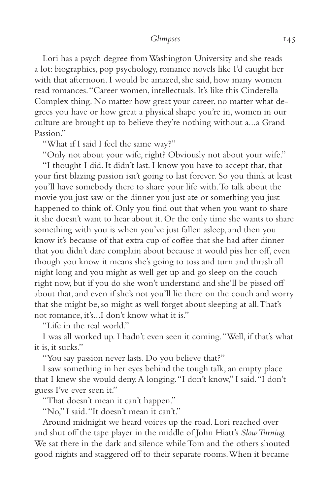Lori has a psych degree from Washington University and she reads a lot: biographies, pop psychology, romance novels like I'd caught her with that afternoon. I would be amazed, she said, how many women read romances. "Career women, intellectuals. It's like this Cinderella Complex thing. No matter how great your career, no matter what degrees you have or how great a physical shape you're in, women in our culture are brought up to believe they're nothing without a...a Grand Passion"

"What if I said I feel the same way?"

"Only not about your wife, right? Obviously not about your wife."

"I thought I did. It didn't last. I know you have to accept that, that your first blazing passion isn't going to last forever. So you think at least you'll have somebody there to share your life with. To talk about the movie you just saw or the dinner you just ate or something you just happened to think of. Only you find out that when you want to share it she doesn't want to hear about it. Or the only time she wants to share something with you is when you've just fallen asleep, and then you know it's because of that extra cup of coffee that she had after dinner that you didn't dare complain about because it would piss her off, even though you know it means she's going to toss and turn and thrash all night long and you might as well get up and go sleep on the couch right now, but if you do she won't understand and she'll be pissed off about that, and even if she's not you'll lie there on the couch and worry that she might be, so might as well forget about sleeping at all. That's not romance, it's...I don't know what it is."

"Life in the real world."

I was all worked up. I hadn't even seen it coming. "Well, if that's what it is, it sucks."

"You say passion never lasts. Do you believe that?"

I saw something in her eyes behind the tough talk, an empty place that I knew she would deny. A longing. "I don't know," I said. "I don't guess I've ever seen it."

"That doesn't mean it can't happen."

"No," I said. "It doesn't mean it can't."

Around midnight we heard voices up the road. Lori reached over and shut off the tape player in the middle of John Hiatt's *Slow Turning.* We sat there in the dark and silence while Tom and the others shouted good nights and staggered off to their separate rooms. When it became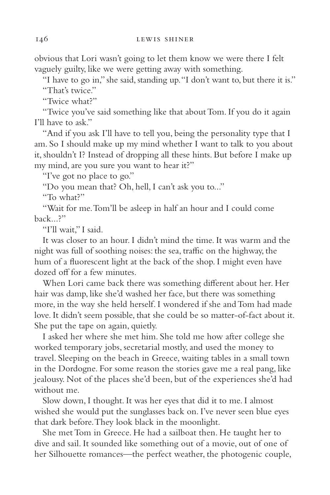obvious that Lori wasn't going to let them know we were there I felt vaguely guilty, like we were getting away with something.

"I have to go in," she said, standing up. "I don't want to, but there it is." "That's twice."

"Twice what?"

"Twice you've said something like that about Tom. If you do it again I'll have to ask."

"And if you ask I'll have to tell you, being the personality type that I am. So I should make up my mind whether I want to talk to you about it, shouldn't I? Instead of dropping all these hints. But before I make up my mind, are you sure you want to hear it?"

"I've got no place to go."

"Do you mean that? Oh, hell, I can't ask you to..."

"To what?"

"Wait for me. Tom'll be asleep in half an hour and I could come back...?"

"I'll wait," I said.

It was closer to an hour. I didn't mind the time. It was warm and the night was full of soothing noises: the sea, traffic on the highway, the hum of a fluorescent light at the back of the shop. I might even have dozed off for a few minutes.

When Lori came back there was something different about her. Her hair was damp, like she'd washed her face, but there was something more, in the way she held herself. I wondered if she and Tom had made love. It didn't seem possible, that she could be so matter-of-fact about it. She put the tape on again, quietly.

I asked her where she met him. She told me how after college she worked temporary jobs, secretarial mostly, and used the money to travel. Sleeping on the beach in Greece, waiting tables in a small town in the Dordogne. For some reason the stories gave me a real pang, like jealousy. Not of the places she'd been, but of the experiences she'd had without me.

Slow down, I thought. It was her eyes that did it to me. I almost wished she would put the sunglasses back on. I've never seen blue eyes that dark before. They look black in the moonlight.

She met Tom in Greece. He had a sailboat then. He taught her to dive and sail. It sounded like something out of a movie, out of one of her Silhouette romances—the perfect weather, the photogenic couple,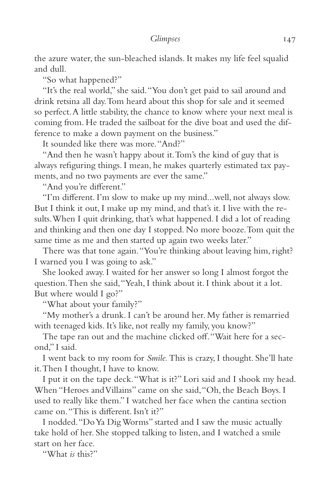the azure water, the sun-bleached islands. It makes my life feel squalid and dull.

"So what happened?"

"It's the real world," she said. "You don't get paid to sail around and drink retsina all day. Tom heard about this shop for sale and it seemed so perfect. A little stability, the chance to know where your next meal is coming from. He traded the sailboat for the dive boat and used the difference to make a down payment on the business."

It sounded like there was more. "And?"

"And then he wasn't happy about it. Tom's the kind of guy that is always refiguring things. I mean, he makes quarterly estimated tax payments, and no two payments are ever the same."

"And you're different."

"I'm different. I'm slow to make up my mind...well, not always slow. But I think it out, I make up my mind, and that's it. I live with the results. When I quit drinking, that's what happened. I did a lot of reading and thinking and then one day I stopped. No more booze. Tom quit the same time as me and then started up again two weeks later."

There was that tone again. "You're thinking about leaving him, right? I warned you I was going to ask."

She looked away. I waited for her answer so long I almost forgot the question. Then she said, "Yeah, I think about it. I think about it a lot. But where would I go?"

"What about your family?"

"My mother's a drunk. I can't be around her. My father is remarried with teenaged kids. It's like, not really my family, you know?"

The tape ran out and the machine clicked off. "Wait here for a second," I said.

I went back to my room for *Smile.* This is crazy, I thought. She'll hate it. Then I thought, I have to know.

I put it on the tape deck. "What is it?" Lori said and I shook my head. When "Heroes and Villains" came on she said, "Oh, the Beach Boys. I used to really like them." I watched her face when the cantina section came on. "This is different. Isn't it?"

I nodded. "Do Ya Dig Worms" started and I saw the music actually take hold of her. She stopped talking to listen, and I watched a smile start on her face.

"What *is* this?"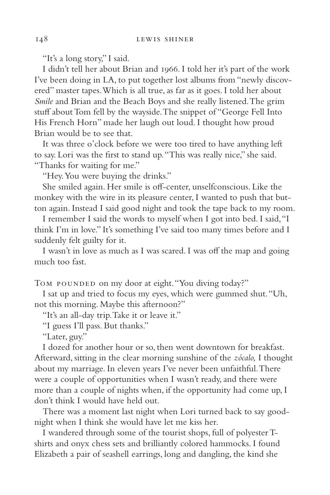"It's a long story," I said.

I didn't tell her about Brian and 1966. I told her it's part of the work I've been doing in LA, to put together lost albums from "newly discovered" master tapes. Which is all true, as far as it goes. I told her about *Smile* and Brian and the Beach Boys and she really listened. The grim stuff about Tom fell by the wayside. The snippet of "George Fell Into His French Horn" made her laugh out loud. I thought how proud Brian would be to see that.

It was three o'clock before we were too tired to have anything left to say. Lori was the first to stand up. "This was really nice," she said. "Thanks for waiting for me."

"Hey. You were buying the drinks."

She smiled again. Her smile is off-center, unselfconscious. Like the monkey with the wire in its pleasure center, I wanted to push that button again. Instead I said good night and took the tape back to my room.

I remember I said the words to myself when I got into bed. I said, "I think I'm in love." It's something I've said too many times before and I suddenly felt guilty for it.

I wasn't in love as much as I was scared. I was off the map and going much too fast.

TOM POUNDED on my door at eight. "You diving today?"

I sat up and tried to focus my eyes, which were gummed shut. "Uh, not this morning. Maybe this afternoon?"

"It's an all-day trip. Take it or leave it."

"I guess I'll pass. But thanks."

"Later, guy."

I dozed for another hour or so, then went downtown for breakfast. Afterward, sitting in the clear morning sunshine of the *zócalo,* I thought about my marriage. In eleven years I've never been unfaithful. There were a couple of opportunities when I wasn't ready, and there were more than a couple of nights when, if the opportunity had come up, I don't think I would have held out.

There was a moment last night when Lori turned back to say goodnight when I think she would have let me kiss her.

I wandered through some of the tourist shops, full of polyester Tshirts and onyx chess sets and brilliantly colored hammocks. I found Elizabeth a pair of seashell earrings, long and dangling, the kind she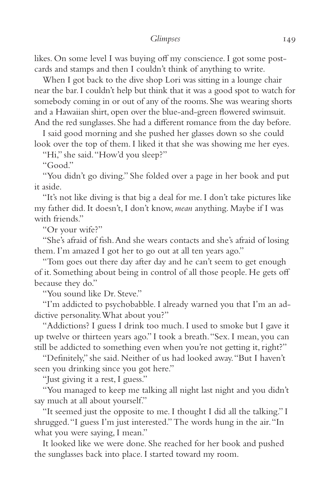likes. On some level I was buying off my conscience. I got some postcards and stamps and then I couldn't think of anything to write.

When I got back to the dive shop Lori was sitting in a lounge chair near the bar. I couldn't help but think that it was a good spot to watch for somebody coming in or out of any of the rooms. She was wearing shorts and a Hawaiian shirt, open over the blue-and-green flowered swimsuit. And the red sunglasses. She had a different romance from the day before.

I said good morning and she pushed her glasses down so she could look over the top of them. I liked it that she was showing me her eyes.

"Hi," she said. "How'd you sleep?"

"Good."

"You didn't go diving." She folded over a page in her book and put it aside.

"It's not like diving is that big a deal for me. I don't take pictures like my father did. It doesn't, I don't know, *mean* anything. Maybe if I was with friends."

"Or your wife?"

"She's afraid of fish. And she wears contacts and she's afraid of losing them. I'm amazed I got her to go out at all ten years ago."

"Tom goes out there day after day and he can't seem to get enough of it. Something about being in control of all those people. He gets off because they do."

"You sound like Dr. Steve."

"I'm addicted to psychobabble. I already warned you that I'm an addictive personality. What about you?"

"Addictions? I guess I drink too much. I used to smoke but I gave it up twelve or thirteen years ago." I took a breath. "Sex. I mean, you can still be addicted to something even when you're not getting it, right?"

"Definitely," she said. Neither of us had looked away. "But I haven't seen you drinking since you got here."

"Just giving it a rest, I guess."

"You managed to keep me talking all night last night and you didn't say much at all about yourself."

"It seemed just the opposite to me. I thought I did all the talking." I shrugged. "I guess I'm just interested." The words hung in the air. "In what you were saying, I mean."

It looked like we were done. She reached for her book and pushed the sunglasses back into place. I started toward my room.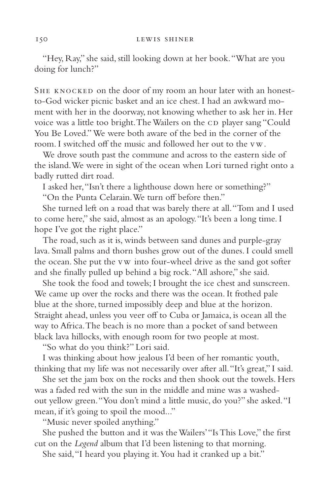"Hey, Ray," she said, still looking down at her book. "What are you doing for lunch?"

SHE KNOCKED on the door of my room an hour later with an honestto-God wicker picnic basket and an ice chest. I had an awkward moment with her in the doorway, not knowing whether to ask her in. Her voice was a little too bright. The Wailers on the CD player sang "Could You Be Loved." We were both aware of the bed in the corner of the room. I switched off the music and followed her out to the vw.

We drove south past the commune and across to the eastern side of the island. We were in sight of the ocean when Lori turned right onto a badly rutted dirt road.

I asked her, "Isn't there a lighthouse down here or something?"

"On the Punta Celarain. We turn off before then."

She turned left on a road that was barely there at all. "Tom and I used to come here," she said, almost as an apology. "It's been a long time. I hope I've got the right place."

The road, such as it is, winds between sand dunes and purple-gray lava. Small palms and thorn bushes grow out of the dunes. I could smell the ocean. She put the vw into four-wheel drive as the sand got softer and she finally pulled up behind a big rock. "All ashore," she said.

She took the food and towels; I brought the ice chest and sunscreen. We came up over the rocks and there was the ocean. It frothed pale blue at the shore, turned impossibly deep and blue at the horizon. Straight ahead, unless you veer off to Cuba or Jamaica, is ocean all the way to Africa. The beach is no more than a pocket of sand between black lava hillocks, with enough room for two people at most.

"So what do you think?" Lori said.

I was thinking about how jealous I'd been of her romantic youth, thinking that my life was not necessarily over after all. "It's great," I said.

She set the jam box on the rocks and then shook out the towels. Hers was a faded red with the sun in the middle and mine was a washedout yellow green. "You don't mind a little music, do you?" she asked. "I mean, if it's going to spoil the mood..."

"Music never spoiled anything."

She pushed the button and it was the Wailers' "Is This Love," the first cut on the *Legend* album that I'd been listening to that morning.

She said, "I heard you playing it. You had it cranked up a bit."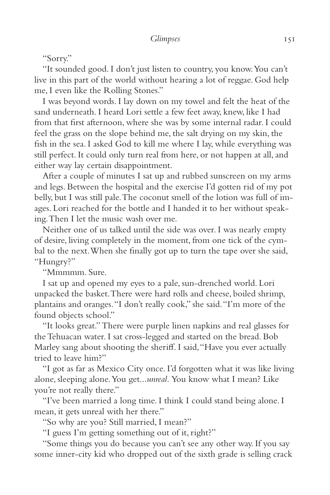"Sorry."

"It sounded good. I don't just listen to country, you know. You can't live in this part of the world without hearing a lot of reggae. God help me, I even like the Rolling Stones."

I was beyond words. I lay down on my towel and felt the heat of the sand underneath. I heard Lori settle a few feet away, knew, like I had from that first afternoon, where she was by some internal radar. I could feel the grass on the slope behind me, the salt drying on my skin, the fish in the sea. I asked God to kill me where I lay, while everything was still perfect. It could only turn real from here, or not happen at all, and either way lay certain disappointment.

After a couple of minutes I sat up and rubbed sunscreen on my arms and legs. Between the hospital and the exercise I'd gotten rid of my pot belly, but I was still pale. The coconut smell of the lotion was full of images. Lori reached for the bottle and I handed it to her without speaking. Then I let the music wash over me.

Neither one of us talked until the side was over. I was nearly empty of desire, living completely in the moment, from one tick of the cymbal to the next. When she finally got up to turn the tape over she said, "Hungry?"

"Mmmmm. Sure.

I sat up and opened my eyes to a pale, sun-drenched world. Lori unpacked the basket. There were hard rolls and cheese, boiled shrimp, plantains and oranges. "I don't really cook," she said. "I'm more of the found objects school."

"It looks great." There were purple linen napkins and real glasses for the Tehuacan water. I sat cross-legged and started on the bread. Bob Marley sang about shooting the sheriff. I said, "Have you ever actually tried to leave him?"

"I got as far as Mexico City once. I'd forgotten what it was like living alone, sleeping alone. You get...*unreal.* You know what I mean? Like you're not really there."

"I've been married a long time. I think I could stand being alone. I mean, it gets unreal with her there."

"So why are you? Still married, I mean?"

"I guess I'm getting something out of it, right?"

"Some things you do because you can't see any other way. If you say some inner-city kid who dropped out of the sixth grade is selling crack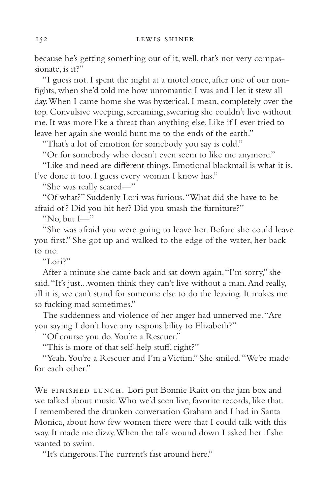because he's getting something out of it, well, that's not very compassionate, is it?"

"I guess not. I spent the night at a motel once, after one of our nonfights, when she'd told me how unromantic I was and I let it stew all day. When I came home she was hysterical. I mean, completely over the top. Convulsive weeping, screaming, swearing she couldn't live without me. It was more like a threat than anything else. Like if I ever tried to leave her again she would hunt me to the ends of the earth."

"That's a lot of emotion for somebody you say is cold."

"Or for somebody who doesn't even seem to like me anymore."

"Like and need are different things. Emotional blackmail is what it is. I've done it too. I guess every woman I know has."

"She was really scared—"

"Of what?" Suddenly Lori was furious. "What did she have to be afraid of ? Did you hit her? Did you smash the furniture?"

"No, but  $I$ —"

"She was afraid you were going to leave her. Before she could leave you first." She got up and walked to the edge of the water, her back to me.

"Lori?"

After a minute she came back and sat down again. "I'm sorry," she said. "It's just...women think they can't live without a man. And really, all it is, we can't stand for someone else to do the leaving. It makes me so fucking mad sometimes."

The suddenness and violence of her anger had unnerved me. "Are you saying I don't have any responsibility to Elizabeth?"

"Of course you do. You're a Rescuer."

"This is more of that self-help stuff, right?"

"Yeah. You're a Rescuer and I'm a Victim." She smiled. "We're made for each other."

WE FINISHED LUNCH. Lori put Bonnie Raitt on the jam box and we talked about music. Who we'd seen live, favorite records, like that. I remembered the drunken conversation Graham and I had in Santa Monica, about how few women there were that I could talk with this way. It made me dizzy. When the talk wound down I asked her if she wanted to swim.

"It's dangerous. The current's fast around here."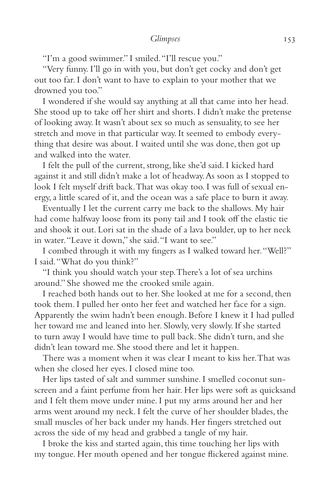"I'm a good swimmer." I smiled. "I'll rescue you."

"Very funny. I'll go in with you, but don't get cocky and don't get out too far. I don't want to have to explain to your mother that we drowned you too."

I wondered if she would say anything at all that came into her head. She stood up to take off her shirt and shorts. I didn't make the pretense of looking away. It wasn't about sex so much as sensuality, to see her stretch and move in that particular way. It seemed to embody everything that desire was about. I waited until she was done, then got up and walked into the water.

I felt the pull of the current, strong, like she'd said. I kicked hard against it and still didn't make a lot of headway. As soon as I stopped to look I felt myself drift back. That was okay too. I was full of sexual energy, a little scared of it, and the ocean was a safe place to burn it away.

Eventually I let the current carry me back to the shallows. My hair had come halfway loose from its pony tail and I took off the elastic tie and shook it out. Lori sat in the shade of a lava boulder, up to her neck in water. "Leave it down," she said. "I want to see."

I combed through it with my fingers as I walked toward her. "Well?" I said. "What do you think?"

"I think you should watch your step. There's a lot of sea urchins around." She showed me the crooked smile again.

I reached both hands out to her. She looked at me for a second, then took them. I pulled her onto her feet and watched her face for a sign. Apparently the swim hadn't been enough. Before I knew it I had pulled her toward me and leaned into her. Slowly, very slowly. If she started to turn away I would have time to pull back. She didn't turn, and she didn't lean toward me. She stood there and let it happen.

There was a moment when it was clear I meant to kiss her. That was when she closed her eyes. I closed mine too.

Her lips tasted of salt and summer sunshine. I smelled coconut sunscreen and a faint perfume from her hair. Her lips were soft as quicksand and I felt them move under mine. I put my arms around her and her arms went around my neck. I felt the curve of her shoulder blades, the small muscles of her back under my hands. Her fingers stretched out across the side of my head and grabbed a tangle of my hair.

I broke the kiss and started again, this time touching her lips with my tongue. Her mouth opened and her tongue flickered against mine.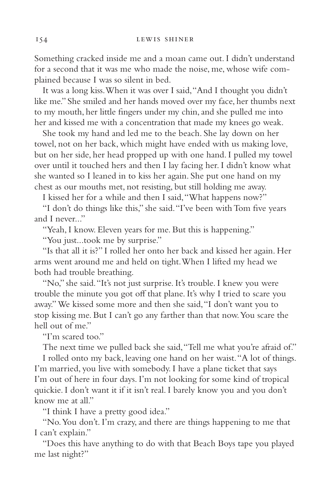Something cracked inside me and a moan came out. I didn't understand for a second that it was me who made the noise, me, whose wife complained because I was so silent in bed.

It was a long kiss. When it was over I said, "And I thought you didn't like me." She smiled and her hands moved over my face, her thumbs next to my mouth, her little fingers under my chin, and she pulled me into her and kissed me with a concentration that made my knees go weak.

She took my hand and led me to the beach. She lay down on her towel, not on her back, which might have ended with us making love, but on her side, her head propped up with one hand. I pulled my towel over until it touched hers and then I lay facing her. I didn't know what she wanted so I leaned in to kiss her again. She put one hand on my chest as our mouths met, not resisting, but still holding me away.

I kissed her for a while and then I said, "What happens now?"

"I don't do things like this," she said. "I've been with Tom five years and I never..."

"Yeah, I know. Eleven years for me. But this is happening."

"You just...took me by surprise."

"Is that all it is?" I rolled her onto her back and kissed her again. Her arms went around me and held on tight. When I lifted my head we both had trouble breathing.

"No," she said. "It's not just surprise. It's trouble. I knew you were trouble the minute you got off that plane. It's why I tried to scare you away." We kissed some more and then she said, "I don't want you to stop kissing me. But I can't go any farther than that now. You scare the hell out of me."

"I'm scared too."

The next time we pulled back she said, "Tell me what you're afraid of."

I rolled onto my back, leaving one hand on her waist. "A lot of things. I'm married, you live with somebody. I have a plane ticket that says I'm out of here in four days. I'm not looking for some kind of tropical quickie. I don't want it if it isn't real. I barely know you and you don't know me at all."

"I think I have a pretty good idea."

"No. You don't. I'm crazy, and there are things happening to me that I can't explain."

"Does this have anything to do with that Beach Boys tape you played me last night?"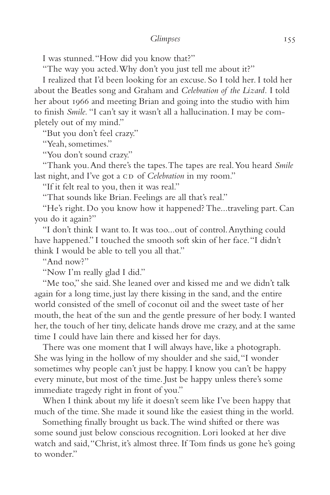I was stunned. "How did you know that?"

"The way you acted. Why don't you just tell me about it?"

I realized that I'd been looking for an excuse. So I told her. I told her about the Beatles song and Graham and *Celebration of the Lizard.* I told her about 1966 and meeting Brian and going into the studio with him to finish *Smile.* "I can't say it wasn't all a hallucination. I may be completely out of my mind."

"But you don't feel crazy."

"Yeah, sometimes."

"You don't sound crazy."

"Thank you. And there's the tapes. The tapes are real. You heard *Smile* last night, and I've got a CD of *Celebration* in my room."

"If it felt real to you, then it was real."

"That sounds like Brian. Feelings are all that's real."

"He's right. Do you know how it happened? The...traveling part. Can you do it again?"

"I don't think I want to. It was too...out of control. Anything could have happened." I touched the smooth soft skin of her face. "I didn't think I would be able to tell you all that."

"And now?"

"Now I'm really glad I did."

"Me too," she said. She leaned over and kissed me and we didn't talk again for a long time, just lay there kissing in the sand, and the entire world consisted of the smell of coconut oil and the sweet taste of her mouth, the heat of the sun and the gentle pressure of her body. I wanted her, the touch of her tiny, delicate hands drove me crazy, and at the same time I could have lain there and kissed her for days.

There was one moment that I will always have, like a photograph. She was lying in the hollow of my shoulder and she said, "I wonder sometimes why people can't just be happy. I know you can't be happy every minute, but most of the time. Just be happy unless there's some immediate tragedy right in front of you."

When I think about my life it doesn't seem like I've been happy that much of the time. She made it sound like the easiest thing in the world.

Something finally brought us back. The wind shifted or there was some sound just below conscious recognition. Lori looked at her dive watch and said, "Christ, it's almost three. If Tom finds us gone he's going to wonder."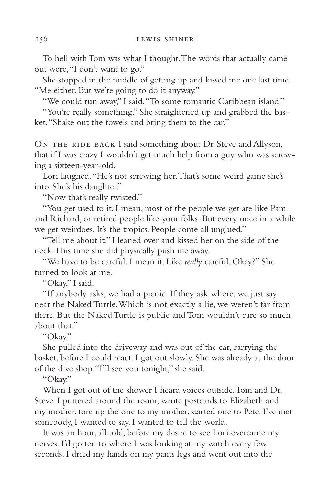To hell with Tom was what I thought. The words that actually came out were, "I don't want to go."

She stopped in the middle of getting up and kissed me one last time. "Me either. But we're going to do it anyway."

"We could run away," I said. "To some romantic Caribbean island."

"You're really something." She straightened up and grabbed the basket. "Shake out the towels and bring them to the car."

ON THE RIDE BACK I said something about Dr. Steve and Allyson, that if I was crazy I wouldn't get much help from a guy who was screwing a sixteen-year-old.

Lori laughed. "He's not screwing her. That's some weird game she's into. She's his daughter."

"Now that's really twisted."

"You get used to it. I mean, most of the people we get are like Pam and Richard, or retired people like your folks. But every once in a while we get weirdoes. It's the tropics. People come all unglued."

"Tell me about it." I leaned over and kissed her on the side of the neck. This time she did physically push me away.

"We have to be careful. I mean it. Like *really* careful. Okay?" She turned to look at me.

"Okay," I said.

"If anybody asks, we had a picnic. If they ask where, we just say near the Naked Turtle. Which is not exactly a lie, we weren't far from there. But the Naked Turtle is public and Tom wouldn't care so much about that."

"Okay."

She pulled into the driveway and was out of the car, carrying the basket, before I could react. I got out slowly. She was already at the door of the dive shop. "I'll see you tonight," she said.

"Okay."

When I got out of the shower I heard voices outside. Tom and Dr. Steve. I puttered around the room, wrote postcards to Elizabeth and my mother, tore up the one to my mother, started one to Pete. I've met somebody, I wanted to say. I wanted to tell the world.

It was an hour, all told, before my desire to see Lori overcame my nerves. I'd gotten to where I was looking at my watch every few seconds. I dried my hands on my pants legs and went out into the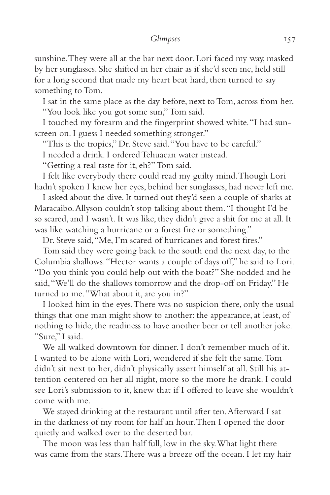sunshine. They were all at the bar next door. Lori faced my way, masked by her sunglasses. She shifted in her chair as if she'd seen me, held still for a long second that made my heart beat hard, then turned to say something to Tom.

I sat in the same place as the day before, next to Tom, across from her. "You look like you got some sun," Tom said.

I touched my forearm and the fingerprint showed white. "I had sunscreen on. I guess I needed something stronger."

"This is the tropics," Dr. Steve said. "You have to be careful."

I needed a drink. I ordered Tehuacan water instead.

"Getting a real taste for it, eh?" Tom said.

I felt like everybody there could read my guilty mind. Though Lori hadn't spoken I knew her eyes, behind her sunglasses, had never left me.

I asked about the dive. It turned out they'd seen a couple of sharks at Maracaibo. Allyson couldn't stop talking about them. "I thought I'd be so scared, and I wasn't. It was like, they didn't give a shit for me at all. It was like watching a hurricane or a forest fire or something."

Dr. Steve said, "Me, I'm scared of hurricanes and forest fires."

Tom said they were going back to the south end the next day, to the Columbia shallows. "Hector wants a couple of days off," he said to Lori. "Do you think you could help out with the boat?" She nodded and he said, "We'll do the shallows tomorrow and the drop-off on Friday." He turned to me. "What about it, are you in?"

I looked him in the eyes. There was no suspicion there, only the usual things that one man might show to another: the appearance, at least, of nothing to hide, the readiness to have another beer or tell another joke. "Sure," I said.

We all walked downtown for dinner. I don't remember much of it. I wanted to be alone with Lori, wondered if she felt the same. Tom didn't sit next to her, didn't physically assert himself at all. Still his attention centered on her all night, more so the more he drank. I could see Lori's submission to it, knew that if I offered to leave she wouldn't come with me.

We stayed drinking at the restaurant until after ten. Afterward I sat in the darkness of my room for half an hour. Then I opened the door quietly and walked over to the deserted bar.

The moon was less than half full, low in the sky. What light there was came from the stars. There was a breeze off the ocean. I let my hair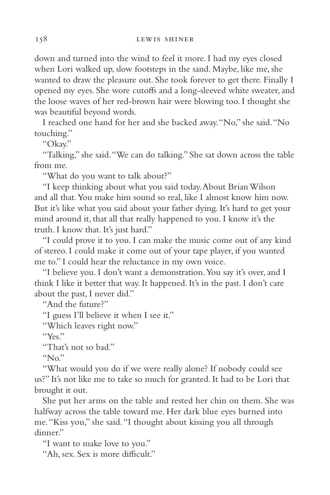down and turned into the wind to feel it more. I had my eyes closed when Lori walked up, slow footsteps in the sand. Maybe, like me, she wanted to draw the pleasure out. She took forever to get there. Finally I opened my eyes. She wore cutoffs and a long-sleeved white sweater, and the loose waves of her red-brown hair were blowing too. I thought she was beautiful beyond words.

I reached one hand for her and she backed away. "No," she said. "No touching."

"Okay."

"Talking," she said. "We can do talking." She sat down across the table from me.

"What do you want to talk about?"

"I keep thinking about what you said today. About Brian Wilson and all that. You make him sound so real, like I almost know him now. But it's like what you said about your father dying. It's hard to get your mind around it, that all that really happened to you. I know it's the truth. I know that. It's just hard."

"I could prove it to you. I can make the music come out of any kind of stereo. I could make it come out of your tape player, if you wanted me to." I could hear the reluctance in my own voice.

"I believe you. I don't want a demonstration. You say it's over, and I think I like it better that way. It happened. It's in the past. I don't care about the past, I never did."

"And the future?"

"I guess I'll believe it when I see it."

"Which leaves right now."

"Yes."

"That's not so bad."

"No."

"What would you do if we were really alone? If nobody could see us?" It's not like me to take so much for granted. It had to be Lori that brought it out.

She put her arms on the table and rested her chin on them. She was halfway across the table toward me. Her dark blue eyes burned into me. "Kiss you," she said. "I thought about kissing you all through dinner"

"I want to make love to you."

"Ah, sex. Sex is more difficult."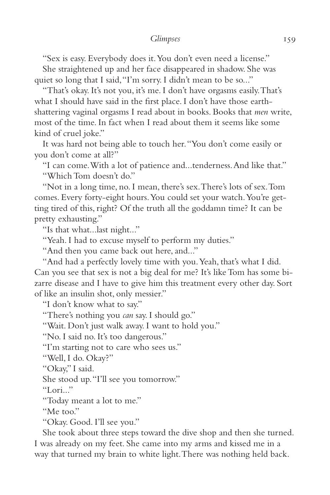"Sex is easy. Everybody does it. You don't even need a license."

She straightened up and her face disappeared in shadow. She was quiet so long that I said, "I'm sorry. I didn't mean to be so..."

"That's okay. It's not you, it's me. I don't have orgasms easily. That's what I should have said in the first place. I don't have those earthshattering vaginal orgasms I read about in books. Books that *men* write, most of the time. In fact when I read about them it seems like some kind of cruel joke."

It was hard not being able to touch her. "You don't come easily or you don't come at all?"

"I can come. With a lot of patience and...tenderness. And like that." "Which Tom doesn't do."

"Not in a long time, no. I mean, there's sex. There's lots of sex. Tom comes. Every forty-eight hours. You could set your watch. You're getting tired of this, right? Of the truth all the goddamn time? It can be pretty exhausting."

"Is that what...last night..."

"Yeah. I had to excuse myself to perform my duties."

"And then you came back out here, and..."

"And had a perfectly lovely time with you. Yeah, that's what I did. Can you see that sex is not a big deal for me? It's like Tom has some bizarre disease and I have to give him this treatment every other day. Sort of like an insulin shot, only messier."

"I don't know what to say."

"There's nothing you *can* say. I should go."

"Wait. Don't just walk away. I want to hold you."

"No. I said no. It's too dangerous."

"I'm starting not to care who sees us."

"Well, I do. Okay?"

"Okay," I said.

She stood up. "I'll see you tomorrow."

"Lori..."

"Today meant a lot to me."

"Me too."

"Okay. Good. I'll see you."

She took about three steps toward the dive shop and then she turned. I was already on my feet. She came into my arms and kissed me in a way that turned my brain to white light. There was nothing held back.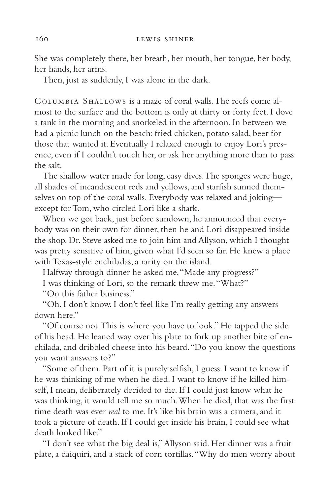She was completely there, her breath, her mouth, her tongue, her body, her hands, her arms.

Then, just as suddenly, I was alone in the dark.

Columbia Shallows is a maze of coral walls. The reefs come almost to the surface and the bottom is only at thirty or forty feet. I dove a tank in the morning and snorkeled in the afternoon. In between we had a picnic lunch on the beach: fried chicken, potato salad, beer for those that wanted it. Eventually I relaxed enough to enjoy Lori's presence, even if I couldn't touch her, or ask her anything more than to pass the salt.

The shallow water made for long, easy dives. The sponges were huge, all shades of incandescent reds and yellows, and starfish sunned themselves on top of the coral walls. Everybody was relaxed and joking except for Tom, who circled Lori like a shark.

When we got back, just before sundown, he announced that everybody was on their own for dinner, then he and Lori disappeared inside the shop. Dr. Steve asked me to join him and Allyson, which I thought was pretty sensitive of him, given what I'd seen so far. He knew a place with Texas-style enchiladas, a rarity on the island.

Halfway through dinner he asked me, "Made any progress?"

I was thinking of Lori, so the remark threw me. "What?"

"On this father business."

"Oh. I don't know. I don't feel like I'm really getting any answers down here."

"Of course not. This is where you have to look." He tapped the side of his head. He leaned way over his plate to fork up another bite of enchilada, and dribbled cheese into his beard. "Do you know the questions you want answers to?"

"Some of them. Part of it is purely selfish, I guess. I want to know if he was thinking of me when he died. I want to know if he killed himself, I mean, deliberately decided to die. If I could just know what he was thinking, it would tell me so much. When he died, that was the first time death was ever *real* to me. It's like his brain was a camera, and it took a picture of death. If I could get inside his brain, I could see what death looked like."

"I don't see what the big deal is," Allyson said. Her dinner was a fruit plate, a daiquiri, and a stack of corn tortillas. "Why do men worry about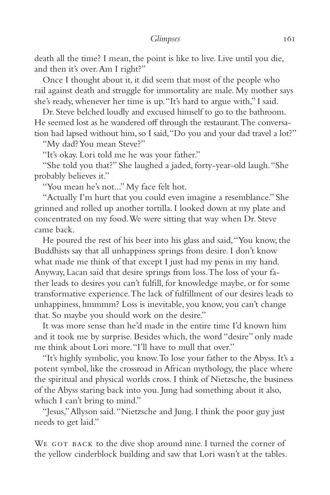death all the time? I mean, the point is like to live. Live until you die, and then it's over. Am I right?"

Once I thought about it, it did seem that most of the people who rail against death and struggle for immortality are male. My mother says she's ready, whenever her time is up. "It's hard to argue with," I said.

Dr. Steve belched loudly and excused himself to go to the bathroom. He seemed lost as he wandered off through the restaurant. The conversation had lapsed without him, so I said, "Do you and your dad travel a lot?"

"My dad? You mean Steve?"

"It's okay. Lori told me he was your father."

"She told you that?" She laughed a jaded, forty-year-old laugh. "She probably believes it."

"You mean he's not..." My face felt hot.

"Actually I'm hurt that you could even imagine a resemblance." She grinned and rolled up another tortilla. I looked down at my plate and concentrated on my food. We were sitting that way when Dr. Steve came back.

He poured the rest of his beer into his glass and said, "You know, the Buddhists say that all unhappiness springs from desire. I don't know what made me think of that except I just had my penis in my hand. Anyway, Lacan said that desire springs from loss. The loss of your father leads to desires you can't fulfill, for knowledge maybe, or for some transformative experience. The lack of fulfillment of our desires leads to unhappiness, hmmmm? Loss is inevitable, you know, you can't change that. So maybe you should work on the desire."

It was more sense than he'd made in the entire time I'd known him and it took me by surprise. Besides which, the word "desire" only made me think about Lori more. "I'll have to mull that over."

"It's highly symbolic, you know. To lose your father to the Abyss. It's a potent symbol, like the crossroad in African mythology, the place where the spiritual and physical worlds cross. I think of Nietzsche, the business of the Abyss staring back into you. Jung had something about it also, which I can't bring to mind."

"Jesus," Allyson said. "Nietzsche and Jung. I think the poor guy just needs to get laid."

WE GOT BACK to the dive shop around nine. I turned the corner of the yellow cinderblock building and saw that Lori wasn't at the tables.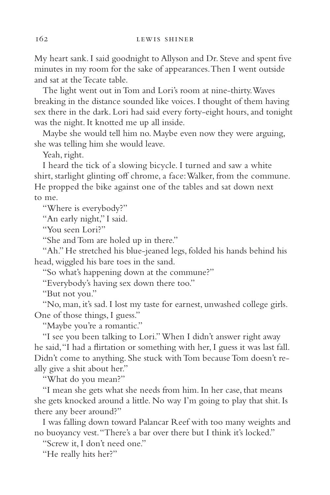My heart sank. I said goodnight to Allyson and Dr. Steve and spent five minutes in my room for the sake of appearances. Then I went outside and sat at the Tecate table.

The light went out in Tom and Lori's room at nine-thirty. Waves breaking in the distance sounded like voices. I thought of them having sex there in the dark. Lori had said every forty-eight hours, and tonight was the night. It knotted me up all inside.

Maybe she would tell him no. Maybe even now they were arguing, she was telling him she would leave.

Yeah, right.

I heard the tick of a slowing bicycle. I turned and saw a white shirt, starlight glinting off chrome, a face: Walker, from the commune. He propped the bike against one of the tables and sat down next to me.

"Where is everybody?"

"An early night," I said.

"You seen Lori?"

"She and Tom are holed up in there."

"Ah." He stretched his blue-jeaned legs, folded his hands behind his head, wiggled his bare toes in the sand.

"So what's happening down at the commune?"

"Everybody's having sex down there too."

"But not you."

"No, man, it's sad. I lost my taste for earnest, unwashed college girls. One of those things, I guess."

"Maybe you're a romantic."

"I see you been talking to Lori." When I didn't answer right away he said, "I had a flirtation or something with her, I guess it was last fall. Didn't come to anything. She stuck with Tom because Tom doesn't really give a shit about her."

"What do you mean?"

"I mean she gets what she needs from him. In her case, that means she gets knocked around a little. No way I'm going to play that shit. Is there any beer around?"

I was falling down toward Palancar Reef with too many weights and no buoyancy vest. "There's a bar over there but I think it's locked."

"Screw it, I don't need one."

"He really hits her?"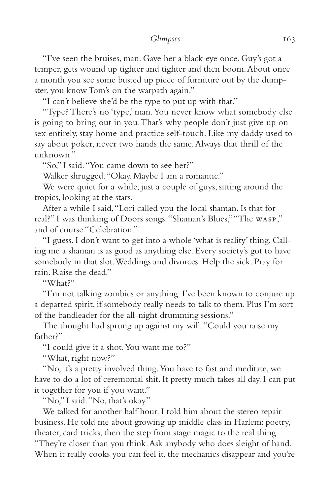"I've seen the bruises, man. Gave her a black eye once. Guy's got a temper, gets wound up tighter and tighter and then boom. About once a month you see some busted up piece of furniture out by the dumpster, you know Tom's on the warpath again."

"I can't believe she'd be the type to put up with that."

"Type? There's no 'type,' man. You never know what somebody else is going to bring out in you. That's why people don't just give up on sex entirely, stay home and practice self-touch. Like my daddy used to say about poker, never two hands the same. Always that thrill of the unknown."

"So," I said. "You came down to see her?"

Walker shrugged. "Okay. Maybe I am a romantic."

We were quiet for a while, just a couple of guys, sitting around the tropics, looking at the stars.

After a while I said, "Lori called you the local shaman. Is that for real?" I was thinking of Doors songs: "Shaman's Blues," "The wasp," and of course "Celebration."

"I guess. I don't want to get into a whole 'what is reality' thing. Calling me a shaman is as good as anything else. Every society's got to have somebody in that slot. Weddings and divorces. Help the sick. Pray for rain. Raise the dead."

"What?"

"I'm not talking zombies or anything. I've been known to conjure up a departed spirit, if somebody really needs to talk to them. Plus I'm sort of the bandleader for the all-night drumming sessions."

The thought had sprung up against my will. "Could you raise my father?"

"I could give it a shot. You want me to?"

"What, right now?"

"No, it's a pretty involved thing. You have to fast and meditate, we have to do a lot of ceremonial shit. It pretty much takes all day. I can put it together for you if you want."

"No," I said. "No, that's okay."

We talked for another half hour. I told him about the stereo repair business. He told me about growing up middle class in Harlem: poetry, theater, card tricks, then the step from stage magic to the real thing. "They're closer than you think. Ask anybody who does sleight of hand. When it really cooks you can feel it, the mechanics disappear and you're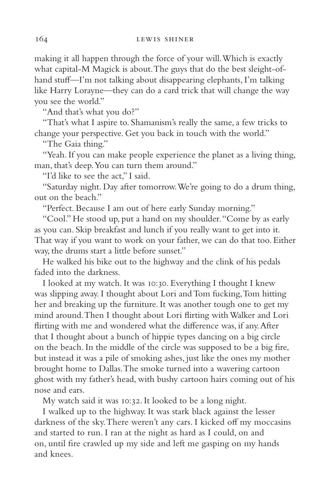making it all happen through the force of your will. Which is exactly what capital-M Magick is about. The guys that do the best sleight-ofhand stuff—I'm not talking about disappearing elephants, I'm talking like Harry Lorayne—they can do a card trick that will change the way you see the world."

"And that's what you do?"

"That's what I aspire to. Shamanism's really the same, a few tricks to change your perspective. Get you back in touch with the world."

"The Gaia thing."

"Yeah. If you can make people experience the planet as a living thing, man, that's deep. You can turn them around."

"I'd like to see the act," I said.

"Saturday night. Day after tomorrow. We're going to do a drum thing, out on the beach."

"Perfect. Because I am out of here early Sunday morning."

"Cool." He stood up, put a hand on my shoulder. "Come by as early as you can. Skip breakfast and lunch if you really want to get into it. That way if you want to work on your father, we can do that too. Either way, the drums start a little before sunset."

He walked his bike out to the highway and the clink of his pedals faded into the darkness.

I looked at my watch. It was 10:30. Everything I thought I knew was slipping away. I thought about Lori and Tom fucking, Tom hitting her and breaking up the furniture. It was another tough one to get my mind around. Then I thought about Lori flirting with Walker and Lori flirting with me and wondered what the difference was, if any. After that I thought about a bunch of hippie types dancing on a big circle on the beach. In the middle of the circle was supposed to be a big fire, but instead it was a pile of smoking ashes, just like the ones my mother brought home to Dallas. The smoke turned into a wavering cartoon ghost with my father's head, with bushy cartoon hairs coming out of his nose and ears.

My watch said it was 10:32. It looked to be a long night.

I walked up to the highway. It was stark black against the lesser darkness of the sky. There weren't any cars. I kicked off my moccasins and started to run. I ran at the night as hard as I could, on and on, until fire crawled up my side and left me gasping on my hands and knees.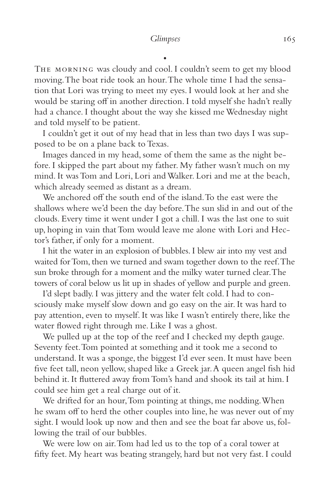•

THE MORNING was cloudy and cool. I couldn't seem to get my blood moving. The boat ride took an hour. The whole time I had the sensation that Lori was trying to meet my eyes. I would look at her and she would be staring off in another direction. I told myself she hadn't really had a chance. I thought about the way she kissed me Wednesday night and told myself to be patient.

I couldn't get it out of my head that in less than two days I was supposed to be on a plane back to Texas.

Images danced in my head, some of them the same as the night before. I skipped the part about my father. My father wasn't much on my mind. It was Tom and Lori, Lori and Walker. Lori and me at the beach, which already seemed as distant as a dream.

We anchored off the south end of the island. To the east were the shallows where we'd been the day before. The sun slid in and out of the clouds. Every time it went under I got a chill. I was the last one to suit up, hoping in vain that Tom would leave me alone with Lori and Hector's father, if only for a moment.

I hit the water in an explosion of bubbles. I blew air into my vest and waited for Tom, then we turned and swam together down to the reef. The sun broke through for a moment and the milky water turned clear. The towers of coral below us lit up in shades of yellow and purple and green.

I'd slept badly. I was jittery and the water felt cold. I had to consciously make myself slow down and go easy on the air. It was hard to pay attention, even to myself. It was like I wasn't entirely there, like the water flowed right through me. Like I was a ghost.

We pulled up at the top of the reef and I checked my depth gauge. Seventy feet. Tom pointed at something and it took me a second to understand. It was a sponge, the biggest I'd ever seen. It must have been five feet tall, neon yellow, shaped like a Greek jar. A queen angel fish hid behind it. It fluttered away from Tom's hand and shook its tail at him. I could see him get a real charge out of it.

We drifted for an hour, Tom pointing at things, me nodding. When he swam off to herd the other couples into line, he was never out of my sight. I would look up now and then and see the boat far above us, following the trail of our bubbles.

We were low on air. Tom had led us to the top of a coral tower at fifty feet. My heart was beating strangely, hard but not very fast. I could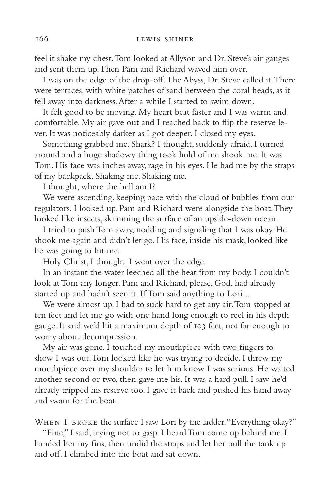feel it shake my chest. Tom looked at Allyson and Dr. Steve's air gauges and sent them up. Then Pam and Richard waved him over.

I was on the edge of the drop-off. The Abyss, Dr. Steve called it. There were terraces, with white patches of sand between the coral heads, as it fell away into darkness. After a while I started to swim down.

It felt good to be moving. My heart beat faster and I was warm and comfortable. My air gave out and I reached back to flip the reserve lever. It was noticeably darker as I got deeper. I closed my eyes.

Something grabbed me. Shark? I thought, suddenly afraid. I turned around and a huge shadowy thing took hold of me shook me. It was Tom. His face was inches away, rage in his eyes. He had me by the straps of my backpack. Shaking me. Shaking me.

I thought, where the hell am I?

We were ascending, keeping pace with the cloud of bubbles from our regulators. I looked up. Pam and Richard were alongside the boat. They looked like insects, skimming the surface of an upside-down ocean.

I tried to push Tom away, nodding and signaling that I was okay. He shook me again and didn't let go. His face, inside his mask, looked like he was going to hit me.

Holy Christ, I thought. I went over the edge.

In an instant the water leeched all the heat from my body. I couldn't look at Tom any longer. Pam and Richard, please, God, had already started up and hadn't seen it. If Tom said anything to Lori...

We were almost up. I had to suck hard to get any air. Tom stopped at ten feet and let me go with one hand long enough to reel in his depth gauge. It said we'd hit a maximum depth of 103 feet, not far enough to worry about decompression.

My air was gone. I touched my mouthpiece with two fingers to show I was out. Tom looked like he was trying to decide. I threw my mouthpiece over my shoulder to let him know I was serious. He waited another second or two, then gave me his. It was a hard pull. I saw he'd already tripped his reserve too. I gave it back and pushed his hand away and swam for the boat.

WHEN I BROKE the surface I saw Lori by the ladder. "Everything okay?"

"Fine," I said, trying not to gasp. I heard Tom come up behind me. I handed her my fins, then undid the straps and let her pull the tank up and off. I climbed into the boat and sat down.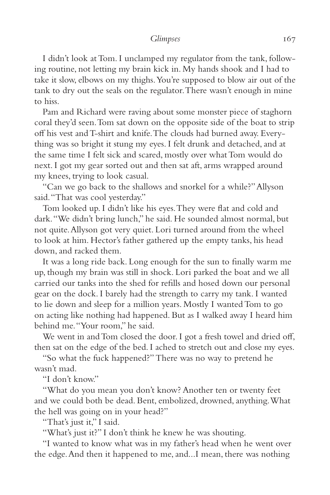I didn't look at Tom. I unclamped my regulator from the tank, following routine, not letting my brain kick in. My hands shook and I had to take it slow, elbows on my thighs. You're supposed to blow air out of the tank to dry out the seals on the regulator. There wasn't enough in mine to hiss.

Pam and Richard were raving about some monster piece of staghorn coral they'd seen. Tom sat down on the opposite side of the boat to strip off his vest and T-shirt and knife. The clouds had burned away. Everything was so bright it stung my eyes. I felt drunk and detached, and at the same time I felt sick and scared, mostly over what Tom would do next. I got my gear sorted out and then sat aft, arms wrapped around my knees, trying to look casual.

"Can we go back to the shallows and snorkel for a while?" Allyson said. "That was cool yesterday."

Tom looked up. I didn't like his eyes. They were flat and cold and dark. "We didn't bring lunch," he said. He sounded almost normal, but not quite. Allyson got very quiet. Lori turned around from the wheel to look at him. Hector's father gathered up the empty tanks, his head down, and racked them.

It was a long ride back. Long enough for the sun to finally warm me up, though my brain was still in shock. Lori parked the boat and we all carried our tanks into the shed for refills and hosed down our personal gear on the dock. I barely had the strength to carry my tank. I wanted to lie down and sleep for a million years. Mostly I wanted Tom to go on acting like nothing had happened. But as I walked away I heard him behind me. "Your room," he said.

We went in and Tom closed the door. I got a fresh towel and dried off, then sat on the edge of the bed. I ached to stretch out and close my eyes.

"So what the fuck happened?" There was no way to pretend he wasn't mad.

"I don't know."

"What do you mean you don't know? Another ten or twenty feet and we could both be dead. Bent, embolized, drowned, anything. What the hell was going on in your head?"

"That's just it," I said.

"What's just it?" I don't think he knew he was shouting.

"I wanted to know what was in my father's head when he went over the edge. And then it happened to me, and...I mean, there was nothing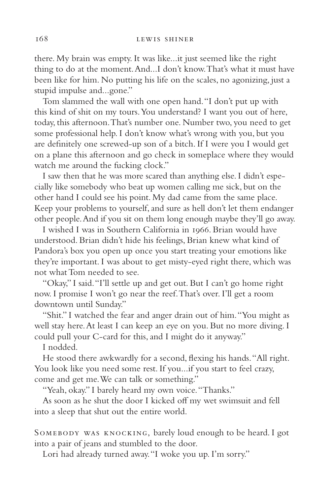there. My brain was empty. It was like...it just seemed like the right thing to do at the moment. And...I don't know. That's what it must have been like for him. No putting his life on the scales, no agonizing, just a stupid impulse and...gone."

Tom slammed the wall with one open hand. "I don't put up with this kind of shit on my tours. You understand? I want you out of here, today, this afternoon. That's number one. Number two, you need to get some professional help. I don't know what's wrong with you, but you are definitely one screwed-up son of a bitch. If I were you I would get on a plane this afternoon and go check in someplace where they would watch me around the fucking clock."

I saw then that he was more scared than anything else. I didn't especially like somebody who beat up women calling me sick, but on the other hand I could see his point. My dad came from the same place. Keep your problems to yourself, and sure as hell don't let them endanger other people. And if you sit on them long enough maybe they'll go away.

I wished I was in Southern California in 1966. Brian would have understood. Brian didn't hide his feelings, Brian knew what kind of Pandora's box you open up once you start treating your emotions like they're important. I was about to get misty-eyed right there, which was not what Tom needed to see.

"Okay," I said. "I'll settle up and get out. But I can't go home right now. I promise I won't go near the reef. That's over. I'll get a room downtown until Sunday."

"Shit." I watched the fear and anger drain out of him. "You might as well stay here. At least I can keep an eye on you. But no more diving. I could pull your C-card for this, and I might do it anyway."

I nodded.

He stood there awkwardly for a second, flexing his hands. "All right. You look like you need some rest. If you...if you start to feel crazy, come and get me. We can talk or something."

"Yeah, okay." I barely heard my own voice. "Thanks."

As soon as he shut the door I kicked off my wet swimsuit and fell into a sleep that shut out the entire world.

SOMEBODY WAS KNOCKING, barely loud enough to be heard. I got into a pair of jeans and stumbled to the door.

Lori had already turned away. "I woke you up. I'm sorry."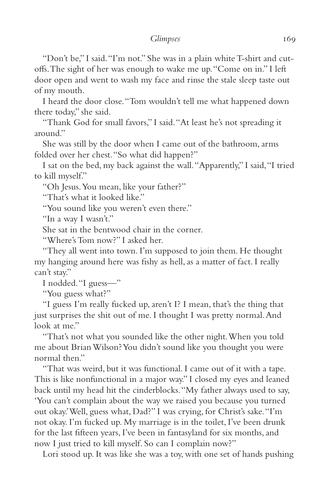"Don't be," I said. "I'm not." She was in a plain white T-shirt and cutoffs. The sight of her was enough to wake me up. "Come on in." I left door open and went to wash my face and rinse the stale sleep taste out of my mouth.

I heard the door close. "Tom wouldn't tell me what happened down there today," she said.

"Thank God for small favors," I said. "At least he's not spreading it around."

She was still by the door when I came out of the bathroom, arms folded over her chest. "So what did happen?"

I sat on the bed, my back against the wall. "Apparently," I said, "I tried to kill myself."

"Oh Jesus. You mean, like your father?"

"That's what it looked like."

"You sound like you weren't even there."

"In a way I wasn't."

She sat in the bentwood chair in the corner.

"Where's Tom now?" I asked her.

"They all went into town. I'm supposed to join them. He thought my hanging around here was fishy as hell, as a matter of fact. I really can't stay."

I nodded. "I guess—"

"You guess what?"

"I guess I'm really fucked up, aren't I? I mean, that's the thing that just surprises the shit out of me. I thought I was pretty normal. And look at me."

"That's not what you sounded like the other night. When you told me about Brian Wilson? You didn't sound like you thought you were normal then."

"That was weird, but it was functional. I came out of it with a tape. This is like nonfunctional in a major way." I closed my eyes and leaned back until my head hit the cinderblocks. "My father always used to say, 'You can't complain about the way we raised you because you turned out okay.' Well, guess what, Dad?" I was crying, for Christ's sake. "I'm not okay. I'm fucked up. My marriage is in the toilet, I've been drunk for the last fifteen years, I've been in fantasyland for six months, and now I just tried to kill myself. So can I complain now?"

Lori stood up. It was like she was a toy, with one set of hands pushing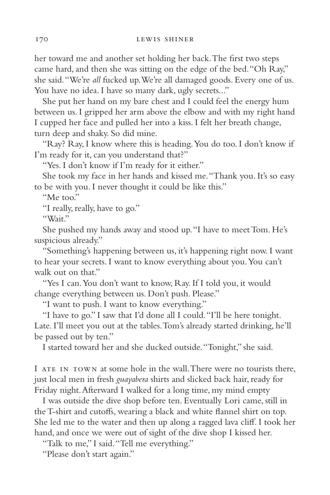her toward me and another set holding her back. The first two steps came hard, and then she was sitting on the edge of the bed. "Oh Ray," she said. "We're *all* fucked up. We're all damaged goods. Every one of us. You have no idea. I have so many dark, ugly secrets..."

She put her hand on my bare chest and I could feel the energy hum between us. I gripped her arm above the elbow and with my right hand I cupped her face and pulled her into a kiss. I felt her breath change, turn deep and shaky. So did mine.

"Ray? Ray, I know where this is heading. You do too. I don't know if I'm ready for it, can you understand that?"

"Yes. I don't know if I'm ready for it either."

She took my face in her hands and kissed me. "Thank you. It's so easy to be with you. I never thought it could be like this."

"Me too"

"I really, really, have to go."

"Wait"

She pushed my hands away and stood up. "I have to meet Tom. He's suspicious already."

"Something's happening between us, it's happening right now. I want to hear your secrets. I want to know everything about you. You can't walk out on that."

"Yes I can. You don't want to know, Ray. If I told you, it would change everything between us. Don't push. Please."

"I want to push. I want to know everything."

"I have to go." I saw that I'd done all I could. "I'll be here tonight. Late. I'll meet you out at the tables. Tom's already started drinking, he'll be passed out by ten."

I started toward her and she ducked outside. "Tonight," she said.

I ATE IN TOWN at some hole in the wall. There were no tourists there, just local men in fresh *guayabera* shirts and slicked back hair, ready for Friday night. Afterward I walked for a long time, my mind empty

I was outside the dive shop before ten. Eventually Lori came, still in the T-shirt and cutoffs, wearing a black and white flannel shirt on top. She led me to the water and then up along a ragged lava cliff. I took her hand, and once we were out of sight of the dive shop I kissed her.

"Talk to me," I said. "Tell me everything."

"Please don't start again."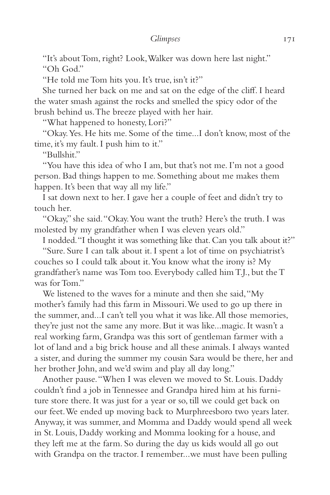"It's about Tom, right? Look, Walker was down here last night." "Oh God."

"He told me Tom hits you. It's true, isn't it?"

She turned her back on me and sat on the edge of the cliff. I heard the water smash against the rocks and smelled the spicy odor of the brush behind us. The breeze played with her hair.

"What happened to honesty, Lori?"

"Okay. Yes. He hits me. Some of the time...I don't know, most of the time, it's my fault. I push him to it."

"Bullshit."

"You have this idea of who I am, but that's not me. I'm not a good person. Bad things happen to me. Something about me makes them happen. It's been that way all my life."

I sat down next to her. I gave her a couple of feet and didn't try to touch her.

"Okay," she said. "Okay. You want the truth? Here's the truth. I was molested by my grandfather when I was eleven years old."

I nodded. "I thought it was something like that. Can you talk about it?"

"Sure. Sure I can talk about it. I spent a lot of time on psychiatrist's couches so I could talk about it. You know what the irony is? My grandfather's name was Tom too. Everybody called him T.J., but the T was for Tom."

We listened to the waves for a minute and then she said, "My mother's family had this farm in Missouri. We used to go up there in the summer, and...I can't tell you what it was like. All those memories, they're just not the same any more. But it was like...magic. It wasn't a real working farm, Grandpa was this sort of gentleman farmer with a lot of land and a big brick house and all these animals. I always wanted a sister, and during the summer my cousin Sara would be there, her and her brother John, and we'd swim and play all day long."

Another pause. "When I was eleven we moved to St. Louis. Daddy couldn't find a job in Tennessee and Grandpa hired him at his furniture store there. It was just for a year or so, till we could get back on our feet. We ended up moving back to Murphreesboro two years later. Anyway, it was summer, and Momma and Daddy would spend all week in St. Louis, Daddy working and Momma looking for a house, and they left me at the farm. So during the day us kids would all go out with Grandpa on the tractor. I remember...we must have been pulling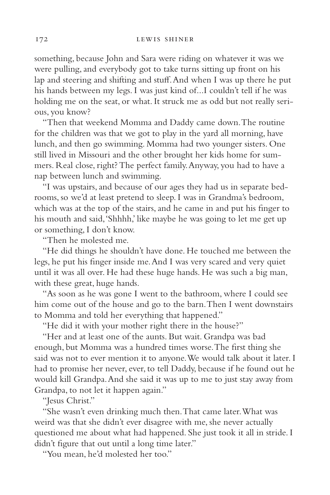something, because John and Sara were riding on whatever it was we were pulling, and everybody got to take turns sitting up front on his lap and steering and shifting and stuff. And when I was up there he put his hands between my legs. I was just kind of...I couldn't tell if he was holding me on the seat, or what. It struck me as odd but not really serious, you know?

"Then that weekend Momma and Daddy came down. The routine for the children was that we got to play in the yard all morning, have lunch, and then go swimming. Momma had two younger sisters. One still lived in Missouri and the other brought her kids home for summers. Real close, right? The perfect family. Anyway, you had to have a nap between lunch and swimming.

"I was upstairs, and because of our ages they had us in separate bedrooms, so we'd at least pretend to sleep. I was in Grandma's bedroom, which was at the top of the stairs, and he came in and put his finger to his mouth and said, 'Shhhh,' like maybe he was going to let me get up or something, I don't know.

"Then he molested me.

"He did things he shouldn't have done. He touched me between the legs, he put his finger inside me. And I was very scared and very quiet until it was all over. He had these huge hands. He was such a big man, with these great, huge hands.

"As soon as he was gone I went to the bathroom, where I could see him come out of the house and go to the barn. Then I went downstairs to Momma and told her everything that happened."

"He did it with your mother right there in the house?"

"Her and at least one of the aunts. But wait. Grandpa was bad enough, but Momma was a hundred times worse. The first thing she said was not to ever mention it to anyone. We would talk about it later. I had to promise her never, ever, to tell Daddy, because if he found out he would kill Grandpa. And she said it was up to me to just stay away from Grandpa, to not let it happen again."

"Jesus Christ."

"She wasn't even drinking much then. That came later. What was weird was that she didn't ever disagree with me, she never actually questioned me about what had happened. She just took it all in stride. I didn't figure that out until a long time later."

"You mean, he'd molested her too."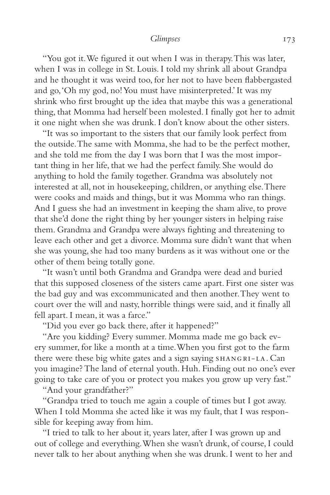"You got it. We figured it out when I was in therapy. This was later, when I was in college in St. Louis. I told my shrink all about Grandpa and he thought it was weird too, for her not to have been flabbergasted and go, 'Oh my god, no! You must have misinterpreted.' It was my shrink who first brought up the idea that maybe this was a generational thing, that Momma had herself been molested. I finally got her to admit it one night when she was drunk. I don't know about the other sisters.

"It was so important to the sisters that our family look perfect from the outside. The same with Momma, she had to be the perfect mother, and she told me from the day I was born that I was the most important thing in her life, that we had the perfect family. She would do anything to hold the family together. Grandma was absolutely not interested at all, not in housekeeping, children, or anything else. There were cooks and maids and things, but it was Momma who ran things. And I guess she had an investment in keeping the sham alive, to prove that she'd done the right thing by her younger sisters in helping raise them. Grandma and Grandpa were always fighting and threatening to leave each other and get a divorce. Momma sure didn't want that when she was young, she had too many burdens as it was without one or the other of them being totally gone.

"It wasn't until both Grandma and Grandpa were dead and buried that this supposed closeness of the sisters came apart. First one sister was the bad guy and was excommunicated and then another. They went to court over the will and nasty, horrible things were said, and it finally all fell apart. I mean, it was a farce."

"Did you ever go back there, after it happened?"

"Are you kidding? Every summer. Momma made me go back every summer, for like a month at a time. When you first got to the farm there were these big white gates and a sign saying SHANGRI-LA. Can you imagine? The land of eternal youth. Huh. Finding out no one's ever going to take care of you or protect you makes you grow up very fast."

"And your grandfather?"

"Grandpa tried to touch me again a couple of times but I got away. When I told Momma she acted like it was my fault, that I was responsible for keeping away from him.

"I tried to talk to her about it, years later, after I was grown up and out of college and everything. When she wasn't drunk, of course, I could never talk to her about anything when she was drunk. I went to her and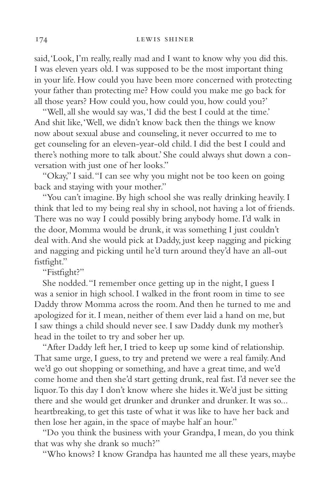said, 'Look, I'm really, really mad and I want to know why you did this. I was eleven years old. I was supposed to be the most important thing in your life. How could you have been more concerned with protecting your father than protecting me? How could you make me go back for all those years? How could you, how could you, how could you?'

"Well, all she would say was, 'I did the best I could at the time.' And shit like, 'Well, we didn't know back then the things we know now about sexual abuse and counseling, it never occurred to me to get counseling for an eleven-year-old child. I did the best I could and there's nothing more to talk about.' She could always shut down a conversation with just one of her looks."

"Okay," I said. "I can see why you might not be too keen on going back and staying with your mother."

"You can't imagine. By high school she was really drinking heavily. I think that led to my being real shy in school, not having a lot of friends. There was no way I could possibly bring anybody home. I'd walk in the door, Momma would be drunk, it was something I just couldn't deal with. And she would pick at Daddy, just keep nagging and picking and nagging and picking until he'd turn around they'd have an all-out fistfight."

"Fistfight?"

She nodded. "I remember once getting up in the night, I guess I was a senior in high school. I walked in the front room in time to see Daddy throw Momma across the room. And then he turned to me and apologized for it. I mean, neither of them ever laid a hand on me, but I saw things a child should never see. I saw Daddy dunk my mother's head in the toilet to try and sober her up.

"After Daddy left her, I tried to keep up some kind of relationship. That same urge, I guess, to try and pretend we were a real family. And we'd go out shopping or something, and have a great time, and we'd come home and then she'd start getting drunk, real fast. I'd never see the liquor. To this day I don't know where she hides it. We'd just be sitting there and she would get drunker and drunker and drunker. It was so... heartbreaking, to get this taste of what it was like to have her back and then lose her again, in the space of maybe half an hour."

"Do you think the business with your Grandpa, I mean, do you think that was why she drank so much?"

"Who knows? I know Grandpa has haunted me all these years, maybe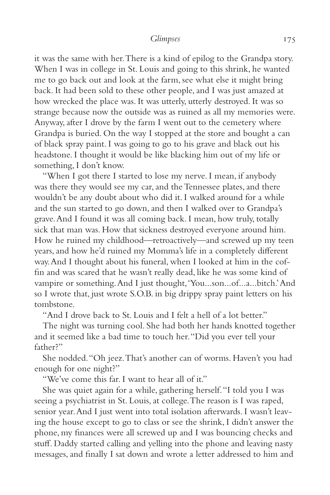it was the same with her. There is a kind of epilog to the Grandpa story. When I was in college in St. Louis and going to this shrink, he wanted me to go back out and look at the farm, see what else it might bring back. It had been sold to these other people, and I was just amazed at how wrecked the place was. It was utterly, utterly destroyed. It was so strange because now the outside was as ruined as all my memories were. Anyway, after I drove by the farm I went out to the cemetery where Grandpa is buried. On the way I stopped at the store and bought a can of black spray paint. I was going to go to his grave and black out his headstone. I thought it would be like blacking him out of my life or something, I don't know.

"When I got there I started to lose my nerve. I mean, if anybody was there they would see my car, and the Tennessee plates, and there wouldn't be any doubt about who did it. I walked around for a while and the sun started to go down, and then I walked over to Grandpa's grave. And I found it was all coming back. I mean, how truly, totally sick that man was. How that sickness destroyed everyone around him. How he ruined my childhood—retroactively—and screwed up my teen years, and how he'd ruined my Momma's life in a completely different way. And I thought about his funeral, when I looked at him in the coffin and was scared that he wasn't really dead, like he was some kind of vampire or something. And I just thought, 'You...son...of...a...bitch.' And so I wrote that, just wrote S.O.B. in big drippy spray paint letters on his tombstone.

"And I drove back to St. Louis and I felt a hell of a lot better."

The night was turning cool. She had both her hands knotted together and it seemed like a bad time to touch her. "Did you ever tell your father?"

She nodded. "Oh jeez. That's another can of worms. Haven't you had enough for one night?"

"We've come this far. I want to hear all of it."

She was quiet again for a while, gathering herself. "I told you I was seeing a psychiatrist in St. Louis, at college. The reason is I was raped, senior year. And I just went into total isolation afterwards. I wasn't leaving the house except to go to class or see the shrink, I didn't answer the phone, my finances were all screwed up and I was bouncing checks and stuff. Daddy started calling and yelling into the phone and leaving nasty messages, and finally I sat down and wrote a letter addressed to him and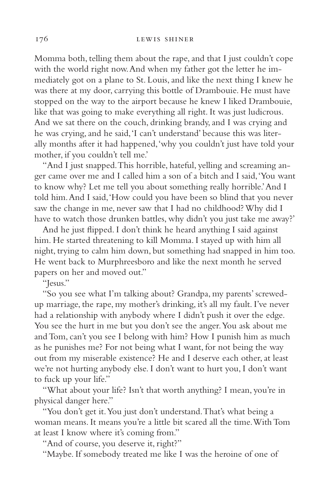Momma both, telling them about the rape, and that I just couldn't cope with the world right now. And when my father got the letter he immediately got on a plane to St. Louis, and like the next thing I knew he was there at my door, carrying this bottle of Drambouie. He must have stopped on the way to the airport because he knew I liked Drambouie, like that was going to make everything all right. It was just ludicrous. And we sat there on the couch, drinking brandy, and I was crying and he was crying, and he said, 'I can't understand' because this was literally months after it had happened, 'why you couldn't just have told your mother, if you couldn't tell me.'

"And I just snapped. This horrible, hateful, yelling and screaming anger came over me and I called him a son of a bitch and I said, 'You want to know why? Let me tell you about something really horrible.' And I told him. And I said, 'How could you have been so blind that you never saw the change in me, never saw that I had no childhood? Why did I have to watch those drunken battles, why didn't you just take me away?'

And he just flipped. I don't think he heard anything I said against him. He started threatening to kill Momma. I stayed up with him all night, trying to calm him down, but something had snapped in him too. He went back to Murphreesboro and like the next month he served papers on her and moved out."

"Jesus."

"So you see what I'm talking about? Grandpa, my parents' screwedup marriage, the rape, my mother's drinking, it's all my fault. I've never had a relationship with anybody where I didn't push it over the edge. You see the hurt in me but you don't see the anger. You ask about me and Tom, can't you see I belong with him? How I punish him as much as he punishes me? For not being what I want, for not being the way out from my miserable existence? He and I deserve each other, at least we're not hurting anybody else. I don't want to hurt you, I don't want to fuck up your life."

"What about your life? Isn't that worth anything? I mean, you're in physical danger here."

"You don't get it. You just don't understand. That's what being a woman means. It means you're a little bit scared all the time. With Tom at least I know where it's coming from."

"And of course, you deserve it, right?"

"Maybe. If somebody treated me like I was the heroine of one of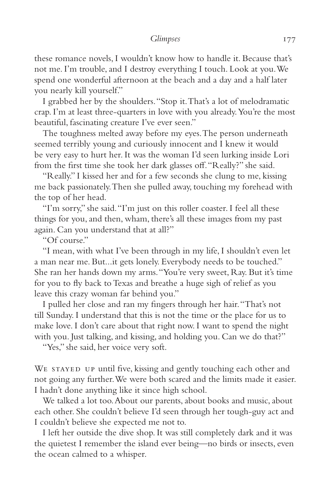these romance novels, I wouldn't know how to handle it. Because that's not me. I'm trouble, and I destroy everything I touch. Look at you. We spend one wonderful afternoon at the beach and a day and a half later you nearly kill yourself."

I grabbed her by the shoulders. "Stop it. That's a lot of melodramatic crap. I'm at least three-quarters in love with you already. You're the most beautiful, fascinating creature I've ever seen."

The toughness melted away before my eyes. The person underneath seemed terribly young and curiously innocent and I knew it would be very easy to hurt her. It was the woman I'd seen lurking inside Lori from the first time she took her dark glasses off. "Really?" she said.

"Really." I kissed her and for a few seconds she clung to me, kissing me back passionately. Then she pulled away, touching my forehead with the top of her head.

"I'm sorry," she said. "I'm just on this roller coaster. I feel all these things for you, and then, wham, there's all these images from my past again. Can you understand that at all?"

"Of course."

"I mean, with what I've been through in my life, I shouldn't even let a man near me. But...it gets lonely. Everybody needs to be touched." She ran her hands down my arms. "You're very sweet, Ray. But it's time for you to fly back to Texas and breathe a huge sigh of relief as you leave this crazy woman far behind you."

I pulled her close and ran my fingers through her hair. "That's not till Sunday. I understand that this is not the time or the place for us to make love. I don't care about that right now. I want to spend the night with you. Just talking, and kissing, and holding you. Can we do that?"

"Yes," she said, her voice very soft.

WE STAYED UP until five, kissing and gently touching each other and not going any further. We were both scared and the limits made it easier. I hadn't done anything like it since high school.

We talked a lot too. About our parents, about books and music, about each other. She couldn't believe I'd seen through her tough-guy act and I couldn't believe she expected me not to.

I left her outside the dive shop. It was still completely dark and it was the quietest I remember the island ever being—no birds or insects, even the ocean calmed to a whisper.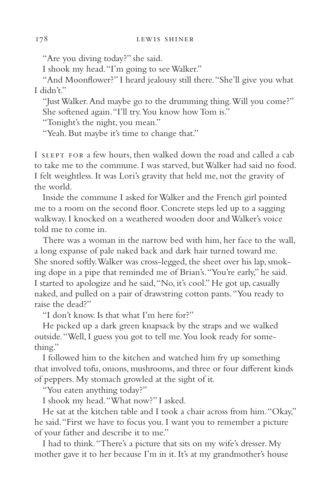"Are you diving today?" she said.

I shook my head. "I'm going to see Walker."

"And Moonflower?" I heard jealousy still there. "She'll give you what I didn't."

"Just Walker. And maybe go to the drumming thing. Will you come?" She softened again. "I'll try. You know how Tom is."

"Tonight's the night, you mean."

"Yeah. But maybe it's time to change that."

I slept for a few hours, then walked down the road and called a cab to take me to the commune. I was starved, but Walker had said no food. I felt weightless. It was Lori's gravity that held me, not the gravity of the world.

Inside the commune I asked for Walker and the French girl pointed me to a room on the second floor. Concrete steps led up to a sagging walkway. I knocked on a weathered wooden door and Walker's voice told me to come in.

There was a woman in the narrow bed with him, her face to the wall, a long expanse of pale naked back and dark hair turned toward me. She snored softly. Walker was cross-legged, the sheet over his lap, smoking dope in a pipe that reminded me of Brian's. "You're early," he said. I started to apologize and he said, "No, it's cool." He got up, casually naked, and pulled on a pair of drawstring cotton pants. "You ready to raise the dead?"

"I don't know. Is that what I'm here for?"

He picked up a dark green knapsack by the straps and we walked outside. "Well, I guess you got to tell me. You look ready for something."

I followed him to the kitchen and watched him fry up something that involved tofu, onions, mushrooms, and three or four different kinds of peppers. My stomach growled at the sight of it.

"You eaten anything today?"

I shook my head. "What now?" I asked.

He sat at the kitchen table and I took a chair across from him. "Okay," he said. "First we have to focus you. I want you to remember a picture of your father and describe it to me."

I had to think. "There's a picture that sits on my wife's dresser. My mother gave it to her because I'm in it. It's at my grandmother's house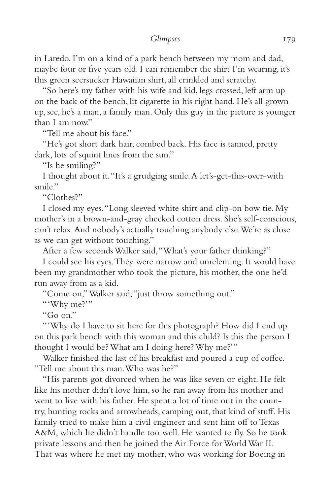in Laredo. I'm on a kind of a park bench between my mom and dad, maybe four or five years old. I can remember the shirt I'm wearing, it's this green seersucker Hawaiian shirt, all crinkled and scratchy.

"So here's my father with his wife and kid, legs crossed, left arm up on the back of the bench, lit cigarette in his right hand. He's all grown up, see, he's a man, a family man. Only this guy in the picture is younger than I am now."

"Tell me about his face."

"He's got short dark hair, combed back. His face is tanned, pretty dark, lots of squint lines from the sun."

"Is he smiling?"

I thought about it. "It's a grudging smile. A let's-get-this-over-with smile."

"Clothes?"

I closed my eyes. "Long sleeved white shirt and clip-on bow tie. My mother's in a brown-and-gray checked cotton dress. She's self-conscious, can't relax. And nobody's actually touching anybody else. We're as close as we can get without touching."

After a few seconds Walker said, "What's your father thinking?"

I could see his eyes. They were narrow and unrelenting. It would have been my grandmother who took the picture, his mother, the one he'd run away from as a kid.

"Come on," Walker said, "just throw something out."

"'Why me?"

" $Go \text{ on}$ ."

"'Why do I have to sit here for this photograph? How did I end up on this park bench with this woman and this child? Is this the person I thought I would be? What am I doing here? Why me?'"

Walker finished the last of his breakfast and poured a cup of coffee. "Tell me about this man. Who was he?"

"His parents got divorced when he was like seven or eight. He felt like his mother didn't love him, so he ran away from his mother and went to live with his father. He spent a lot of time out in the country, hunting rocks and arrowheads, camping out, that kind of stuff. His family tried to make him a civil engineer and sent him off to Texas A&M, which he didn't handle too well. He wanted to fly. So he took private lessons and then he joined the Air Force for World War II. That was where he met my mother, who was working for Boeing in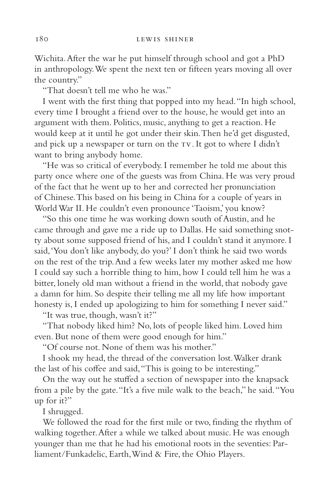Wichita. After the war he put himself through school and got a PhD in anthropology. We spent the next ten or fifteen years moving all over the country."

"That doesn't tell me who he was."

I went with the first thing that popped into my head. "In high school, every time I brought a friend over to the house, he would get into an argument with them. Politics, music, anything to get a reaction. He would keep at it until he got under their skin. Then he'd get disgusted, and pick up a newspaper or turn on the TV. It got to where I didn't want to bring anybody home.

"He was so critical of everybody. I remember he told me about this party once where one of the guests was from China. He was very proud of the fact that he went up to her and corrected her pronunciation of Chinese. This based on his being in China for a couple of years in World War II. He couldn't even pronounce 'Taoism,' you know?

"So this one time he was working down south of Austin, and he came through and gave me a ride up to Dallas. He said something snotty about some supposed friend of his, and I couldn't stand it anymore. I said, 'You don't like anybody, do you?' I don't think he said two words on the rest of the trip. And a few weeks later my mother asked me how I could say such a horrible thing to him, how I could tell him he was a bitter, lonely old man without a friend in the world, that nobody gave a damn for him. So despite their telling me all my life how important honesty is, I ended up apologizing to him for something I never said."

"It was true, though, wasn't it?"

"That nobody liked him? No, lots of people liked him. Loved him even. But none of them were good enough for him."

"Of course not. None of them was his mother."

I shook my head, the thread of the conversation lost. Walker drank the last of his coffee and said, "This is going to be interesting."

On the way out he stuffed a section of newspaper into the knapsack from a pile by the gate. "It's a five mile walk to the beach," he said. "You up for it?"

I shrugged.

We followed the road for the first mile or two, finding the rhythm of walking together. After a while we talked about music. He was enough younger than me that he had his emotional roots in the seventies: Parliament/Funkadelic, Earth, Wind & Fire, the Ohio Players.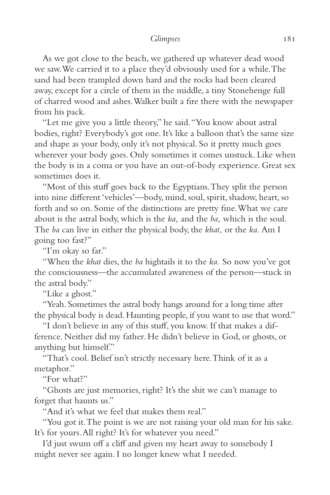As we got close to the beach, we gathered up whatever dead wood we saw. We carried it to a place they'd obviously used for a while. The sand had been trampled down hard and the rocks had been cleared away, except for a circle of them in the middle, a tiny Stonehenge full of charred wood and ashes. Walker built a fire there with the newspaper from his pack.

"Let me give you a little theory," he said. "You know about astral bodies, right? Everybody's got one. It's like a balloon that's the same size and shape as your body, only it's not physical. So it pretty much goes wherever your body goes. Only sometimes it comes unstuck. Like when the body is in a coma or you have an out-of-body experience. Great sex sometimes does it.

"Most of this stuff goes back to the Egyptians. They split the person into nine different 'vehicles'—body, mind, soul, spirit, shadow, heart, so forth and so on. Some of the distinctions are pretty fine. What we care about is the astral body, which is the *ka,* and the *ba,* which is the soul. The *ba* can live in either the physical body, the *khat,* or the *ka.* Am I going too fast?"

"I'm okay so far."

"When the *khat* dies, the *ba* hightails it to the *ka.* So now you've got the consciousness—the accumulated awareness of the person—stuck in the astral body."

"Like a ghost."

"Yeah. Sometimes the astral body hangs around for a long time after the physical body is dead. Haunting people, if you want to use that word."

"I don't believe in any of this stuff, you know. If that makes a difference. Neither did my father. He didn't believe in God, or ghosts, or anything but himself."

"That's cool. Belief isn't strictly necessary here. Think of it as a metaphor."

"For what?"

"Ghosts are just memories, right? It's the shit we can't manage to forget that haunts us."

"And it's what we feel that makes them real."

"You got it. The point is we are not raising your old man for his sake. It's for yours. All right? It's for whatever you need."

I'd just swum off a cliff and given my heart away to somebody I might never see again. I no longer knew what I needed.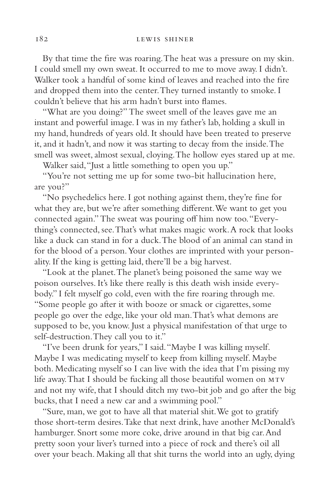By that time the fire was roaring. The heat was a pressure on my skin. I could smell my own sweat. It occurred to me to move away. I didn't. Walker took a handful of some kind of leaves and reached into the fire and dropped them into the center. They turned instantly to smoke. I couldn't believe that his arm hadn't burst into flames.

"What are you doing?" The sweet smell of the leaves gave me an instant and powerful image. I was in my father's lab, holding a skull in my hand, hundreds of years old. It should have been treated to preserve it, and it hadn't, and now it was starting to decay from the inside. The smell was sweet, almost sexual, cloying. The hollow eyes stared up at me.

Walker said, "Just a little something to open you up."

"You're not setting me up for some two-bit hallucination here, are you?"

"No psychedelics here. I got nothing against them, they're fine for what they are, but we're after something different. We want to get you connected again." The sweat was pouring off him now too. "Everything's connected, see. That's what makes magic work. A rock that looks like a duck can stand in for a duck. The blood of an animal can stand in for the blood of a person. Your clothes are imprinted with your personality. If the king is getting laid, there'll be a big harvest.

"Look at the planet. The planet's being poisoned the same way we poison ourselves. It's like there really is this death wish inside everybody." I felt myself go cold, even with the fire roaring through me. "Some people go after it with booze or smack or cigarettes, some people go over the edge, like your old man. That's what demons are supposed to be, you know. Just a physical manifestation of that urge to self-destruction. They call you to it."

"I've been drunk for years," I said. "Maybe I was killing myself. Maybe I was medicating myself to keep from killing myself. Maybe both. Medicating myself so I can live with the idea that I'm pissing my life away. That I should be fucking all those beautiful women on mtv and not my wife, that I should ditch my two-bit job and go after the big bucks, that I need a new car and a swimming pool."

"Sure, man, we got to have all that material shit. We got to gratify those short-term desires. Take that next drink, have another McDonald's hamburger. Snort some more coke, drive around in that big car. And pretty soon your liver's turned into a piece of rock and there's oil all over your beach. Making all that shit turns the world into an ugly, dying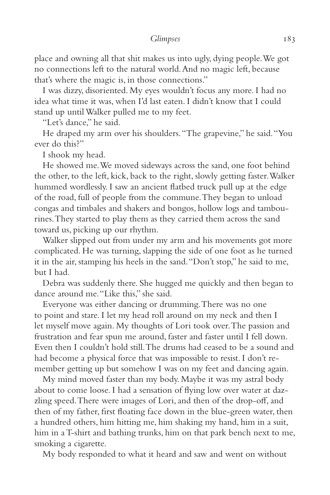place and owning all that shit makes us into ugly, dying people. We got no connections left to the natural world. And no magic left, because that's where the magic is, in those connections."

I was dizzy, disoriented. My eyes wouldn't focus any more. I had no idea what time it was, when I'd last eaten. I didn't know that I could stand up until Walker pulled me to my feet.

"Let's dance," he said.

He draped my arm over his shoulders. "The grapevine," he said. "You ever do this?"

I shook my head.

He showed me. We moved sideways across the sand, one foot behind the other, to the left, kick, back to the right, slowly getting faster. Walker hummed wordlessly. I saw an ancient flatbed truck pull up at the edge of the road, full of people from the commune. They began to unload congas and timbales and shakers and bongos, hollow logs and tambourines. They started to play them as they carried them across the sand toward us, picking up our rhythm.

Walker slipped out from under my arm and his movements got more complicated. He was turning, slapping the side of one foot as he turned it in the air, stamping his heels in the sand. "Don't stop," he said to me, but I had.

Debra was suddenly there. She hugged me quickly and then began to dance around me. "Like this," she said.

Everyone was either dancing or drumming. There was no one to point and stare. I let my head roll around on my neck and then I let myself move again. My thoughts of Lori took over. The passion and frustration and fear spun me around, faster and faster until I fell down. Even then I couldn't hold still. The drums had ceased to be a sound and had become a physical force that was impossible to resist. I don't remember getting up but somehow I was on my feet and dancing again.

My mind moved faster than my body. Maybe it was my astral body about to come loose. I had a sensation of flying low over water at dazzling speed. There were images of Lori, and then of the drop-off, and then of my father, first floating face down in the blue-green water, then a hundred others, him hitting me, him shaking my hand, him in a suit, him in a T-shirt and bathing trunks, him on that park bench next to me, smoking a cigarette.

My body responded to what it heard and saw and went on without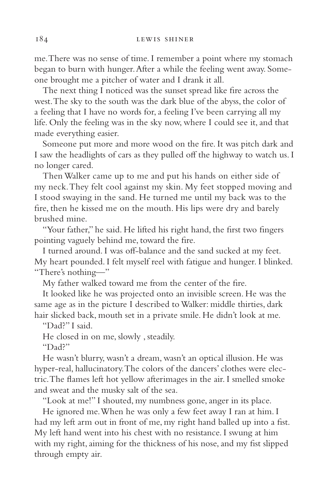me. There was no sense of time. I remember a point where my stomach began to burn with hunger. After a while the feeling went away. Someone brought me a pitcher of water and I drank it all.

The next thing I noticed was the sunset spread like fire across the west. The sky to the south was the dark blue of the abyss, the color of a feeling that I have no words for, a feeling I've been carrying all my life. Only the feeling was in the sky now, where I could see it, and that made everything easier.

Someone put more and more wood on the fire. It was pitch dark and I saw the headlights of cars as they pulled off the highway to watch us. I no longer cared.

Then Walker came up to me and put his hands on either side of my neck. They felt cool against my skin. My feet stopped moving and I stood swaying in the sand. He turned me until my back was to the fire, then he kissed me on the mouth. His lips were dry and barely brushed mine.

"Your father," he said. He lifted his right hand, the first two fingers pointing vaguely behind me, toward the fire.

I turned around. I was off-balance and the sand sucked at my feet. My heart pounded. I felt myself reel with fatigue and hunger. I blinked. "There's nothing—"

My father walked toward me from the center of the fire.

It looked like he was projected onto an invisible screen. He was the same age as in the picture I described to Walker: middle thirties, dark hair slicked back, mouth set in a private smile. He didn't look at me.

"Dad?" I said.

He closed in on me, slowly , steadily.

"Dad?"

He wasn't blurry, wasn't a dream, wasn't an optical illusion. He was hyper-real, hallucinatory. The colors of the dancers' clothes were electric. The flames left hot yellow afterimages in the air. I smelled smoke and sweat and the musky salt of the sea.

"Look at me!" I shouted, my numbness gone, anger in its place.

He ignored me. When he was only a few feet away I ran at him. I had my left arm out in front of me, my right hand balled up into a fist. My left hand went into his chest with no resistance. I swung at him with my right, aiming for the thickness of his nose, and my fist slipped through empty air.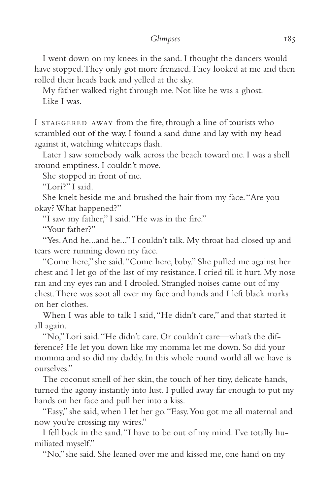I went down on my knees in the sand. I thought the dancers would have stopped. They only got more frenzied. They looked at me and then rolled their heads back and yelled at the sky.

My father walked right through me. Not like he was a ghost. Like I was.

I STAGGERED AWAY from the fire, through a line of tourists who scrambled out of the way. I found a sand dune and lay with my head against it, watching whitecaps flash.

Later I saw somebody walk across the beach toward me. I was a shell around emptiness. I couldn't move.

She stopped in front of me.

"Lori?" I said.

She knelt beside me and brushed the hair from my face. "Are you okay? What happened?"

"I saw my father," I said. "He was in the fire."

"Your father?"

"Yes. And he...and he..." I couldn't talk. My throat had closed up and tears were running down my face.

"Come here," she said. "Come here, baby." She pulled me against her chest and I let go of the last of my resistance. I cried till it hurt. My nose ran and my eyes ran and I drooled. Strangled noises came out of my chest. There was soot all over my face and hands and I left black marks on her clothes.

When I was able to talk I said, "He didn't care," and that started it all again.

"No," Lori said. "He didn't care. Or couldn't care—what's the difference? He let you down like my momma let me down. So did your momma and so did my daddy. In this whole round world all we have is ourselves."

The coconut smell of her skin, the touch of her tiny, delicate hands, turned the agony instantly into lust. I pulled away far enough to put my hands on her face and pull her into a kiss.

"Easy," she said, when I let her go. "Easy. You got me all maternal and now you're crossing my wires."

I fell back in the sand. "I have to be out of my mind. I've totally humiliated myself."

"No," she said. She leaned over me and kissed me, one hand on my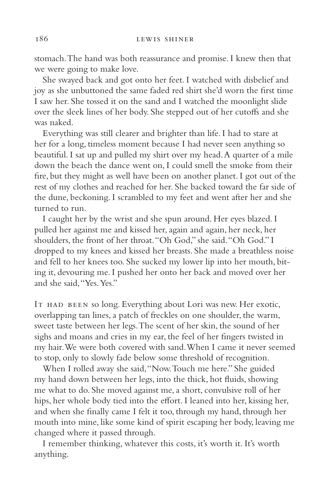stomach. The hand was both reassurance and promise. I knew then that we were going to make love.

She swayed back and got onto her feet. I watched with disbelief and joy as she unbuttoned the same faded red shirt she'd worn the first time I saw her. She tossed it on the sand and I watched the moonlight slide over the sleek lines of her body. She stepped out of her cutoffs and she was naked.

Everything was still clearer and brighter than life. I had to stare at her for a long, timeless moment because I had never seen anything so beautiful. I sat up and pulled my shirt over my head. A quarter of a mile down the beach the dance went on, I could smell the smoke from their fire, but they might as well have been on another planet. I got out of the rest of my clothes and reached for her. She backed toward the far side of the dune, beckoning. I scrambled to my feet and went after her and she turned to run.

I caught her by the wrist and she spun around. Her eyes blazed. I pulled her against me and kissed her, again and again, her neck, her shoulders, the front of her throat. "Oh God," she said. "Oh God." I dropped to my knees and kissed her breasts. She made a breathless noise and fell to her knees too. She sucked my lower lip into her mouth, biting it, devouring me. I pushed her onto her back and moved over her and she said, "Yes. Yes."

IT HAD BEEN so long. Everything about Lori was new. Her exotic, overlapping tan lines, a patch of freckles on one shoulder, the warm, sweet taste between her legs. The scent of her skin, the sound of her sighs and moans and cries in my ear, the feel of her fingers twisted in my hair. We were both covered with sand. When I came it never seemed to stop, only to slowly fade below some threshold of recognition.

When I rolled away she said, "Now. Touch me here." She guided my hand down between her legs, into the thick, hot fluids, showing me what to do. She moved against me, a short, convulsive roll of her hips, her whole body tied into the effort. I leaned into her, kissing her, and when she finally came I felt it too, through my hand, through her mouth into mine, like some kind of spirit escaping her body, leaving me changed where it passed through.

I remember thinking, whatever this costs, it's worth it. It's worth anything.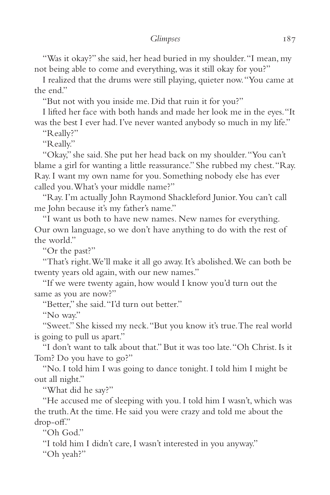"Was it okay?" she said, her head buried in my shoulder. "I mean, my not being able to come and everything, was it still okay for you?"

I realized that the drums were still playing, quieter now. "You came at the end."

"But not with you inside me. Did that ruin it for you?"

I lifted her face with both hands and made her look me in the eyes. "It was the best I ever had. I've never wanted anybody so much in my life."

"Really?"

"Really."

"Okay," she said. She put her head back on my shoulder. "You can't blame a girl for wanting a little reassurance." She rubbed my chest. "Ray. Ray. I want my own name for you. Something nobody else has ever called you. What's your middle name?"

"Ray. I'm actually John Raymond Shackleford Junior. You can't call me John because it's my father's name."

"I want us both to have new names. New names for everything. Our own language, so we don't have anything to do with the rest of the world."

"Or the past?"

"That's right. We'll make it all go away. It's abolished. We can both be twenty years old again, with our new names."

"If we were twenty again, how would I know you'd turn out the same as you are now?"

"Better," she said. "I'd turn out better."

"No way."

"Sweet." She kissed my neck. "But you know it's true. The real world is going to pull us apart."

"I don't want to talk about that." But it was too late. "Oh Christ. Is it Tom? Do you have to go?"

"No. I told him I was going to dance tonight. I told him I might be out all night."

"What did he say?"

"He accused me of sleeping with you. I told him I wasn't, which was the truth. At the time. He said you were crazy and told me about the drop-off."

"Oh God."

"I told him I didn't care, I wasn't interested in you anyway."

"Oh yeah?"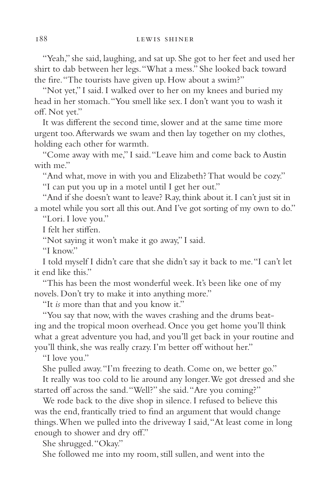"Yeah," she said, laughing, and sat up. She got to her feet and used her shirt to dab between her legs. "What a mess." She looked back toward the fire. "The tourists have given up. How about a swim?"

"Not yet," I said. I walked over to her on my knees and buried my head in her stomach. "You smell like sex. I don't want you to wash it off. Not yet."

It was different the second time, slower and at the same time more urgent too. Afterwards we swam and then lay together on my clothes, holding each other for warmth.

"Come away with me," I said. "Leave him and come back to Austin with me."

"And what, move in with you and Elizabeth? That would be cozy."

"I can put you up in a motel until I get her out."

"And if she doesn't want to leave? Ray, think about it. I can't just sit in a motel while you sort all this out. And I've got sorting of my own to do."

"Lori. I love you."

I felt her stiffen.

"Not saying it won't make it go away," I said.

"I know."

I told myself I didn't care that she didn't say it back to me. "I can't let it end like this."

"This has been the most wonderful week. It's been like one of my novels. Don't try to make it into anything more."

"It *is* more than that and you know it."

"You say that now, with the waves crashing and the drums beating and the tropical moon overhead. Once you get home you'll think what a great adventure you had, and you'll get back in your routine and you'll think, she was really crazy. I'm better off without her."

"I love you."

She pulled away. "I'm freezing to death. Come on, we better go."

It really was too cold to lie around any longer. We got dressed and she started off across the sand. "Well?" she said. "Are you coming?"

We rode back to the dive shop in silence. I refused to believe this was the end, frantically tried to find an argument that would change things. When we pulled into the driveway I said, "At least come in long enough to shower and dry off."

She shrugged. "Okay."

She followed me into my room, still sullen, and went into the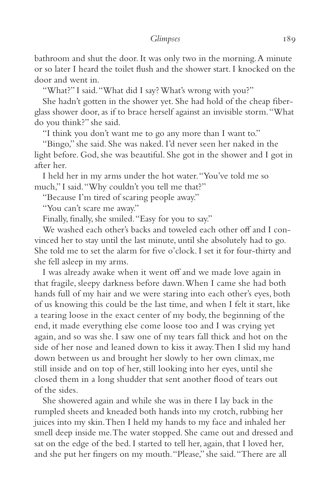bathroom and shut the door. It was only two in the morning. A minute or so later I heard the toilet flush and the shower start. I knocked on the door and went in.

"What?" I said. "What did I say? What's wrong with you?"

She hadn't gotten in the shower yet. She had hold of the cheap fiberglass shower door, as if to brace herself against an invisible storm. "What do you think?" she said.

"I think you don't want me to go any more than I want to."

"Bingo," she said. She was naked. I'd never seen her naked in the light before. God, she was beautiful. She got in the shower and I got in after her.

I held her in my arms under the hot water. "You've told me so much," I said. "Why couldn't you tell me that?"

"Because I'm tired of scaring people away."

"You can't scare me away."

Finally, finally, she smiled. "Easy for you to say."

We washed each other's backs and toweled each other off and I convinced her to stay until the last minute, until she absolutely had to go. She told me to set the alarm for five o'clock. I set it for four-thirty and she fell asleep in my arms.

I was already awake when it went off and we made love again in that fragile, sleepy darkness before dawn. When I came she had both hands full of my hair and we were staring into each other's eyes, both of us knowing this could be the last time, and when I felt it start, like a tearing loose in the exact center of my body, the beginning of the end, it made everything else come loose too and I was crying yet again, and so was she. I saw one of my tears fall thick and hot on the side of her nose and leaned down to kiss it away. Then I slid my hand down between us and brought her slowly to her own climax, me still inside and on top of her, still looking into her eyes, until she closed them in a long shudder that sent another flood of tears out of the sides.

She showered again and while she was in there I lay back in the rumpled sheets and kneaded both hands into my crotch, rubbing her juices into my skin. Then I held my hands to my face and inhaled her smell deep inside me. The water stopped. She came out and dressed and sat on the edge of the bed. I started to tell her, again, that I loved her, and she put her fingers on my mouth. "Please," she said. "There are all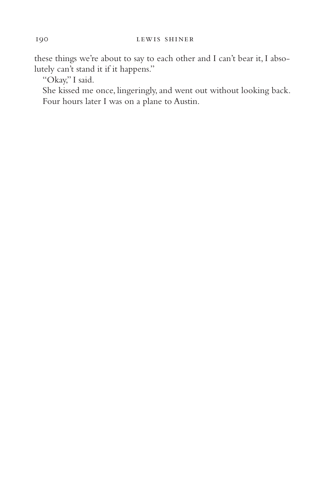these things we're about to say to each other and I can't bear it, I absolutely can't stand it if it happens."

"Okay," I said.

She kissed me once, lingeringly, and went out without looking back. Four hours later I was on a plane to Austin.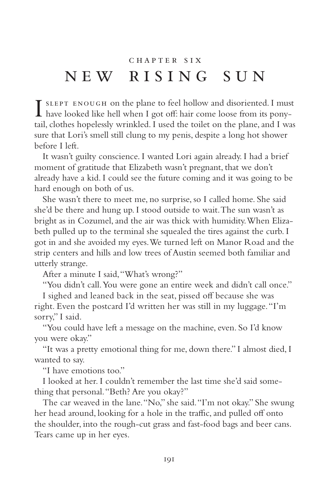# chapter six new rising sun

I SLEPT ENOUGH on the plane to feel hollow and disoriented. I must<br>have looked like hell when I got off: hair come loose from its ponytail, clothes hopelessly wrinkled. I used the toilet on the plane, and I was sure that Lori's smell still clung to my penis, despite a long hot shower before I left.

It wasn't guilty conscience. I wanted Lori again already. I had a brief moment of gratitude that Elizabeth wasn't pregnant, that we don't already have a kid. I could see the future coming and it was going to be hard enough on both of us.

She wasn't there to meet me, no surprise, so I called home. She said she'd be there and hung up. I stood outside to wait. The sun wasn't as bright as in Cozumel, and the air was thick with humidity. When Elizabeth pulled up to the terminal she squealed the tires against the curb. I got in and she avoided my eyes. We turned left on Manor Road and the strip centers and hills and low trees of Austin seemed both familiar and utterly strange.

After a minute I said, "What's wrong?"

"You didn't call. You were gone an entire week and didn't call once."

I sighed and leaned back in the seat, pissed off because she was right. Even the postcard I'd written her was still in my luggage. "I'm sorry," I said.

"You could have left a message on the machine, even. So I'd know you were okay."

"It was a pretty emotional thing for me, down there." I almost died, I wanted to say.

"I have emotions too."

I looked at her. I couldn't remember the last time she'd said something that personal. "Beth? Are you okay?"

The car weaved in the lane. "No," she said. "I'm not okay." She swung her head around, looking for a hole in the traffic, and pulled off onto the shoulder, into the rough-cut grass and fast-food bags and beer cans. Tears came up in her eyes.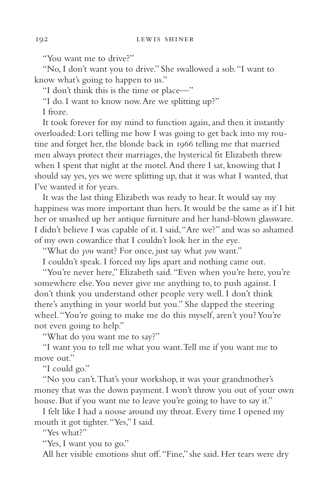"You want me to drive?"

"No, I don't want you to drive." She swallowed a sob. "I want to know what's going to happen to us."

"I don't think this is the time or place—"

"I do. I want to know now. Are we splitting up?"

I froze.

It took forever for my mind to function again, and then it instantly overloaded: Lori telling me how I was going to get back into my routine and forget her, the blonde back in 1966 telling me that married men always protect their marriages, the hysterical fit Elizabeth threw when I spent that night at the motel. And there I sat, knowing that I should say yes, yes we were splitting up, that it was what I wanted, that I've wanted it for years.

It was the last thing Elizabeth was ready to hear. It would say my happiness was more important than hers. It would be the same as if I hit her or smashed up her antique furniture and her hand-blown glassware. I didn't believe I was capable of it. I said, "Are we?" and was so ashamed of my own cowardice that I couldn't look her in the eye.

"What do *you* want? For once, just say what *you* want."

I couldn't speak. I forced my lips apart and nothing came out.

"You're never here," Elizabeth said. "Even when you're here, you're somewhere else. You never give me anything to, to push against. I don't think you understand other people very well. I don't think there's anything in your world but you." She slapped the steering wheel. "You're going to make me do this myself, aren't you? You're not even going to help."

"What do you want me to say?"

"I want you to tell me what you want. Tell me if you want me to move out."

"I could go."

"No you can't. That's your workshop, it was your grandmother's money that was the down payment. I won't throw you out of your own house. But if you want me to leave you're going to have to say it."

I felt like I had a noose around my throat. Every time I opened my mouth it got tighter. "Yes," I said.

"Yes what?"

"Yes, I want you to go."

All her visible emotions shut off. "Fine," she said. Her tears were dry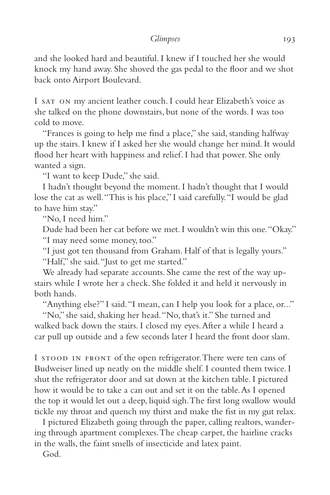and she looked hard and beautiful. I knew if I touched her she would knock my hand away. She shoved the gas pedal to the floor and we shot back onto Airport Boulevard.

I SAT ON my ancient leather couch. I could hear Elizabeth's voice as she talked on the phone downstairs, but none of the words. I was too cold to move.

"Frances is going to help me find a place," she said, standing halfway up the stairs. I knew if I asked her she would change her mind. It would flood her heart with happiness and relief. I had that power. She only wanted a sign.

"I want to keep Dude," she said.

I hadn't thought beyond the moment. I hadn't thought that I would lose the cat as well. "This is his place," I said carefully. "I would be glad to have him stay."

"No, I need him."

Dude had been her cat before we met. I wouldn't win this one. "Okay." "I may need some money, too."

"I just got ten thousand from Graham. Half of that is legally yours."

"Half," she said. "Just to get me started."

We already had separate accounts. She came the rest of the way upstairs while I wrote her a check. She folded it and held it nervously in both hands.

"Anything else?" I said. "I mean, can I help you look for a place, or..."

"No," she said, shaking her head. "No, that's it." She turned and walked back down the stairs. I closed my eyes. After a while I heard a car pull up outside and a few seconds later I heard the front door slam.

I stood in front of the open refrigerator. There were ten cans of Budweiser lined up neatly on the middle shelf. I counted them twice. I shut the refrigerator door and sat down at the kitchen table. I pictured how it would be to take a can out and set it on the table. As I opened the top it would let out a deep, liquid sigh. The first long swallow would tickle my throat and quench my thirst and make the fist in my gut relax.

I pictured Elizabeth going through the paper, calling realtors, wandering through apartment complexes. The cheap carpet, the hairline cracks in the walls, the faint smells of insecticide and latex paint.

God.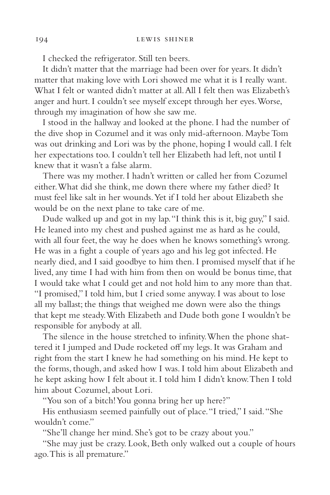I checked the refrigerator. Still ten beers.

It didn't matter that the marriage had been over for years. It didn't matter that making love with Lori showed me what it is I really want. What I felt or wanted didn't matter at all. All I felt then was Elizabeth's anger and hurt. I couldn't see myself except through her eyes. Worse, through my imagination of how she saw me.

I stood in the hallway and looked at the phone. I had the number of the dive shop in Cozumel and it was only mid-afternoon. Maybe Tom was out drinking and Lori was by the phone, hoping I would call. I felt her expectations too. I couldn't tell her Elizabeth had left, not until I knew that it wasn't a false alarm.

There was my mother. I hadn't written or called her from Cozumel either. What did she think, me down there where my father died? It must feel like salt in her wounds. Yet if I told her about Elizabeth she would be on the next plane to take care of me.

Dude walked up and got in my lap. "I think this is it, big guy," I said. He leaned into my chest and pushed against me as hard as he could, with all four feet, the way he does when he knows something's wrong. He was in a fight a couple of years ago and his leg got infected. He nearly died, and I said goodbye to him then. I promised myself that if he lived, any time I had with him from then on would be bonus time, that I would take what I could get and not hold him to any more than that. "I promised," I told him, but I cried some anyway. I was about to lose all my ballast; the things that weighed me down were also the things that kept me steady. With Elizabeth and Dude both gone I wouldn't be responsible for anybody at all.

The silence in the house stretched to infinity. When the phone shattered it I jumped and Dude rocketed off my legs. It was Graham and right from the start I knew he had something on his mind. He kept to the forms, though, and asked how I was. I told him about Elizabeth and he kept asking how I felt about it. I told him I didn't know. Then I told him about Cozumel, about Lori.

"You son of a bitch! You gonna bring her up here?"

His enthusiasm seemed painfully out of place. "I tried," I said. "She wouldn't come."

"She'll change her mind. She's got to be crazy about you."

"She may just be crazy. Look, Beth only walked out a couple of hours ago. This is all premature."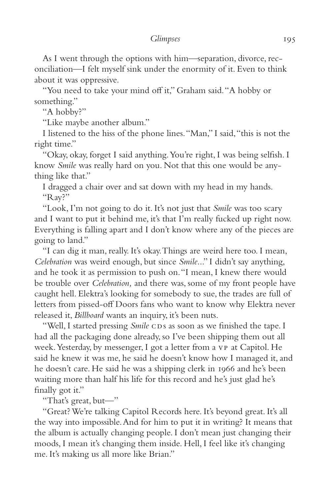As I went through the options with him—separation, divorce, reconciliation—I felt myself sink under the enormity of it. Even to think about it was oppressive.

"You need to take your mind off it," Graham said. "A hobby or something."

"A hobby?"

"Like maybe another album."

I listened to the hiss of the phone lines. "Man," I said, "this is not the right time."

"Okay, okay, forget I said anything. You're right, I was being selfish. I know *Smile* was really hard on you. Not that this one would be anything like that."

I dragged a chair over and sat down with my head in my hands. "Ray?"

"Look, I'm not going to do it. It's not just that *Smile* was too scary and I want to put it behind me, it's that I'm really fucked up right now. Everything is falling apart and I don't know where any of the pieces are going to land."

"I can dig it man, really. It's okay. Things are weird here too. I mean, *Celebration* was weird enough, but since *Smile*..." I didn't say anything, and he took it as permission to push on. "I mean, I knew there would be trouble over *Celebration,* and there was, some of my front people have caught hell. Elektra's looking for somebody to sue, the trades are full of letters from pissed-off Doors fans who want to know why Elektra never released it, *Billboard* wants an inquiry, it's been nuts.

"Well, I started pressing *Smile* CDs as soon as we finished the tape. I had all the packaging done already, so I've been shipping them out all week. Yesterday, by messenger, I got a letter from a vp at Capitol. He said he knew it was me, he said he doesn't know how I managed it, and he doesn't care. He said he was a shipping clerk in 1966 and he's been waiting more than half his life for this record and he's just glad he's finally got it."

"That's great, but—"

"Great? We're talking Capitol Records here. It's beyond great. It's all the way into impossible. And for him to put it in writing? It means that the album is actually changing people. I don't mean just changing their moods, I mean it's changing them inside. Hell, I feel like it's changing me. It's making us all more like Brian."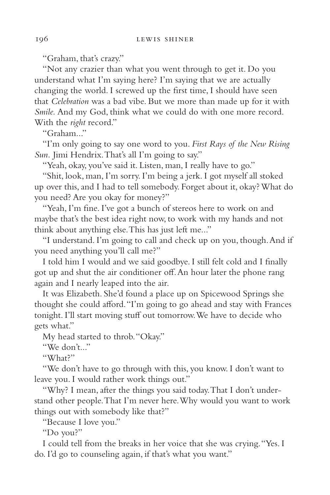"Graham, that's crazy."

"Not any crazier than what you went through to get it. Do you understand what I'm saying here? I'm saying that we are actually changing the world. I screwed up the first time, I should have seen that *Celebration* was a bad vibe. But we more than made up for it with *Smile.* And my God, think what we could do with one more record. With the *right* record."

"Graham"

"I'm only going to say one word to you. *First Rays of the New Rising Sun.* Jimi Hendrix. That's all I'm going to say."

"Yeah, okay, you've said it. Listen, man, I really have to go."

"Shit, look, man, I'm sorry. I'm being a jerk. I got myself all stoked up over this, and I had to tell somebody. Forget about it, okay? What do you need? Are you okay for money?"

"Yeah, I'm fine. I've got a bunch of stereos here to work on and maybe that's the best idea right now, to work with my hands and not think about anything else. This has just left me..."

"I understand. I'm going to call and check up on you, though. And if you need anything you'll call me?"

I told him I would and we said goodbye. I still felt cold and I finally got up and shut the air conditioner off. An hour later the phone rang again and I nearly leaped into the air.

It was Elizabeth. She'd found a place up on Spicewood Springs she thought she could afford. "I'm going to go ahead and stay with Frances tonight. I'll start moving stuff out tomorrow. We have to decide who gets what."

My head started to throb. "Okay."

"We don't..."

"What?"

"We don't have to go through with this, you know. I don't want to leave you. I would rather work things out."

"Why? I mean, after the things you said today. That I don't understand other people. That I'm never here. Why would you want to work things out with somebody like that?"

"Because I love you."

"Do you?"

I could tell from the breaks in her voice that she was crying. "Yes. I do. I'd go to counseling again, if that's what you want."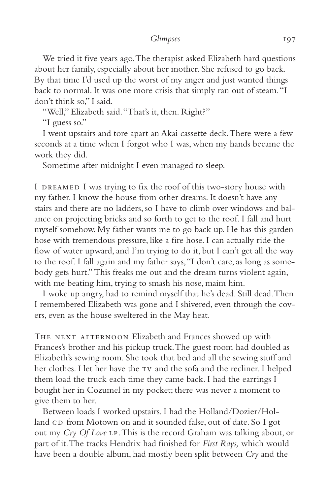We tried it five years ago. The therapist asked Elizabeth hard questions about her family, especially about her mother. She refused to go back. By that time I'd used up the worst of my anger and just wanted things back to normal. It was one more crisis that simply ran out of steam. "I don't think so," I said.

"Well," Elizabeth said. "That's it, then. Right?"

"I guess so."

I went upstairs and tore apart an Akai cassette deck. There were a few seconds at a time when I forgot who I was, when my hands became the work they did.

Sometime after midnight I even managed to sleep.

I DREAMED I was trying to fix the roof of this two-story house with my father. I know the house from other dreams. It doesn't have any stairs and there are no ladders, so I have to climb over windows and balance on projecting bricks and so forth to get to the roof. I fall and hurt myself somehow. My father wants me to go back up. He has this garden hose with tremendous pressure, like a fire hose. I can actually ride the flow of water upward, and I'm trying to do it, but I can't get all the way to the roof. I fall again and my father says, "I don't care, as long as somebody gets hurt." This freaks me out and the dream turns violent again, with me beating him, trying to smash his nose, maim him.

I woke up angry, had to remind myself that he's dead. Still dead. Then I remembered Elizabeth was gone and I shivered, even through the covers, even as the house sweltered in the May heat.

THE NEXT AFTERNOON Elizabeth and Frances showed up with Frances's brother and his pickup truck. The guest room had doubled as Elizabeth's sewing room. She took that bed and all the sewing stuff and her clothes. I let her have the  $Tv$  and the sofa and the recliner. I helped them load the truck each time they came back. I had the earrings I bought her in Cozumel in my pocket; there was never a moment to give them to her.

Between loads I worked upstairs. I had the Holland/Dozier/Holland CD from Motown on and it sounded false, out of date. So I got out my *Cry Of Love* lp. This is the record Graham was talking about, or part of it. The tracks Hendrix had finished for *First Rays,* which would have been a double album, had mostly been split between *Cry* and the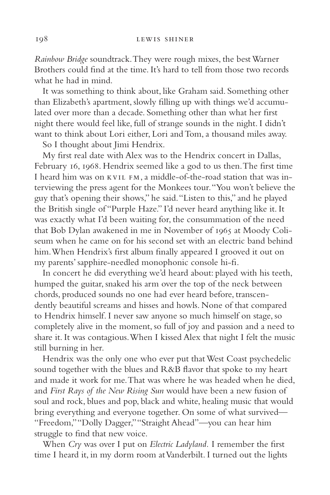*Rainbow Bridge* soundtrack. They were rough mixes, the best Warner Brothers could find at the time. It's hard to tell from those two records what he had in mind.

It was something to think about, like Graham said. Something other than Elizabeth's apartment, slowly filling up with things we'd accumulated over more than a decade. Something other than what her first night there would feel like, full of strange sounds in the night. I didn't want to think about Lori either, Lori and Tom, a thousand miles away.

So I thought about Jimi Hendrix.

My first real date with Alex was to the Hendrix concert in Dallas, February 16, 1968. Hendrix seemed like a god to us then. The first time I heard him was on kvil fm, a middle-of-the-road station that was interviewing the press agent for the Monkees tour. "You won't believe the guy that's opening their shows," he said. "Listen to this," and he played the British single of "Purple Haze." I'd never heard anything like it. It was exactly what I'd been waiting for, the consummation of the need that Bob Dylan awakened in me in November of 1965 at Moody Coliseum when he came on for his second set with an electric band behind him. When Hendrix's first album finally appeared I grooved it out on my parents' sapphire-needled monophonic console hi-fi.

In concert he did everything we'd heard about: played with his teeth, humped the guitar, snaked his arm over the top of the neck between chords, produced sounds no one had ever heard before, transcendently beautiful screams and hisses and howls. None of that compared to Hendrix himself. I never saw anyone so much himself on stage, so completely alive in the moment, so full of joy and passion and a need to share it. It was contagious. When I kissed Alex that night I felt the music still burning in her.

Hendrix was the only one who ever put that West Coast psychedelic sound together with the blues and R&B flavor that spoke to my heart and made it work for me. That was where he was headed when he died, and *First Rays of the New Rising Sun* would have been a new fusion of soul and rock, blues and pop, black and white, healing music that would bring everything and everyone together. On some of what survived— "Freedom," "Dolly Dagger," "Straight Ahead"—you can hear him struggle to find that new voice.

When *Cry* was over I put on *Electric Ladyland.* I remember the first time I heard it, in my dorm room at Vanderbilt. I turned out the lights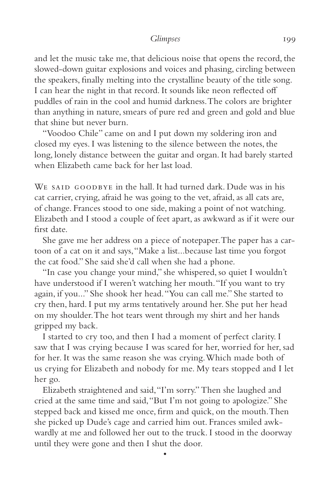and let the music take me, that delicious noise that opens the record, the slowed-down guitar explosions and voices and phasing, circling between the speakers, finally melting into the crystalline beauty of the title song. I can hear the night in that record. It sounds like neon reflected off puddles of rain in the cool and humid darkness. The colors are brighter than anything in nature, smears of pure red and green and gold and blue that shine but never burn.

"Voodoo Chile" came on and I put down my soldering iron and closed my eyes. I was listening to the silence between the notes, the long, lonely distance between the guitar and organ. It had barely started when Elizabeth came back for her last load.

WE SAID GOODBYE in the hall. It had turned dark. Dude was in his cat carrier, crying, afraid he was going to the vet, afraid, as all cats are, of change. Frances stood to one side, making a point of not watching. Elizabeth and I stood a couple of feet apart, as awkward as if it were our first date.

She gave me her address on a piece of notepaper. The paper has a cartoon of a cat on it and says, "Make a list...because last time you forgot the cat food." She said she'd call when she had a phone.

"In case you change your mind," she whispered, so quiet I wouldn't have understood if I weren't watching her mouth. "If you want to try again, if you..." She shook her head. "You can call me." She started to cry then, hard. I put my arms tentatively around her. She put her head on my shoulder. The hot tears went through my shirt and her hands gripped my back.

I started to cry too, and then I had a moment of perfect clarity. I saw that I was crying because I was scared for her, worried for her, sad for her. It was the same reason she was crying. Which made both of us crying for Elizabeth and nobody for me. My tears stopped and I let her go.

Elizabeth straightened and said, "I'm sorry." Then she laughed and cried at the same time and said, "But I'm not going to apologize." She stepped back and kissed me once, firm and quick, on the mouth. Then she picked up Dude's cage and carried him out. Frances smiled awkwardly at me and followed her out to the truck. I stood in the doorway until they were gone and then I shut the door.

•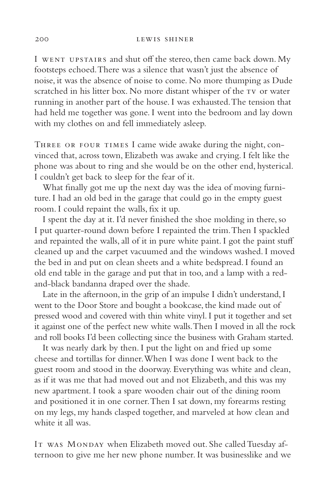I went upstairs and shut off the stereo, then came back down. My footsteps echoed. There was a silence that wasn't just the absence of noise, it was the absence of noise to come. No more thumping as Dude scratched in his litter box. No more distant whisper of the TV or water running in another part of the house. I was exhausted. The tension that had held me together was gone. I went into the bedroom and lay down with my clothes on and fell immediately asleep.

THREE OR FOUR TIMES I came wide awake during the night, convinced that, across town, Elizabeth was awake and crying. I felt like the phone was about to ring and she would be on the other end, hysterical. I couldn't get back to sleep for the fear of it.

What finally got me up the next day was the idea of moving furniture. I had an old bed in the garage that could go in the empty guest room. I could repaint the walls, fix it up.

I spent the day at it. I'd never finished the shoe molding in there, so I put quarter-round down before I repainted the trim. Then I spackled and repainted the walls, all of it in pure white paint. I got the paint stuff cleaned up and the carpet vacuumed and the windows washed. I moved the bed in and put on clean sheets and a white bedspread. I found an old end table in the garage and put that in too, and a lamp with a redand-black bandanna draped over the shade.

Late in the afternoon, in the grip of an impulse I didn't understand, I went to the Door Store and bought a bookcase, the kind made out of pressed wood and covered with thin white vinyl. I put it together and set it against one of the perfect new white walls. Then I moved in all the rock and roll books I'd been collecting since the business with Graham started.

It was nearly dark by then. I put the light on and fried up some cheese and tortillas for dinner. When I was done I went back to the guest room and stood in the doorway. Everything was white and clean, as if it was me that had moved out and not Elizabeth, and this was my new apartment. I took a spare wooden chair out of the dining room and positioned it in one corner. Then I sat down, my forearms resting on my legs, my hands clasped together, and marveled at how clean and white it all was.

IT WAS MONDAY when Elizabeth moved out. She called Tuesday afternoon to give me her new phone number. It was businesslike and we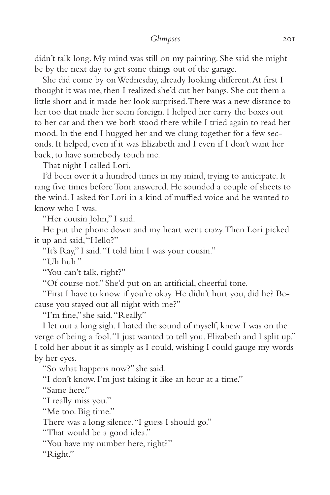didn't talk long. My mind was still on my painting. She said she might be by the next day to get some things out of the garage.

She did come by on Wednesday, already looking different. At first I thought it was me, then I realized she'd cut her bangs. She cut them a little short and it made her look surprised. There was a new distance to her too that made her seem foreign. I helped her carry the boxes out to her car and then we both stood there while I tried again to read her mood. In the end I hugged her and we clung together for a few seconds. It helped, even if it was Elizabeth and I even if I don't want her back, to have somebody touch me.

That night I called Lori.

I'd been over it a hundred times in my mind, trying to anticipate. It rang five times before Tom answered. He sounded a couple of sheets to the wind. I asked for Lori in a kind of muffled voice and he wanted to know who I was.

"Her cousin John," I said.

He put the phone down and my heart went crazy. Then Lori picked it up and said, "Hello?"

"It's Ray," I said. "I told him I was your cousin."

"Uh huh."

"You can't talk, right?"

"Of course not." She'd put on an artificial, cheerful tone.

"First I have to know if you're okay. He didn't hurt you, did he? Because you stayed out all night with me?"

"I'm fine," she said. "Really."

I let out a long sigh. I hated the sound of myself, knew I was on the verge of being a fool. "I just wanted to tell you. Elizabeth and I split up." I told her about it as simply as I could, wishing I could gauge my words by her eyes.

"So what happens now?" she said.

"I don't know. I'm just taking it like an hour at a time."

"Same here."

"I really miss you."

"Me too. Big time."

There was a long silence. "I guess I should go."

"That would be a good idea."

"You have my number here, right?"

"Right."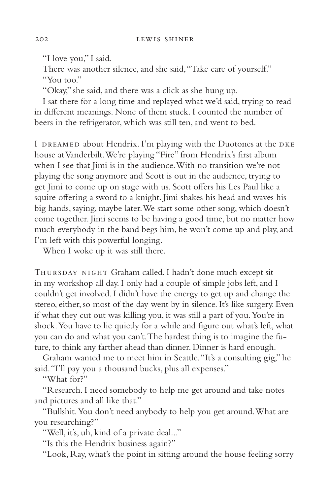"I love you," I said.

There was another silence, and she said, "Take care of yourself." "You too."

"Okay," she said, and there was a click as she hung up.

I sat there for a long time and replayed what we'd said, trying to read in different meanings. None of them stuck. I counted the number of beers in the refrigerator, which was still ten, and went to bed.

I DREAMED about Hendrix. I'm playing with the Duotones at the DKE house at Vanderbilt. We're playing "Fire" from Hendrix's first album when I see that Jimi is in the audience. With no transition we're not playing the song anymore and Scott is out in the audience, trying to get Jimi to come up on stage with us. Scott offers his Les Paul like a squire offering a sword to a knight. Jimi shakes his head and waves his big hands, saying, maybe later. We start some other song, which doesn't come together. Jimi seems to be having a good time, but no matter how much everybody in the band begs him, he won't come up and play, and I'm left with this powerful longing.

When I woke up it was still there.

THURSDAY NIGHT Graham called. I hadn't done much except sit in my workshop all day. I only had a couple of simple jobs left, and I couldn't get involved. I didn't have the energy to get up and change the stereo, either, so most of the day went by in silence. It's like surgery. Even if what they cut out was killing you, it was still a part of you. You're in shock. You have to lie quietly for a while and figure out what's left, what you can do and what you can't. The hardest thing is to imagine the future, to think any farther ahead than dinner. Dinner is hard enough.

Graham wanted me to meet him in Seattle. "It's a consulting gig," he said. "I'll pay you a thousand bucks, plus all expenses."

"What for?"

"Research. I need somebody to help me get around and take notes and pictures and all like that."

"Bullshit. You don't need anybody to help you get around. What are you researching?"

"Well, it's, uh, kind of a private deal..."

"Is this the Hendrix business again?"

"Look, Ray, what's the point in sitting around the house feeling sorry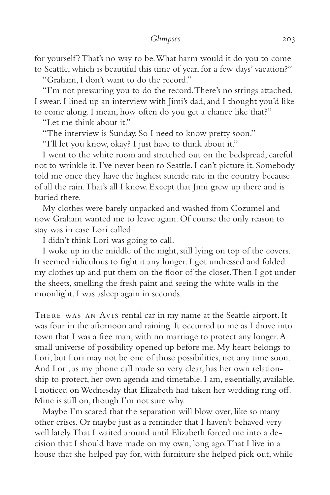for yourself ? That's no way to be. What harm would it do you to come to Seattle, which is beautiful this time of year, for a few days' vacation?"

"Graham, I don't want to do the record."

"I'm not pressuring you to do the record. There's no strings attached, I swear. I lined up an interview with Jimi's dad, and I thought you'd like to come along. I mean, how often do you get a chance like that?"

"Let me think about it."

"The interview is Sunday. So I need to know pretty soon."

"I'll let you know, okay? I just have to think about it."

I went to the white room and stretched out on the bedspread, careful not to wrinkle it. I've never been to Seattle. I can't picture it. Somebody told me once they have the highest suicide rate in the country because of all the rain. That's all I know. Except that Jimi grew up there and is buried there.

My clothes were barely unpacked and washed from Cozumel and now Graham wanted me to leave again. Of course the only reason to stay was in case Lori called.

I didn't think Lori was going to call.

I woke up in the middle of the night, still lying on top of the covers. It seemed ridiculous to fight it any longer. I got undressed and folded my clothes up and put them on the floor of the closet. Then I got under the sheets, smelling the fresh paint and seeing the white walls in the moonlight. I was asleep again in seconds.

There was an Avis rental car in my name at the Seattle airport. It was four in the afternoon and raining. It occurred to me as I drove into town that I was a free man, with no marriage to protect any longer. A small universe of possibility opened up before me. My heart belongs to Lori, but Lori may not be one of those possibilities, not any time soon. And Lori, as my phone call made so very clear, has her own relationship to protect, her own agenda and timetable. I am, essentially, available. I noticed on Wednesday that Elizabeth had taken her wedding ring off. Mine is still on, though I'm not sure why.

Maybe I'm scared that the separation will blow over, like so many other crises. Or maybe just as a reminder that I haven't behaved very well lately. That I waited around until Elizabeth forced me into a decision that I should have made on my own, long ago. That I live in a house that she helped pay for, with furniture she helped pick out, while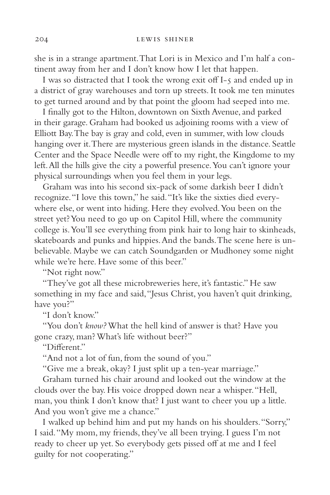she is in a strange apartment. That Lori is in Mexico and I'm half a continent away from her and I don't know how I let that happen.

I was so distracted that I took the wrong exit off I-5 and ended up in a district of gray warehouses and torn up streets. It took me ten minutes to get turned around and by that point the gloom had seeped into me.

I finally got to the Hilton, downtown on Sixth Avenue, and parked in their garage. Graham had booked us adjoining rooms with a view of Elliott Bay. The bay is gray and cold, even in summer, with low clouds hanging over it. There are mysterious green islands in the distance. Seattle Center and the Space Needle were off to my right, the Kingdome to my left. All the hills give the city a powerful presence. You can't ignore your physical surroundings when you feel them in your legs.

Graham was into his second six-pack of some darkish beer I didn't recognize. "I love this town," he said. "It's like the sixties died everywhere else, or went into hiding. Here they evolved. You been on the street yet? You need to go up on Capitol Hill, where the community college is. You'll see everything from pink hair to long hair to skinheads, skateboards and punks and hippies. And the bands. The scene here is unbelievable. Maybe we can catch Soundgarden or Mudhoney some night while we're here. Have some of this beer."

"Not right now."

"They've got all these microbreweries here, it's fantastic." He saw something in my face and said, "Jesus Christ, you haven't quit drinking, have you?"

"I don't know."

"You don't *know?* What the hell kind of answer is that? Have you gone crazy, man? What's life without beer?"

"Different."

"And not a lot of fun, from the sound of you."

"Give me a break, okay? I just split up a ten-year marriage."

Graham turned his chair around and looked out the window at the clouds over the bay. His voice dropped down near a whisper. "Hell, man, you think I don't know that? I just want to cheer you up a little. And you won't give me a chance."

I walked up behind him and put my hands on his shoulders. "Sorry," I said. "My mom, my friends, they've all been trying. I guess I'm not ready to cheer up yet. So everybody gets pissed off at me and I feel guilty for not cooperating."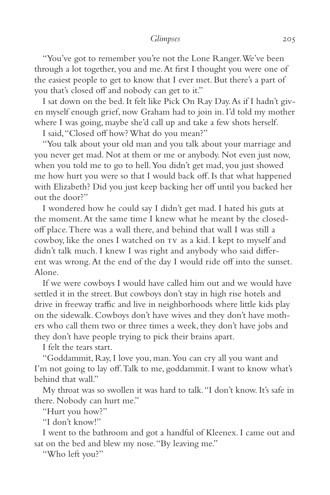"You've got to remember you're not the Lone Ranger. We've been through a lot together, you and me. At first I thought you were one of the easiest people to get to know that I ever met. But there's a part of you that's closed off and nobody can get to it."

I sat down on the bed. It felt like Pick On Ray Day. As if I hadn't given myself enough grief, now Graham had to join in. I'd told my mother where I was going, maybe she'd call up and take a few shots herself.

I said, "Closed off how? What do you mean?"

"You talk about your old man and you talk about your marriage and you never get mad. Not at them or me or anybody. Not even just now, when you told me to go to hell. You didn't get mad, you just showed me how hurt you were so that I would back off. Is that what happened with Elizabeth? Did you just keep backing her off until you backed her out the door?"

I wondered how he could say I didn't get mad. I hated his guts at the moment. At the same time I knew what he meant by the closedoff place. There was a wall there, and behind that wall I was still a cowboy, like the ones I watched on tv as a kid. I kept to myself and didn't talk much. I knew I was right and anybody who said different was wrong. At the end of the day I would ride off into the sunset. Alone.

If we were cowboys I would have called him out and we would have settled it in the street. But cowboys don't stay in high rise hotels and drive in freeway traffic and live in neighborhoods where little kids play on the sidewalk. Cowboys don't have wives and they don't have mothers who call them two or three times a week, they don't have jobs and they don't have people trying to pick their brains apart.

I felt the tears start.

"Goddammit, Ray, I love you, man. You can cry all you want and I'm not going to lay off. Talk to me, goddammit. I want to know what's behind that wall."

My throat was so swollen it was hard to talk. "I don't know. It's safe in there. Nobody can hurt me."

"Hurt you how?"

"I don't know!"

I went to the bathroom and got a handful of Kleenex. I came out and sat on the bed and blew my nose. "By leaving me."

"Who left you?"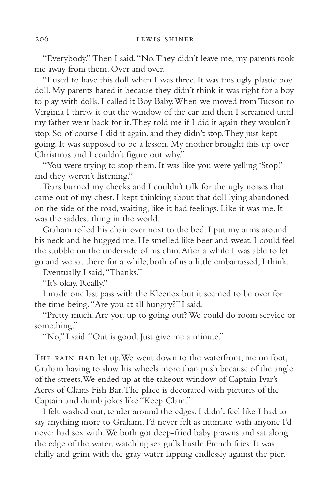"Everybody." Then I said, "No. They didn't leave me, my parents took me away from them. Over and over.

"I used to have this doll when I was three. It was this ugly plastic boy doll. My parents hated it because they didn't think it was right for a boy to play with dolls. I called it Boy Baby. When we moved from Tucson to Virginia I threw it out the window of the car and then I screamed until my father went back for it. They told me if I did it again they wouldn't stop. So of course I did it again, and they didn't stop. They just kept going. It was supposed to be a lesson. My mother brought this up over Christmas and I couldn't figure out why."

"You were trying to stop them. It was like you were yelling 'Stop!' and they weren't listening."

Tears burned my cheeks and I couldn't talk for the ugly noises that came out of my chest. I kept thinking about that doll lying abandoned on the side of the road, waiting, like it had feelings. Like it was me. It was the saddest thing in the world.

Graham rolled his chair over next to the bed. I put my arms around his neck and he hugged me. He smelled like beer and sweat. I could feel the stubble on the underside of his chin. After a while I was able to let go and we sat there for a while, both of us a little embarrassed, I think.

Eventually I said, "Thanks."

"It's okay. Really."

I made one last pass with the Kleenex but it seemed to be over for the time being. "Are you at all hungry?" I said.

"Pretty much. Are you up to going out? We could do room service or something."

"No," I said. "Out is good. Just give me a minute."

THE RAIN HAD let up. We went down to the waterfront, me on foot, Graham having to slow his wheels more than push because of the angle of the streets. We ended up at the takeout window of Captain Ivar's Acres of Clams Fish Bar. The place is decorated with pictures of the Captain and dumb jokes like "Keep Clam."

I felt washed out, tender around the edges. I didn't feel like I had to say anything more to Graham. I'd never felt as intimate with anyone I'd never had sex with. We both got deep-fried baby prawns and sat along the edge of the water, watching sea gulls hustle French fries. It was chilly and grim with the gray water lapping endlessly against the pier.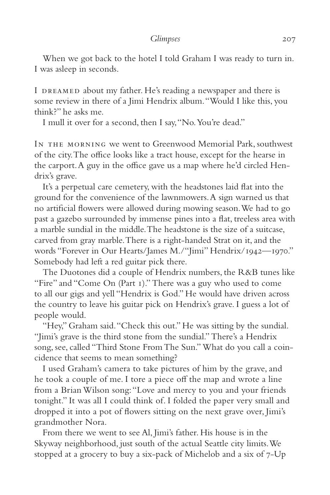When we got back to the hotel I told Graham I was ready to turn in. I was asleep in seconds.

I DREAMED about my father. He's reading a newspaper and there is some review in there of a Jimi Hendrix album. "Would I like this, you think?" he asks me.

I mull it over for a second, then I say, "No. You're dead."

IN THE MORNING we went to Greenwood Memorial Park, southwest of the city. The office looks like a tract house, except for the hearse in the carport. A guy in the office gave us a map where he'd circled Hendrix's grave.

It's a perpetual care cemetery, with the headstones laid flat into the ground for the convenience of the lawnmowers. A sign warned us that no artificial flowers were allowed during mowing season. We had to go past a gazebo surrounded by immense pines into a flat, treeless area with a marble sundial in the middle. The headstone is the size of a suitcase, carved from gray marble. There is a right-handed Strat on it, and the words "Forever in Our Hearts/James M./"Jimi" Hendrix/1942—1970." Somebody had left a red guitar pick there.

The Duotones did a couple of Hendrix numbers, the R&B tunes like "Fire" and "Come On (Part 1)." There was a guy who used to come to all our gigs and yell "Hendrix is God." He would have driven across the country to leave his guitar pick on Hendrix's grave. I guess a lot of people would.

"Hey," Graham said. "Check this out." He was sitting by the sundial. "Jimi's grave is the third stone from the sundial." There's a Hendrix song, see, called "Third Stone From The Sun." What do you call a coincidence that seems to mean something?

I used Graham's camera to take pictures of him by the grave, and he took a couple of me. I tore a piece off the map and wrote a line from a Brian Wilson song: "Love and mercy to you and your friends tonight." It was all I could think of. I folded the paper very small and dropped it into a pot of flowers sitting on the next grave over, Jimi's grandmother Nora.

From there we went to see Al, Jimi's father. His house is in the Skyway neighborhood, just south of the actual Seattle city limits. We stopped at a grocery to buy a six-pack of Michelob and a six of 7-Up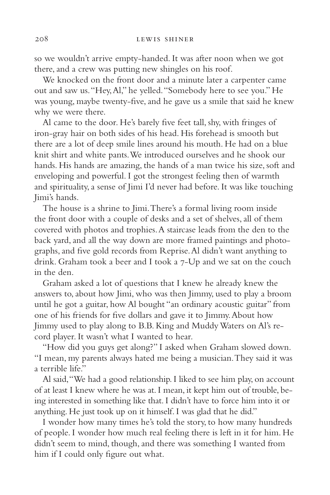so we wouldn't arrive empty-handed. It was after noon when we got there, and a crew was putting new shingles on his roof.

We knocked on the front door and a minute later a carpenter came out and saw us. "Hey, Al," he yelled. "Somebody here to see you." He was young, maybe twenty-five, and he gave us a smile that said he knew why we were there.

Al came to the door. He's barely five feet tall, shy, with fringes of iron-gray hair on both sides of his head. His forehead is smooth but there are a lot of deep smile lines around his mouth. He had on a blue knit shirt and white pants. We introduced ourselves and he shook our hands. His hands are amazing, the hands of a man twice his size, soft and enveloping and powerful. I got the strongest feeling then of warmth and spirituality, a sense of Jimi I'd never had before. It was like touching Jimi's hands.

The house is a shrine to Jimi. There's a formal living room inside the front door with a couple of desks and a set of shelves, all of them covered with photos and trophies. A staircase leads from the den to the back yard, and all the way down are more framed paintings and photographs, and five gold records from Reprise. Al didn't want anything to drink. Graham took a beer and I took a 7-Up and we sat on the couch in the den.

Graham asked a lot of questions that I knew he already knew the answers to, about how Jimi, who was then Jimmy, used to play a broom until he got a guitar, how Al bought "an ordinary acoustic guitar" from one of his friends for five dollars and gave it to Jimmy. About how Jimmy used to play along to B.B. King and Muddy Waters on Al's record player. It wasn't what I wanted to hear.

"How did you guys get along?" I asked when Graham slowed down. "I mean, my parents always hated me being a musician. They said it was a terrible life."

Al said, "We had a good relationship. I liked to see him play, on account of at least I knew where he was at. I mean, it kept him out of trouble, being interested in something like that. I didn't have to force him into it or anything. He just took up on it himself. I was glad that he did."

I wonder how many times he's told the story, to how many hundreds of people. I wonder how much real feeling there is left in it for him. He didn't seem to mind, though, and there was something I wanted from him if I could only figure out what.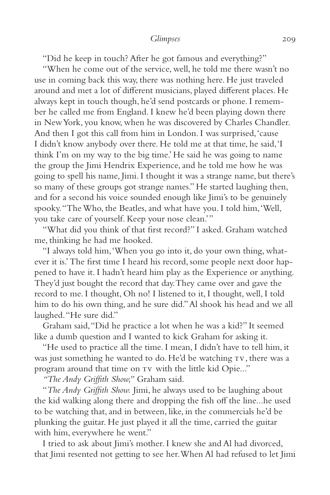"Did he keep in touch? After he got famous and everything?"

"When he come out of the service, well, he told me there wasn't no use in coming back this way, there was nothing here. He just traveled around and met a lot of different musicians, played different places. He always kept in touch though, he'd send postcards or phone. I remember he called me from England. I knew he'd been playing down there in New York, you know, when he was discovered by Charles Chandler. And then I got this call from him in London. I was surprised, 'cause I didn't know anybody over there. He told me at that time, he said, 'I think I'm on my way to the big time.' He said he was going to name the group the Jimi Hendrix Experience, and he told me how he was going to spell his name, Jimi. I thought it was a strange name, but there's so many of these groups got strange names." He started laughing then, and for a second his voice sounded enough like Jimi's to be genuinely spooky. "The Who, the Beatles, and what have you. I told him, 'Well, you take care of yourself. Keep your nose clean.'"

"What did you think of that first record?" I asked. Graham watched me, thinking he had me hooked.

"I always told him, 'When you go into it, do your own thing, whatever it is.' The first time I heard his record, some people next door happened to have it. I hadn't heard him play as the Experience or anything. They'd just bought the record that day. They came over and gave the record to me. I thought, Oh no! I listened to it, I thought, well, I told him to do his own thing, and he sure did." Al shook his head and we all laughed. "He sure did."

Graham said, "Did he practice a lot when he was a kid?" It seemed like a dumb question and I wanted to kick Graham for asking it.

"He used to practice all the time. I mean, I didn't have to tell him, it was just something he wanted to do. He'd be watching TV, there was a program around that time on TV with the little kid Opie..."

*"The Andy Griffith Show,"* Graham said.

"*The Andy Griffith Show.* Jimi, he always used to be laughing about the kid walking along there and dropping the fish off the line...he used to be watching that, and in between, like, in the commercials he'd be plunking the guitar. He just played it all the time, carried the guitar with him, everywhere he went."

I tried to ask about Jimi's mother. I knew she and Al had divorced, that Jimi resented not getting to see her. When Al had refused to let Jimi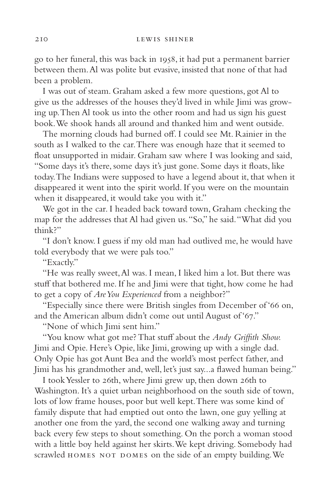go to her funeral, this was back in 1958, it had put a permanent barrier between them. Al was polite but evasive, insisted that none of that had been a problem.

I was out of steam. Graham asked a few more questions, got Al to give us the addresses of the houses they'd lived in while Jimi was growing up. Then Al took us into the other room and had us sign his guest book. We shook hands all around and thanked him and went outside.

The morning clouds had burned off. I could see Mt. Rainier in the south as I walked to the car. There was enough haze that it seemed to float unsupported in midair. Graham saw where I was looking and said,

"Some days it's there, some days it's just gone. Some days it floats, like today. The Indians were supposed to have a legend about it, that when it disappeared it went into the spirit world. If you were on the mountain when it disappeared, it would take you with it."

We got in the car. I headed back toward town, Graham checking the map for the addresses that Al had given us. "So," he said. "What did you think?"

"I don't know. I guess if my old man had outlived me, he would have told everybody that we were pals too."

"Exactly."

"He was really sweet, Al was. I mean, I liked him a lot. But there was stuff that bothered me. If he and Jimi were that tight, how come he had to get a copy of *Are You Experienced* from a neighbor?"

"Especially since there were British singles from December of '66 on, and the American album didn't come out until August of '67."

"None of which Jimi sent him."

"You know what got me? That stuff about the *Andy Griffith Show.* Jimi and Opie. Here's Opie, like Jimi, growing up with a single dad. Only Opie has got Aunt Bea and the world's most perfect father, and Jimi has his grandmother and, well, let's just say...a flawed human being."

I took Yessler to 26th, where Jimi grew up, then down 26th to Washington. It's a quiet urban neighborhood on the south side of town, lots of low frame houses, poor but well kept. There was some kind of family dispute that had emptied out onto the lawn, one guy yelling at another one from the yard, the second one walking away and turning back every few steps to shout something. On the porch a woman stood with a little boy held against her skirts. We kept driving. Somebody had scrawled HOMES NOT DOMES on the side of an empty building. We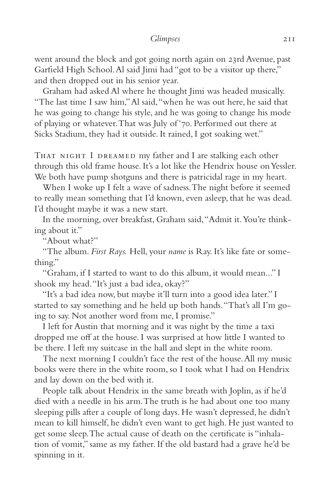went around the block and got going north again on 23rd Avenue, past Garfield High School. Al said Jimi had "got to be a visitor up there," and then dropped out in his senior year.

Graham had asked Al where he thought Jimi was headed musically. "The last time I saw him," Al said, "when he was out here, he said that he was going to change his style, and he was going to change his mode of playing or whatever. That was July of '70. Performed out there at Sicks Stadium, they had it outside. It rained, I got soaking wet."

THAT NIGHT I DREAMED my father and I are stalking each other through this old frame house. It's a lot like the Hendrix house on Yessler. We both have pump shotguns and there is patricidal rage in my heart.

When I woke up I felt a wave of sadness. The night before it seemed to really mean something that I'd known, even asleep, that he was dead. I'd thought maybe it was a new start.

In the morning, over breakfast, Graham said, "Admit it. You're thinking about it."

"About what?"

"The album. *First Rays.* Hell, your *name* is Ray. It's like fate or something."

"Graham, if I started to want to do this album, it would mean..." I shook my head. "It's just a bad idea, okay?"

"It's a bad idea now, but maybe it'll turn into a good idea later." I started to say something and he held up both hands. "That's all I'm going to say. Not another word from me, I promise."

I left for Austin that morning and it was night by the time a taxi dropped me off at the house. I was surprised at how little I wanted to be there. I left my suitcase in the hall and slept in the white room.

The next morning I couldn't face the rest of the house. All my music books were there in the white room, so I took what I had on Hendrix and lay down on the bed with it.

People talk about Hendrix in the same breath with Joplin, as if he'd died with a needle in his arm. The truth is he had about one too many sleeping pills after a couple of long days. He wasn't depressed, he didn't mean to kill himself, he didn't even want to get high. He just wanted to get some sleep. The actual cause of death on the certificate is "inhalation of vomit," same as my father. If the old bastard had a grave he'd be spinning in it.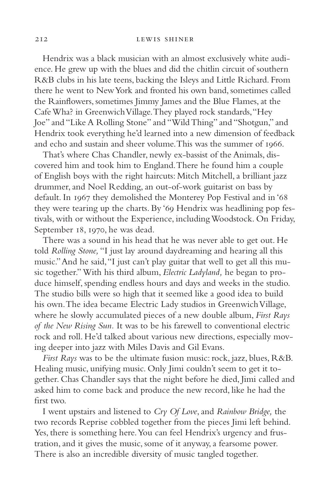Hendrix was a black musician with an almost exclusively white audience. He grew up with the blues and did the chitlin circuit of southern R&B clubs in his late teens, backing the Isleys and Little Richard. From there he went to New York and fronted his own band, sometimes called the Rainflowers, sometimes Jimmy James and the Blue Flames, at the Cafe Wha? in Greenwich Village. They played rock standards, "Hey Joe" and "Like A Rolling Stone" and "Wild Thing" and "Shotgun," and Hendrix took everything he'd learned into a new dimension of feedback and echo and sustain and sheer volume. This was the summer of 1966.

That's where Chas Chandler, newly ex-bassist of the Animals, discovered him and took him to England. There he found him a couple of English boys with the right haircuts: Mitch Mitchell, a brilliant jazz drummer, and Noel Redding, an out-of-work guitarist on bass by default. In 1967 they demolished the Monterey Pop Festival and in '68 they were tearing up the charts. By '69 Hendrix was headlining pop festivals, with or without the Experience, including Woodstock. On Friday, September 18, 1970, he was dead.

There was a sound in his head that he was never able to get out. He told *Rolling Stone,* "I just lay around daydreaming and hearing all this music." And he said, "I just can't play guitar that well to get all this music together." With his third album, *Electric Ladyland,* he began to produce himself, spending endless hours and days and weeks in the studio. The studio bills were so high that it seemed like a good idea to build his own. The idea became Electric Lady studios in Greenwich Village, where he slowly accumulated pieces of a new double album, *First Rays of the New Rising Sun.* It was to be his farewell to conventional electric rock and roll. He'd talked about various new directions, especially moving deeper into jazz with Miles Davis and Gil Evans.

*First Rays* was to be the ultimate fusion music: rock, jazz, blues, R&B. Healing music, unifying music. Only Jimi couldn't seem to get it together. Chas Chandler says that the night before he died, Jimi called and asked him to come back and produce the new record, like he had the first two.

I went upstairs and listened to *Cry Of Love*, and *Rainbow Bridge,* the two records Reprise cobbled together from the pieces Jimi left behind. Yes, there is something here. You can feel Hendrix's urgency and frustration, and it gives the music, some of it anyway, a fearsome power. There is also an incredible diversity of music tangled together.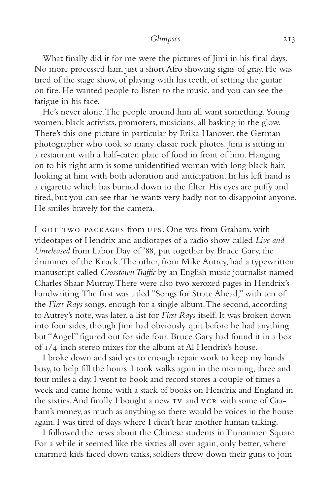What finally did it for me were the pictures of Jimi in his final days. No more processed hair, just a short Afro showing signs of gray. He was tired of the stage show, of playing with his teeth, of setting the guitar on fire. He wanted people to listen to the music, and you can see the fatigue in his face.

He's never alone. The people around him all want something. Young women, black activists, promoters, musicians, all basking in the glow. There's this one picture in particular by Erika Hanover, the German photographer who took so many classic rock photos. Jimi is sitting in a restaurant with a half-eaten plate of food in front of him. Hanging on to his right arm is some unidentified woman with long black hair, looking at him with both adoration and anticipation. In his left hand is a cigarette which has burned down to the filter. His eyes are puffy and tired, but you can see that he wants very badly not to disappoint anyone. He smiles bravely for the camera.

I GOT TWO PACKAGES from UPS. One was from Graham, with videotapes of Hendrix and audiotapes of a radio show called *Live and Unreleased* from Labor Day of '88, put together by Bruce Gary, the drummer of the Knack. The other, from Mike Autrey, had a typewritten manuscript called *Crosstown Traffic* by an English music journalist named Charles Shaar Murray. There were also two xeroxed pages in Hendrix's handwriting. The first was titled "Songs for Strate Ahead," with ten of the *First Rays* songs, enough for a single album. The second, according to Autrey's note, was later, a list for *First Rays* itself. It was broken down into four sides, though Jimi had obviously quit before he had anything but "Angel" figured out for side four. Bruce Gary had found it in a box of 1/4-inch stereo mixes for the album at Al Hendrix's house.

I broke down and said yes to enough repair work to keep my hands busy, to help fill the hours. I took walks again in the morning, three and four miles a day. I went to book and record stores a couple of times a week and came home with a stack of books on Hendrix and England in the sixties. And finally I bought a new tv and vcr with some of Graham's money, as much as anything so there would be voices in the house again. I was tired of days where I didn't hear another human talking.

I followed the news about the Chinese students in Tiananmen Square. For a while it seemed like the sixties all over again, only better, where unarmed kids faced down tanks, soldiers threw down their guns to join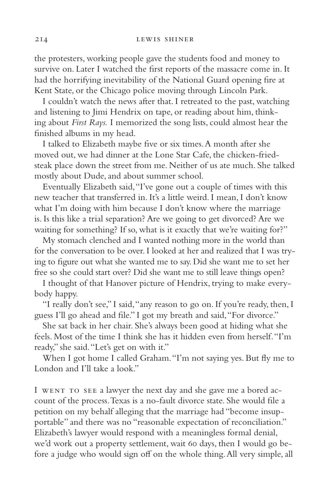the protesters, working people gave the students food and money to survive on. Later I watched the first reports of the massacre come in. It had the horrifying inevitability of the National Guard opening fire at Kent State, or the Chicago police moving through Lincoln Park.

I couldn't watch the news after that. I retreated to the past, watching and listening to Jimi Hendrix on tape, or reading about him, thinking about *First Rays.* I memorized the song lists, could almost hear the finished albums in my head.

I talked to Elizabeth maybe five or six times. A month after she moved out, we had dinner at the Lone Star Cafe, the chicken-friedsteak place down the street from me. Neither of us ate much. She talked mostly about Dude, and about summer school.

Eventually Elizabeth said, "I've gone out a couple of times with this new teacher that transferred in. It's a little weird. I mean, I don't know what I'm doing with him because I don't know where the marriage is. Is this like a trial separation? Are we going to get divorced? Are we waiting for something? If so, what is it exactly that we're waiting for?"

My stomach clenched and I wanted nothing more in the world than for the conversation to be over. I looked at her and realized that I was trying to figure out what she wanted me to say. Did she want me to set her free so she could start over? Did she want me to still leave things open?

I thought of that Hanover picture of Hendrix, trying to make everybody happy.

"I really don't see," I said, "any reason to go on. If you're ready, then, I guess I'll go ahead and file." I got my breath and said, "For divorce."

She sat back in her chair. She's always been good at hiding what she feels. Most of the time I think she has it hidden even from herself. "I'm ready," she said. "Let's get on with it."

When I got home I called Graham. "I'm not saying yes. But fly me to London and I'll take a look."

I WENT TO SEE a lawyer the next day and she gave me a bored account of the process. Texas is a no-fault divorce state. She would file a petition on my behalf alleging that the marriage had "become insupportable" and there was no "reasonable expectation of reconciliation." Elizabeth's lawyer would respond with a meaningless formal denial, we'd work out a property settlement, wait 60 days, then I would go before a judge who would sign off on the whole thing. All very simple, all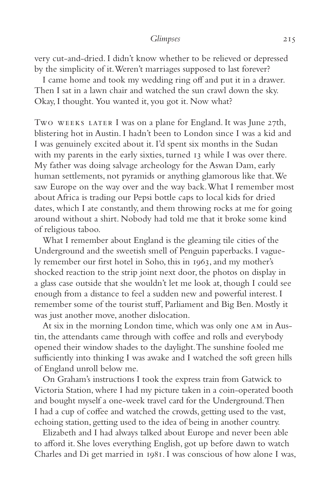very cut-and-dried. I didn't know whether to be relieved or depressed by the simplicity of it. Weren't marriages supposed to last forever?

I came home and took my wedding ring off and put it in a drawer. Then I sat in a lawn chair and watched the sun crawl down the sky. Okay, I thought. You wanted it, you got it. Now what?

TWO WEEKS LATER I was on a plane for England. It was June 27th, blistering hot in Austin. I hadn't been to London since I was a kid and I was genuinely excited about it. I'd spent six months in the Sudan with my parents in the early sixties, turned 13 while I was over there. My father was doing salvage archeology for the Aswan Dam, early human settlements, not pyramids or anything glamorous like that. We saw Europe on the way over and the way back. What I remember most about Africa is trading our Pepsi bottle caps to local kids for dried dates, which I ate constantly, and them throwing rocks at me for going around without a shirt. Nobody had told me that it broke some kind of religious taboo.

What I remember about England is the gleaming tile cities of the Underground and the sweetish smell of Penguin paperbacks. I vaguely remember our first hotel in Soho, this in 1963, and my mother's shocked reaction to the strip joint next door, the photos on display in a glass case outside that she wouldn't let me look at, though I could see enough from a distance to feel a sudden new and powerful interest. I remember some of the tourist stuff, Parliament and Big Ben. Mostly it was just another move, another dislocation.

At six in the morning London time, which was only one am in Austin, the attendants came through with coffee and rolls and everybody opened their window shades to the daylight. The sunshine fooled me sufficiently into thinking I was awake and I watched the soft green hills of England unroll below me.

On Graham's instructions I took the express train from Gatwick to Victoria Station, where I had my picture taken in a coin-operated booth and bought myself a one-week travel card for the Underground. Then I had a cup of coffee and watched the crowds, getting used to the vast, echoing station, getting used to the idea of being in another country.

Elizabeth and I had always talked about Europe and never been able to afford it. She loves everything English, got up before dawn to watch Charles and Di get married in 1981. I was conscious of how alone I was,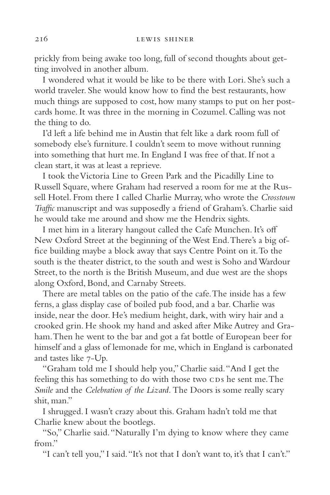prickly from being awake too long, full of second thoughts about getting involved in another album.

I wondered what it would be like to be there with Lori. She's such a world traveler. She would know how to find the best restaurants, how much things are supposed to cost, how many stamps to put on her postcards home. It was three in the morning in Cozumel. Calling was not the thing to do.

I'd left a life behind me in Austin that felt like a dark room full of somebody else's furniture. I couldn't seem to move without running into something that hurt me. In England I was free of that. If not a clean start, it was at least a reprieve.

I took the Victoria Line to Green Park and the Picadilly Line to Russell Square, where Graham had reserved a room for me at the Russell Hotel. From there I called Charlie Murray, who wrote the *Crosstown Traffic* manuscript and was supposedly a friend of Graham's. Charlie said he would take me around and show me the Hendrix sights.

I met him in a literary hangout called the Cafe Munchen. It's off New Oxford Street at the beginning of the West End. There's a big office building maybe a block away that says Centre Point on it. To the south is the theater district, to the south and west is Soho and Wardour Street, to the north is the British Museum, and due west are the shops along Oxford, Bond, and Carnaby Streets.

There are metal tables on the patio of the cafe. The inside has a few ferns, a glass display case of boiled pub food, and a bar. Charlie was inside, near the door. He's medium height, dark, with wiry hair and a crooked grin. He shook my hand and asked after Mike Autrey and Graham. Then he went to the bar and got a fat bottle of European beer for himself and a glass of lemonade for me, which in England is carbonated and tastes like 7-Up.

"Graham told me I should help you," Charlie said. "And I get the feeling this has something to do with those two CDs he sent me. The *Smile* and the *Celebration of the Lizard.* The Doors is some really scary shit, man."

I shrugged. I wasn't crazy about this. Graham hadn't told me that Charlie knew about the bootlegs.

"So," Charlie said. "Naturally I'm dying to know where they came from."

"I can't tell you," I said. "It's not that I don't want to, it's that I can't."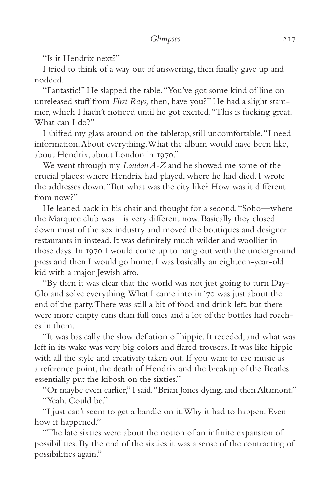"Is it Hendrix next?"

I tried to think of a way out of answering, then finally gave up and nodded.

"Fantastic!" He slapped the table. "You've got some kind of line on unreleased stuff from *First Rays,* then, have you?" He had a slight stammer, which I hadn't noticed until he got excited. "This is fucking great. What can I do?"

I shifted my glass around on the tabletop, still uncomfortable. "I need information. About everything. What the album would have been like, about Hendrix, about London in 1970."

We went through my *London A-Z* and he showed me some of the crucial places: where Hendrix had played, where he had died. I wrote the addresses down. "But what was the city like? How was it different from now?"

He leaned back in his chair and thought for a second. "Soho—where the Marquee club was—is very different now. Basically they closed down most of the sex industry and moved the boutiques and designer restaurants in instead. It was definitely much wilder and woollier in those days. In 1970 I would come up to hang out with the underground press and then I would go home. I was basically an eighteen-year-old kid with a major Jewish afro.

"By then it was clear that the world was not just going to turn Day-Glo and solve everything. What I came into in '70 was just about the end of the party. There was still a bit of food and drink left, but there were more empty cans than full ones and a lot of the bottles had roaches in them.

"It was basically the slow deflation of hippie. It receded, and what was left in its wake was very big colors and flared trousers. It was like hippie with all the style and creativity taken out. If you want to use music as a reference point, the death of Hendrix and the breakup of the Beatles essentially put the kibosh on the sixties."

"Or maybe even earlier," I said. "Brian Jones dying, and then Altamont." "Yeah. Could be."

"I just can't seem to get a handle on it. Why it had to happen. Even how it happened."

"The late sixties were about the notion of an infinite expansion of possibilities. By the end of the sixties it was a sense of the contracting of possibilities again."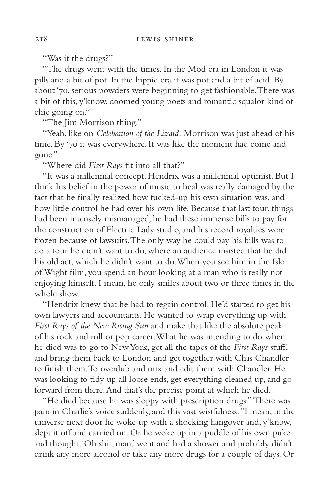"Was it the drugs?"

"The drugs went with the times. In the Mod era in London it was pills and a bit of pot. In the hippie era it was pot and a bit of acid. By about '70, serious powders were beginning to get fashionable. There was a bit of this, y'know, doomed young poets and romantic squalor kind of chic going on."

"The Jim Morrison thing."

"Yeah, like on *Celebration of the Lizard.* Morrison was just ahead of his time. By '70 it was everywhere. It was like the moment had come and gone."

"Where did *First Rays* fit into all that?"

"It was a millennial concept. Hendrix was a millennial optimist. But I think his belief in the power of music to heal was really damaged by the fact that he finally realized how fucked-up his own situation was, and how little control he had over his own life. Because that last tour, things had been intensely mismanaged, he had these immense bills to pay for the construction of Electric Lady studio, and his record royalties were frozen because of lawsuits. The only way he could pay his bills was to do a tour he didn't want to do, where an audience insisted that he did his old act, which he didn't want to do. When you see him in the Isle of Wight film, you spend an hour looking at a man who is really not enjoying himself. I mean, he only smiles about two or three times in the whole show.

"Hendrix knew that he had to regain control. He'd started to get his own lawyers and accountants. He wanted to wrap everything up with *First Rays of the New Rising Sun* and make that like the absolute peak of his rock and roll or pop career. What he was intending to do when he died was to go to New York, get all the tapes of the *First Rays* stuff, and bring them back to London and get together with Chas Chandler to finish them. To overdub and mix and edit them with Chandler. He was looking to tidy up all loose ends, get everything cleaned up, and go forward from there. And that's the precise point at which he died.

"He died because he was sloppy with prescription drugs." There was pain in Charlie's voice suddenly, and this vast wistfulness. "I mean, in the universe next door he woke up with a shocking hangover and, y'know, slept it off and carried on. Or he woke up in a puddle of his own puke and thought, 'Oh shit, man,' went and had a shower and probably didn't drink any more alcohol or take any more drugs for a couple of days. Or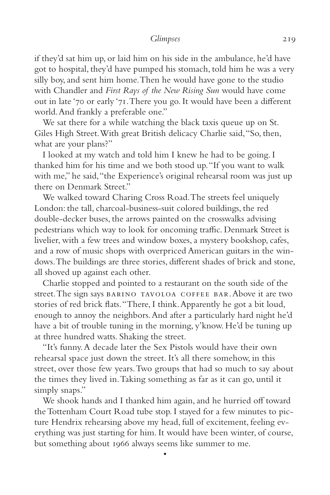if they'd sat him up, or laid him on his side in the ambulance, he'd have got to hospital, they'd have pumped his stomach, told him he was a very silly boy, and sent him home. Then he would have gone to the studio with Chandler and *First Rays of the New Rising Sun* would have come out in late '70 or early '71. There you go. It would have been a different world. And frankly a preferable one."

We sat there for a while watching the black taxis queue up on St. Giles High Street. With great British delicacy Charlie said, "So, then, what are your plans?"

I looked at my watch and told him I knew he had to be going. I thanked him for his time and we both stood up. "If you want to walk with me," he said, "the Experience's original rehearsal room was just up there on Denmark Street."

We walked toward Charing Cross Road. The streets feel uniquely London: the tall, charcoal-business-suit colored buildings, the red double-decker buses, the arrows painted on the crosswalks advising pedestrians which way to look for oncoming traffic. Denmark Street is livelier, with a few trees and window boxes, a mystery bookshop, cafes, and a row of music shops with overpriced American guitars in the windows. The buildings are three stories, different shades of brick and stone, all shoved up against each other.

Charlie stopped and pointed to a restaurant on the south side of the street. The sign says BARINO TAVOLOA COFFEE BAR. Above it are two stories of red brick flats. "There, I think. Apparently he got a bit loud, enough to annoy the neighbors. And after a particularly hard night he'd have a bit of trouble tuning in the morning, y'know. He'd be tuning up at three hundred watts. Shaking the street.

"It's funny. A decade later the Sex Pistols would have their own rehearsal space just down the street. It's all there somehow, in this street, over those few years. Two groups that had so much to say about the times they lived in. Taking something as far as it can go, until it simply snaps."

We shook hands and I thanked him again, and he hurried off toward the Tottenham Court Road tube stop. I stayed for a few minutes to picture Hendrix rehearsing above my head, full of excitement, feeling everything was just starting for him. It would have been winter, of course, but something about 1966 always seems like summer to me.

•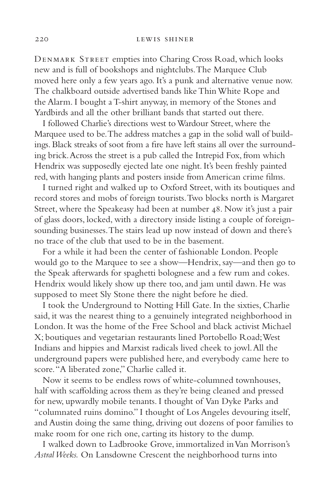Denmark Street empties into Charing Cross Road, which looks new and is full of bookshops and nightclubs. The Marquee Club moved here only a few years ago. It's a punk and alternative venue now. The chalkboard outside advertised bands like Thin White Rope and the Alarm. I bought a T-shirt anyway, in memory of the Stones and Yardbirds and all the other brilliant bands that started out there.

I followed Charlie's directions west to Wardour Street, where the Marquee used to be. The address matches a gap in the solid wall of buildings. Black streaks of soot from a fire have left stains all over the surrounding brick. Across the street is a pub called the Intrepid Fox, from which Hendrix was supposedly ejected late one night. It's been freshly painted red, with hanging plants and posters inside from American crime films.

I turned right and walked up to Oxford Street, with its boutiques and record stores and mobs of foreign tourists. Two blocks north is Margaret Street, where the Speakeasy had been at number 48. Now it's just a pair of glass doors, locked, with a directory inside listing a couple of foreignsounding businesses. The stairs lead up now instead of down and there's no trace of the club that used to be in the basement.

For a while it had been the center of fashionable London. People would go to the Marquee to see a show—Hendrix, say—and then go to the Speak afterwards for spaghetti bolognese and a few rum and cokes. Hendrix would likely show up there too, and jam until dawn. He was supposed to meet Sly Stone there the night before he died.

I took the Underground to Notting Hill Gate. In the sixties, Charlie said, it was the nearest thing to a genuinely integrated neighborhood in London. It was the home of the Free School and black activist Michael X; boutiques and vegetarian restaurants lined Portobello Road; West Indians and hippies and Marxist radicals lived cheek to jowl. All the underground papers were published here, and everybody came here to score. "A liberated zone," Charlie called it.

Now it seems to be endless rows of white-columned townhouses, half with scaffolding across them as they're being cleaned and pressed for new, upwardly mobile tenants. I thought of Van Dyke Parks and "columnated ruins domino." I thought of Los Angeles devouring itself, and Austin doing the same thing, driving out dozens of poor families to make room for one rich one, carting its history to the dump.

I walked down to Ladbrooke Grove, immortalized in Van Morrison's *Astral Weeks.* On Lansdowne Crescent the neighborhood turns into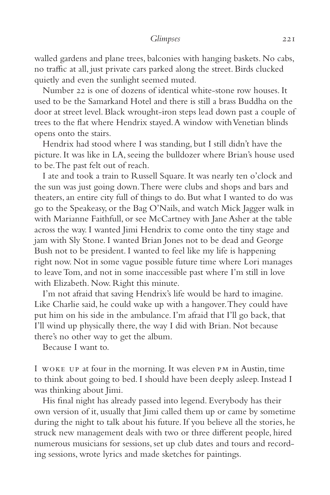walled gardens and plane trees, balconies with hanging baskets. No cabs, no traffic at all, just private cars parked along the street. Birds clucked quietly and even the sunlight seemed muted.

Number 22 is one of dozens of identical white-stone row houses. It used to be the Samarkand Hotel and there is still a brass Buddha on the door at street level. Black wrought-iron steps lead down past a couple of trees to the flat where Hendrix stayed. A window with Venetian blinds opens onto the stairs.

Hendrix had stood where I was standing, but I still didn't have the picture. It was like in LA, seeing the bulldozer where Brian's house used to be. The past felt out of reach.

I ate and took a train to Russell Square. It was nearly ten o'clock and the sun was just going down. There were clubs and shops and bars and theaters, an entire city full of things to do. But what I wanted to do was go to the Speakeasy, or the Bag O'Nails, and watch Mick Jagger walk in with Marianne Faithfull, or see McCartney with Jane Asher at the table across the way. I wanted Jimi Hendrix to come onto the tiny stage and jam with Sly Stone. I wanted Brian Jones not to be dead and George Bush not to be president. I wanted to feel like my life is happening right now. Not in some vague possible future time where Lori manages to leave Tom, and not in some inaccessible past where I'm still in love with Elizabeth. Now. Right this minute.

I'm not afraid that saving Hendrix's life would be hard to imagine. Like Charlie said, he could wake up with a hangover. They could have put him on his side in the ambulance. I'm afraid that I'll go back, that I'll wind up physically there, the way I did with Brian. Not because there's no other way to get the album.

Because I want to.

I woke up at four in the morning. It was eleven pm in Austin, time to think about going to bed. I should have been deeply asleep. Instead I was thinking about Jimi.

His final night has already passed into legend. Everybody has their own version of it, usually that Jimi called them up or came by sometime during the night to talk about his future. If you believe all the stories, he struck new management deals with two or three different people, hired numerous musicians for sessions, set up club dates and tours and recording sessions, wrote lyrics and made sketches for paintings.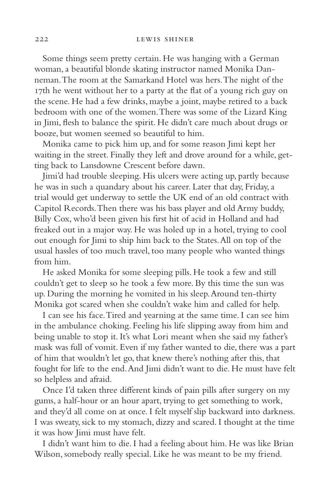Some things seem pretty certain. He was hanging with a German woman, a beautiful blonde skating instructor named Monika Danneman. The room at the Samarkand Hotel was hers. The night of the 17th he went without her to a party at the flat of a young rich guy on the scene. He had a few drinks, maybe a joint, maybe retired to a back bedroom with one of the women. There was some of the Lizard King in Jimi, flesh to balance the spirit. He didn't care much about drugs or booze, but women seemed so beautiful to him.

Monika came to pick him up, and for some reason Jimi kept her waiting in the street. Finally they left and drove around for a while, getting back to Lansdowne Crescent before dawn.

Jimi'd had trouble sleeping. His ulcers were acting up, partly because he was in such a quandary about his career. Later that day, Friday, a trial would get underway to settle the UK end of an old contract with Capitol Records. Then there was his bass player and old Army buddy, Billy Cox, who'd been given his first hit of acid in Holland and had freaked out in a major way. He was holed up in a hotel, trying to cool out enough for Jimi to ship him back to the States. All on top of the usual hassles of too much travel, too many people who wanted things from him.

He asked Monika for some sleeping pills. He took a few and still couldn't get to sleep so he took a few more. By this time the sun was up. During the morning he vomited in his sleep. Around ten-thirty Monika got scared when she couldn't wake him and called for help.

I can see his face. Tired and yearning at the same time. I can see him in the ambulance choking. Feeling his life slipping away from him and being unable to stop it. It's what Lori meant when she said my father's mask was full of vomit. Even if my father wanted to die, there was a part of him that wouldn't let go, that knew there's nothing after this, that fought for life to the end. And Jimi didn't want to die. He must have felt so helpless and afraid.

Once I'd taken three different kinds of pain pills after surgery on my gums, a half-hour or an hour apart, trying to get something to work, and they'd all come on at once. I felt myself slip backward into darkness. I was sweaty, sick to my stomach, dizzy and scared. I thought at the time it was how Jimi must have felt.

I didn't want him to die. I had a feeling about him. He was like Brian Wilson, somebody really special. Like he was meant to be my friend.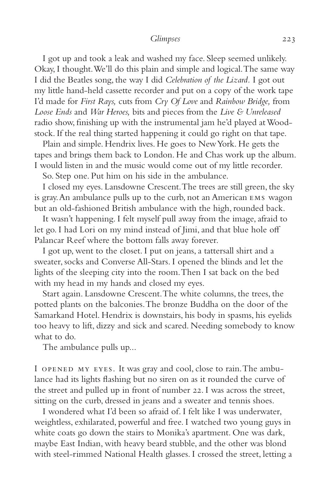I got up and took a leak and washed my face. Sleep seemed unlikely. Okay, I thought. We'll do this plain and simple and logical. The same way I did the Beatles song, the way I did *Celebration of the Lizard.* I got out my little hand-held cassette recorder and put on a copy of the work tape I'd made for *First Rays,* cuts from *Cry Of Love* and *Rainbow Bridge,* from *Loose Ends* and *War Heroes,* bits and pieces from the *Live & Unreleased* radio show, finishing up with the instrumental jam he'd played at Woodstock. If the real thing started happening it could go right on that tape.

Plain and simple. Hendrix lives. He goes to New York. He gets the tapes and brings them back to London. He and Chas work up the album. I would listen in and the music would come out of my little recorder.

So. Step one. Put him on his side in the ambulance.

I closed my eyes. Lansdowne Crescent. The trees are still green, the sky is gray. An ambulance pulls up to the curb, not an American ems wagon but an old-fashioned British ambulance with the high, rounded back.

It wasn't happening. I felt myself pull away from the image, afraid to let go. I had Lori on my mind instead of Jimi, and that blue hole off Palancar Reef where the bottom falls away forever.

I got up, went to the closet. I put on jeans, a tattersall shirt and a sweater, socks and Converse All-Stars. I opened the blinds and let the lights of the sleeping city into the room. Then I sat back on the bed with my head in my hands and closed my eyes.

Start again. Lansdowne Crescent. The white columns, the trees, the potted plants on the balconies. The bronze Buddha on the door of the Samarkand Hotel. Hendrix is downstairs, his body in spasms, his eyelids too heavy to lift, dizzy and sick and scared. Needing somebody to know what to do.

The ambulance pulls up...

I opened my eyes. It was gray and cool, close to rain. The ambulance had its lights flashing but no siren on as it rounded the curve of the street and pulled up in front of number 22. I was across the street, sitting on the curb, dressed in jeans and a sweater and tennis shoes.

I wondered what I'd been so afraid of. I felt like I was underwater, weightless, exhilarated, powerful and free. I watched two young guys in white coats go down the stairs to Monika's apartment. One was dark, maybe East Indian, with heavy beard stubble, and the other was blond with steel-rimmed National Health glasses. I crossed the street, letting a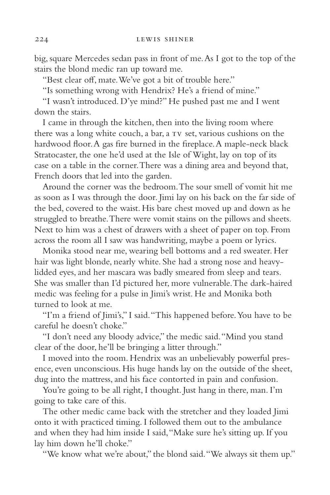big, square Mercedes sedan pass in front of me. As I got to the top of the stairs the blond medic ran up toward me.

"Best clear off, mate. We've got a bit of trouble here."

"Is something wrong with Hendrix? He's a friend of mine."

"I wasn't introduced. D'ye mind?" He pushed past me and I went down the stairs.

I came in through the kitchen, then into the living room where there was a long white couch, a bar, a tv set, various cushions on the hardwood floor. A gas fire burned in the fireplace. A maple-neck black Stratocaster, the one he'd used at the Isle of Wight, lay on top of its case on a table in the corner. There was a dining area and beyond that, French doors that led into the garden.

Around the corner was the bedroom. The sour smell of vomit hit me as soon as I was through the door. Jimi lay on his back on the far side of the bed, covered to the waist. His bare chest moved up and down as he struggled to breathe. There were vomit stains on the pillows and sheets. Next to him was a chest of drawers with a sheet of paper on top. From across the room all I saw was handwriting, maybe a poem or lyrics.

Monika stood near me, wearing bell bottoms and a red sweater. Her hair was light blonde, nearly white. She had a strong nose and heavylidded eyes, and her mascara was badly smeared from sleep and tears. She was smaller than I'd pictured her, more vulnerable. The dark-haired medic was feeling for a pulse in Jimi's wrist. He and Monika both turned to look at me.

"I'm a friend of Jimi's," I said. "This happened before. You have to be careful he doesn't choke."

"I don't need any bloody advice," the medic said. "Mind you stand clear of the door, he'll be bringing a litter through."

I moved into the room. Hendrix was an unbelievably powerful presence, even unconscious. His huge hands lay on the outside of the sheet, dug into the mattress, and his face contorted in pain and confusion.

You're going to be all right, I thought. Just hang in there, man. I'm going to take care of this.

The other medic came back with the stretcher and they loaded Jimi onto it with practiced timing. I followed them out to the ambulance and when they had him inside I said, "Make sure he's sitting up. If you lay him down he'll choke."

"We know what we're about," the blond said. "We always sit them up."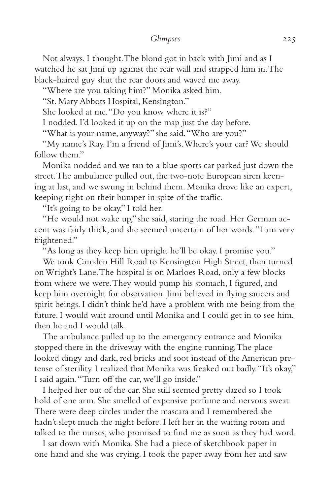Not always, I thought. The blond got in back with Jimi and as I watched he sat Jimi up against the rear wall and strapped him in. The black-haired guy shut the rear doors and waved me away.

"Where are you taking him?" Monika asked him.

"St. Mary Abbots Hospital, Kensington."

She looked at me. "Do you know where it is?"

I nodded. I'd looked it up on the map just the day before.

"What is your name, anyway?" she said. "Who are you?"

"My name's Ray. I'm a friend of Jimi's. Where's your car? We should follow them."

Monika nodded and we ran to a blue sports car parked just down the street. The ambulance pulled out, the two-note European siren keening at last, and we swung in behind them. Monika drove like an expert, keeping right on their bumper in spite of the traffic.

"It's going to be okay," I told her.

"He would not wake up," she said, staring the road. Her German accent was fairly thick, and she seemed uncertain of her words. "I am very frightened."

"As long as they keep him upright he'll be okay. I promise you."

We took Camden Hill Road to Kensington High Street, then turned on Wright's Lane. The hospital is on Marloes Road, only a few blocks from where we were. They would pump his stomach, I figured, and keep him overnight for observation. Jimi believed in flying saucers and spirit beings. I didn't think he'd have a problem with me being from the future. I would wait around until Monika and I could get in to see him, then he and I would talk.

The ambulance pulled up to the emergency entrance and Monika stopped there in the driveway with the engine running. The place looked dingy and dark, red bricks and soot instead of the American pretense of sterility. I realized that Monika was freaked out badly. "It's okay," I said again. "Turn off the car, we'll go inside."

I helped her out of the car. She still seemed pretty dazed so I took hold of one arm. She smelled of expensive perfume and nervous sweat. There were deep circles under the mascara and I remembered she hadn't slept much the night before. I left her in the waiting room and talked to the nurses, who promised to find me as soon as they had word.

I sat down with Monika. She had a piece of sketchbook paper in one hand and she was crying. I took the paper away from her and saw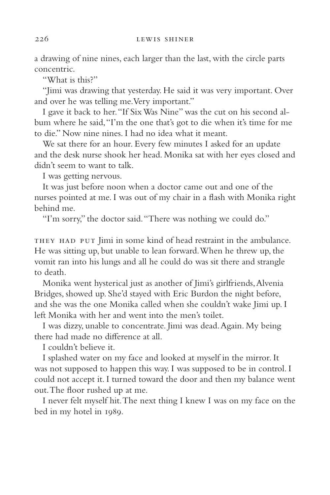a drawing of nine nines, each larger than the last, with the circle parts concentric.

"What is this?"

"Jimi was drawing that yesterday. He said it was very important. Over and over he was telling me. Very important."

I gave it back to her. "If Six Was Nine" was the cut on his second album where he said, "I'm the one that's got to die when it's time for me to die." Now nine nines. I had no idea what it meant.

We sat there for an hour. Every few minutes I asked for an update and the desk nurse shook her head. Monika sat with her eyes closed and didn't seem to want to talk.

I was getting nervous.

It was just before noon when a doctor came out and one of the nurses pointed at me. I was out of my chair in a flash with Monika right behind me.

"I'm sorry," the doctor said. "There was nothing we could do."

they had put Jimi in some kind of head restraint in the ambulance. He was sitting up, but unable to lean forward. When he threw up, the vomit ran into his lungs and all he could do was sit there and strangle to death.

Monika went hysterical just as another of Jimi's girlfriends, Alvenia Bridges, showed up. She'd stayed with Eric Burdon the night before, and she was the one Monika called when she couldn't wake Jimi up. I left Monika with her and went into the men's toilet.

I was dizzy, unable to concentrate. Jimi was dead. Again. My being there had made no difference at all.

I couldn't believe it.

I splashed water on my face and looked at myself in the mirror. It was not supposed to happen this way. I was supposed to be in control. I could not accept it. I turned toward the door and then my balance went out. The floor rushed up at me.

I never felt myself hit. The next thing I knew I was on my face on the bed in my hotel in 1989.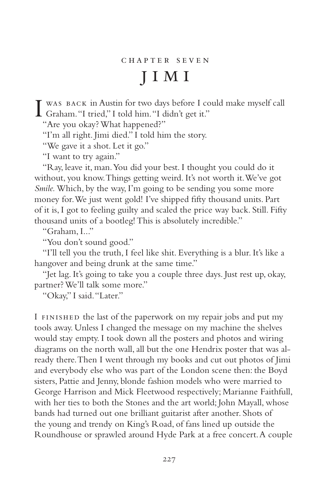#### chapter seven

# jimi

I was back in Austin for two days before I could make myself call Graham. "I tried," I told him. "I didn't get it."

"Are you okay? What happened?"

"I'm all right. Jimi died." I told him the story.

"We gave it a shot. Let it go."

"I want to try again."

"Ray, leave it, man. You did your best. I thought you could do it without, you know. Things getting weird. It's not worth it. We've got *Smile.* Which, by the way, I'm going to be sending you some more money for. We just went gold! I've shipped fifty thousand units. Part of it is, I got to feeling guilty and scaled the price way back. Still. Fifty thousand units of a bootleg! This is absolutely incredible."

"Graham, I..."

"You don't sound good."

"I'll tell you the truth, I feel like shit. Everything is a blur. It's like a hangover and being drunk at the same time."

"Jet lag. It's going to take you a couple three days. Just rest up, okay, partner? We'll talk some more."

"Okay," I said. "Later."

I finished the last of the paperwork on my repair jobs and put my tools away. Unless I changed the message on my machine the shelves would stay empty. I took down all the posters and photos and wiring diagrams on the north wall, all but the one Hendrix poster that was already there. Then I went through my books and cut out photos of Jimi and everybody else who was part of the London scene then: the Boyd sisters, Pattie and Jenny, blonde fashion models who were married to George Harrison and Mick Fleetwood respectively; Marianne Faithfull, with her ties to both the Stones and the art world; John Mayall, whose bands had turned out one brilliant guitarist after another. Shots of the young and trendy on King's Road, of fans lined up outside the Roundhouse or sprawled around Hyde Park at a free concert. A couple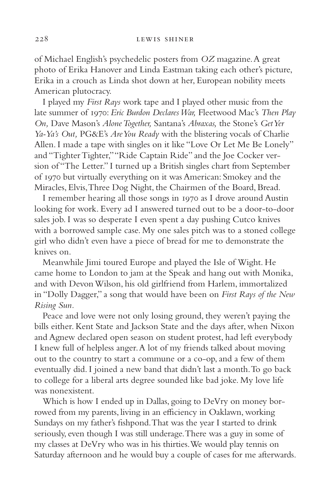of Michael English's psychedelic posters from *OZ* magazine. A great photo of Erika Hanover and Linda Eastman taking each other's picture, Erika in a crouch as Linda shot down at her, European nobility meets American plutocracy.

I played my *First Rays* work tape and I played other music from the late summer of 1970: *Eric Burdon Declares War,* Fleetwood Mac's *Then Play On,* Dave Mason's *Alone Together,* Santana's *Abraxas,* the Stone's *Get Yer Ya-Ya's Out,* PG&E's *Are You Ready* with the blistering vocals of Charlie Allen. I made a tape with singles on it like "Love Or Let Me Be Lonely" and "Tighter Tighter," "Ride Captain Ride" and the Joe Cocker version of "The Letter." I turned up a British singles chart from September of 1970 but virtually everything on it was American: Smokey and the Miracles, Elvis, Three Dog Night, the Chairmen of the Board, Bread.

I remember hearing all those songs in 1970 as I drove around Austin looking for work. Every ad I answered turned out to be a door-to-door sales job. I was so desperate I even spent a day pushing Cutco knives with a borrowed sample case. My one sales pitch was to a stoned college girl who didn't even have a piece of bread for me to demonstrate the knives on.

Meanwhile Jimi toured Europe and played the Isle of Wight. He came home to London to jam at the Speak and hang out with Monika, and with Devon Wilson, his old girlfriend from Harlem, immortalized in "Dolly Dagger," a song that would have been on *First Rays of the New Rising Sun.*

Peace and love were not only losing ground, they weren't paying the bills either. Kent State and Jackson State and the days after, when Nixon and Agnew declared open season on student protest, had left everybody I knew full of helpless anger. A lot of my friends talked about moving out to the country to start a commune or a co-op, and a few of them eventually did. I joined a new band that didn't last a month. To go back to college for a liberal arts degree sounded like bad joke. My love life was nonexistent.

Which is how I ended up in Dallas, going to DeVry on money borrowed from my parents, living in an efficiency in Oaklawn, working Sundays on my father's fishpond. That was the year I started to drink seriously, even though I was still underage. There was a guy in some of my classes at DeVry who was in his thirties. We would play tennis on Saturday afternoon and he would buy a couple of cases for me afterwards.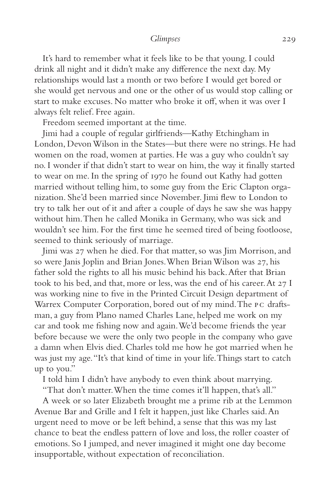It's hard to remember what it feels like to be that young. I could drink all night and it didn't make any difference the next day. My relationships would last a month or two before I would get bored or she would get nervous and one or the other of us would stop calling or start to make excuses. No matter who broke it off, when it was over I always felt relief. Free again.

Freedom seemed important at the time.

Jimi had a couple of regular girlfriends—Kathy Etchingham in London, Devon Wilson in the States—but there were no strings. He had women on the road, women at parties. He was a guy who couldn't say no. I wonder if that didn't start to wear on him, the way it finally started to wear on me. In the spring of 1970 he found out Kathy had gotten married without telling him, to some guy from the Eric Clapton organization. She'd been married since November. Jimi flew to London to try to talk her out of it and after a couple of days he saw she was happy without him. Then he called Monika in Germany, who was sick and wouldn't see him. For the first time he seemed tired of being footloose, seemed to think seriously of marriage.

Jimi was 27 when he died. For that matter, so was Jim Morrison, and so were Janis Joplin and Brian Jones. When Brian Wilson was 27, his father sold the rights to all his music behind his back. After that Brian took to his bed, and that, more or less, was the end of his career. At 27 I was working nine to five in the Printed Circuit Design department of Warrex Computer Corporation, bored out of my mind. The pc draftsman, a guy from Plano named Charles Lane, helped me work on my car and took me fishing now and again. We'd become friends the year before because we were the only two people in the company who gave a damn when Elvis died. Charles told me how he got married when he was just my age. "It's that kind of time in your life. Things start to catch up to you."

I told him I didn't have anybody to even think about marrying.

"That don't matter. When the time comes it'll happen, that's all."

A week or so later Elizabeth brought me a prime rib at the Lemmon Avenue Bar and Grille and I felt it happen, just like Charles said. An urgent need to move or be left behind, a sense that this was my last chance to beat the endless pattern of love and loss, the roller coaster of emotions. So I jumped, and never imagined it might one day become insupportable, without expectation of reconciliation.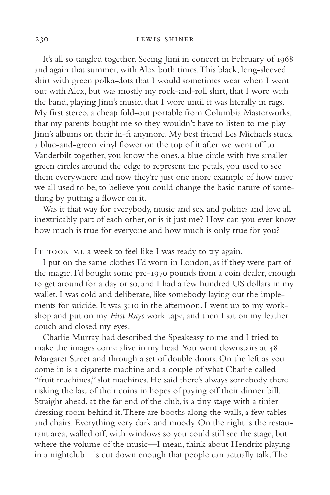It's all so tangled together. Seeing Jimi in concert in February of 1968 and again that summer, with Alex both times. This black, long-sleeved shirt with green polka-dots that I would sometimes wear when I went out with Alex, but was mostly my rock-and-roll shirt, that I wore with the band, playing Jimi's music, that I wore until it was literally in rags. My first stereo, a cheap fold-out portable from Columbia Masterworks, that my parents bought me so they wouldn't have to listen to me play Jimi's albums on their hi-fi anymore. My best friend Les Michaels stuck a blue-and-green vinyl flower on the top of it after we went off to Vanderbilt together, you know the ones, a blue circle with five smaller green circles around the edge to represent the petals, you used to see them everywhere and now they're just one more example of how naive we all used to be, to believe you could change the basic nature of something by putting a flower on it.

Was it that way for everybody, music and sex and politics and love all inextricably part of each other, or is it just me? How can you ever know how much is true for everyone and how much is only true for you?

IT TOOK ME a week to feel like I was ready to try again.

I put on the same clothes I'd worn in London, as if they were part of the magic. I'd bought some pre-1970 pounds from a coin dealer, enough to get around for a day or so, and I had a few hundred US dollars in my wallet. I was cold and deliberate, like somebody laying out the implements for suicide. It was 3:10 in the afternoon. I went up to my workshop and put on my *First Rays* work tape, and then I sat on my leather couch and closed my eyes.

Charlie Murray had described the Speakeasy to me and I tried to make the images come alive in my head. You went downstairs at 48 Margaret Street and through a set of double doors. On the left as you come in is a cigarette machine and a couple of what Charlie called "fruit machines," slot machines. He said there's always somebody there risking the last of their coins in hopes of paying off their dinner bill. Straight ahead, at the far end of the club, is a tiny stage with a tinier dressing room behind it. There are booths along the walls, a few tables and chairs. Everything very dark and moody. On the right is the restaurant area, walled off, with windows so you could still see the stage, but where the volume of the music—I mean, think about Hendrix playing in a nightclub—is cut down enough that people can actually talk. The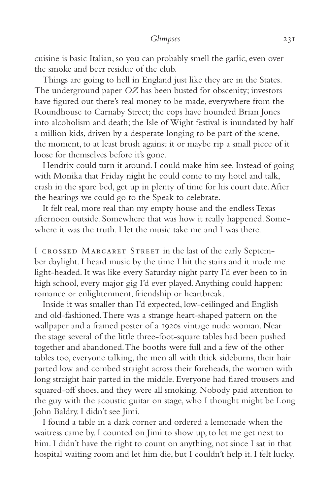cuisine is basic Italian, so you can probably smell the garlic, even over the smoke and beer residue of the club.

Things are going to hell in England just like they are in the States. The underground paper *OZ* has been busted for obscenity; investors have figured out there's real money to be made, everywhere from the Roundhouse to Carnaby Street; the cops have hounded Brian Jones into alcoholism and death; the Isle of Wight festival is inundated by half a million kids, driven by a desperate longing to be part of the scene, the moment, to at least brush against it or maybe rip a small piece of it loose for themselves before it's gone.

Hendrix could turn it around. I could make him see. Instead of going with Monika that Friday night he could come to my hotel and talk, crash in the spare bed, get up in plenty of time for his court date. After the hearings we could go to the Speak to celebrate.

It felt real, more real than my empty house and the endless Texas afternoon outside. Somewhere that was how it really happened. Somewhere it was the truth. I let the music take me and I was there.

I crossed Margaret Street in the last of the early September daylight. I heard music by the time I hit the stairs and it made me light-headed. It was like every Saturday night party I'd ever been to in high school, every major gig I'd ever played. Anything could happen: romance or enlightenment, friendship or heartbreak.

Inside it was smaller than I'd expected, low-ceilinged and English and old-fashioned. There was a strange heart-shaped pattern on the wallpaper and a framed poster of a 1920s vintage nude woman. Near the stage several of the little three-foot-square tables had been pushed together and abandoned. The booths were full and a few of the other tables too, everyone talking, the men all with thick sideburns, their hair parted low and combed straight across their foreheads, the women with long straight hair parted in the middle. Everyone had flared trousers and squared-off shoes, and they were all smoking. Nobody paid attention to the guy with the acoustic guitar on stage, who I thought might be Long John Baldry. I didn't see Jimi.

I found a table in a dark corner and ordered a lemonade when the waitress came by. I counted on Jimi to show up, to let me get next to him. I didn't have the right to count on anything, not since I sat in that hospital waiting room and let him die, but I couldn't help it. I felt lucky.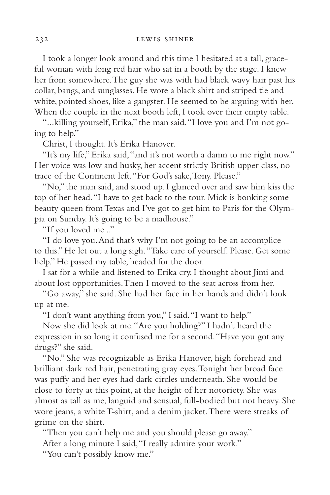I took a longer look around and this time I hesitated at a tall, graceful woman with long red hair who sat in a booth by the stage. I knew her from somewhere. The guy she was with had black wavy hair past his collar, bangs, and sunglasses. He wore a black shirt and striped tie and white, pointed shoes, like a gangster. He seemed to be arguing with her. When the couple in the next booth left, I took over their empty table.

"...killing yourself, Erika," the man said. "I love you and I'm not going to help."

Christ, I thought. It's Erika Hanover.

"It's my life," Erika said, "and it's not worth a damn to me right now." Her voice was low and husky, her accent strictly British upper class, no trace of the Continent left. "For God's sake, Tony. Please."

"No," the man said, and stood up. I glanced over and saw him kiss the top of her head. "I have to get back to the tour. Mick is bonking some beauty queen from Texas and I've got to get him to Paris for the Olympia on Sunday. It's going to be a madhouse."

"If you loved me..."

"I do love you. And that's why I'm not going to be an accomplice to this." He let out a long sigh. "Take care of yourself. Please. Get some help." He passed my table, headed for the door.

I sat for a while and listened to Erika cry. I thought about Jimi and about lost opportunities. Then I moved to the seat across from her.

"Go away," she said. She had her face in her hands and didn't look up at me.

"I don't want anything from you," I said. "I want to help."

Now she did look at me. "Are you holding?" I hadn't heard the expression in so long it confused me for a second. "Have you got any drugs?" she said.

"No." She was recognizable as Erika Hanover, high forehead and brilliant dark red hair, penetrating gray eyes. Tonight her broad face was puffy and her eyes had dark circles underneath. She would be close to forty at this point, at the height of her notoriety. She was almost as tall as me, languid and sensual, full-bodied but not heavy. She wore jeans, a white T-shirt, and a denim jacket. There were streaks of grime on the shirt.

"Then you can't help me and you should please go away." After a long minute I said, "I really admire your work."

"You can't possibly know me."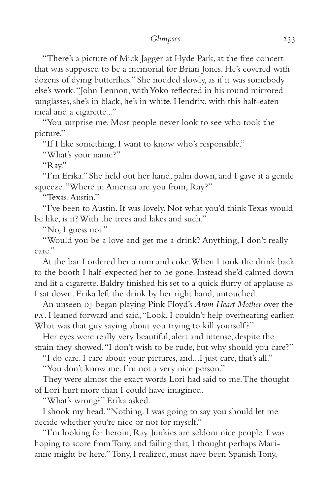"There's a picture of Mick Jagger at Hyde Park, at the free concert that was supposed to be a memorial for Brian Jones. He's covered with dozens of dying butterflies." She nodded slowly, as if it was somebody else's work. "John Lennon, with Yoko reflected in his round mirrored sunglasses, she's in black, he's in white. Hendrix, with this half-eaten meal and a cigarette..."

"You surprise me. Most people never look to see who took the picture."

"If I like something, I want to know who's responsible."

"What's your name?"

"Ray."

"I'm Erika." She held out her hand, palm down, and I gave it a gentle squeeze. "Where in America are you from, Ray?"

"Texas. Austin."

"I've been to Austin. It was lovely. Not what you'd think Texas would be like, is it? With the trees and lakes and such."

"No, I guess not."

"Would you be a love and get me a drink? Anything, I don't really care."

At the bar I ordered her a rum and coke. When I took the drink back to the booth I half-expected her to be gone. Instead she'd calmed down and lit a cigarette. Baldry finished his set to a quick flurry of applause as I sat down. Erika left the drink by her right hand, untouched.

An unseen DJ began playing Pink Floyd's *Atom Heart Mother* over the pa. I leaned forward and said, "Look, I couldn't help overhearing earlier. What was that guy saying about you trying to kill yourself?"

Her eyes were really very beautiful, alert and intense, despite the strain they showed. "I don't wish to be rude, but why should you care?"

"I do care. I care about your pictures, and...I just care, that's all."

"You don't know me. I'm not a very nice person."

They were almost the exact words Lori had said to me. The thought of Lori hurt more than I could have imagined.

"What's wrong?" Erika asked.

I shook my head. "Nothing. I was going to say you should let me decide whether you're nice or not for myself."

"I'm looking for heroin, Ray. Junkies are seldom nice people. I was hoping to score from Tony, and failing that, I thought perhaps Marianne might be here." Tony, I realized, must have been Spanish Tony,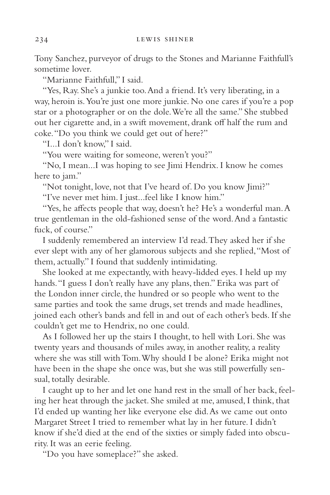Tony Sanchez, purveyor of drugs to the Stones and Marianne Faithfull's sometime lover.

"Marianne Faithfull," I said.

"Yes, Ray. She's a junkie too. And a friend. It's very liberating, in a way, heroin is. You're just one more junkie. No one cares if you're a pop star or a photographer or on the dole. We're all the same." She stubbed out her cigarette and, in a swift movement, drank off half the rum and coke. "Do you think we could get out of here?"

"I...I don't know," I said.

"You were waiting for someone, weren't you?"

"No, I mean...I was hoping to see Jimi Hendrix. I know he comes here to jam."

"Not tonight, love, not that I've heard of. Do you know Jimi?"

"I've never met him. I just...feel like I know him."

"Yes, he affects people that way, doesn't he? He's a wonderful man. A true gentleman in the old-fashioned sense of the word. And a fantastic fuck, of course."

I suddenly remembered an interview I'd read. They asked her if she ever slept with any of her glamorous subjects and she replied, "Most of them, actually." I found that suddenly intimidating.

She looked at me expectantly, with heavy-lidded eyes. I held up my hands. "I guess I don't really have any plans, then." Erika was part of the London inner circle, the hundred or so people who went to the same parties and took the same drugs, set trends and made headlines, joined each other's bands and fell in and out of each other's beds. If she couldn't get me to Hendrix, no one could.

As I followed her up the stairs I thought, to hell with Lori. She was twenty years and thousands of miles away, in another reality, a reality where she was still with Tom. Why should I be alone? Erika might not have been in the shape she once was, but she was still powerfully sensual, totally desirable.

I caught up to her and let one hand rest in the small of her back, feeling her heat through the jacket. She smiled at me, amused, I think, that I'd ended up wanting her like everyone else did. As we came out onto Margaret Street I tried to remember what lay in her future. I didn't know if she'd died at the end of the sixties or simply faded into obscurity. It was an eerie feeling.

"Do you have someplace?" she asked.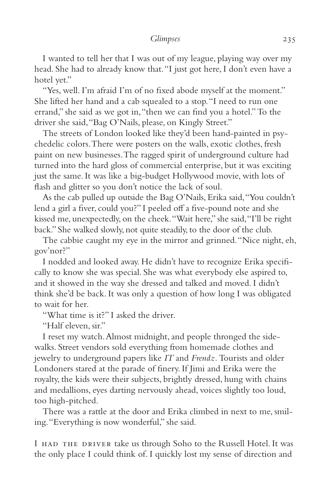I wanted to tell her that I was out of my league, playing way over my head. She had to already know that. "I just got here, I don't even have a hotel yet."

"Yes, well. I'm afraid I'm of no fixed abode myself at the moment." She lifted her hand and a cab squealed to a stop. "I need to run one errand," she said as we got in, "then we can find you a hotel." To the driver she said, "Bag O'Nails, please, on Kingly Street."

The streets of London looked like they'd been hand-painted in psychedelic colors. There were posters on the walls, exotic clothes, fresh paint on new businesses. The ragged spirit of underground culture had turned into the hard gloss of commercial enterprise, but it was exciting just the same. It was like a big-budget Hollywood movie, with lots of flash and glitter so you don't notice the lack of soul.

As the cab pulled up outside the Bag O'Nails, Erika said, "You couldn't lend a girl a fiver, could you?" I peeled off a five-pound note and she kissed me, unexpectedly, on the cheek. "Wait here," she said, "I'll be right back." She walked slowly, not quite steadily, to the door of the club.

The cabbie caught my eye in the mirror and grinned. "Nice night, eh, gov'nor?"

I nodded and looked away. He didn't have to recognize Erika specifically to know she was special. She was what everybody else aspired to, and it showed in the way she dressed and talked and moved. I didn't think she'd be back. It was only a question of how long I was obligated to wait for her.

"What time is it?" I asked the driver.

"Half eleven, sir."

I reset my watch. Almost midnight, and people thronged the sidewalks. Street vendors sold everything from homemade clothes and jewelry to underground papers like *IT* and *Frendz.* Tourists and older Londoners stared at the parade of finery. If Jimi and Erika were the royalty, the kids were their subjects, brightly dressed, hung with chains and medallions, eyes darting nervously ahead, voices slightly too loud, too high-pitched.

There was a rattle at the door and Erika climbed in next to me, smiling. "Everything is now wonderful," she said.

I HAD THE DRIVER take us through Soho to the Russell Hotel. It was the only place I could think of. I quickly lost my sense of direction and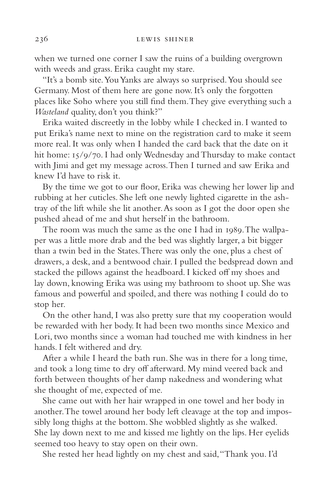when we turned one corner I saw the ruins of a building overgrown with weeds and grass. Erika caught my stare.

"It's a bomb site. You Yanks are always so surprised. You should see Germany. Most of them here are gone now. It's only the forgotten places like Soho where you still find them. They give everything such a *Wasteland* quality, don't you think?"

Erika waited discreetly in the lobby while I checked in. I wanted to put Erika's name next to mine on the registration card to make it seem more real. It was only when I handed the card back that the date on it hit home: 15/9/70. I had only Wednesday and Thursday to make contact with Jimi and get my message across. Then I turned and saw Erika and knew I'd have to risk it.

By the time we got to our floor, Erika was chewing her lower lip and rubbing at her cuticles. She left one newly lighted cigarette in the ashtray of the lift while she lit another. As soon as I got the door open she pushed ahead of me and shut herself in the bathroom.

The room was much the same as the one I had in 1989. The wallpaper was a little more drab and the bed was slightly larger, a bit bigger than a twin bed in the States. There was only the one, plus a chest of drawers, a desk, and a bentwood chair. I pulled the bedspread down and stacked the pillows against the headboard. I kicked off my shoes and lay down, knowing Erika was using my bathroom to shoot up. She was famous and powerful and spoiled, and there was nothing I could do to stop her.

On the other hand, I was also pretty sure that my cooperation would be rewarded with her body. It had been two months since Mexico and Lori, two months since a woman had touched me with kindness in her hands. I felt withered and dry.

After a while I heard the bath run. She was in there for a long time, and took a long time to dry off afterward. My mind veered back and forth between thoughts of her damp nakedness and wondering what she thought of me, expected of me.

She came out with her hair wrapped in one towel and her body in another. The towel around her body left cleavage at the top and impossibly long thighs at the bottom. She wobbled slightly as she walked. She lay down next to me and kissed me lightly on the lips. Her eyelids seemed too heavy to stay open on their own.

She rested her head lightly on my chest and said, "Thank you. I'd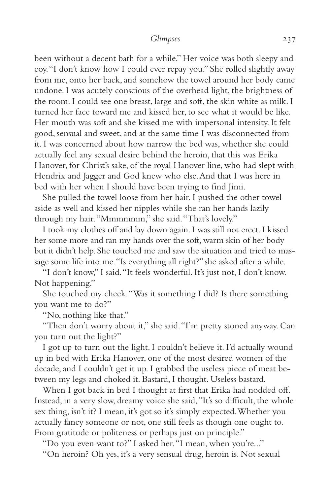been without a decent bath for a while." Her voice was both sleepy and coy. "I don't know how I could ever repay you." She rolled slightly away from me, onto her back, and somehow the towel around her body came undone. I was acutely conscious of the overhead light, the brightness of the room. I could see one breast, large and soft, the skin white as milk. I turned her face toward me and kissed her, to see what it would be like. Her mouth was soft and she kissed me with impersonal intensity. It felt good, sensual and sweet, and at the same time I was disconnected from it. I was concerned about how narrow the bed was, whether she could actually feel any sexual desire behind the heroin, that this was Erika Hanover, for Christ's sake, of the royal Hanover line, who had slept with Hendrix and Jagger and God knew who else. And that I was here in bed with her when I should have been trying to find Jimi.

She pulled the towel loose from her hair. I pushed the other towel aside as well and kissed her nipples while she ran her hands lazily through my hair. "Mmmmmm," she said. "That's lovely."

I took my clothes off and lay down again. I was still not erect. I kissed her some more and ran my hands over the soft, warm skin of her body but it didn't help. She touched me and saw the situation and tried to massage some life into me. "Is everything all right?" she asked after a while.

"I don't know," I said. "It feels wonderful. It's just not, I don't know. Not happening."

She touched my cheek. "Was it something I did? Is there something you want me to do?"

"No, nothing like that."

"Then don't worry about it," she said. "I'm pretty stoned anyway. Can you turn out the light?"

I got up to turn out the light. I couldn't believe it. I'd actually wound up in bed with Erika Hanover, one of the most desired women of the decade, and I couldn't get it up. I grabbed the useless piece of meat between my legs and choked it. Bastard, I thought. Useless bastard.

When I got back in bed I thought at first that Erika had nodded off. Instead, in a very slow, dreamy voice she said, "It's so difficult, the whole sex thing, isn't it? I mean, it's got so it's simply expected. Whether you actually fancy someone or not, one still feels as though one ought to. From gratitude or politeness or perhaps just on principle."

"Do you even want to?" I asked her. "I mean, when you're..."

"On heroin? Oh yes, it's a very sensual drug, heroin is. Not sexual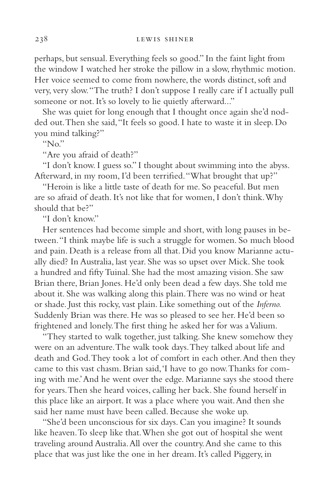perhaps, but sensual. Everything feels so good." In the faint light from the window I watched her stroke the pillow in a slow, rhythmic motion. Her voice seemed to come from nowhere, the words distinct, soft and very, very slow. "The truth? I don't suppose I really care if I actually pull someone or not. It's so lovely to lie quietly afterward..."

She was quiet for long enough that I thought once again she'd nodded out. Then she said, "It feels so good. I hate to waste it in sleep. Do you mind talking?"

" $N_0$ "

"Are you afraid of death?"

"I don't know. I guess so." I thought about swimming into the abyss. Afterward, in my room, I'd been terrified. "What brought that up?"

"Heroin is like a little taste of death for me. So peaceful. But men are so afraid of death. It's not like that for women, I don't think. Why should that be?"

"I don't know."

Her sentences had become simple and short, with long pauses in between. "I think maybe life is such a struggle for women. So much blood and pain. Death is a release from all that. Did you know Marianne actually died? In Australia, last year. She was so upset over Mick. She took a hundred and fifty Tuinal. She had the most amazing vision. She saw Brian there, Brian Jones. He'd only been dead a few days. She told me about it. She was walking along this plain. There was no wind or heat or shade. Just this rocky, vast plain. Like something out of the *Inferno.* Suddenly Brian was there. He was so pleased to see her. He'd been so frightened and lonely. The first thing he asked her for was a Valium.

"They started to walk together, just talking. She knew somehow they were on an adventure. The walk took days. They talked about life and death and God. They took a lot of comfort in each other. And then they came to this vast chasm. Brian said, 'I have to go now. Thanks for coming with me.' And he went over the edge. Marianne says she stood there for years. Then she heard voices, calling her back. She found herself in this place like an airport. It was a place where you wait. And then she said her name must have been called. Because she woke up.

"She'd been unconscious for six days. Can you imagine? It sounds like heaven. To sleep like that. When she got out of hospital she went traveling around Australia. All over the country. And she came to this place that was just like the one in her dream. It's called Piggery, in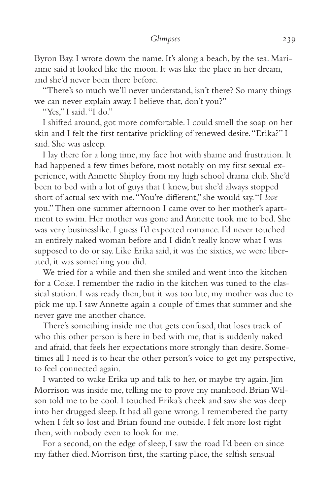Byron Bay. I wrote down the name. It's along a beach, by the sea. Marianne said it looked like the moon. It was like the place in her dream, and she'd never been there before.

"There's so much we'll never understand, isn't there? So many things we can never explain away. I believe that, don't you?"

"Yes," I said. "I do."

I shifted around, got more comfortable. I could smell the soap on her skin and I felt the first tentative prickling of renewed desire. "Erika?" I said. She was asleep.

I lay there for a long time, my face hot with shame and frustration. It had happened a few times before, most notably on my first sexual experience, with Annette Shipley from my high school drama club. She'd been to bed with a lot of guys that I knew, but she'd always stopped short of actual sex with me. "You're different," she would say. "I *love* you." Then one summer afternoon I came over to her mother's apartment to swim. Her mother was gone and Annette took me to bed. She was very businesslike. I guess I'd expected romance. I'd never touched an entirely naked woman before and I didn't really know what I was supposed to do or say. Like Erika said, it was the sixties, we were liberated, it was something you did.

We tried for a while and then she smiled and went into the kitchen for a Coke. I remember the radio in the kitchen was tuned to the classical station. I was ready then, but it was too late, my mother was due to pick me up. I saw Annette again a couple of times that summer and she never gave me another chance.

There's something inside me that gets confused, that loses track of who this other person is here in bed with me, that is suddenly naked and afraid, that feels her expectations more strongly than desire. Sometimes all I need is to hear the other person's voice to get my perspective, to feel connected again.

I wanted to wake Erika up and talk to her, or maybe try again. Jim Morrison was inside me, telling me to prove my manhood. Brian Wilson told me to be cool. I touched Erika's cheek and saw she was deep into her drugged sleep. It had all gone wrong. I remembered the party when I felt so lost and Brian found me outside. I felt more lost right then, with nobody even to look for me.

For a second, on the edge of sleep, I saw the road I'd been on since my father died. Morrison first, the starting place, the selfish sensual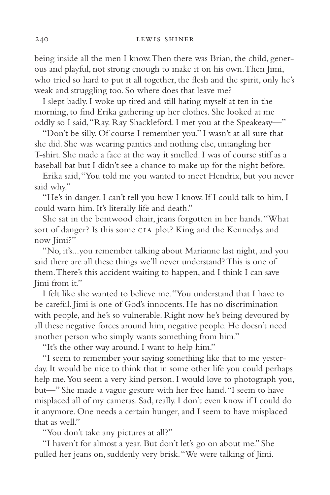being inside all the men I know. Then there was Brian, the child, generous and playful, not strong enough to make it on his own. Then Jimi, who tried so hard to put it all together, the flesh and the spirit, only he's weak and struggling too. So where does that leave me?

I slept badly. I woke up tired and still hating myself at ten in the morning, to find Erika gathering up her clothes. She looked at me oddly so I said, "Ray. Ray Shackleford. I met you at the Speakeasy—"

"Don't be silly. Of course I remember you." I wasn't at all sure that she did. She was wearing panties and nothing else, untangling her T-shirt. She made a face at the way it smelled. I was of course stiff as a baseball bat but I didn't see a chance to make up for the night before.

Erika said, "You told me you wanted to meet Hendrix, but you never said why."

"He's in danger. I can't tell you how I know. If I could talk to him, I could warn him. It's literally life and death."

She sat in the bentwood chair, jeans forgotten in her hands. "What sort of danger? Is this some cia plot? King and the Kennedys and now Jimi?"

"No, it's...you remember talking about Marianne last night, and you said there are all these things we'll never understand? This is one of them. There's this accident waiting to happen, and I think I can save Jimi from it."

I felt like she wanted to believe me. "You understand that I have to be careful. Jimi is one of God's innocents. He has no discrimination with people, and he's so vulnerable. Right now he's being devoured by all these negative forces around him, negative people. He doesn't need another person who simply wants something from him."

"It's the other way around. I want to help him."

"I seem to remember your saying something like that to me yesterday. It would be nice to think that in some other life you could perhaps help me. You seem a very kind person. I would love to photograph you, but—" She made a vague gesture with her free hand. "I seem to have misplaced all of my cameras. Sad, really. I don't even know if I could do it anymore. One needs a certain hunger, and I seem to have misplaced that as well."

"You don't take any pictures at all?"

"I haven't for almost a year. But don't let's go on about me." She pulled her jeans on, suddenly very brisk. "We were talking of Jimi.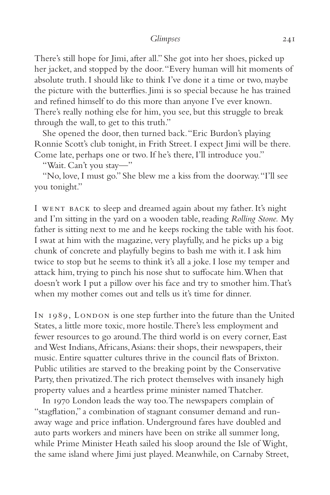There's still hope for Jimi, after all." She got into her shoes, picked up her jacket, and stopped by the door. "Every human will hit moments of absolute truth. I should like to think I've done it a time or two, maybe the picture with the butterflies. Jimi is so special because he has trained and refined himself to do this more than anyone I've ever known. There's really nothing else for him, you see, but this struggle to break through the wall, to get to this truth."

She opened the door, then turned back. "Eric Burdon's playing Ronnie Scott's club tonight, in Frith Street. I expect Jimi will be there. Come late, perhaps one or two. If he's there, I'll introduce you."

"Wait. Can't you stay—"

"No, love, I must go." She blew me a kiss from the doorway. "I'll see you tonight."

I WENT BACK to sleep and dreamed again about my father. It's night and I'm sitting in the yard on a wooden table, reading *Rolling Stone.* My father is sitting next to me and he keeps rocking the table with his foot. I swat at him with the magazine, very playfully, and he picks up a big chunk of concrete and playfully begins to bash me with it. I ask him twice to stop but he seems to think it's all a joke. I lose my temper and attack him, trying to pinch his nose shut to suffocate him. When that doesn't work I put a pillow over his face and try to smother him. That's when my mother comes out and tells us it's time for dinner.

IN 1989, LONDON is one step further into the future than the United States, a little more toxic, more hostile. There's less employment and fewer resources to go around. The third world is on every corner, East and West Indians, Africans, Asians: their shops, their newspapers, their music. Entire squatter cultures thrive in the council flats of Brixton. Public utilities are starved to the breaking point by the Conservative Party, then privatized. The rich protect themselves with insanely high property values and a heartless prime minister named Thatcher.

In 1970 London leads the way too. The newspapers complain of "stagflation," a combination of stagnant consumer demand and runaway wage and price inflation. Underground fares have doubled and auto parts workers and miners have been on strike all summer long, while Prime Minister Heath sailed his sloop around the Isle of Wight, the same island where Jimi just played. Meanwhile, on Carnaby Street,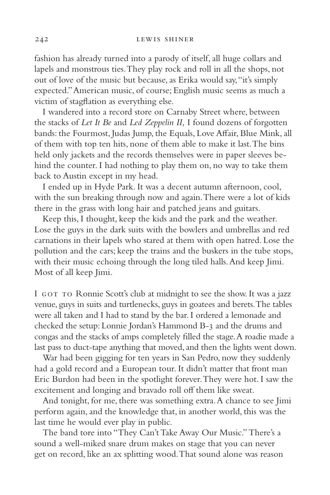fashion has already turned into a parody of itself, all huge collars and lapels and monstrous ties. They play rock and roll in all the shops, not out of love of the music but because, as Erika would say, "it's simply expected." American music, of course; English music seems as much a victim of stagflation as everything else.

I wandered into a record store on Carnaby Street where, between the stacks of *Let It Be* and *Led Zeppelin II,* I found dozens of forgotten bands: the Fourmost, Judas Jump, the Equals, Love Affair, Blue Mink, all of them with top ten hits, none of them able to make it last. The bins held only jackets and the records themselves were in paper sleeves behind the counter. I had nothing to play them on, no way to take them back to Austin except in my head.

I ended up in Hyde Park. It was a decent autumn afternoon, cool, with the sun breaking through now and again. There were a lot of kids there in the grass with long hair and patched jeans and guitars.

Keep this, I thought, keep the kids and the park and the weather. Lose the guys in the dark suits with the bowlers and umbrellas and red carnations in their lapels who stared at them with open hatred. Lose the pollution and the cars; keep the trains and the buskers in the tube stops, with their music echoing through the long tiled halls. And keep Jimi. Most of all keep Jimi.

I GOT TO Ronnie Scott's club at midnight to see the show. It was a jazz venue, guys in suits and turtlenecks, guys in goatees and berets. The tables were all taken and I had to stand by the bar. I ordered a lemonade and checked the setup: Lonnie Jordan's Hammond B-3 and the drums and congas and the stacks of amps completely filled the stage. A roadie made a last pass to duct-tape anything that moved, and then the lights went down.

War had been gigging for ten years in San Pedro, now they suddenly had a gold record and a European tour. It didn't matter that front man Eric Burdon had been in the spotlight forever. They were hot. I saw the excitement and longing and bravado roll off them like sweat.

And tonight, for me, there was something extra. A chance to see Jimi perform again, and the knowledge that, in another world, this was the last time he would ever play in public.

The band tore into "They Can't Take Away Our Music." There's a sound a well-miked snare drum makes on stage that you can never get on record, like an ax splitting wood. That sound alone was reason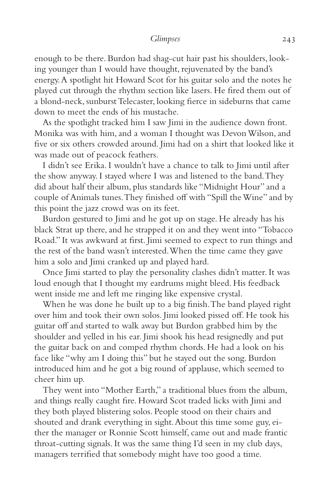enough to be there. Burdon had shag-cut hair past his shoulders, looking younger than I would have thought, rejuvenated by the band's energy. A spotlight hit Howard Scot for his guitar solo and the notes he played cut through the rhythm section like lasers. He fired them out of a blond-neck, sunburst Telecaster, looking fierce in sideburns that came down to meet the ends of his mustache.

As the spotlight tracked him I saw Jimi in the audience down front. Monika was with him, and a woman I thought was Devon Wilson, and five or six others crowded around. Jimi had on a shirt that looked like it was made out of peacock feathers.

I didn't see Erika. I wouldn't have a chance to talk to Jimi until after the show anyway. I stayed where I was and listened to the band. They did about half their album, plus standards like "Midnight Hour" and a couple of Animals tunes. They finished off with "Spill the Wine" and by this point the jazz crowd was on its feet.

Burdon gestured to Jimi and he got up on stage. He already has his black Strat up there, and he strapped it on and they went into "Tobacco Road." It was awkward at first. Jimi seemed to expect to run things and the rest of the band wasn't interested. When the time came they gave him a solo and Jimi cranked up and played hard.

Once Jimi started to play the personality clashes didn't matter. It was loud enough that I thought my eardrums might bleed. His feedback went inside me and left me ringing like expensive crystal.

When he was done he built up to a big finish. The band played right over him and took their own solos. Jimi looked pissed off. He took his guitar off and started to walk away but Burdon grabbed him by the shoulder and yelled in his ear. Jimi shook his head resignedly and put the guitar back on and comped rhythm chords. He had a look on his face like "why am I doing this" but he stayed out the song. Burdon introduced him and he got a big round of applause, which seemed to cheer him up.

They went into "Mother Earth," a traditional blues from the album, and things really caught fire. Howard Scot traded licks with Jimi and they both played blistering solos. People stood on their chairs and shouted and drank everything in sight. About this time some guy, either the manager or Ronnie Scott himself, came out and made frantic throat-cutting signals. It was the same thing I'd seen in my club days, managers terrified that somebody might have too good a time.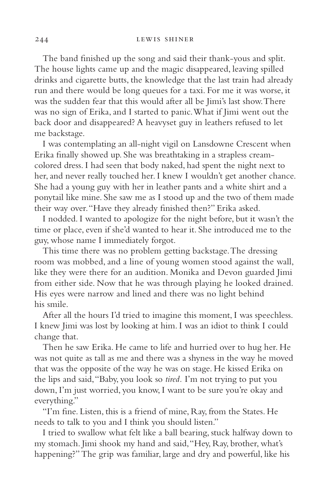The band finished up the song and said their thank-yous and split. The house lights came up and the magic disappeared, leaving spilled drinks and cigarette butts, the knowledge that the last train had already run and there would be long queues for a taxi. For me it was worse, it was the sudden fear that this would after all be Jimi's last show. There was no sign of Erika, and I started to panic. What if Jimi went out the back door and disappeared? A heavyset guy in leathers refused to let me backstage.

I was contemplating an all-night vigil on Lansdowne Crescent when Erika finally showed up. She was breathtaking in a strapless creamcolored dress. I had seen that body naked, had spent the night next to her, and never really touched her. I knew I wouldn't get another chance. She had a young guy with her in leather pants and a white shirt and a ponytail like mine. She saw me as I stood up and the two of them made their way over. "Have they already finished then?" Erika asked.

I nodded. I wanted to apologize for the night before, but it wasn't the time or place, even if she'd wanted to hear it. She introduced me to the guy, whose name I immediately forgot.

This time there was no problem getting backstage. The dressing room was mobbed, and a line of young women stood against the wall, like they were there for an audition. Monika and Devon guarded Jimi from either side. Now that he was through playing he looked drained. His eyes were narrow and lined and there was no light behind his smile.

After all the hours I'd tried to imagine this moment, I was speechless. I knew Jimi was lost by looking at him. I was an idiot to think I could change that.

Then he saw Erika. He came to life and hurried over to hug her. He was not quite as tall as me and there was a shyness in the way he moved that was the opposite of the way he was on stage. He kissed Erika on the lips and said, "Baby, you look so *tired.* I'm not trying to put you down, I'm just worried, you know, I want to be sure you're okay and everything."

"I'm fine. Listen, this is a friend of mine, Ray, from the States. He needs to talk to you and I think you should listen."

I tried to swallow what felt like a ball bearing, stuck halfway down to my stomach. Jimi shook my hand and said, "Hey, Ray, brother, what's happening?" The grip was familiar, large and dry and powerful, like his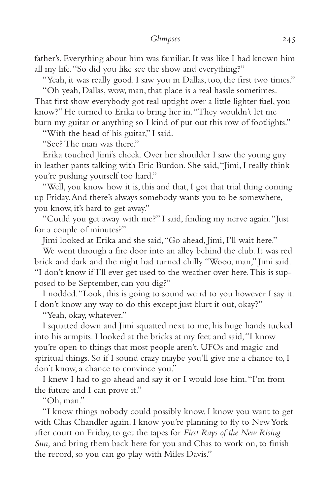father's. Everything about him was familiar. It was like I had known him all my life. "So did you like see the show and everything?"

"Yeah, it was really good. I saw you in Dallas, too, the first two times." "Oh yeah, Dallas, wow, man, that place is a real hassle sometimes. That first show everybody got real uptight over a little lighter fuel, you know?" He turned to Erika to bring her in. "They wouldn't let me burn my guitar or anything so I kind of put out this row of footlights."

"With the head of his guitar," I said.

"See? The man was there."

Erika touched Jimi's cheek. Over her shoulder I saw the young guy in leather pants talking with Eric Burdon. She said, "Jimi, I really think you're pushing yourself too hard."

"Well, you know how it is, this and that, I got that trial thing coming up Friday. And there's always somebody wants you to be somewhere, you know, it's hard to get away."

"Could you get away with me?" I said, finding my nerve again. "Just for a couple of minutes?"

Jimi looked at Erika and she said, "Go ahead, Jimi, I'll wait here."

We went through a fire door into an alley behind the club. It was red brick and dark and the night had turned chilly. "Wooo, man," Jimi said. "I don't know if I'll ever get used to the weather over here. This is supposed to be September, can you dig?"

I nodded. "Look, this is going to sound weird to you however I say it. I don't know any way to do this except just blurt it out, okay?"

"Yeah, okay, whatever."

I squatted down and Jimi squatted next to me, his huge hands tucked into his armpits. I looked at the bricks at my feet and said, "I know you're open to things that most people aren't. UFOs and magic and spiritual things. So if I sound crazy maybe you'll give me a chance to, I don't know, a chance to convince you."

I knew I had to go ahead and say it or I would lose him. "I'm from the future and I can prove it."

"Oh, man."

"I know things nobody could possibly know. I know you want to get with Chas Chandler again. I know you're planning to fly to New York after court on Friday, to get the tapes for *First Rays of the New Rising Sun,* and bring them back here for you and Chas to work on, to finish the record, so you can go play with Miles Davis."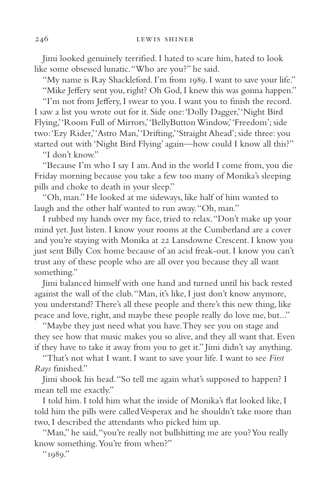Jimi looked genuinely terrified. I hated to scare him, hated to look like some obsessed lunatic. "Who are you?" he said.

"My name is Ray Shackleford. I'm from 1989. I want to save your life." "Mike Jeffery sent you, right? Oh God, I knew this was gonna happen."

"I'm not from Jeffery, I swear to you. I want you to finish the record. I saw a list you wrote out for it. Side one: 'Dolly Dagger,' 'Night Bird Flying,' 'Room Full of Mirrors,' 'BellyButton Window,' 'Freedom'; side two: 'Ezy Rider,' 'Astro Man,' 'Drifting,' 'Straight Ahead'; side three: you started out with 'Night Bird Flying' again—how could I know all this?"

"I don't know."

"Because I'm who I say I am. And in the world I come from, you die Friday morning because you take a few too many of Monika's sleeping pills and choke to death in your sleep."

"Oh, man." He looked at me sideways, like half of him wanted to laugh and the other half wanted to run away. "Oh, man."

I rubbed my hands over my face, tried to relax. "Don't make up your mind yet. Just listen. I know your rooms at the Cumberland are a cover and you're staying with Monika at 22 Lansdowne Crescent. I know you just sent Billy Cox home because of an acid freak-out. I know you can't trust any of these people who are all over you because they all want something."

Jimi balanced himself with one hand and turned until his back rested against the wall of the club. "Man, it's like, I just don't know anymore, you understand? There's all these people and there's this new thing, like peace and love, right, and maybe these people really do love me, but..."

"Maybe they just need what you have. They see you on stage and they see how that music makes you so alive, and they all want that. Even if they have to take it away from you to get it." Jimi didn't say anything.

"That's not what I want. I want to save your life. I want to see *First Rays* finished."

Jimi shook his head. "So tell me again what's supposed to happen? I mean tell me exactly."

I told him. I told him what the inside of Monika's flat looked like, I told him the pills were called Vesperax and he shouldn't take more than two, I described the attendants who picked him up.

"Man," he said, "you're really not bullshitting me are you? You really know something. You're from when?"

"1989."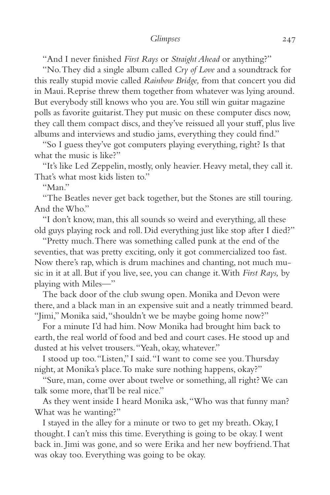"And I never finished *First Rays* or *Straight Ahead* or anything?"

"No. They did a single album called *Cry of Love* and a soundtrack for this really stupid movie called *Rainbow Bridge,* from that concert you did in Maui. Reprise threw them together from whatever was lying around. But everybody still knows who you are. You still win guitar magazine polls as favorite guitarist. They put music on these computer discs now, they call them compact discs, and they've reissued all your stuff, plus live albums and interviews and studio jams, everything they could find."

"So I guess they've got computers playing everything, right? Is that what the music is like?"

"It's like Led Zeppelin, mostly, only heavier. Heavy metal, they call it. That's what most kids listen to."

"Man."

"The Beatles never get back together, but the Stones are still touring. And the Who."

"I don't know, man, this all sounds so weird and everything, all these old guys playing rock and roll. Did everything just like stop after I died?"

"Pretty much. There was something called punk at the end of the seventies, that was pretty exciting, only it got commercialized too fast. Now there's rap, which is drum machines and chanting, not much music in it at all. But if you live, see, you can change it. With *First Rays,* by playing with Miles—"

The back door of the club swung open. Monika and Devon were there, and a black man in an expensive suit and a neatly trimmed beard. "Jimi," Monika said, "shouldn't we be maybe going home now?"

For a minute I'd had him. Now Monika had brought him back to earth, the real world of food and bed and court cases. He stood up and dusted at his velvet trousers. "Yeah, okay, whatever."

I stood up too. "Listen," I said. "I want to come see you. Thursday night, at Monika's place. To make sure nothing happens, okay?"

"Sure, man, come over about twelve or something, all right? We can talk some more, that'll be real nice."

As they went inside I heard Monika ask, "Who was that funny man? What was he wanting?"

I stayed in the alley for a minute or two to get my breath. Okay, I thought. I can't miss this time. Everything is going to be okay. I went back in. Jimi was gone, and so were Erika and her new boyfriend. That was okay too. Everything was going to be okay.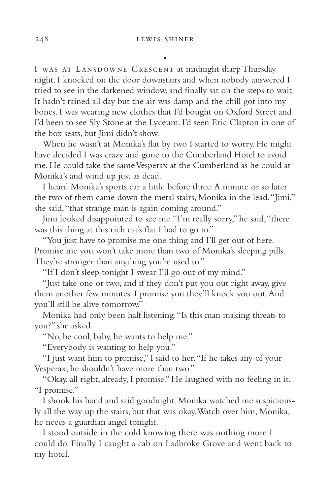•

I WAS AT LANSDOWNE CRESCENT at midnight sharp Thursday night. I knocked on the door downstairs and when nobody answered I tried to see in the darkened window, and finally sat on the steps to wait. It hadn't rained all day but the air was damp and the chill got into my bones. I was wearing new clothes that I'd bought on Oxford Street and I'd been to see Sly Stone at the Lyceum. I'd seen Eric Clapton in one of the box seats, but Jimi didn't show.

When he wasn't at Monika's flat by two I started to worry. He might have decided I was crazy and gone to the Cumberland Hotel to avoid me. He could take the same Vesperax at the Cumberland as he could at Monika's and wind up just as dead.

I heard Monika's sports car a little before three. A minute or so later the two of them came down the metal stairs, Monika in the lead. "Jimi," she said, "that strange man is again coming around."

Jimi looked disappointed to see me. "I'm really sorry," he said, "there was this thing at this rich cat's flat I had to go to."

"You just have to promise me one thing and I'll get out of here. Promise me you won't take more than two of Monika's sleeping pills. They're stronger than anything you're used to."

"If I don't sleep tonight I swear I'll go out of my mind."

"Just take one or two, and if they don't put you out right away, give them another few minutes. I promise you they'll knock you out. And you'll still be alive tomorrow."

Monika had only been half listening. "Is this man making threats to you?" she asked.

"No, be cool, baby, he wants to help me."

"Everybody is wanting to help you."

"I just want him to promise," I said to her. "If he takes any of your Vesperax, he shouldn't have more than two."

"Okay, all right, already, I promise." He laughed with no feeling in it. "I promise."

I shook his hand and said goodnight. Monika watched me suspiciously all the way up the stairs, but that was okay. Watch over him, Monika, he needs a guardian angel tonight.

I stood outside in the cold knowing there was nothing more I could do. Finally I caught a cab on Ladbroke Grove and went back to my hotel.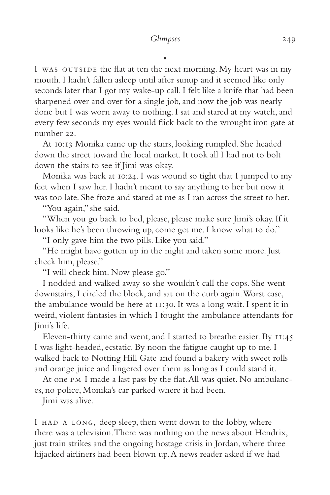•

I WAS OUTSIDE the flat at ten the next morning. My heart was in my mouth. I hadn't fallen asleep until after sunup and it seemed like only seconds later that I got my wake-up call. I felt like a knife that had been sharpened over and over for a single job, and now the job was nearly done but I was worn away to nothing. I sat and stared at my watch, and every few seconds my eyes would flick back to the wrought iron gate at number 22.

At 10:13 Monika came up the stairs, looking rumpled. She headed down the street toward the local market. It took all I had not to bolt down the stairs to see if Jimi was okay.

Monika was back at 10:24. I was wound so tight that I jumped to my feet when I saw her. I hadn't meant to say anything to her but now it was too late. She froze and stared at me as I ran across the street to her.

"You again," she said.

"When you go back to bed, please, please make sure Jimi's okay. If it looks like he's been throwing up, come get me. I know what to do."

"I only gave him the two pills. Like you said."

"He might have gotten up in the night and taken some more. Just check him, please."

"I will check him. Now please go."

I nodded and walked away so she wouldn't call the cops. She went downstairs, I circled the block, and sat on the curb again. Worst case, the ambulance would be here at 11:30. It was a long wait. I spent it in weird, violent fantasies in which I fought the ambulance attendants for Jimi's life.

Eleven-thirty came and went, and I started to breathe easier. By 11:45 I was light-headed, ecstatic. By noon the fatigue caught up to me. I walked back to Notting Hill Gate and found a bakery with sweet rolls and orange juice and lingered over them as long as I could stand it.

At one pm I made a last pass by the flat. All was quiet. No ambulances, no police, Monika's car parked where it had been.

Jimi was alive.

I HAD A LONG, deep sleep, then went down to the lobby, where there was a television. There was nothing on the news about Hendrix, just train strikes and the ongoing hostage crisis in Jordan, where three hijacked airliners had been blown up. A news reader asked if we had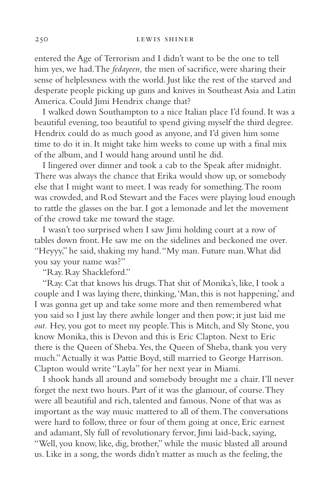entered the Age of Terrorism and I didn't want to be the one to tell him yes, we had. The *fedayeen,* the men of sacrifice, were sharing their sense of helplessness with the world. Just like the rest of the starved and desperate people picking up guns and knives in Southeast Asia and Latin America. Could Jimi Hendrix change that?

I walked down Southampton to a nice Italian place I'd found. It was a beautiful evening, too beautiful to spend giving myself the third degree. Hendrix could do as much good as anyone, and I'd given him some time to do it in. It might take him weeks to come up with a final mix of the album, and I would hang around until he did.

I lingered over dinner and took a cab to the Speak after midnight. There was always the chance that Erika would show up, or somebody else that I might want to meet. I was ready for something. The room was crowded, and Rod Stewart and the Faces were playing loud enough to rattle the glasses on the bar. I got a lemonade and let the movement of the crowd take me toward the stage.

I wasn't too surprised when I saw Jimi holding court at a row of tables down front. He saw me on the sidelines and beckoned me over. "Heyyy," he said, shaking my hand. "My man. Future man. What did you say your name was?"

"Ray. Ray Shackleford."

"Ray. Cat that knows his drugs. That shit of Monika's, like, I took a couple and I was laying there, thinking, 'Man, this is not happening,' and I was gonna get up and take some more and then remembered what you said so I just lay there awhile longer and then pow; it just laid me *out.* Hey, you got to meet my people. This is Mitch, and Sly Stone, you know Monika, this is Devon and this is Eric Clapton. Next to Eric there is the Queen of Sheba. Yes, the Queen of Sheba, thank you very much." Actually it was Pattie Boyd, still married to George Harrison. Clapton would write "Layla" for her next year in Miami.

I shook hands all around and somebody brought me a chair. I'll never forget the next two hours. Part of it was the glamour, of course. They were all beautiful and rich, talented and famous. None of that was as important as the way music mattered to all of them. The conversations were hard to follow, three or four of them going at once, Eric earnest and adamant, Sly full of revolutionary fervor, Jimi laid-back, saying, "Well, you know, like, dig, brother," while the music blasted all around us. Like in a song, the words didn't matter as much as the feeling, the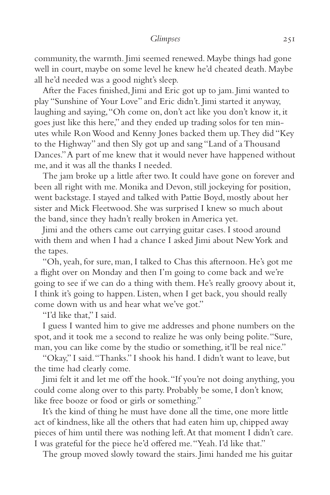community, the warmth. Jimi seemed renewed. Maybe things had gone well in court, maybe on some level he knew he'd cheated death. Maybe all he'd needed was a good night's sleep.

After the Faces finished, Jimi and Eric got up to jam. Jimi wanted to play "Sunshine of Your Love" and Eric didn't. Jimi started it anyway, laughing and saying, "Oh come on, don't act like you don't know it, it goes just like this here," and they ended up trading solos for ten minutes while Ron Wood and Kenny Jones backed them up. They did "Key to the Highway" and then Sly got up and sang "Land of a Thousand Dances." A part of me knew that it would never have happened without me, and it was all the thanks I needed.

The jam broke up a little after two. It could have gone on forever and been all right with me. Monika and Devon, still jockeying for position, went backstage. I stayed and talked with Pattie Boyd, mostly about her sister and Mick Fleetwood. She was surprised I knew so much about the band, since they hadn't really broken in America yet.

Jimi and the others came out carrying guitar cases. I stood around with them and when I had a chance I asked Jimi about New York and the tapes.

"Oh, yeah, for sure, man, I talked to Chas this afternoon. He's got me a flight over on Monday and then I'm going to come back and we're going to see if we can do a thing with them. He's really groovy about it, I think it's going to happen. Listen, when I get back, you should really come down with us and hear what we've got."

"I'd like that," I said.

I guess I wanted him to give me addresses and phone numbers on the spot, and it took me a second to realize he was only being polite. "Sure, man, you can like come by the studio or something, it'll be real nice."

"Okay," I said. "Thanks." I shook his hand. I didn't want to leave, but the time had clearly come.

Jimi felt it and let me off the hook. "If you're not doing anything, you could come along over to this party. Probably be some, I don't know, like free booze or food or girls or something."

It's the kind of thing he must have done all the time, one more little act of kindness, like all the others that had eaten him up, chipped away pieces of him until there was nothing left. At that moment I didn't care. I was grateful for the piece he'd offered me. "Yeah. I'd like that."

The group moved slowly toward the stairs. Jimi handed me his guitar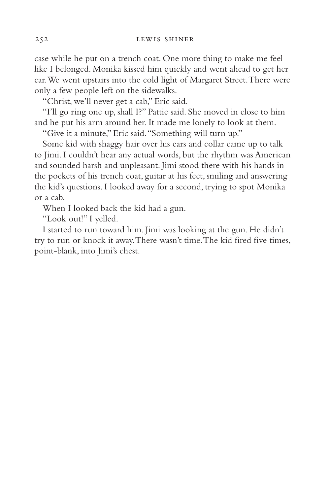case while he put on a trench coat. One more thing to make me feel like I belonged. Monika kissed him quickly and went ahead to get her car. We went upstairs into the cold light of Margaret Street. There were only a few people left on the sidewalks.

"Christ, we'll never get a cab," Eric said.

"I'll go ring one up, shall I?" Pattie said. She moved in close to him and he put his arm around her. It made me lonely to look at them.

"Give it a minute," Eric said. "Something will turn up."

Some kid with shaggy hair over his ears and collar came up to talk to Jimi. I couldn't hear any actual words, but the rhythm was American and sounded harsh and unpleasant. Jimi stood there with his hands in the pockets of his trench coat, guitar at his feet, smiling and answering the kid's questions. I looked away for a second, trying to spot Monika or a cab.

When I looked back the kid had a gun.

"Look out!" I yelled.

I started to run toward him. Jimi was looking at the gun. He didn't try to run or knock it away. There wasn't time. The kid fired five times, point-blank, into Jimi's chest.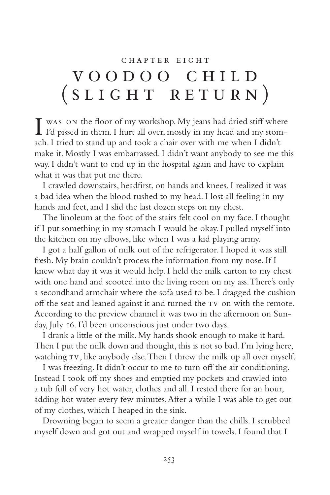# chapter eight v o o d o o c h i l d (slight return)

I was on the floor of my workshop. My jeans had dried stiff where I I'd pissed in them. I hurt all over, mostly in my head and my stomach. I tried to stand up and took a chair over with me when I didn't make it. Mostly I was embarrassed. I didn't want anybody to see me this way. I didn't want to end up in the hospital again and have to explain what it was that put me there.

I crawled downstairs, headfirst, on hands and knees. I realized it was a bad idea when the blood rushed to my head. I lost all feeling in my hands and feet, and I slid the last dozen steps on my chest.

The linoleum at the foot of the stairs felt cool on my face. I thought if I put something in my stomach I would be okay. I pulled myself into the kitchen on my elbows, like when I was a kid playing army.

I got a half gallon of milk out of the refrigerator. I hoped it was still fresh. My brain couldn't process the information from my nose. If I knew what day it was it would help. I held the milk carton to my chest with one hand and scooted into the living room on my ass. There's only a secondhand armchair where the sofa used to be. I dragged the cushion off the seat and leaned against it and turned the TV on with the remote. According to the preview channel it was two in the afternoon on Sunday, July 16. I'd been unconscious just under two days.

I drank a little of the milk. My hands shook enough to make it hard. Then I put the milk down and thought, this is not so bad. I'm lying here, watching tv, like anybody else. Then I threw the milk up all over myself.

I was freezing. It didn't occur to me to turn off the air conditioning. Instead I took off my shoes and emptied my pockets and crawled into a tub full of very hot water, clothes and all. I rested there for an hour, adding hot water every few minutes. After a while I was able to get out of my clothes, which I heaped in the sink.

Drowning began to seem a greater danger than the chills. I scrubbed myself down and got out and wrapped myself in towels. I found that I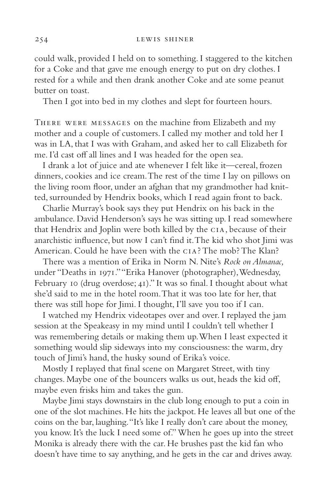could walk, provided I held on to something. I staggered to the kitchen for a Coke and that gave me enough energy to put on dry clothes. I rested for a while and then drank another Coke and ate some peanut butter on toast.

Then I got into bed in my clothes and slept for fourteen hours.

There were messages on the machine from Elizabeth and my mother and a couple of customers. I called my mother and told her I was in LA, that I was with Graham, and asked her to call Elizabeth for me. I'd cast off all lines and I was headed for the open sea.

I drank a lot of juice and ate whenever I felt like it—cereal, frozen dinners, cookies and ice cream. The rest of the time I lay on pillows on the living room floor, under an afghan that my grandmother had knitted, surrounded by Hendrix books, which I read again front to back.

Charlie Murray's book says they put Hendrix on his back in the ambulance. David Henderson's says he was sitting up. I read somewhere that Hendrix and Joplin were both killed by the cia, because of their anarchistic influence, but now I can't find it. The kid who shot Jimi was American. Could he have been with the cia? The mob? The Klan?

There was a mention of Erika in Norm N. Nite's *Rock on Almanac,* under "Deaths in 1971." "Erika Hanover (photographer), Wednesday, February 10 (drug overdose; 41)." It was so final. I thought about what she'd said to me in the hotel room. That it was too late for her, that there was still hope for Jimi. I thought, I'll save you too if I can.

I watched my Hendrix videotapes over and over. I replayed the jam session at the Speakeasy in my mind until I couldn't tell whether I was remembering details or making them up. When I least expected it something would slip sideways into my consciousness: the warm, dry touch of Jimi's hand, the husky sound of Erika's voice.

Mostly I replayed that final scene on Margaret Street, with tiny changes. Maybe one of the bouncers walks us out, heads the kid off, maybe even frisks him and takes the gun.

Maybe Jimi stays downstairs in the club long enough to put a coin in one of the slot machines. He hits the jackpot. He leaves all but one of the coins on the bar, laughing. "It's like I really don't care about the money, you know. It's the luck I need some of." When he goes up into the street Monika is already there with the car. He brushes past the kid fan who doesn't have time to say anything, and he gets in the car and drives away.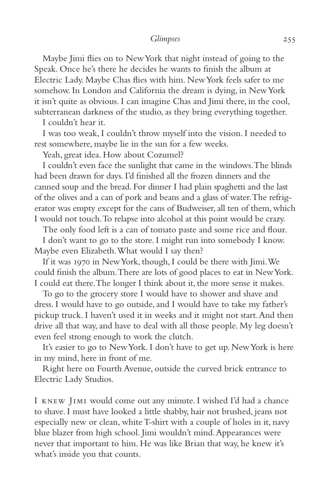Maybe Jimi flies on to New York that night instead of going to the Speak. Once he's there he decides he wants to finish the album at Electric Lady. Maybe Chas flies with him. New York feels safer to me somehow. In London and California the dream is dying, in New York it isn't quite as obvious. I can imagine Chas and Jimi there, in the cool, subterranean darkness of the studio, as they bring everything together.

I couldn't hear it.

I was too weak, I couldn't throw myself into the vision. I needed to rest somewhere, maybe lie in the sun for a few weeks.

Yeah, great idea. How about Cozumel?

I couldn't even face the sunlight that came in the windows. The blinds had been drawn for days. I'd finished all the frozen dinners and the canned soup and the bread. For dinner I had plain spaghetti and the last of the olives and a can of pork and beans and a glass of water. The refrigerator was empty except for the cans of Budweiser, all ten of them, which I would not touch. To relapse into alcohol at this point would be crazy.

The only food left is a can of tomato paste and some rice and flour.

I don't want to go to the store. I might run into somebody I know. Maybe even Elizabeth. What would I say then?

If it was 1970 in New York, though, I could be there with Jimi. We could finish the album. There are lots of good places to eat in New York. I could eat there. The longer I think about it, the more sense it makes.

To go to the grocery store I would have to shower and shave and dress. I would have to go outside, and I would have to take my father's pickup truck. I haven't used it in weeks and it might not start. And then drive all that way, and have to deal with all those people. My leg doesn't even feel strong enough to work the clutch.

It's easier to go to New York. I don't have to get up. New York is here in my mind, here in front of me.

Right here on Fourth Avenue, outside the curved brick entrance to Electric Lady Studios.

I knew Jimi would come out any minute. I wished I'd had a chance to shave. I must have looked a little shabby, hair not brushed, jeans not especially new or clean, white T-shirt with a couple of holes in it, navy blue blazer from high school. Jimi wouldn't mind. Appearances were never that important to him. He was like Brian that way, he knew it's what's inside you that counts.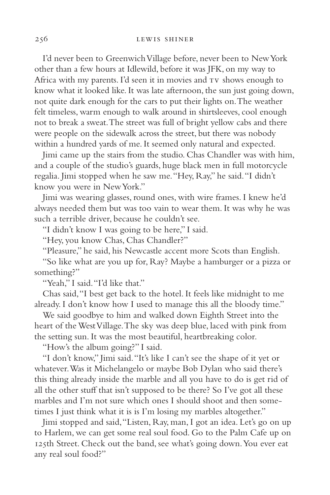I'd never been to Greenwich Village before, never been to New York other than a few hours at Idlewild, before it was JFK, on my way to Africa with my parents. I'd seen it in movies and TV shows enough to know what it looked like. It was late afternoon, the sun just going down, not quite dark enough for the cars to put their lights on. The weather felt timeless, warm enough to walk around in shirtsleeves, cool enough not to break a sweat. The street was full of bright yellow cabs and there were people on the sidewalk across the street, but there was nobody within a hundred yards of me. It seemed only natural and expected.

Jimi came up the stairs from the studio. Chas Chandler was with him, and a couple of the studio's guards, huge black men in full motorcycle regalia. Jimi stopped when he saw me. "Hey, Ray," he said. "I didn't know you were in New York."

Jimi was wearing glasses, round ones, with wire frames. I knew he'd always needed them but was too vain to wear them. It was why he was such a terrible driver, because he couldn't see.

"I didn't know I was going to be here," I said.

"Hey, you know Chas, Chas Chandler?"

"Pleasure," he said, his Newcastle accent more Scots than English.

"So like what are you up for, Ray? Maybe a hamburger or a pizza or something?"

"Yeah," I said. "I'd like that."

Chas said, "I best get back to the hotel. It feels like midnight to me already. I don't know how I used to manage this all the bloody time."

We said goodbye to him and walked down Eighth Street into the heart of the West Village. The sky was deep blue, laced with pink from the setting sun. It was the most beautiful, heartbreaking color.

"How's the album going?" I said.

"I don't know," Jimi said. "It's like I can't see the shape of it yet or whatever. Was it Michelangelo or maybe Bob Dylan who said there's this thing already inside the marble and all you have to do is get rid of all the other stuff that isn't supposed to be there? So I've got all these marbles and I'm not sure which ones I should shoot and then sometimes I just think what it is is I'm losing my marbles altogether."

Jimi stopped and said, "Listen, Ray, man, I got an idea. Let's go on up to Harlem, we can get some real soul food. Go to the Palm Cafe up on 125th Street. Check out the band, see what's going down. You ever eat any real soul food?"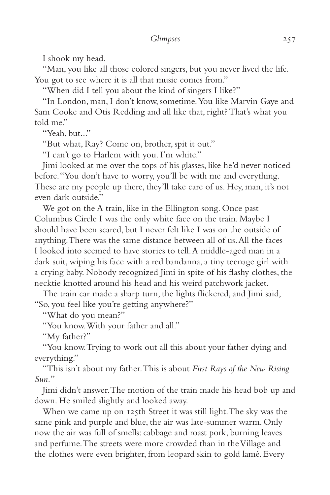I shook my head.

"Man, you like all those colored singers, but you never lived the life. You got to see where it is all that music comes from."

"When did I tell you about the kind of singers I like?"

"In London, man, I don't know, sometime. You like Marvin Gaye and Sam Cooke and Otis Redding and all like that, right? That's what you told me."

"Yeah, but..."

"But what, Ray? Come on, brother, spit it out."

"I can't go to Harlem with you. I'm white."

Jimi looked at me over the tops of his glasses, like he'd never noticed before. "You don't have to worry, you'll be with me and everything. These are my people up there, they'll take care of us. Hey, man, it's not even dark outside."

We got on the A train, like in the Ellington song. Once past Columbus Circle I was the only white face on the train. Maybe I should have been scared, but I never felt like I was on the outside of anything. There was the same distance between all of us. All the faces I looked into seemed to have stories to tell. A middle-aged man in a dark suit, wiping his face with a red bandanna, a tiny teenage girl with a crying baby. Nobody recognized Jimi in spite of his flashy clothes, the necktie knotted around his head and his weird patchwork jacket.

The train car made a sharp turn, the lights flickered, and Jimi said, "So, you feel like you're getting anywhere?"

"What do you mean?"

"You know. With your father and all."

"My father?"

"You know. Trying to work out all this about your father dying and everything."

"This isn't about my father. This is about *First Rays of the New Rising Sun.*"

Jimi didn't answer. The motion of the train made his head bob up and down. He smiled slightly and looked away.

When we came up on 125th Street it was still light. The sky was the same pink and purple and blue, the air was late-summer warm. Only now the air was full of smells: cabbage and roast pork, burning leaves and perfume. The streets were more crowded than in the Village and the clothes were even brighter, from leopard skin to gold lamé. Every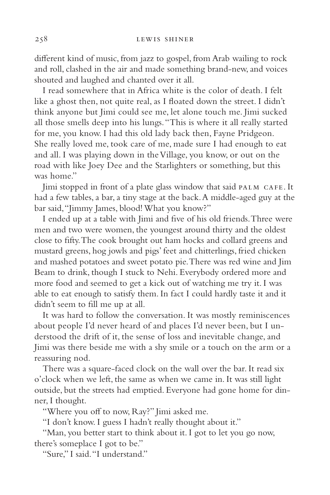different kind of music, from jazz to gospel, from Arab wailing to rock and roll, clashed in the air and made something brand-new, and voices shouted and laughed and chanted over it all.

I read somewhere that in Africa white is the color of death. I felt like a ghost then, not quite real, as I floated down the street. I didn't think anyone but Jimi could see me, let alone touch me. Jimi sucked all those smells deep into his lungs. "This is where it all really started for me, you know. I had this old lady back then, Fayne Pridgeon. She really loved me, took care of me, made sure I had enough to eat and all. I was playing down in the Village, you know, or out on the road with like Joey Dee and the Starlighters or something, but this was home."

Jimi stopped in front of a plate glass window that said PALM CAFE. It had a few tables, a bar, a tiny stage at the back. A middle-aged guy at the bar said, "Jimmy James, blood! What you know?"

I ended up at a table with Jimi and five of his old friends. Three were men and two were women, the youngest around thirty and the oldest close to fifty. The cook brought out ham hocks and collard greens and mustard greens, hog jowls and pigs' feet and chitterlings, fried chicken and mashed potatoes and sweet potato pie. There was red wine and Jim Beam to drink, though I stuck to Nehi. Everybody ordered more and more food and seemed to get a kick out of watching me try it. I was able to eat enough to satisfy them. In fact I could hardly taste it and it didn't seem to fill me up at all.

It was hard to follow the conversation. It was mostly reminiscences about people I'd never heard of and places I'd never been, but I understood the drift of it, the sense of loss and inevitable change, and Jimi was there beside me with a shy smile or a touch on the arm or a reassuring nod.

There was a square-faced clock on the wall over the bar. It read six o'clock when we left, the same as when we came in. It was still light outside, but the streets had emptied. Everyone had gone home for dinner, I thought.

"Where you off to now, Ray?" Jimi asked me.

"I don't know. I guess I hadn't really thought about it."

"Man, you better start to think about it. I got to let you go now, there's someplace I got to be."

"Sure," I said. "I understand."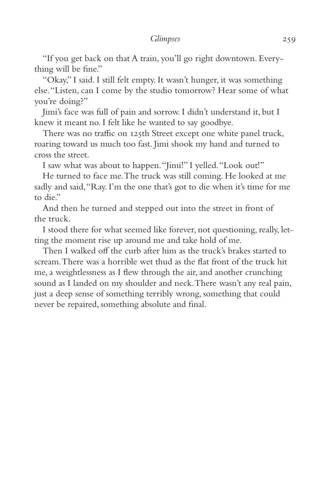"If you get back on that A train, you'll go right downtown. Everything will be fine."

"Okay," I said. I still felt empty. It wasn't hunger, it was something else. "Listen, can I come by the studio tomorrow? Hear some of what you're doing?"

Jimi's face was full of pain and sorrow. I didn't understand it, but I knew it meant no. I felt like he wanted to say goodbye.

There was no traffic on 125th Street except one white panel truck, roaring toward us much too fast. Jimi shook my hand and turned to cross the street.

I saw what was about to happen. "Jimi!" I yelled. "Look out!"

He turned to face me. The truck was still coming. He looked at me sadly and said, "Ray. I'm the one that's got to die when it's time for me to die"

And then he turned and stepped out into the street in front of the truck.

I stood there for what seemed like forever, not questioning, really, letting the moment rise up around me and take hold of me.

Then I walked off the curb after him as the truck's brakes started to scream. There was a horrible wet thud as the flat front of the truck hit me, a weightlessness as I flew through the air, and another crunching sound as I landed on my shoulder and neck. There wasn't any real pain, just a deep sense of something terribly wrong, something that could never be repaired, something absolute and final.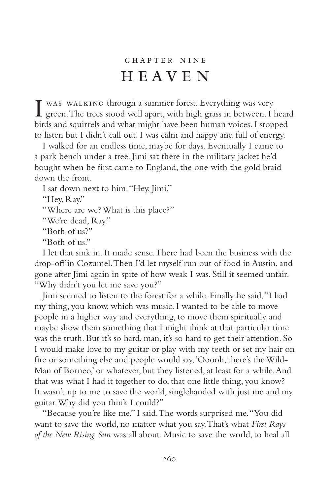## chapter nine **HEAVEN**

I was walking through a summer forest. Everything was very  $\perp$  green. The trees stood well apart, with high grass in between. I heard birds and squirrels and what might have been human voices. I stopped to listen but I didn't call out. I was calm and happy and full of energy.

I walked for an endless time, maybe for days. Eventually I came to a park bench under a tree. Jimi sat there in the military jacket he'd bought when he first came to England, the one with the gold braid down the front.

I sat down next to him. "Hey, Jimi."

"Hey, Ray."

"Where are we? What is this place?"

"We're dead, Ray."

"Both of us?"

"Both of us."

I let that sink in. It made sense. There had been the business with the drop-off in Cozumel. Then I'd let myself run out of food in Austin, and gone after Jimi again in spite of how weak I was. Still it seemed unfair. "Why didn't you let me save you?"

Jimi seemed to listen to the forest for a while. Finally he said, "I had my thing, you know, which was music. I wanted to be able to move people in a higher way and everything, to move them spiritually and maybe show them something that I might think at that particular time was the truth. But it's so hard, man, it's so hard to get their attention. So I would make love to my guitar or play with my teeth or set my hair on fire or something else and people would say, 'Ooooh, there's the Wild-Man of Borneo,' or whatever, but they listened, at least for a while. And that was what I had it together to do, that one little thing, you know? It wasn't up to me to save the world, singlehanded with just me and my guitar. Why did you think I could?"

"Because you're like me," I said. The words surprised me. "You did want to save the world, no matter what you say. That's what *First Rays of the New Rising Sun* was all about. Music to save the world, to heal all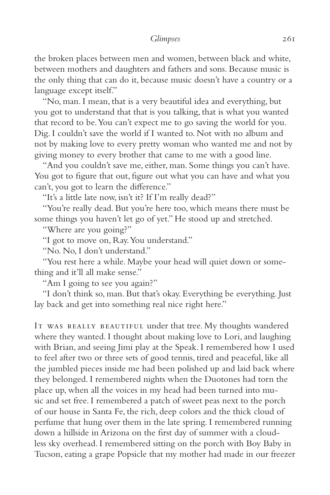the broken places between men and women, between black and white, between mothers and daughters and fathers and sons. Because music is the only thing that can do it, because music doesn't have a country or a language except itself."

"No, man. I mean, that is a very beautiful idea and everything, but you got to understand that that is you talking, that is what you wanted that record to be. You can't expect me to go saving the world for you. Dig. I couldn't save the world if I wanted to. Not with no album and not by making love to every pretty woman who wanted me and not by giving money to every brother that came to me with a good line.

"And you couldn't save me, either, man. Some things you can't have. You got to figure that out, figure out what you can have and what you can't, you got to learn the difference."

"It's a little late now, isn't it? If I'm really dead?"

"You're really dead. But you're here too, which means there must be some things you haven't let go of yet." He stood up and stretched.

"Where are you going?"

"I got to move on, Ray. You understand."

"No. No, I don't understand."

"You rest here a while. Maybe your head will quiet down or something and it'll all make sense."

"Am I going to see you again?"

"I don't think so, man. But that's okay. Everything be everything. Just lay back and get into something real nice right here."

IT WAS REALLY BEAUTIFUL under that tree. My thoughts wandered where they wanted. I thought about making love to Lori, and laughing with Brian, and seeing Jimi play at the Speak. I remembered how I used to feel after two or three sets of good tennis, tired and peaceful, like all the jumbled pieces inside me had been polished up and laid back where they belonged. I remembered nights when the Duotones had torn the place up, when all the voices in my head had been turned into music and set free. I remembered a patch of sweet peas next to the porch of our house in Santa Fe, the rich, deep colors and the thick cloud of perfume that hung over them in the late spring. I remembered running down a hillside in Arizona on the first day of summer with a cloudless sky overhead. I remembered sitting on the porch with Boy Baby in Tucson, eating a grape Popsicle that my mother had made in our freezer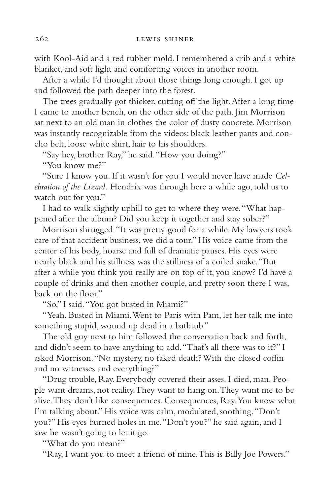with Kool-Aid and a red rubber mold. I remembered a crib and a white blanket, and soft light and comforting voices in another room.

After a while I'd thought about those things long enough. I got up and followed the path deeper into the forest.

The trees gradually got thicker, cutting off the light. After a long time I came to another bench, on the other side of the path. Jim Morrison sat next to an old man in clothes the color of dusty concrete. Morrison was instantly recognizable from the videos: black leather pants and concho belt, loose white shirt, hair to his shoulders.

"Say hey, brother Ray," he said. "How you doing?"

"You know me?"

"Sure I know you. If it wasn't for you I would never have made *Celebration of the Lizard.* Hendrix was through here a while ago, told us to watch out for you."

I had to walk slightly uphill to get to where they were. "What happened after the album? Did you keep it together and stay sober?"

Morrison shrugged. "It was pretty good for a while. My lawyers took care of that accident business, we did a tour." His voice came from the center of his body, hoarse and full of dramatic pauses. His eyes were nearly black and his stillness was the stillness of a coiled snake. "But after a while you think you really are on top of it, you know? I'd have a couple of drinks and then another couple, and pretty soon there I was, back on the floor."

"So," I said. "You got busted in Miami?"

"Yeah. Busted in Miami. Went to Paris with Pam, let her talk me into something stupid, wound up dead in a bathtub."

The old guy next to him followed the conversation back and forth, and didn't seem to have anything to add. "That's all there was to it?" I asked Morrison. "No mystery, no faked death? With the closed coffin and no witnesses and everything?"

"Drug trouble, Ray. Everybody covered their asses. I died, man. People want dreams, not reality. They want to hang on. They want me to be alive. They don't like consequences. Consequences, Ray. You know what I'm talking about." His voice was calm, modulated, soothing. "Don't you?" His eyes burned holes in me. "Don't you?" he said again, and I saw he wasn't going to let it go.

"What do you mean?"

"Ray, I want you to meet a friend of mine. This is Billy Joe Powers."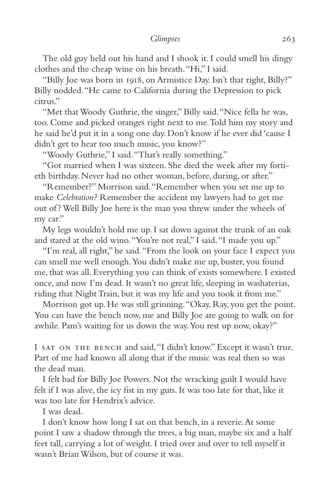The old guy held out his hand and I shook it. I could smell his dingy clothes and the cheap wine on his breath. "Hi," I said.

"Billy Joe was born in 1918, on Armistice Day. Isn't that right, Billy?" Billy nodded. "He came to California during the Depression to pick citrus."

"Met that Woody Guthrie, the singer," Billy said. "Nice fella he was, too. Come and picked oranges right next to me. Told him my story and he said he'd put it in a song one day. Don't know if he ever did 'cause I didn't get to hear too much music, you know?"

"Woody Guthrie," I said. "That's really something."

"Got married when I was sixteen. She died the week after my fortieth birthday. Never had no other woman, before, during, or after."

"Remember?" Morrison said. "Remember when you set me up to make *Celebration?* Remember the accident my lawyers had to get me out of ? Well Billy Joe here is the man you threw under the wheels of my car."

My legs wouldn't hold me up. I sat down against the trunk of an oak and stared at the old wino. "You're not real," I said. "I made you up."

"I'm real, all right," he said. "From the look on your face I expect you can smell me well enough. You didn't make me up, buster, you found me, that was all. Everything you can think of exists somewhere. I existed once, and now I'm dead. It wasn't no great life, sleeping in washaterias, riding that Night Train, but it was my life and you took it from me."

Morrison got up. He was still grinning. "Okay, Ray, you get the point. You can have the bench now, me and Billy Joe are going to walk on for awhile. Pam's waiting for us down the way. You rest up now, okay?"

I SAT ON THE BENCH and said, "I didn't know." Except it wasn't true. Part of me had known all along that if the music was real then so was the dead man.

I felt bad for Billy Joe Powers. Not the wracking guilt I would have felt if I was alive, the icy fist in my guts. It was too late for that, like it was too late for Hendrix's advice.

I was dead.

I don't know how long I sat on that bench, in a reverie. At some point I saw a shadow through the trees, a big man, maybe six and a half feet tall, carrying a lot of weight. I tried over and over to tell myself it wasn't Brian Wilson, but of course it was.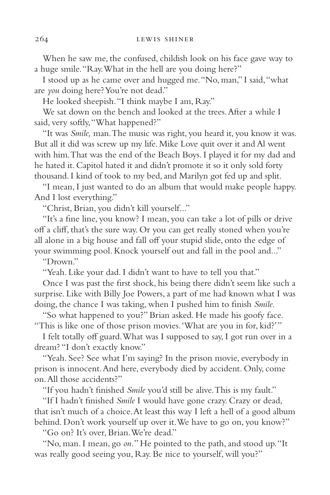When he saw me, the confused, childish look on his face gave way to a huge smile. "Ray. What in the hell are you doing here?"

I stood up as he came over and hugged me. "No, man," I said, "what are *you* doing here? You're not dead."

He looked sheepish. "I think maybe I am, Ray."

We sat down on the bench and looked at the trees. After a while I said, very softly, "What happened?"

"It was *Smile,* man. The music was right, you heard it, you know it was. But all it did was screw up my life. Mike Love quit over it and Al went with him. That was the end of the Beach Boys. I played it for my dad and he hated it. Capitol hated it and didn't promote it so it only sold forty thousand. I kind of took to my bed, and Marilyn got fed up and split.

"I mean, I just wanted to do an album that would make people happy. And I lost everything."

"Christ, Brian, you didn't kill yourself..."

"It's a fine line, you know? I mean, you can take a lot of pills or drive off a cliff, that's the sure way. Or you can get really stoned when you're all alone in a big house and fall off your stupid slide, onto the edge of your swimming pool. Knock yourself out and fall in the pool and..."

"Drown."

"Yeah. Like your dad. I didn't want to have to tell you that."

Once I was past the first shock, his being there didn't seem like such a surprise. Like with Billy Joe Powers, a part of me had known what I was doing, the chance I was taking, when I pushed him to finish *Smile.*

"So what happened to you?" Brian asked. He made his goofy face. "This is like one of those prison movies. 'What are you in for, kid?'"

I felt totally off guard. What was I supposed to say, I got run over in a dream? "I don't exactly know."

"Yeah. See? See what I'm saying? In the prison movie, everybody in prison is innocent. And here, everybody died by accident. Only, come on. All those accidents?"

"If you hadn't finished *Smile* you'd still be alive. This is my fault."

"If I hadn't finished *Smile* I would have gone crazy. Crazy or dead, that isn't much of a choice. At least this way I left a hell of a good album behind. Don't work yourself up over it. We have to go on, you know?"

"Go on? It's over, Brian. We're dead."

"No, man. I mean, go *on.*" He pointed to the path, and stood up. "It was really good seeing you, Ray. Be nice to yourself, will you?"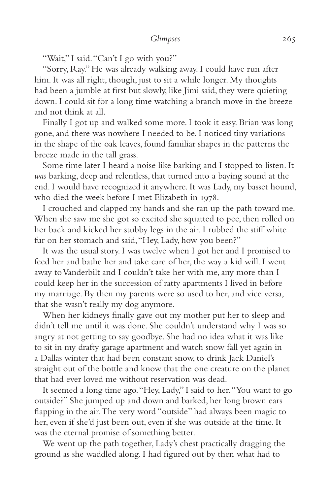"Wait," I said. "Can't I go with you?"

"Sorry, Ray." He was already walking away. I could have run after him. It was all right, though, just to sit a while longer. My thoughts had been a jumble at first but slowly, like Jimi said, they were quieting down. I could sit for a long time watching a branch move in the breeze and not think at all.

Finally I got up and walked some more. I took it easy. Brian was long gone, and there was nowhere I needed to be. I noticed tiny variations in the shape of the oak leaves, found familiar shapes in the patterns the breeze made in the tall grass.

Some time later I heard a noise like barking and I stopped to listen. It *was* barking, deep and relentless, that turned into a baying sound at the end. I would have recognized it anywhere. It was Lady, my basset hound, who died the week before I met Elizabeth in 1978.

I crouched and clapped my hands and she ran up the path toward me. When she saw me she got so excited she squatted to pee, then rolled on her back and kicked her stubby legs in the air. I rubbed the stiff white fur on her stomach and said, "Hey, Lady, how you been?"

It was the usual story. I was twelve when I got her and I promised to feed her and bathe her and take care of her, the way a kid will. I went away to Vanderbilt and I couldn't take her with me, any more than I could keep her in the succession of ratty apartments I lived in before my marriage. By then my parents were so used to her, and vice versa, that she wasn't really my dog anymore.

When her kidneys finally gave out my mother put her to sleep and didn't tell me until it was done. She couldn't understand why I was so angry at not getting to say goodbye. She had no idea what it was like to sit in my drafty garage apartment and watch snow fall yet again in a Dallas winter that had been constant snow, to drink Jack Daniel's straight out of the bottle and know that the one creature on the planet that had ever loved me without reservation was dead.

It seemed a long time ago. "Hey, Lady," I said to her. "You want to go outside?" She jumped up and down and barked, her long brown ears flapping in the air. The very word "outside" had always been magic to her, even if she'd just been out, even if she was outside at the time. It was the eternal promise of something better.

We went up the path together, Lady's chest practically dragging the ground as she waddled along. I had figured out by then what had to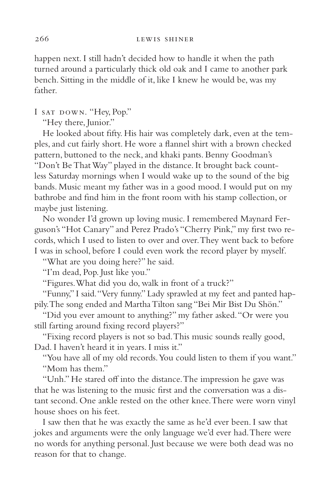happen next. I still hadn't decided how to handle it when the path turned around a particularly thick old oak and I came to another park bench. Sitting in the middle of it, like I knew he would be, was my father.

## I SAT DOWN. "Hey, Pop."

"Hey there, Junior."

He looked about fifty. His hair was completely dark, even at the temples, and cut fairly short. He wore a flannel shirt with a brown checked pattern, buttoned to the neck, and khaki pants. Benny Goodman's "Don't Be That Way" played in the distance. It brought back countless Saturday mornings when I would wake up to the sound of the big bands. Music meant my father was in a good mood. I would put on my bathrobe and find him in the front room with his stamp collection, or maybe just listening.

No wonder I'd grown up loving music. I remembered Maynard Ferguson's "Hot Canary" and Perez Prado's "Cherry Pink," my first two records, which I used to listen to over and over. They went back to before I was in school, before I could even work the record player by myself.

"What are you doing here?" he said.

"I'm dead, Pop. Just like you."

"Figures. What did you do, walk in front of a truck?"

"Funny," I said. "Very funny." Lady sprawled at my feet and panted happily. The song ended and Martha Tilton sang "Bei Mir Bist Du Shön."

"Did you ever amount to anything?" my father asked. "Or were you still farting around fixing record players?"

"Fixing record players is not so bad. This music sounds really good, Dad. I haven't heard it in years. I miss it."

"You have all of my old records. You could listen to them if you want." "Mom has them."

"Unh." He stared off into the distance. The impression he gave was that he was listening to the music first and the conversation was a distant second. One ankle rested on the other knee. There were worn vinyl house shoes on his feet.

I saw then that he was exactly the same as he'd ever been. I saw that jokes and arguments were the only language we'd ever had. There were no words for anything personal. Just because we were both dead was no reason for that to change.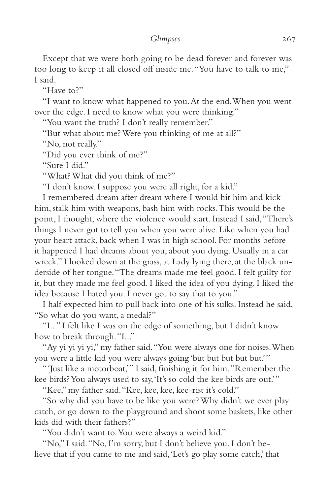Except that we were both going to be dead forever and forever was too long to keep it all closed off inside me. "You have to talk to me," I said.

"Have to?"

"I want to know what happened to you. At the end. When you went over the edge. I need to know what you were thinking."

"You want the truth? I don't really remember."

"But what about me? Were you thinking of me at all?"

"No, not really."

"Did you ever think of me?"

"Sure I did."

"What? What did you think of me?"

"I don't know. I suppose you were all right, for a kid."

I remembered dream after dream where I would hit him and kick him, stalk him with weapons, bash him with rocks. This would be the point, I thought, where the violence would start. Instead I said, "There's things I never got to tell you when you were alive. Like when you had your heart attack, back when I was in high school. For months before it happened I had dreams about you, about you dying. Usually in a car wreck." I looked down at the grass, at Lady lying there, at the black underside of her tongue. "The dreams made me feel good. I felt guilty for it, but they made me feel good. I liked the idea of you dying. I liked the idea because I hated you. I never got to say that to you."

I half expected him to pull back into one of his sulks. Instead he said, "So what do you want, a medal?"

"I..." I felt like I was on the edge of something, but I didn't know how to break through. "I..."

"Ay yi yi yi yi," my father said. "You were always one for noises. When you were a little kid you were always going 'but but but but but.'"

"'Just like a motorboat,'" I said, finishing it for him. "Remember the kee birds? You always used to say, 'It's so cold the kee birds are out.'"

"Kee," my father said. "Kee, kee, kee, kee-rist it's cold."

"So why did you have to be like you were? Why didn't we ever play catch, or go down to the playground and shoot some baskets, like other kids did with their fathers?"

"You didn't want to. You were always a weird kid."

"No," I said. "No, I'm sorry, but I don't believe you. I don't believe that if you came to me and said, 'Let's go play some catch,' that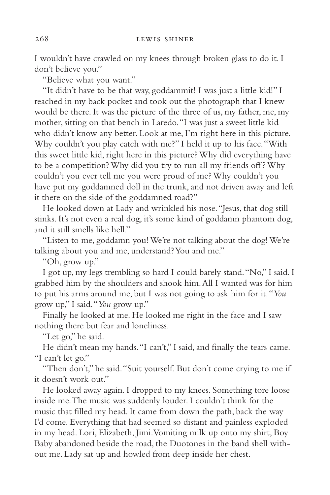I wouldn't have crawled on my knees through broken glass to do it. I don't believe you."

"Believe what you want."

"It didn't have to be that way, goddammit! I was just a little kid!" I reached in my back pocket and took out the photograph that I knew would be there. It was the picture of the three of us, my father, me, my mother, sitting on that bench in Laredo. "I was just a sweet little kid who didn't know any better. Look at me, I'm right here in this picture. Why couldn't you play catch with me?" I held it up to his face. "With this sweet little kid, right here in this picture? Why did everything have to be a competition? Why did you try to run all my friends off ? Why couldn't you ever tell me you were proud of me? Why couldn't you have put my goddamned doll in the trunk, and not driven away and left it there on the side of the goddamned road?"

He looked down at Lady and wrinkled his nose. "Jesus, that dog still stinks. It's not even a real dog, it's some kind of goddamn phantom dog, and it still smells like hell."

"Listen to me, goddamn you! We're not talking about the dog! We're talking about you and me, understand? You and me."

"Oh, grow up."

I got up, my legs trembling so hard I could barely stand. "No," I said. I grabbed him by the shoulders and shook him. All I wanted was for him to put his arms around me, but I was not going to ask him for it. "*You* grow up," I said. "*You* grow up."

Finally he looked at me. He looked me right in the face and I saw nothing there but fear and loneliness.

"Let go," he said.

He didn't mean my hands. "I can't," I said, and finally the tears came. "I can't let go."

"Then don't," he said. "Suit yourself. But don't come crying to me if it doesn't work out."

He looked away again. I dropped to my knees. Something tore loose inside me. The music was suddenly louder. I couldn't think for the music that filled my head. It came from down the path, back the way I'd come. Everything that had seemed so distant and painless exploded in my head. Lori, Elizabeth, Jimi. Vomiting milk up onto my shirt, Boy Baby abandoned beside the road, the Duotones in the band shell without me. Lady sat up and howled from deep inside her chest.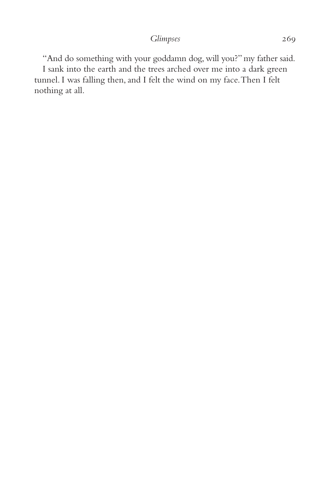"And do something with your goddamn dog, will you?" my father said.

I sank into the earth and the trees arched over me into a dark green tunnel. I was falling then, and I felt the wind on my face. Then I felt nothing at all.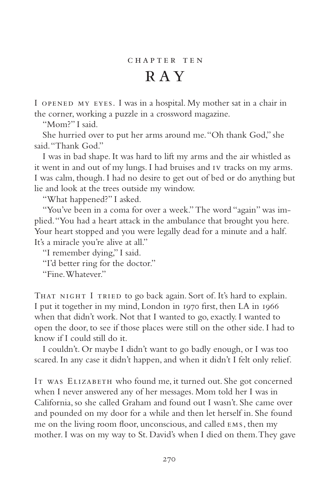#### chapter ten

## R A Y

I opened my eyes. I was in a hospital. My mother sat in a chair in the corner, working a puzzle in a crossword magazine.

"Mom?" I said.

She hurried over to put her arms around me. "Oh thank God," she said. "Thank God."

I was in bad shape. It was hard to lift my arms and the air whistled as it went in and out of my lungs. I had bruises and iv tracks on my arms. I was calm, though. I had no desire to get out of bed or do anything but lie and look at the trees outside my window.

"What happened?" I asked.

"You've been in a coma for over a week." The word "again" was implied. "You had a heart attack in the ambulance that brought you here. Your heart stopped and you were legally dead for a minute and a half. It's a miracle you're alive at all."

"I remember dying," I said.

"I'd better ring for the doctor."

"Fine. Whatever."

THAT NIGHT I TRIED to go back again. Sort of. It's hard to explain. I put it together in my mind, London in 1970 first, then LA in 1966 when that didn't work. Not that I wanted to go, exactly. I wanted to open the door, to see if those places were still on the other side. I had to know if I could still do it.

I couldn't. Or maybe I didn't want to go badly enough, or I was too scared. In any case it didn't happen, and when it didn't I felt only relief.

IT WAS ELIZABETH who found me, it turned out. She got concerned when I never answered any of her messages. Mom told her I was in California, so she called Graham and found out I wasn't. She came over and pounded on my door for a while and then let herself in. She found me on the living room floor, unconscious, and called ems, then my mother. I was on my way to St. David's when I died on them. They gave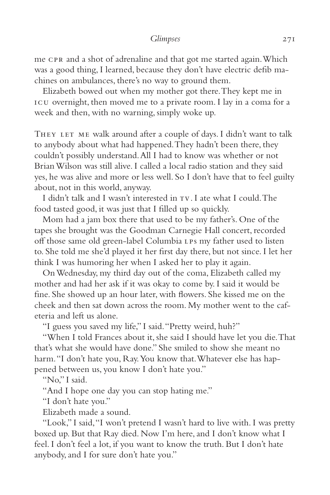me CPR and a shot of adrenaline and that got me started again. Which was a good thing, I learned, because they don't have electric defib machines on ambulances, there's no way to ground them.

Elizabeth bowed out when my mother got there. They kept me in icu overnight, then moved me to a private room. I lay in a coma for a week and then, with no warning, simply woke up.

THEY LET ME walk around after a couple of days. I didn't want to talk to anybody about what had happened. They hadn't been there, they couldn't possibly understand. All I had to know was whether or not Brian Wilson was still alive. I called a local radio station and they said yes, he was alive and more or less well. So I don't have that to feel guilty about, not in this world, anyway.

I didn't talk and I wasn't interested in tv. I ate what I could. The food tasted good, it was just that I filled up so quickly.

Mom had a jam box there that used to be my father's. One of the tapes she brought was the Goodman Carnegie Hall concert, recorded off those same old green-label Columbia lps my father used to listen to. She told me she'd played it her first day there, but not since. I let her think I was humoring her when I asked her to play it again.

On Wednesday, my third day out of the coma, Elizabeth called my mother and had her ask if it was okay to come by. I said it would be fine. She showed up an hour later, with flowers. She kissed me on the cheek and then sat down across the room. My mother went to the cafeteria and left us alone.

"I guess you saved my life," I said. "Pretty weird, huh?"

"When I told Frances about it, she said I should have let you die. That that's what she would have done." She smiled to show she meant no harm. "I don't hate you, Ray. You know that. Whatever else has happened between us, you know I don't hate you."

"No," I said.

"And I hope one day you can stop hating me."

"I don't hate you."

Elizabeth made a sound.

"Look," I said, "I won't pretend I wasn't hard to live with. I was pretty boxed up. But that Ray died. Now I'm here, and I don't know what I feel. I don't feel a lot, if you want to know the truth. But I don't hate anybody, and I for sure don't hate you."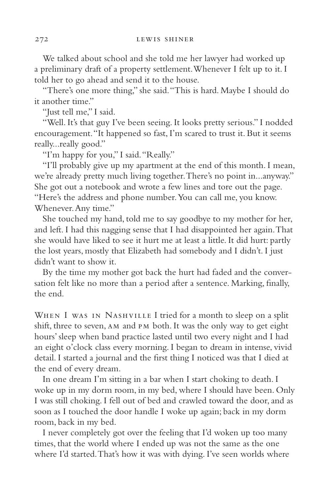We talked about school and she told me her lawyer had worked up a preliminary draft of a property settlement. Whenever I felt up to it. I told her to go ahead and send it to the house.

"There's one more thing," she said. "This is hard. Maybe I should do it another time."

"Just tell me," I said.

"Well. It's that guy I've been seeing. It looks pretty serious." I nodded encouragement. "It happened so fast, I'm scared to trust it. But it seems really...really good."

"I'm happy for you," I said. "Really."

"I'll probably give up my apartment at the end of this month. I mean, we're already pretty much living together. There's no point in...anyway." She got out a notebook and wrote a few lines and tore out the page. "Here's the address and phone number. You can call me, you know. Whenever. Any time."

She touched my hand, told me to say goodbye to my mother for her, and left. I had this nagging sense that I had disappointed her again. That she would have liked to see it hurt me at least a little. It did hurt: partly the lost years, mostly that Elizabeth had somebody and I didn't. I just didn't want to show it.

By the time my mother got back the hurt had faded and the conversation felt like no more than a period after a sentence. Marking, finally, the end.

When I was in Nashville I tried for a month to sleep on a split shift, three to seven, am and pm both. It was the only way to get eight hours' sleep when band practice lasted until two every night and I had an eight o'clock class every morning. I began to dream in intense, vivid detail. I started a journal and the first thing I noticed was that I died at the end of every dream.

In one dream I'm sitting in a bar when I start choking to death. I woke up in my dorm room, in my bed, where I should have been. Only I was still choking. I fell out of bed and crawled toward the door, and as soon as I touched the door handle I woke up again; back in my dorm room, back in my bed.

I never completely got over the feeling that I'd woken up too many times, that the world where I ended up was not the same as the one where I'd started. That's how it was with dying. I've seen worlds where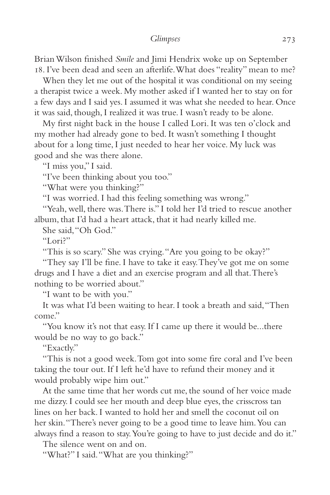Brian Wilson finished *Smile* and Jimi Hendrix woke up on September 18. I've been dead and seen an afterlife. What does "reality" mean to me?

When they let me out of the hospital it was conditional on my seeing a therapist twice a week. My mother asked if I wanted her to stay on for a few days and I said yes. I assumed it was what she needed to hear. Once it was said, though, I realized it was true. I wasn't ready to be alone.

My first night back in the house I called Lori. It was ten o'clock and my mother had already gone to bed. It wasn't something I thought about for a long time, I just needed to hear her voice. My luck was good and she was there alone.

"I miss you," I said.

"I've been thinking about you too."

"What were you thinking?"

"I was worried. I had this feeling something was wrong."

"Yeah, well, there was. There is." I told her I'd tried to rescue another album, that I'd had a heart attack, that it had nearly killed me.

She said, "Oh God."

"Lori?"

"This is so scary." She was crying. "Are you going to be okay?"

"They say I'll be fine. I have to take it easy. They've got me on some drugs and I have a diet and an exercise program and all that. There's nothing to be worried about."

"I want to be with you."

It was what I'd been waiting to hear. I took a breath and said, "Then come."

"You know it's not that easy. If I came up there it would be...there would be no way to go back."

"Exactly."

"This is not a good week. Tom got into some fire coral and I've been taking the tour out. If I left he'd have to refund their money and it would probably wipe him out."

At the same time that her words cut me, the sound of her voice made me dizzy. I could see her mouth and deep blue eyes, the crisscross tan lines on her back. I wanted to hold her and smell the coconut oil on her skin. "There's never going to be a good time to leave him. You can always find a reason to stay. You're going to have to just decide and do it."

The silence went on and on.

"What?" I said. "What are you thinking?"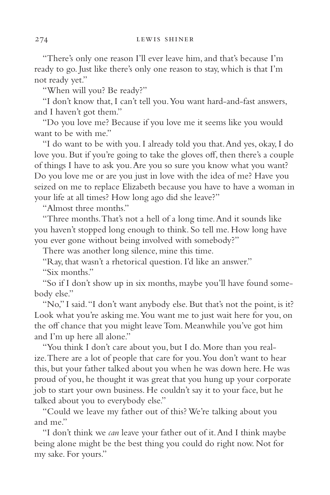"There's only one reason I'll ever leave him, and that's because I'm ready to go. Just like there's only one reason to stay, which is that I'm not ready yet."

"When will you? Be ready?"

"I don't know that, I can't tell you. You want hard-and-fast answers, and I haven't got them."

"Do you love me? Because if you love me it seems like you would want to be with me"

"I do want to be with you. I already told you that. And yes, okay, I do love you. But if you're going to take the gloves off, then there's a couple of things I have to ask you. Are you so sure you know what you want? Do you love me or are you just in love with the idea of me? Have you seized on me to replace Elizabeth because you have to have a woman in your life at all times? How long ago did she leave?"

"Almost three months."

"Three months. That's not a hell of a long time. And it sounds like you haven't stopped long enough to think. So tell me. How long have you ever gone without being involved with somebody?"

There was another long silence, mine this time.

"Ray, that wasn't a rhetorical question. I'd like an answer."

"Six months."

"So if I don't show up in six months, maybe you'll have found somebody else."

"No," I said. "I don't want anybody else. But that's not the point, is it? Look what you're asking me. You want me to just wait here for you, on the off chance that you might leave Tom. Meanwhile you've got him and I'm up here all alone."

"You think I don't care about you, but I do. More than you realize. There are a lot of people that care for you. You don't want to hear this, but your father talked about you when he was down here. He was proud of you, he thought it was great that you hung up your corporate job to start your own business. He couldn't say it to your face, but he talked about you to everybody else."

"Could we leave my father out of this? We're talking about you and me."

"I don't think we *can* leave your father out of it. And I think maybe being alone might be the best thing you could do right now. Not for my sake. For yours."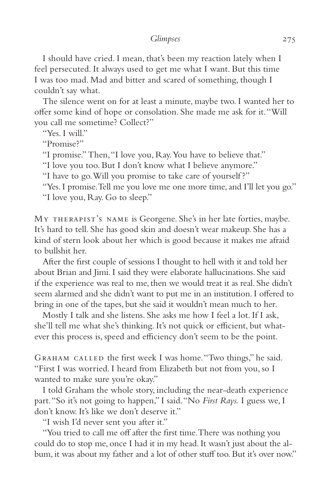I should have cried. I mean, that's been my reaction lately when I feel persecuted. It always used to get me what I want. But this time I was too mad. Mad and bitter and scared of something, though I couldn't say what.

The silence went on for at least a minute, maybe two. I wanted her to offer some kind of hope or consolation. She made me ask for it. "Will you call me sometime? Collect?"

"Yes. I will."

"Promise?"

"I promise." Then, "I love you, Ray. You have to believe that."

"I love you too. But I don't know what I believe anymore."

"I have to go. Will you promise to take care of yourself ?"

"Yes. I promise. Tell me you love me one more time, and I'll let you go." "I love you, Ray. Go to sleep."

My therapist's name is Georgene. She's in her late forties, maybe. It's hard to tell. She has good skin and doesn't wear makeup. She has a kind of stern look about her which is good because it makes me afraid to bullshit her.

After the first couple of sessions I thought to hell with it and told her about Brian and Jimi. I said they were elaborate hallucinations. She said if the experience was real to me, then we would treat it as real. She didn't seem alarmed and she didn't want to put me in an institution. I offered to bring in one of the tapes, but she said it wouldn't mean much to her.

Mostly I talk and she listens. She asks me how I feel a lot. If I ask, she'll tell me what she's thinking. It's not quick or efficient, but whatever this process is, speed and efficiency don't seem to be the point.

GRAHAM CALLED the first week I was home. "Two things," he said. "First I was worried. I heard from Elizabeth but not from you, so I wanted to make sure you're okay."

I told Graham the whole story, including the near-death experience part. "So it's not going to happen," I said. "No *First Rays.* I guess we, I don't know. It's like we don't deserve it."

"I wish I'd never sent you after it."

"You tried to call me off after the first time. There was nothing you could do to stop me, once I had it in my head. It wasn't just about the album, it was about my father and a lot of other stuff too. But it's over now."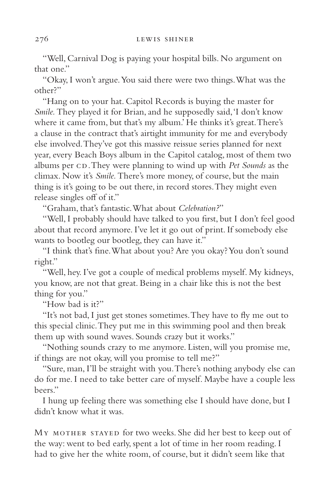"Well, Carnival Dog is paying your hospital bills. No argument on that one"

"Okay, I won't argue. You said there were two things. What was the other?"

"Hang on to your hat. Capitol Records is buying the master for *Smile.* They played it for Brian, and he supposedly said, 'I don't know where it came from, but that's my album.' He thinks it's great. There's a clause in the contract that's airtight immunity for me and everybody else involved. They've got this massive reissue series planned for next year, every Beach Boys album in the Capitol catalog, most of them two albums per CD. They were planning to wind up with *Pet Sounds* as the climax. Now it's *Smile.* There's more money, of course, but the main thing is it's going to be out there, in record stores. They might even release singles off of it."

"Graham, that's fantastic. What about *Celebration?*"

"Well, I probably should have talked to you first, but I don't feel good about that record anymore. I've let it go out of print. If somebody else wants to bootleg our bootleg, they can have it."

"I think that's fine. What about you? Are you okay? You don't sound right."

"Well, hey. I've got a couple of medical problems myself. My kidneys, you know, are not that great. Being in a chair like this is not the best thing for you."

"How bad is it?"

"It's not bad, I just get stones sometimes. They have to fly me out to this special clinic. They put me in this swimming pool and then break them up with sound waves. Sounds crazy but it works."

"Nothing sounds crazy to me anymore. Listen, will you promise me, if things are not okay, will you promise to tell me?"

"Sure, man, I'll be straight with you. There's nothing anybody else can do for me. I need to take better care of myself. Maybe have a couple less beers."

I hung up feeling there was something else I should have done, but I didn't know what it was.

MY MOTHER STAYED for two weeks. She did her best to keep out of the way: went to bed early, spent a lot of time in her room reading. I had to give her the white room, of course, but it didn't seem like that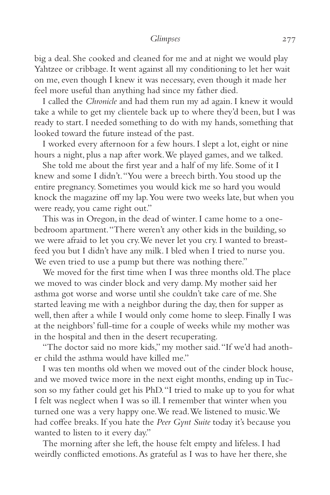big a deal. She cooked and cleaned for me and at night we would play Yahtzee or cribbage. It went against all my conditioning to let her wait on me, even though I knew it was necessary, even though it made her feel more useful than anything had since my father died.

I called the *Chronicle* and had them run my ad again. I knew it would take a while to get my clientele back up to where they'd been, but I was ready to start. I needed something to do with my hands, something that looked toward the future instead of the past.

I worked every afternoon for a few hours. I slept a lot, eight or nine hours a night, plus a nap after work. We played games, and we talked.

She told me about the first year and a half of my life. Some of it I knew and some I didn't. "You were a breech birth. You stood up the entire pregnancy. Sometimes you would kick me so hard you would knock the magazine off my lap. You were two weeks late, but when you were ready, you came right out."

This was in Oregon, in the dead of winter. I came home to a onebedroom apartment. "There weren't any other kids in the building, so we were afraid to let you cry. We never let you cry. I wanted to breastfeed you but I didn't have any milk. I bled when I tried to nurse you. We even tried to use a pump but there was nothing there."

We moved for the first time when I was three months old. The place we moved to was cinder block and very damp. My mother said her asthma got worse and worse until she couldn't take care of me. She started leaving me with a neighbor during the day, then for supper as well, then after a while I would only come home to sleep. Finally I was at the neighbors' full-time for a couple of weeks while my mother was in the hospital and then in the desert recuperating.

"The doctor said no more kids," my mother said. "If we'd had another child the asthma would have killed me."

I was ten months old when we moved out of the cinder block house, and we moved twice more in the next eight months, ending up in Tucson so my father could get his PhD. "I tried to make up to you for what I felt was neglect when I was so ill. I remember that winter when you turned one was a very happy one. We read. We listened to music. We had coffee breaks. If you hate the *Peer Gynt Suite* today it's because you wanted to listen to it every day."

The morning after she left, the house felt empty and lifeless. I had weirdly conflicted emotions. As grateful as I was to have her there, she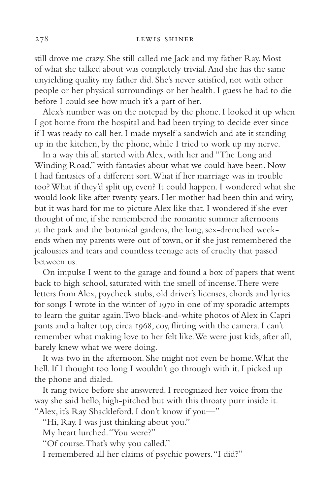still drove me crazy. She still called me Jack and my father Ray. Most of what she talked about was completely trivial. And she has the same unyielding quality my father did. She's never satisfied, not with other people or her physical surroundings or her health. I guess he had to die before I could see how much it's a part of her.

Alex's number was on the notepad by the phone. I looked it up when I got home from the hospital and had been trying to decide ever since if I was ready to call her. I made myself a sandwich and ate it standing up in the kitchen, by the phone, while I tried to work up my nerve.

In a way this all started with Alex, with her and "The Long and Winding Road," with fantasies about what we could have been. Now I had fantasies of a different sort. What if her marriage was in trouble too? What if they'd split up, even? It could happen. I wondered what she would look like after twenty years. Her mother had been thin and wiry, but it was hard for me to picture Alex like that. I wondered if she ever thought of me, if she remembered the romantic summer afternoons at the park and the botanical gardens, the long, sex-drenched weekends when my parents were out of town, or if she just remembered the jealousies and tears and countless teenage acts of cruelty that passed between us.

On impulse I went to the garage and found a box of papers that went back to high school, saturated with the smell of incense. There were letters from Alex, paycheck stubs, old driver's licenses, chords and lyrics for songs I wrote in the winter of 1970 in one of my sporadic attempts to learn the guitar again. Two black-and-white photos of Alex in Capri pants and a halter top, circa 1968, coy, flirting with the camera. I can't remember what making love to her felt like. We were just kids, after all, barely knew what we were doing.

It was two in the afternoon. She might not even be home. What the hell. If I thought too long I wouldn't go through with it. I picked up the phone and dialed.

It rang twice before she answered. I recognized her voice from the way she said hello, high-pitched but with this throaty purr inside it. "Alex, it's Ray Shackleford. I don't know if you—"

"Hi, Ray. I was just thinking about you."

My heart lurched. "You were?"

"Of course. That's why you called."

I remembered all her claims of psychic powers. "I did?"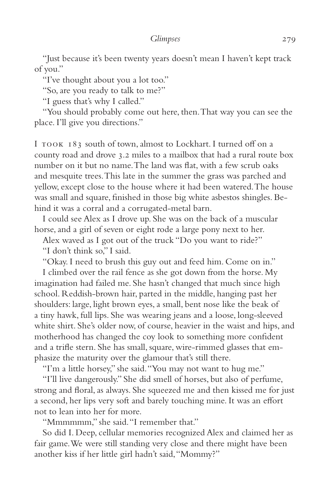"Just because it's been twenty years doesn't mean I haven't kept track of you."

"I've thought about you a lot too."

"So, are you ready to talk to me?"

"I guess that's why I called."

"You should probably come out here, then. That way you can see the place. I'll give you directions."

I took 183 south of town, almost to Lockhart. I turned off on a county road and drove 3.2 miles to a mailbox that had a rural route box number on it but no name. The land was flat, with a few scrub oaks and mesquite trees. This late in the summer the grass was parched and yellow, except close to the house where it had been watered. The house was small and square, finished in those big white asbestos shingles. Behind it was a corral and a corrugated-metal barn.

I could see Alex as I drove up. She was on the back of a muscular horse, and a girl of seven or eight rode a large pony next to her.

Alex waved as I got out of the truck "Do you want to ride?"

"I don't think so," I said.

"Okay. I need to brush this guy out and feed him. Come on in."

I climbed over the rail fence as she got down from the horse. My imagination had failed me. She hasn't changed that much since high school. Reddish-brown hair, parted in the middle, hanging past her shoulders: large, light brown eyes, a small, bent nose like the beak of a tiny hawk, full lips. She was wearing jeans and a loose, long-sleeved white shirt. She's older now, of course, heavier in the waist and hips, and motherhood has changed the coy look to something more confident and a trifle stern. She has small, square, wire-rimmed glasses that emphasize the maturity over the glamour that's still there.

"I'm a little horsey," she said. "You may not want to hug me."

"I'll live dangerously." She did smell of horses, but also of perfume, strong and floral, as always. She squeezed me and then kissed me for just a second, her lips very soft and barely touching mine. It was an effort not to lean into her for more.

"Mmmmmm," she said. "I remember that."

So did I. Deep, cellular memories recognized Alex and claimed her as fair game. We were still standing very close and there might have been another kiss if her little girl hadn't said, "Mommy?"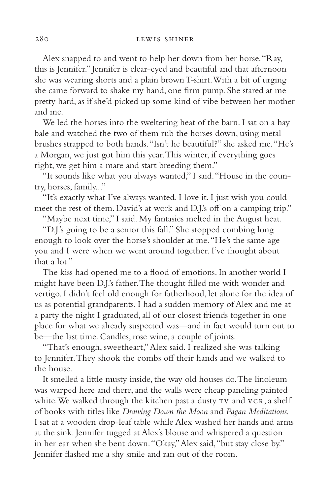Alex snapped to and went to help her down from her horse. "Ray, this is Jennifer." Jennifer is clear-eyed and beautiful and that afternoon she was wearing shorts and a plain brown T-shirt. With a bit of urging she came forward to shake my hand, one firm pump. She stared at me pretty hard, as if she'd picked up some kind of vibe between her mother and me.

We led the horses into the sweltering heat of the barn. I sat on a hay bale and watched the two of them rub the horses down, using metal brushes strapped to both hands. "Isn't he beautiful?" she asked me. "He's a Morgan, we just got him this year. This winter, if everything goes right, we get him a mare and start breeding them."

"It sounds like what you always wanted," I said. "House in the country, horses, family..."

"It's exactly what I've always wanted. I love it. I just wish you could meet the rest of them. David's at work and D.J.'s off on a camping trip."

"Maybe next time," I said. My fantasies melted in the August heat.

"D.J.'s going to be a senior this fall." She stopped combing long enough to look over the horse's shoulder at me. "He's the same age you and I were when we went around together. I've thought about that a lot."

The kiss had opened me to a flood of emotions. In another world I might have been D.J.'s father. The thought filled me with wonder and vertigo. I didn't feel old enough for fatherhood, let alone for the idea of us as potential grandparents. I had a sudden memory of Alex and me at a party the night I graduated, all of our closest friends together in one place for what we already suspected was—and in fact would turn out to be—the last time. Candles, rose wine, a couple of joints.

"That's enough, sweetheart," Alex said. I realized she was talking to Jennifer. They shook the combs off their hands and we walked to the house.

It smelled a little musty inside, the way old houses do. The linoleum was warped here and there, and the walls were cheap paneling painted white. We walked through the kitchen past a dusty TV and VCR, a shelf of books with titles like *Drawing Down the Moon* and *Pagan Meditations.* I sat at a wooden drop-leaf table while Alex washed her hands and arms at the sink. Jennifer tugged at Alex's blouse and whispered a question in her ear when she bent down. "Okay," Alex said, "but stay close by." Jennifer flashed me a shy smile and ran out of the room.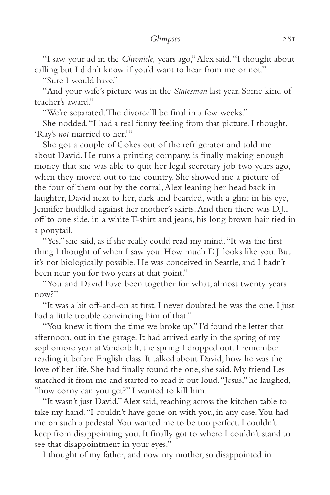"I saw your ad in the *Chronicle,* years ago," Alex said. "I thought about calling but I didn't know if you'd want to hear from me or not."

"Sure I would have."

"And your wife's picture was in the *Statesman* last year. Some kind of teacher's award."

"We're separated. The divorce'll be final in a few weeks."

She nodded. "I had a real funny feeling from that picture. I thought, 'Ray's *not* married to her.'"

She got a couple of Cokes out of the refrigerator and told me about David. He runs a printing company, is finally making enough money that she was able to quit her legal secretary job two years ago, when they moved out to the country. She showed me a picture of the four of them out by the corral, Alex leaning her head back in laughter, David next to her, dark and bearded, with a glint in his eye, Jennifer huddled against her mother's skirts. And then there was D.J., off to one side, in a white T-shirt and jeans, his long brown hair tied in a ponytail.

"Yes," she said, as if she really could read my mind. "It was the first thing I thought of when I saw you. How much D.J. looks like you. But it's not biologically possible. He was conceived in Seattle, and I hadn't been near you for two years at that point."

"You and David have been together for what, almost twenty years now?"

"It was a bit off-and-on at first. I never doubted he was the one. I just had a little trouble convincing him of that."

"You knew it from the time we broke up." I'd found the letter that afternoon, out in the garage. It had arrived early in the spring of my sophomore year at Vanderbilt, the spring I dropped out. I remember reading it before English class. It talked about David, how he was the love of her life. She had finally found the one, she said. My friend Les snatched it from me and started to read it out loud. "Jesus," he laughed, "how corny can you get?" I wanted to kill him.

"It wasn't just David," Alex said, reaching across the kitchen table to take my hand. "I couldn't have gone on with you, in any case. You had me on such a pedestal. You wanted me to be too perfect. I couldn't keep from disappointing you. It finally got to where I couldn't stand to see that disappointment in your eyes."

I thought of my father, and now my mother, so disappointed in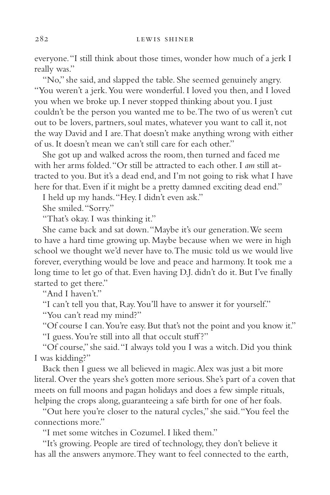everyone. "I still think about those times, wonder how much of a jerk I really was."

"No," she said, and slapped the table. She seemed genuinely angry. "You weren't a jerk. You were wonderful. I loved you then, and I loved you when we broke up. I never stopped thinking about you. I just couldn't be the person you wanted me to be. The two of us weren't cut out to be lovers, partners, soul mates, whatever you want to call it, not the way David and I are. That doesn't make anything wrong with either of us. It doesn't mean we can't still care for each other."

She got up and walked across the room, then turned and faced me with her arms folded. "Or still be attracted to each other. I *am* still attracted to you. But it's a dead end, and I'm not going to risk what I have here for that. Even if it might be a pretty damned exciting dead end."

I held up my hands. "Hey. I didn't even ask."

She smiled. "Sorry."

"That's okay. I was thinking it."

She came back and sat down. "Maybe it's our generation. We seem to have a hard time growing up. Maybe because when we were in high school we thought we'd never have to. The music told us we would live forever, everything would be love and peace and harmony. It took me a long time to let go of that. Even having D.J. didn't do it. But I've finally started to get there."

"And I haven't."

"I can't tell you that, Ray. You'll have to answer it for yourself."

"You can't read my mind?"

"Of course I can. You're easy. But that's not the point and you know it." "I guess. You're still into all that occult stuff ?"

"Of course," she said. "I always told you I was a witch. Did you think I was kidding?"

Back then I guess we all believed in magic. Alex was just a bit more literal. Over the years she's gotten more serious. She's part of a coven that meets on full moons and pagan holidays and does a few simple rituals, helping the crops along, guaranteeing a safe birth for one of her foals.

"Out here you're closer to the natural cycles," she said. "You feel the connections more."

"I met some witches in Cozumel. I liked them."

"It's growing. People are tired of technology, they don't believe it has all the answers anymore. They want to feel connected to the earth,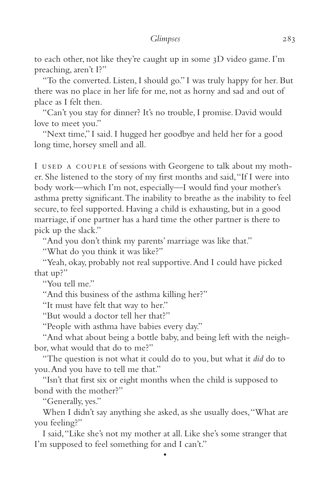to each other, not like they're caught up in some 3D video game. I'm preaching, aren't I?"

"To the converted. Listen, I should go." I was truly happy for her. But there was no place in her life for me, not as horny and sad and out of place as I felt then.

"Can't you stay for dinner? It's no trouble, I promise. David would love to meet you."

"Next time," I said. I hugged her goodbye and held her for a good long time, horsey smell and all.

I USED A COUPLE of sessions with Georgene to talk about my mother. She listened to the story of my first months and said, "If I were into body work—which I'm not, especially—I would find your mother's asthma pretty significant. The inability to breathe as the inability to feel secure, to feel supported. Having a child is exhausting, but in a good marriage, if one partner has a hard time the other partner is there to pick up the slack."

"And you don't think my parents' marriage was like that."

"What do you think it was like?"

"Yeah, okay, probably not real supportive. And I could have picked that up?"

"You tell me."

"And this business of the asthma killing her?"

"It must have felt that way to her."

"But would a doctor tell her that?"

"People with asthma have babies every day."

"And what about being a bottle baby, and being left with the neighbor, what would that do to me?"

"The question is not what it could do to you, but what it *did* do to you. And you have to tell me that."

"Isn't that first six or eight months when the child is supposed to bond with the mother?"

"Generally, yes."

When I didn't say anything she asked, as she usually does, "What are you feeling?"

I said, "Like she's not my mother at all. Like she's some stranger that I'm supposed to feel something for and I can't."

•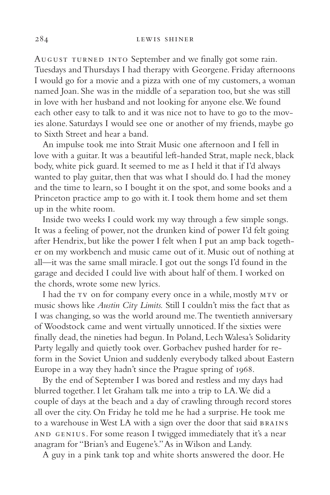August turned into September and we finally got some rain. Tuesdays and Thursdays I had therapy with Georgene. Friday afternoons I would go for a movie and a pizza with one of my customers, a woman named Joan. She was in the middle of a separation too, but she was still in love with her husband and not looking for anyone else. We found each other easy to talk to and it was nice not to have to go to the movies alone. Saturdays I would see one or another of my friends, maybe go to Sixth Street and hear a band.

An impulse took me into Strait Music one afternoon and I fell in love with a guitar. It was a beautiful left-handed Strat, maple neck, black body, white pick guard. It seemed to me as I held it that if I'd always wanted to play guitar, then that was what I should do. I had the money and the time to learn, so I bought it on the spot, and some books and a Princeton practice amp to go with it. I took them home and set them up in the white room.

Inside two weeks I could work my way through a few simple songs. It was a feeling of power, not the drunken kind of power I'd felt going after Hendrix, but like the power I felt when I put an amp back together on my workbench and music came out of it. Music out of nothing at all—it was the same small miracle. I got out the songs I'd found in the garage and decided I could live with about half of them. I worked on the chords, wrote some new lyrics.

I had the TV on for company every once in a while, mostly MTV or music shows like *Austin City Limits.* Still I couldn't miss the fact that as I was changing, so was the world around me. The twentieth anniversary of Woodstock came and went virtually unnoticed. If the sixties were finally dead, the nineties had begun. In Poland, Lech Walesa's Solidarity Party legally and quietly took over. Gorbachev pushed harder for reform in the Soviet Union and suddenly everybody talked about Eastern Europe in a way they hadn't since the Prague spring of 1968.

By the end of September I was bored and restless and my days had blurred together. I let Graham talk me into a trip to LA. We did a couple of days at the beach and a day of crawling through record stores all over the city. On Friday he told me he had a surprise. He took me to a warehouse in West LA with a sign over the door that said BRAINS AND GENIUS. For some reason I twigged immediately that it's a near anagram for "Brian's and Eugene's." As in Wilson and Landy.

A guy in a pink tank top and white shorts answered the door. He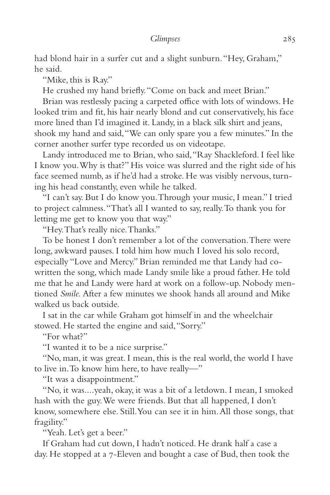had blond hair in a surfer cut and a slight sunburn. "Hey, Graham," he said.

"Mike, this is Ray."

He crushed my hand briefly. "Come on back and meet Brian."

Brian was restlessly pacing a carpeted office with lots of windows. He looked trim and fit, his hair nearly blond and cut conservatively, his face more lined than I'd imagined it. Landy, in a black silk shirt and jeans, shook my hand and said, "We can only spare you a few minutes." In the corner another surfer type recorded us on videotape.

Landy introduced me to Brian, who said, "Ray Shackleford. I feel like I know you. Why is that?" His voice was slurred and the right side of his face seemed numb, as if he'd had a stroke. He was visibly nervous, turning his head constantly, even while he talked.

"I can't say. But I do know you. Through your music, I mean." I tried to project calmness. "That's all I wanted to say, really. To thank you for letting me get to know you that way."

"Hey. That's really nice. Thanks."

To be honest I don't remember a lot of the conversation. There were long, awkward pauses. I told him how much I loved his solo record, especially "Love and Mercy." Brian reminded me that Landy had cowritten the song, which made Landy smile like a proud father. He told me that he and Landy were hard at work on a follow-up. Nobody mentioned *Smile.* After a few minutes we shook hands all around and Mike walked us back outside.

I sat in the car while Graham got himself in and the wheelchair stowed. He started the engine and said, "Sorry."

"For what?"

"I wanted it to be a nice surprise."

"No, man, it was great. I mean, this is the real world, the world I have to live in. To know him here, to have really—"

"It was a disappointment."

"No, it was....yeah, okay, it was a bit of a letdown. I mean, I smoked hash with the guy. We were friends. But that all happened, I don't know, somewhere else. Still. You can see it in him. All those songs, that fragility."

"Yeah. Let's get a beer."

If Graham had cut down, I hadn't noticed. He drank half a case a day. He stopped at a 7-Eleven and bought a case of Bud, then took the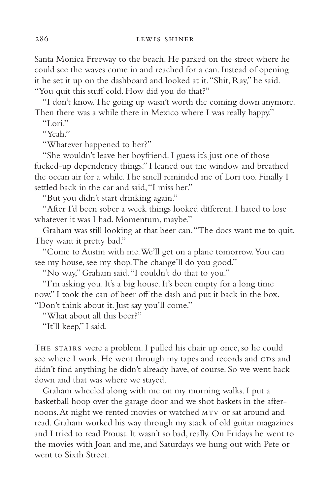Santa Monica Freeway to the beach. He parked on the street where he could see the waves come in and reached for a can. Instead of opening it he set it up on the dashboard and looked at it. "Shit, Ray," he said. "You quit this stuff cold. How did you do that?"

"I don't know. The going up wasn't worth the coming down anymore. Then there was a while there in Mexico where I was really happy."

"Lori."

"Yeah."

"Whatever happened to her?"

"She wouldn't leave her boyfriend. I guess it's just one of those fucked-up dependency things." I leaned out the window and breathed the ocean air for a while. The smell reminded me of Lori too. Finally I settled back in the car and said, "I miss her."

"But you didn't start drinking again."

"After I'd been sober a week things looked different. I hated to lose whatever it was I had. Momentum, maybe."

Graham was still looking at that beer can. "The docs want me to quit. They want it pretty bad."

"Come to Austin with me. We'll get on a plane tomorrow. You can see my house, see my shop. The change'll do you good."

"No way," Graham said. "I couldn't do that to you."

"I'm asking you. It's a big house. It's been empty for a long time now." I took the can of beer off the dash and put it back in the box. "Don't think about it. Just say you'll come."

"What about all this beer?"

"It'll keep," I said.

THE STAIRS were a problem. I pulled his chair up once, so he could see where I work. He went through my tapes and records and CDs and didn't find anything he didn't already have, of course. So we went back down and that was where we stayed.

Graham wheeled along with me on my morning walks. I put a basketball hoop over the garage door and we shot baskets in the afternoons. At night we rented movies or watched MTV or sat around and read. Graham worked his way through my stack of old guitar magazines and I tried to read Proust. It wasn't so bad, really. On Fridays he went to the movies with Joan and me, and Saturdays we hung out with Pete or went to Sixth Street.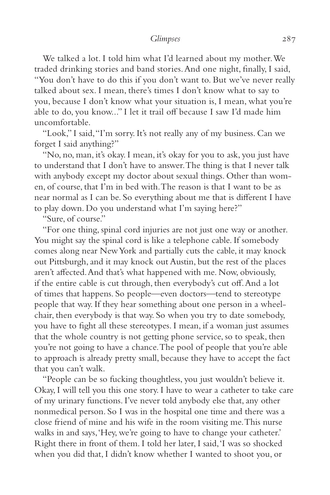We talked a lot. I told him what I'd learned about my mother. We traded drinking stories and band stories. And one night, finally, I said, "You don't have to do this if you don't want to. But we've never really talked about sex. I mean, there's times I don't know what to say to you, because I don't know what your situation is, I mean, what you're able to do, you know..." I let it trail off because I saw I'd made him uncomfortable.

"Look," I said, "I'm sorry. It's not really any of my business. Can we forget I said anything?"

"No, no, man, it's okay. I mean, it's okay for you to ask, you just have to understand that I don't have to answer. The thing is that I never talk with anybody except my doctor about sexual things. Other than women, of course, that I'm in bed with. The reason is that I want to be as near normal as I can be. So everything about me that is different I have to play down. Do you understand what I'm saying here?"

"Sure, of course."

"For one thing, spinal cord injuries are not just one way or another. You might say the spinal cord is like a telephone cable. If somebody comes along near New York and partially cuts the cable, it may knock out Pittsburgh, and it may knock out Austin, but the rest of the places aren't affected. And that's what happened with me. Now, obviously, if the entire cable is cut through, then everybody's cut off. And a lot of times that happens. So people—even doctors—tend to stereotype people that way. If they hear something about one person in a wheelchair, then everybody is that way. So when you try to date somebody, you have to fight all these stereotypes. I mean, if a woman just assumes that the whole country is not getting phone service, so to speak, then you're not going to have a chance. The pool of people that you're able to approach is already pretty small, because they have to accept the fact that you can't walk.

"People can be so fucking thoughtless, you just wouldn't believe it. Okay, I will tell you this one story. I have to wear a catheter to take care of my urinary functions. I've never told anybody else that, any other nonmedical person. So I was in the hospital one time and there was a close friend of mine and his wife in the room visiting me. This nurse walks in and says, 'Hey, we're going to have to change your catheter.' Right there in front of them. I told her later, I said, 'I was so shocked when you did that, I didn't know whether I wanted to shoot you, or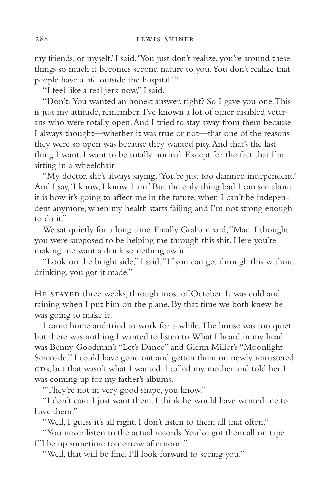my friends, or myself.' I said, 'You just don't realize, you're around these things so much it becomes second nature to you. You don't realize that people have a life outside the hospital.'"

"I feel like a real jerk now," I said.

"Don't. You wanted an honest answer, right? So I gave you one. This is just my attitude, remember. I've known a lot of other disabled veterans who were totally open. And I tried to stay away from them because I always thought—whether it was true or not—that one of the reasons they were so open was because they wanted pity. And that's the last thing I want. I want to be totally normal. Except for the fact that I'm sitting in a wheelchair.

"My doctor, she's always saying, 'You're just too damned independent.' And I say, 'I know, I know I am.' But the only thing bad I can see about it is how it's going to affect me in the future, when I can't be independent anymore, when my health starts failing and I'm not strong enough to do it."

We sat quietly for a long time. Finally Graham said, "Man. I thought you were supposed to be helping me through this shit. Here you're making me want a drink something awful."

"Look on the bright side," I said. "If you can get through this without drinking, you got it made."

HE STAYED three weeks, through most of October. It was cold and raining when I put him on the plane. By that time we both knew he was going to make it.

I came home and tried to work for a while. The house was too quiet but there was nothing I wanted to listen to. What I heard in my head was Benny Goodman's "Let's Dance" and Glenn Miller's "Moonlight Serenade." I could have gone out and gotten them on newly remastered CDs, but that wasn't what I wanted. I called my mother and told her I was coming up for my father's albums.

"They're not in very good shape, you know."

"I don't care. I just want them. I think he would have wanted me to have them."

"Well, I guess it's all right. I don't listen to them all that often."

"You never listen to the actual records. You've got them all on tape. I'll be up sometime tomorrow afternoon."

"Well, that will be fine. I'll look forward to seeing you."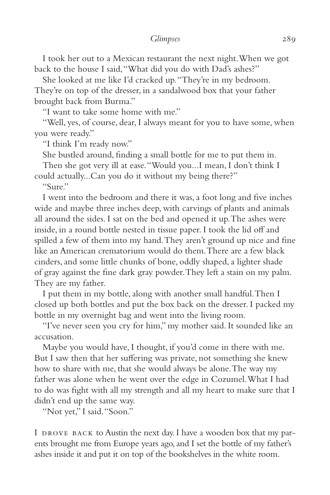I took her out to a Mexican restaurant the next night. When we got back to the house I said, "What did you do with Dad's ashes?"

She looked at me like I'd cracked up. "They're in my bedroom. They're on top of the dresser, in a sandalwood box that your father brought back from Burma."

"I want to take some home with me."

"Well, yes, of course, dear, I always meant for you to have some, when you were ready."

"I think I'm ready now."

She bustled around, finding a small bottle for me to put them in.

Then she got very ill at ease. "Would you...I mean, I don't think I could actually...Can you do it without my being there?"

"Sure"

I went into the bedroom and there it was, a foot long and five inches wide and maybe three inches deep, with carvings of plants and animals all around the sides. I sat on the bed and opened it up. The ashes were inside, in a round bottle nested in tissue paper. I took the lid off and spilled a few of them into my hand. They aren't ground up nice and fine like an American crematorium would do them. There are a few black cinders, and some little chunks of bone, oddly shaped, a lighter shade of gray against the fine dark gray powder. They left a stain on my palm. They are my father.

I put them in my bottle, along with another small handful. Then I closed up both bottles and put the box back on the dresser. I packed my bottle in my overnight bag and went into the living room.

"I've never seen you cry for him," my mother said. It sounded like an accusation.

Maybe you would have, I thought, if you'd come in there with me. But I saw then that her suffering was private, not something she knew how to share with me, that she would always be alone. The way my father was alone when he went over the edge in Cozumel. What I had to do was fight with all my strength and all my heart to make sure that I didn't end up the same way.

"Not yet," I said. "Soon."

I DROVE BACK to Austin the next day. I have a wooden box that my parents brought me from Europe years ago, and I set the bottle of my father's ashes inside it and put it on top of the bookshelves in the white room.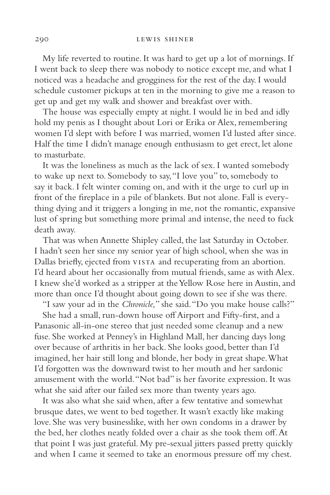My life reverted to routine. It was hard to get up a lot of mornings. If I went back to sleep there was nobody to notice except me, and what I noticed was a headache and grogginess for the rest of the day. I would schedule customer pickups at ten in the morning to give me a reason to get up and get my walk and shower and breakfast over with.

The house was especially empty at night. I would lie in bed and idly hold my penis as I thought about Lori or Erika or Alex, remembering women I'd slept with before I was married, women I'd lusted after since. Half the time I didn't manage enough enthusiasm to get erect, let alone to masturbate.

It was the loneliness as much as the lack of sex. I wanted somebody to wake up next to. Somebody to say, "I love you" to, somebody to say it back. I felt winter coming on, and with it the urge to curl up in front of the fireplace in a pile of blankets. But not alone. Fall is everything dying and it triggers a longing in me, not the romantic, expansive lust of spring but something more primal and intense, the need to fuck death away.

That was when Annette Shipley called, the last Saturday in October. I hadn't seen her since my senior year of high school, when she was in Dallas briefly, ejected from vista and recuperating from an abortion. I'd heard about her occasionally from mutual friends, same as with Alex. I knew she'd worked as a stripper at the Yellow Rose here in Austin, and more than once I'd thought about going down to see if she was there.

"I saw your ad in the *Chronicle,*" she said. "Do you make house calls?"

She had a small, run-down house off Airport and Fifty-first, and a Panasonic all-in-one stereo that just needed some cleanup and a new fuse. She worked at Penney's in Highland Mall, her dancing days long over because of arthritis in her back. She looks good, better than I'd imagined, her hair still long and blonde, her body in great shape. What I'd forgotten was the downward twist to her mouth and her sardonic amusement with the world. "Not bad" is her favorite expression. It was what she said after our failed sex more than twenty years ago.

It was also what she said when, after a few tentative and somewhat brusque dates, we went to bed together. It wasn't exactly like making love. She was very businesslike, with her own condoms in a drawer by the bed, her clothes neatly folded over a chair as she took them off. At that point I was just grateful. My pre-sexual jitters passed pretty quickly and when I came it seemed to take an enormous pressure off my chest.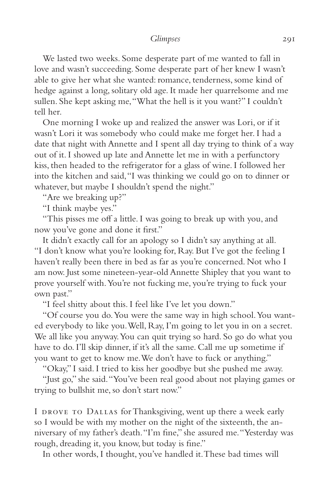We lasted two weeks. Some desperate part of me wanted to fall in love and wasn't succeeding. Some desperate part of her knew I wasn't able to give her what she wanted: romance, tenderness, some kind of hedge against a long, solitary old age. It made her quarrelsome and me sullen. She kept asking me, "What the hell is it you want?" I couldn't tell her.

One morning I woke up and realized the answer was Lori, or if it wasn't Lori it was somebody who could make me forget her. I had a date that night with Annette and I spent all day trying to think of a way out of it. I showed up late and Annette let me in with a perfunctory kiss, then headed to the refrigerator for a glass of wine. I followed her into the kitchen and said, "I was thinking we could go on to dinner or whatever, but maybe I shouldn't spend the night."

"Are we breaking up?"

"I think maybe yes."

"This pisses me off a little. I was going to break up with you, and now you've gone and done it first."

It didn't exactly call for an apology so I didn't say anything at all. "I don't know what you're looking for, Ray. But I've got the feeling I haven't really been there in bed as far as you're concerned. Not who I am now. Just some nineteen-year-old Annette Shipley that you want to prove yourself with. You're not fucking me, you're trying to fuck your own past."

"I feel shitty about this. I feel like I've let you down."

"Of course you do. You were the same way in high school. You wanted everybody to like you. Well, Ray, I'm going to let you in on a secret. We all like you anyway. You can quit trying so hard. So go do what you have to do. I'll skip dinner, if it's all the same. Call me up sometime if you want to get to know me. We don't have to fuck or anything."

"Okay," I said. I tried to kiss her goodbye but she pushed me away.

"Just go," she said. "You've been real good about not playing games or trying to bullshit me, so don't start now."

I DROVE TO DALLAS for Thanksgiving, went up there a week early so I would be with my mother on the night of the sixteenth, the anniversary of my father's death. "I'm fine," she assured me. "Yesterday was rough, dreading it, you know, but today is fine."

In other words, I thought, you've handled it. These bad times will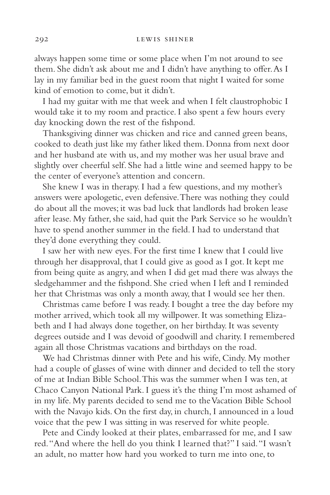always happen some time or some place when I'm not around to see them. She didn't ask about me and I didn't have anything to offer. As I lay in my familiar bed in the guest room that night I waited for some kind of emotion to come, but it didn't.

I had my guitar with me that week and when I felt claustrophobic I would take it to my room and practice. I also spent a few hours every day knocking down the rest of the fishpond.

Thanksgiving dinner was chicken and rice and canned green beans, cooked to death just like my father liked them. Donna from next door and her husband ate with us, and my mother was her usual brave and slightly over cheerful self. She had a little wine and seemed happy to be the center of everyone's attention and concern.

She knew I was in therapy. I had a few questions, and my mother's answers were apologetic, even defensive. There was nothing they could do about all the moves; it was bad luck that landlords had broken lease after lease. My father, she said, had quit the Park Service so he wouldn't have to spend another summer in the field. I had to understand that they'd done everything they could.

I saw her with new eyes. For the first time I knew that I could live through her disapproval, that I could give as good as I got. It kept me from being quite as angry, and when I did get mad there was always the sledgehammer and the fishpond. She cried when I left and I reminded her that Christmas was only a month away, that I would see her then.

Christmas came before I was ready. I bought a tree the day before my mother arrived, which took all my willpower. It was something Elizabeth and I had always done together, on her birthday. It was seventy degrees outside and I was devoid of goodwill and charity. I remembered again all those Christmas vacations and birthdays on the road.

We had Christmas dinner with Pete and his wife, Cindy. My mother had a couple of glasses of wine with dinner and decided to tell the story of me at Indian Bible School. This was the summer when I was ten, at Chaco Canyon National Park. I guess it's the thing I'm most ashamed of in my life. My parents decided to send me to the Vacation Bible School with the Navajo kids. On the first day, in church, I announced in a loud voice that the pew I was sitting in was reserved for white people.

Pete and Cindy looked at their plates, embarrassed for me, and I saw red. "And where the hell do you think I learned that?" I said. "I wasn't an adult, no matter how hard you worked to turn me into one, to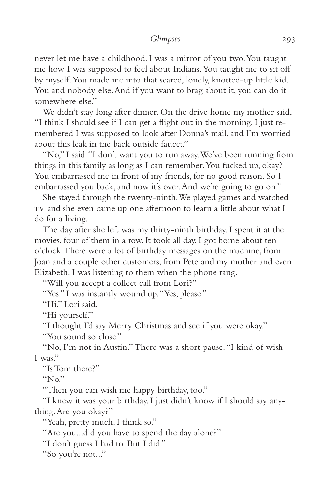never let me have a childhood. I was a mirror of you two. You taught me how I was supposed to feel about Indians. You taught me to sit off by myself. You made me into that scared, lonely, knotted-up little kid. You and nobody else. And if you want to brag about it, you can do it somewhere else."

We didn't stay long after dinner. On the drive home my mother said, "I think I should see if I can get a flight out in the morning. I just remembered I was supposed to look after Donna's mail, and I'm worried about this leak in the back outside faucet."

"No," I said. "I don't want you to run away. We've been running from things in this family as long as I can remember. You fucked up, okay? You embarrassed me in front of my friends, for no good reason. So I embarrassed you back, and now it's over. And we're going to go on."

She stayed through the twenty-ninth. We played games and watched tv and she even came up one afternoon to learn a little about what I do for a living.

The day after she left was my thirty-ninth birthday. I spent it at the movies, four of them in a row. It took all day. I got home about ten o'clock. There were a lot of birthday messages on the machine, from Joan and a couple other customers, from Pete and my mother and even Elizabeth. I was listening to them when the phone rang.

"Will you accept a collect call from Lori?"

"Yes." I was instantly wound up. "Yes, please."

"Hi," Lori said.

"Hi yourself."

"I thought I'd say Merry Christmas and see if you were okay."

"You sound so close."

"No, I'm not in Austin." There was a short pause. "I kind of wish I was."

"Is Tom there?"

"No."

"Then you can wish me happy birthday, too."

"I knew it was your birthday. I just didn't know if I should say anything. Are you okay?"

"Yeah, pretty much. I think so."

"Are you...did you have to spend the day alone?"

"I don't guess I had to. But I did."

"So you're not..."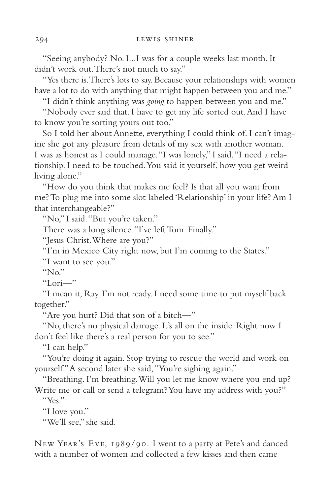"Seeing anybody? No. I...I was for a couple weeks last month. It didn't work out. There's not much to say."

"Yes there is. There's lots to say. Because your relationships with women have a lot to do with anything that might happen between you and me."

"I didn't think anything was *going* to happen between you and me."

"Nobody ever said that. I have to get my life sorted out. And I have to know you're sorting yours out too."

So I told her about Annette, everything I could think of. I can't imagine she got any pleasure from details of my sex with another woman. I was as honest as I could manage. "I was lonely," I said. "I need a relationship. I need to be touched. You said it yourself, how you get weird living alone."

"How do you think that makes me feel? Is that all you want from me? To plug me into some slot labeled 'Relationship' in your life? Am I that interchangeable?"

"No," I said. "But you're taken."

There was a long silence. "I've left Tom. Finally."

"Jesus Christ. Where are you?"

"I'm in Mexico City right now, but I'm coming to the States."

"I want to see you."

" $No.$ "

"Lori—"

"I mean it, Ray. I'm not ready. I need some time to put myself back together."

"Are you hurt? Did that son of a bitch—"

"No, there's no physical damage. It's all on the inside. Right now I don't feel like there's a real person for you to see."

"I can help."

"You're doing it again. Stop trying to rescue the world and work on yourself." A second later she said, "You're sighing again."

"Breathing. I'm breathing. Will you let me know where you end up? Write me or call or send a telegram? You have my address with you?"

"Yes."

"I love you."

"We'll see," she said.

New Year's Eve, 1989/90. I went to a party at Pete's and danced with a number of women and collected a few kisses and then came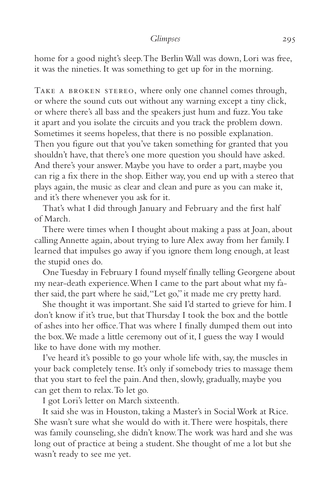home for a good night's sleep. The Berlin Wall was down, Lori was free, it was the nineties. It was something to get up for in the morning.

Take a broken stereo, where only one channel comes through, or where the sound cuts out without any warning except a tiny click, or where there's all bass and the speakers just hum and fuzz. You take it apart and you isolate the circuits and you track the problem down. Sometimes it seems hopeless, that there is no possible explanation. Then you figure out that you've taken something for granted that you shouldn't have, that there's one more question you should have asked. And there's your answer. Maybe you have to order a part, maybe you can rig a fix there in the shop. Either way, you end up with a stereo that plays again, the music as clear and clean and pure as you can make it, and it's there whenever you ask for it.

That's what I did through January and February and the first half of March.

There were times when I thought about making a pass at Joan, about calling Annette again, about trying to lure Alex away from her family. I learned that impulses go away if you ignore them long enough, at least the stupid ones do.

One Tuesday in February I found myself finally telling Georgene about my near-death experience. When I came to the part about what my father said, the part where he said, "Let go," it made me cry pretty hard.

She thought it was important. She said I'd started to grieve for him. I don't know if it's true, but that Thursday I took the box and the bottle of ashes into her office. That was where I finally dumped them out into the box. We made a little ceremony out of it, I guess the way I would like to have done with my mother.

I've heard it's possible to go your whole life with, say, the muscles in your back completely tense. It's only if somebody tries to massage them that you start to feel the pain. And then, slowly, gradually, maybe you can get them to relax. To let go.

I got Lori's letter on March sixteenth.

It said she was in Houston, taking a Master's in Social Work at Rice. She wasn't sure what she would do with it. There were hospitals, there was family counseling, she didn't know. The work was hard and she was long out of practice at being a student. She thought of me a lot but she wasn't ready to see me yet.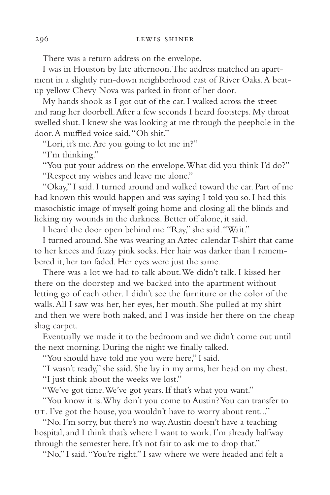There was a return address on the envelope.

I was in Houston by late afternoon. The address matched an apartment in a slightly run-down neighborhood east of River Oaks. A beatup yellow Chevy Nova was parked in front of her door.

My hands shook as I got out of the car. I walked across the street and rang her doorbell. After a few seconds I heard footsteps. My throat swelled shut. I knew she was looking at me through the peephole in the door. A muffled voice said, "Oh shit."

"Lori, it's me. Are you going to let me in?"

"I'm thinking."

"You put your address on the envelope. What did you think I'd do?" "Respect my wishes and leave me alone."

"Okay," I said. I turned around and walked toward the car. Part of me had known this would happen and was saying I told you so. I had this masochistic image of myself going home and closing all the blinds and licking my wounds in the darkness. Better off alone, it said.

I heard the door open behind me. "Ray," she said. "Wait."

I turned around. She was wearing an Aztec calendar T-shirt that came to her knees and fuzzy pink socks. Her hair was darker than I remembered it, her tan faded. Her eyes were just the same.

There was a lot we had to talk about. We didn't talk. I kissed her there on the doorstep and we backed into the apartment without letting go of each other. I didn't see the furniture or the color of the walls. All I saw was her, her eyes, her mouth. She pulled at my shirt and then we were both naked, and I was inside her there on the cheap shag carpet.

Eventually we made it to the bedroom and we didn't come out until the next morning. During the night we finally talked.

"You should have told me you were here," I said.

"I wasn't ready," she said. She lay in my arms, her head on my chest.

"I just think about the weeks we lost."

"We've got time. We've got years. If that's what you want."

"You know it is. Why don't you come to Austin? You can transfer to UT. I've got the house, you wouldn't have to worry about rent..."

"No. I'm sorry, but there's no way. Austin doesn't have a teaching hospital, and I think that's where I want to work. I'm already halfway through the semester here. It's not fair to ask me to drop that."

"No," I said. "You're right." I saw where we were headed and felt a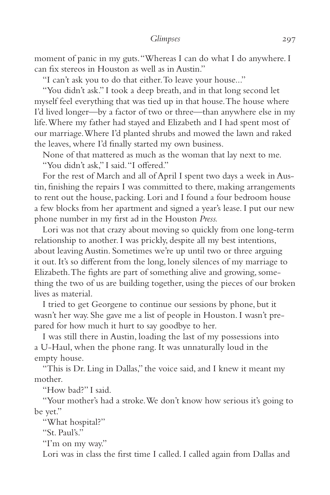moment of panic in my guts. "Whereas I can do what I do anywhere. I can fix stereos in Houston as well as in Austin."

"I can't ask you to do that either. To leave your house..."

"You didn't ask." I took a deep breath, and in that long second let myself feel everything that was tied up in that house. The house where I'd lived longer—by a factor of two or three—than anywhere else in my life. Where my father had stayed and Elizabeth and I had spent most of our marriage. Where I'd planted shrubs and mowed the lawn and raked the leaves, where I'd finally started my own business.

None of that mattered as much as the woman that lay next to me. "You didn't ask," I said. "I offered."

For the rest of March and all of April I spent two days a week in Austin, finishing the repairs I was committed to there, making arrangements to rent out the house, packing. Lori and I found a four bedroom house a few blocks from her apartment and signed a year's lease. I put our new phone number in my first ad in the Houston *Press.*

Lori was not that crazy about moving so quickly from one long-term relationship to another. I was prickly, despite all my best intentions, about leaving Austin. Sometimes we're up until two or three arguing it out. It's so different from the long, lonely silences of my marriage to Elizabeth. The fights are part of something alive and growing, something the two of us are building together, using the pieces of our broken lives as material.

I tried to get Georgene to continue our sessions by phone, but it wasn't her way. She gave me a list of people in Houston. I wasn't prepared for how much it hurt to say goodbye to her.

I was still there in Austin, loading the last of my possessions into a U-Haul, when the phone rang. It was unnaturally loud in the empty house.

"This is Dr. Ling in Dallas," the voice said, and I knew it meant my mother.

"How bad?" I said.

"Your mother's had a stroke. We don't know how serious it's going to be yet."

"What hospital?"

"St. Paul's."

"I'm on my way."

Lori was in class the first time I called. I called again from Dallas and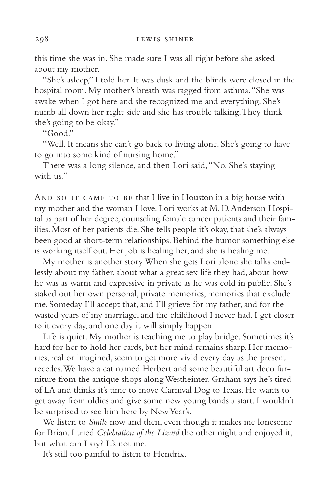this time she was in. She made sure I was all right before she asked about my mother.

"She's asleep," I told her. It was dusk and the blinds were closed in the hospital room. My mother's breath was ragged from asthma. "She was awake when I got here and she recognized me and everything. She's numb all down her right side and she has trouble talking. They think she's going to be okay."

"Good."

"Well. It means she can't go back to living alone. She's going to have to go into some kind of nursing home."

There was a long silence, and then Lori said, "No. She's staying with us."

AND SO IT CAME TO BE that I live in Houston in a big house with my mother and the woman I love. Lori works at M. D. Anderson Hospital as part of her degree, counseling female cancer patients and their families. Most of her patients die. She tells people it's okay, that she's always been good at short-term relationships. Behind the humor something else is working itself out. Her job is healing her, and she is healing me.

My mother is another story. When she gets Lori alone she talks endlessly about my father, about what a great sex life they had, about how he was as warm and expressive in private as he was cold in public. She's staked out her own personal, private memories, memories that exclude me. Someday I'll accept that, and I'll grieve for my father, and for the wasted years of my marriage, and the childhood I never had. I get closer to it every day, and one day it will simply happen.

Life is quiet. My mother is teaching me to play bridge. Sometimes it's hard for her to hold her cards, but her mind remains sharp. Her memories, real or imagined, seem to get more vivid every day as the present recedes. We have a cat named Herbert and some beautiful art deco furniture from the antique shops along Westheimer. Graham says he's tired of LA and thinks it's time to move Carnival Dog to Texas. He wants to get away from oldies and give some new young bands a start. I wouldn't be surprised to see him here by New Year's.

We listen to *Smile* now and then, even though it makes me lonesome for Brian. I tried *Celebration of the Lizard* the other night and enjoyed it, but what can I say? It's not me.

It's still too painful to listen to Hendrix.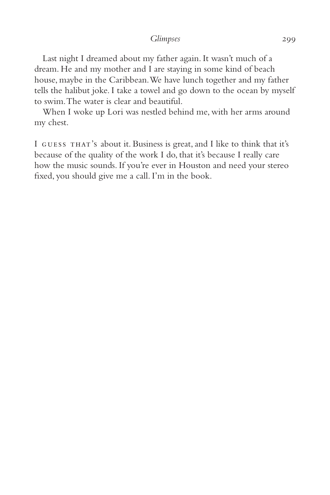Last night I dreamed about my father again. It wasn't much of a dream. He and my mother and I are staying in some kind of beach house, maybe in the Caribbean. We have lunch together and my father tells the halibut joke. I take a towel and go down to the ocean by myself to swim. The water is clear and beautiful.

When I woke up Lori was nestled behind me, with her arms around my chest.

I guess that's about it. Business is great, and I like to think that it's because of the quality of the work I do, that it's because I really care how the music sounds. If you're ever in Houston and need your stereo fixed, you should give me a call. I'm in the book.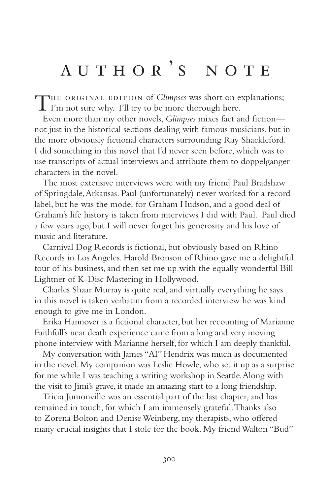# author's note

THE ORIGINAL EDITION of *Glimpses* was short on explanations; I'm not sure why. I'll try to be more thorough here.

Even more than my other novels, *Glimpses* mixes fact and fiction not just in the historical sections dealing with famous musicians, but in the more obviously fictional characters surrounding Ray Shackleford. I did something in this novel that I'd never seen before, which was to use transcripts of actual interviews and attribute them to doppelganger characters in the novel.

The most extensive interviews were with my friend Paul Bradshaw of Springdale, Arkansas. Paul (unfortunately) never worked for a record label, but he was the model for Graham Hudson, and a good deal of Graham's life history is taken from interviews I did with Paul. Paul died a few years ago, but I will never forget his generosity and his love of music and literature.

Carnival Dog Records is fictional, but obviously based on Rhino Records in Los Angeles. Harold Bronson of Rhino gave me a delightful tour of his business, and then set me up with the equally wonderful Bill Lightner of K-Disc Mastering in Hollywood.

Charles Shaar Murray is quite real, and virtually everything he says in this novel is taken verbatim from a recorded interview he was kind enough to give me in London.

Erika Hannover is a fictional character, but her recounting of Marianne Faithfull's near death experience came from a long and very moving phone interview with Marianne herself, for which I am deeply thankful.

My conversation with James "AI" Hendrix was much as documented in the novel. My companion was Leslie Howle, who set it up as a surprise for me while I was teaching a writing workshop in Seattle. Along with the visit to Jimi's grave, it made an amazing start to a long friendship.

Tricia Jumonville was an essential part of the last chapter, and has remained in touch, for which I am immensely grateful. Thanks also to Zorena Bolton and Denise Weinberg, my therapists, who offered many crucial insights that I stole for the book. My friend Walton "Bud"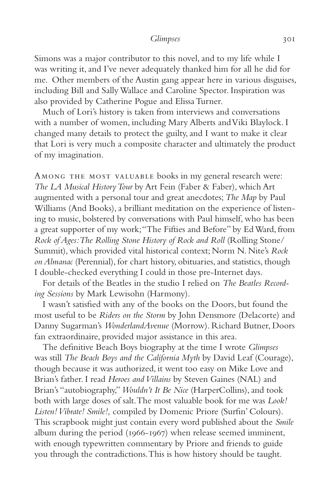Simons was a major contributor to this novel, and to my life while I was writing it, and I've never adequately thanked him for all he did for me. Other members of the Austin gang appear here in various disguises, including Bill and Sally Wallace and Caroline Spector. Inspiration was also provided by Catherine Pogue and Elissa Turner.

Much of Lori's history is taken from interviews and conversations with a number of women, including Mary Alberts and Viki Blaylock. I changed many details to protect the guilty, and I want to make it clear that Lori is very much a composite character and ultimately the product of my imagination.

Among the most valuable books in my general research were: *The LA Musical History Tour* by Art Fein (Faber & Faber), which Art augmented with a personal tour and great anecdotes; *The Map* by Paul Williams (And Books), a brilliant meditation on the experience of listening to music, bolstered by conversations with Paul himself, who has been a great supporter of my work; "The Fifties and Before" by Ed Ward, from *Rock of Ages: The Rolling Stone History of Rock and Roll* (Rolling Stone/ Summit), which provided vital historical context; Norm N. Nite's *Rock on Almanac* (Perennial), for chart history, obituaries, and statistics, though I double-checked everything I could in those pre-Internet days.

For details of the Beatles in the studio I relied on *The Beatles Recording Sessions* by Mark Lewisohn (Harmony).

I wasn't satisfied with any of the books on the Doors, but found the most useful to be *Riders on the Storm* by John Densmore (Delacorte) and Danny Sugarman's *WonderlandAvenue* (Morrow). Richard Butner, Doors fan extraordinaire, provided major assistance in this area.

The definitive Beach Boys biography at the time I wrote *Glimpses* was still *The Beach Boys and the California Myth* by David Leaf (Courage), though because it was authorized, it went too easy on Mike Love and Brian's father. I read *Heroes and Villains* by Steven Gaines (NAL) and Brian's "autobiography," *Wouldn't It Be Nice* (HarperCollins), and took both with large doses of salt. The most valuable book for me was *Look! Listen! Vibrate! Smile!,* compiled by Domenic Priore (Surfin' Colours). This scrapbook might just contain every word published about the *Smile* album during the period (1966-1967) when release seemed imminent, with enough typewritten commentary by Priore and friends to guide you through the contradictions. This is how history should be taught.